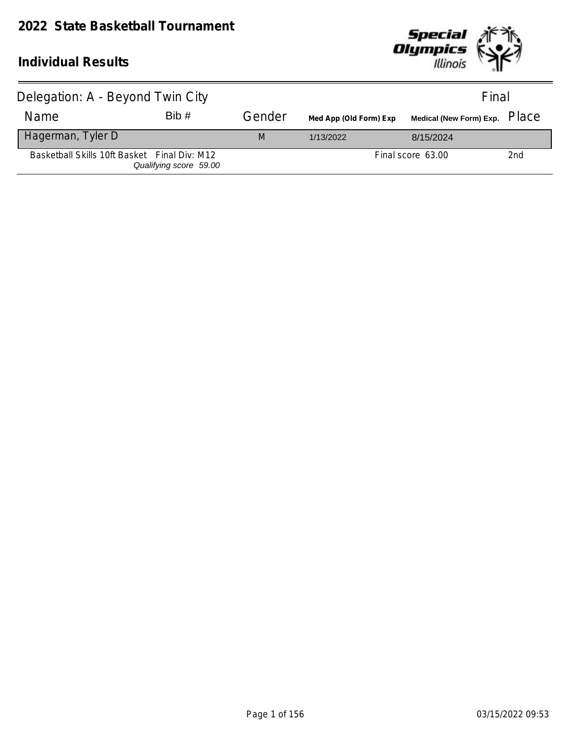

| Delegation: A - Beyond Twin City             |                        |        |                        | Final                            |     |
|----------------------------------------------|------------------------|--------|------------------------|----------------------------------|-----|
| Name                                         | Bib#                   | Gender | Med App (Old Form) Exp | Medical (New Form) Exp. PlaC $e$ |     |
| Hagerman, Tyler D                            |                        | M      | 1/13/2022              | 8/15/2024                        |     |
| Basketball Skills 10ft Basket Final Div: M12 | Qualifying score 59.00 |        |                        | Final score 63.00                | 2nd |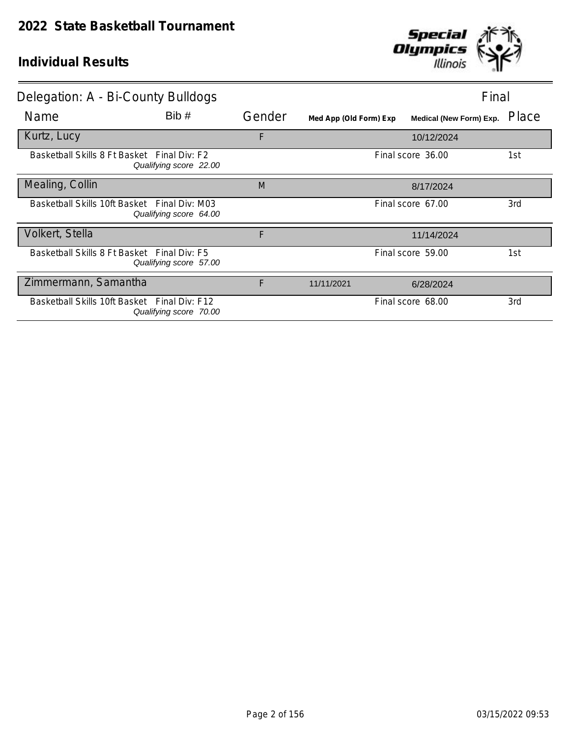

| Delegation: A - Bi-County Bulldogs           |                        |        |                        | Final                          |       |
|----------------------------------------------|------------------------|--------|------------------------|--------------------------------|-------|
| Name                                         | Bib#                   | Gender | Med App (Old Form) Exp | <b>Medical (New Form) Exp.</b> | Place |
| Kurtz, Lucy                                  |                        | F      |                        | 10/12/2024                     |       |
| Basketball Skills 8 Ft Basket Final Div: F2  | Qualifying score 22.00 |        |                        | Final score 36.00              | 1st   |
| Mealing, Collin                              |                        | M      |                        | 8/17/2024                      |       |
| Basketball Skills 10ft Basket Final Div: M03 | Qualifying score 64.00 |        |                        | Final score 67.00              | 3rd   |
| Volkert, Stella                              |                        | F      |                        | 11/14/2024                     |       |
| Basketball Skills 8 Ft Basket Final Div: F5  | Qualifying score 57.00 |        |                        | Final score 59.00              | 1st   |
| Zimmermann, Samantha                         |                        | F      | 11/11/2021             | 6/28/2024                      |       |
| Basketball Skills 10ft Basket Final Div: F12 | Qualifying score 70.00 |        |                        | Final score 68.00              | 3rd   |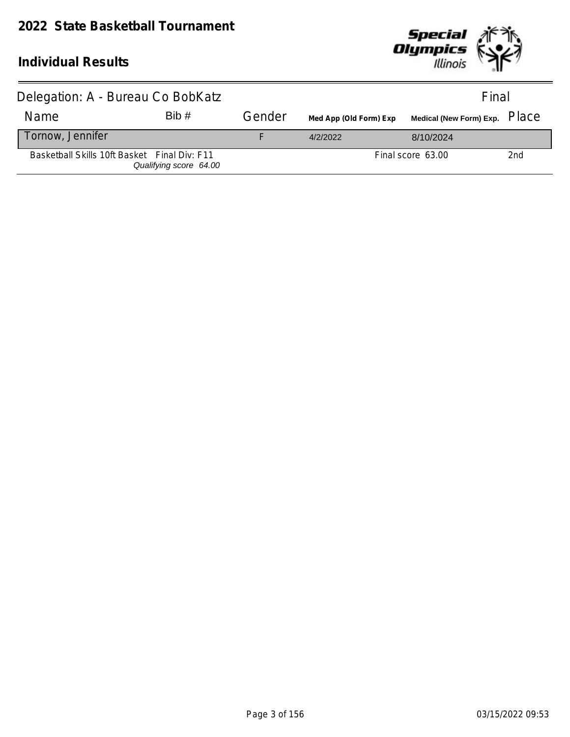### **2022 State Basketball Tournament**



| Delegation: A - Bureau Co BobKatz            |                        |        |                        | Final             |                 |
|----------------------------------------------|------------------------|--------|------------------------|-------------------|-----------------|
| Name                                         | Bib#                   | Gender | Med App (Old Form) Exp |                   |                 |
| Tornow, Jennifer                             |                        |        | 4/2/2022               | 8/10/2024         |                 |
| Basketball Skills 10ft Basket Final Div: F11 | Qualifying score 64.00 |        |                        | Final score 63.00 | 2 <sub>nd</sub> |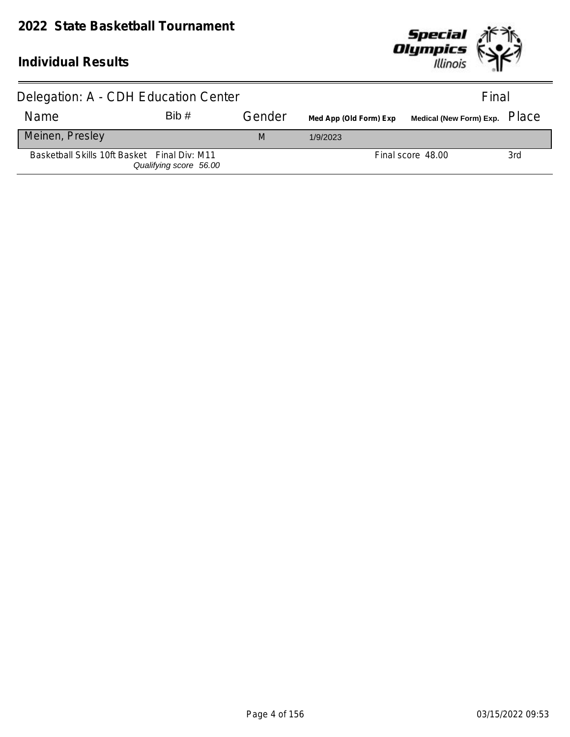

| Delegation: A - CDH Education Center         | Final                  |        |                        |                   |     |
|----------------------------------------------|------------------------|--------|------------------------|-------------------|-----|
| Name                                         | Bib#                   | Gender | Med App (Old Form) Exp |                   |     |
| Meinen, Presley                              |                        | M      | 1/9/2023               |                   |     |
| Basketball Skills 10ft Basket Final Div: M11 | Qualifying score 56.00 |        |                        | Final score 48.00 | 3rd |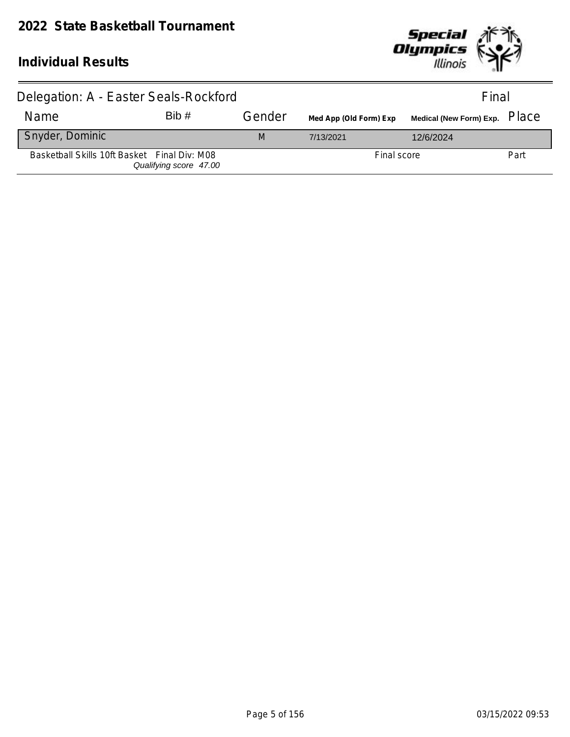

| Delegation: A - Easter Seals-Rockford        |                        |        |                        | Final                            |      |
|----------------------------------------------|------------------------|--------|------------------------|----------------------------------|------|
| Name                                         | Bib#                   | Gender | Med App (Old Form) Exp | Medical (New Form) Exp. PlaC $e$ |      |
| Snyder, Dominic                              |                        | M      | 7/13/2021              | 12/6/2024                        |      |
| Basketball Skills 10ft Basket Final Div: M08 | Qualifying score 47.00 |        | Final score            |                                  | Part |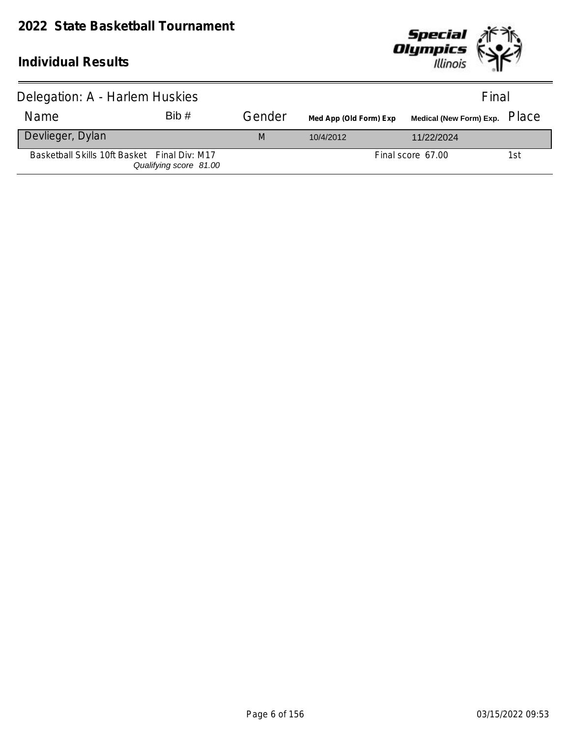

| Delegation: A - Harlem Huskies               | Final                  |        |                        |                               |     |
|----------------------------------------------|------------------------|--------|------------------------|-------------------------------|-----|
| <b>Name</b>                                  | Bib#                   | Gender | Med App (Old Form) Exp | Medical (New Form) Exp. PlaCe |     |
| Devlieger, Dylan                             |                        | M      | 10/4/2012              | 11/22/2024                    |     |
| Basketball Skills 10ft Basket Final Div: M17 | Qualifying score 81.00 |        |                        | Final score 67.00             | 1st |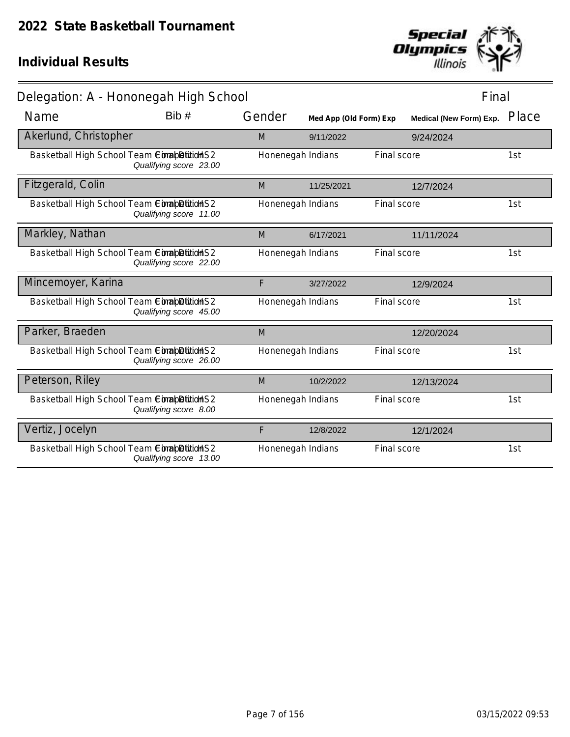

| Delegation: A - Hononegah High School        |                        |                   |                        |             |                                | Final |
|----------------------------------------------|------------------------|-------------------|------------------------|-------------|--------------------------------|-------|
| Name                                         | Bib #                  | Gender            | Med App (Old Form) Exp |             | <b>Medical (New Form) Exp.</b> | Place |
| Akerlund, Christopher                        |                        | M                 | 9/11/2022              |             | 9/24/2024                      |       |
| Basketball High School Team ComapDition S2   | Qualifying score 23.00 | Honenegah Indians |                        | Final score |                                | 1st   |
| Fitzgerald, Colin                            |                        | M                 | 11/25/2021             |             | 12/7/2024                      |       |
| Basketball High School Team ComapDitition S2 | Qualifying score 11.00 | Honenegah Indians |                        | Final score |                                | 1st   |
| Markley, Nathan                              |                        | M                 | 6/17/2021              |             | 11/11/2024                     |       |
| Basketball High School Team ComapDitition S2 | Qualifying score 22.00 | Honenegah Indians |                        | Final score |                                | 1st   |
| Mincemoyer, Karina                           |                        | F                 | 3/27/2022              |             | 12/9/2024                      |       |
| Basketball High School Team ComapDitition S2 | Qualifying score 45.00 | Honenegah Indians |                        | Final score |                                | 1st   |
| Parker, Braeden                              |                        | M                 |                        |             | 12/20/2024                     |       |
| Basketball High School Team ComapDitionS2    | Qualifying score 26.00 | Honenegah Indians |                        | Final score |                                | 1st   |
| Peterson, Riley                              |                        | M                 | 10/2/2022              |             | 12/13/2024                     |       |
| Basketball High School Team ComapDition S2   | Qualifying score 8.00  | Honenegah Indians |                        | Final score |                                | 1st   |
| Vertiz, Jocelyn                              |                        | F                 | 12/8/2022              |             | 12/1/2024                      |       |
| Basketball High School Team ComapDitition S2 | Qualifying score 13.00 | Honenegah Indians |                        | Final score |                                | 1st   |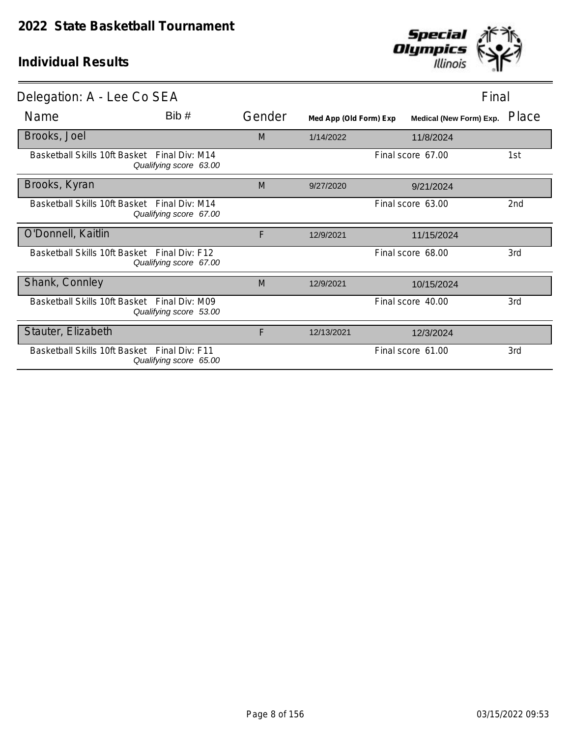

| Delegation: A - Lee Co SEA                   |                        |        |                        | Final                   |       |
|----------------------------------------------|------------------------|--------|------------------------|-------------------------|-------|
| Name                                         | Bib#                   | Gender | Med App (Old Form) Exp | Medical (New Form) Exp. | Place |
| Brooks, Joel                                 |                        | M      | 1/14/2022              | 11/8/2024               |       |
| Basketball Skills 10ft Basket Final Div: M14 | Qualifying score 63.00 |        |                        | Final score 67.00       | 1st   |
| Brooks, Kyran                                |                        | M      | 9/27/2020              | 9/21/2024               |       |
| Basketball Skills 10ft Basket Final Div: M14 | Qualifying score 67.00 |        |                        | Final score 63.00       | 2nd   |
| O'Donnell, Kaitlin                           |                        | F      | 12/9/2021              | 11/15/2024              |       |
| Basketball Skills 10ft Basket Final Div: F12 | Qualifying score 67.00 |        |                        | Final score 68.00       | 3rd   |
| Shank, Connley                               |                        | M      | 12/9/2021              | 10/15/2024              |       |
| Basketball Skills 10ft Basket Final Div: M09 | Qualifying score 53.00 |        |                        | Final score 40.00       | 3rd   |
| Stauter, Elizabeth                           |                        | F      | 12/13/2021             | 12/3/2024               |       |
| Basketball Skills 10ft Basket Final Div: F11 | Qualifying score 65.00 |        |                        | Final score 61.00       | 3rd   |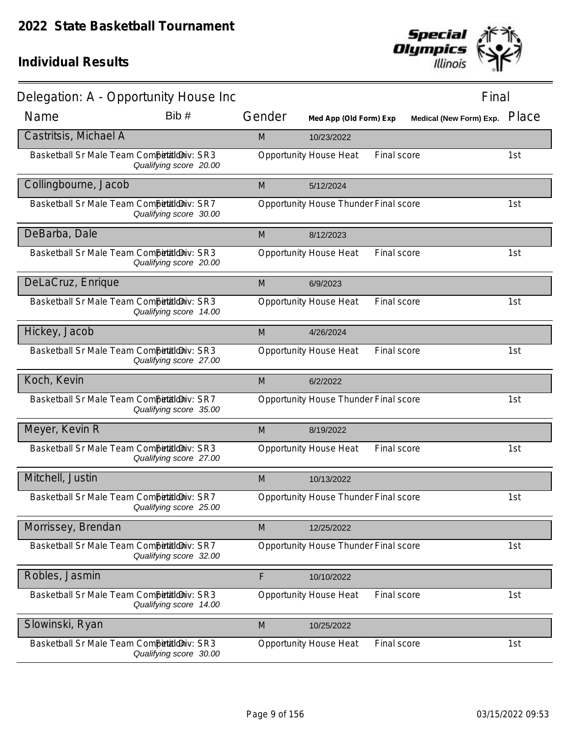

| Delegation: A - Opportunity House Inc       |                        |        |                                       |             | Final                   |       |
|---------------------------------------------|------------------------|--------|---------------------------------------|-------------|-------------------------|-------|
| Name                                        | Bib #                  | Gender | Med App (Old Form) Exp                |             | Medical (New Form) Exp. | Place |
| Castritsis, Michael A                       |                        | M      | 10/23/2022                            |             |                         |       |
| Basketball Sr Male Team Competitioniv: SR3  | Qualifying score 20.00 |        | <b>Opportunity House Heat</b>         | Final score |                         | 1st   |
| Collingbourne, Jacob                        |                        | M      | 5/12/2024                             |             |                         |       |
| Basketball Sr Male Team CompetialdDiv: SR7  | Qualifying score 30.00 |        | Opportunity House Thunder Final score |             |                         | 1st   |
| DeBarba, Dale                               |                        | M      | 8/12/2023                             |             |                         |       |
| Basketball Sr Male Team CompetialdDiv: SR3  | Qualifying score 20.00 |        | <b>Opportunity House Heat</b>         | Final score |                         | 1st   |
| DeLaCruz, Enrique                           |                        | M      | 6/9/2023                              |             |                         |       |
| Basketball Sr Male Team Competitioniv: SR3  | Qualifying score 14.00 |        | <b>Opportunity House Heat</b>         | Final score |                         | 1st   |
| Hickey, Jacob                               |                        | M      | 4/26/2024                             |             |                         |       |
| Basketball Sr Male Team Competitioniv: SR3  | Qualifying score 27.00 |        | <b>Opportunity House Heat</b>         | Final score |                         | 1st   |
| Koch, Kevin                                 |                        | M      | 6/2/2022                              |             |                         |       |
| Basketball Sr Male Team Competitioniv: SR7  | Qualifying score 35.00 |        | Opportunity House Thunder Final score |             |                         | 1st   |
| Meyer, Kevin R                              |                        | M      | 8/19/2022                             |             |                         |       |
| Basketball Sr Male Team CompetitildDiv: SR3 | Qualifying score 27.00 |        | <b>Opportunity House Heat</b>         | Final score |                         | 1st   |
| Mitchell, Justin                            |                        | M      | 10/13/2022                            |             |                         |       |
| Basketball Sr Male Team Competitioniv: SR7  | Qualifying score 25.00 |        | Opportunity House Thunder Final score |             |                         | 1st   |
| Morrissey, Brendan                          |                        | M      | 12/25/2022                            |             |                         |       |
| Basketball Sr Male Team Competitioniv: SR7  | Qualifying score 32.00 |        | Opportunity House Thunder Final score |             |                         | 1st   |
| Robles, Jasmin                              |                        | F      | 10/10/2022                            |             |                         |       |
| Basketball Sr Male Team Competitioniv: SR3  | Qualifying score 14.00 |        | <b>Opportunity House Heat</b>         | Final score |                         | 1st   |
| Slowinski, Ryan                             |                        | M      | 10/25/2022                            |             |                         |       |
| Basketball Sr Male Team Competitioniv: SR3  | Qualifying score 30.00 |        | <b>Opportunity House Heat</b>         | Final score |                         | 1st   |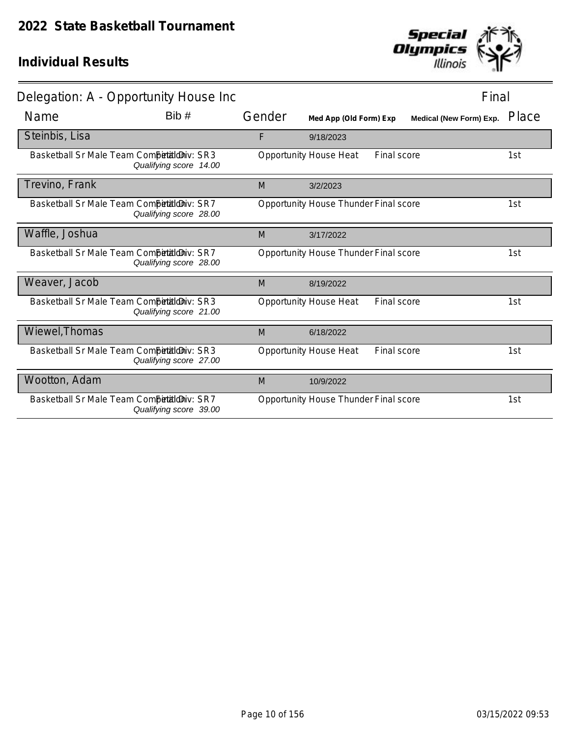

| Delegation: A - Opportunity House Inc      |                        |        |                                       |             | Final                   |       |
|--------------------------------------------|------------------------|--------|---------------------------------------|-------------|-------------------------|-------|
| Name                                       | Bib#                   | Gender | Med App (Old Form) Exp                |             | Medical (New Form) Exp. | Place |
| Steinbis, Lisa                             |                        | F      | 9/18/2023                             |             |                         |       |
| Basketball Sr Male Team Competitioniv: SR3 | Qualifying score 14.00 |        | <b>Opportunity House Heat</b>         | Final score |                         | 1st   |
| Trevino, Frank                             |                        | M      | 3/2/2023                              |             |                         |       |
| Basketball Sr Male Team Competitioniv: SR7 | Qualifying score 28.00 |        | Opportunity House Thunder Final score |             |                         | 1st   |
| Waffle, Joshua                             |                        | M      | 3/17/2022                             |             |                         |       |
| Basketball Sr Male Team Competitioniv: SR7 | Qualifying score 28.00 |        | Opportunity House Thunder Final score |             |                         | 1st   |
| Weaver, Jacob                              |                        | M      | 8/19/2022                             |             |                         |       |
| Basketball Sr Male Team Competitioniv: SR3 | Qualifying score 21.00 |        | <b>Opportunity House Heat</b>         | Final score |                         | 1st   |
| Wiewel, Thomas                             |                        | M      | 6/18/2022                             |             |                         |       |
| Basketball Sr Male Team Competitioniv: SR3 | Qualifying score 27.00 |        | <b>Opportunity House Heat</b>         | Final score |                         | 1st   |
| Wootton, Adam                              |                        | M      | 10/9/2022                             |             |                         |       |
| Basketball Sr Male Team Competitioniv: SR7 | Qualifying score 39.00 |        | Opportunity House Thunder Final score |             |                         | 1st   |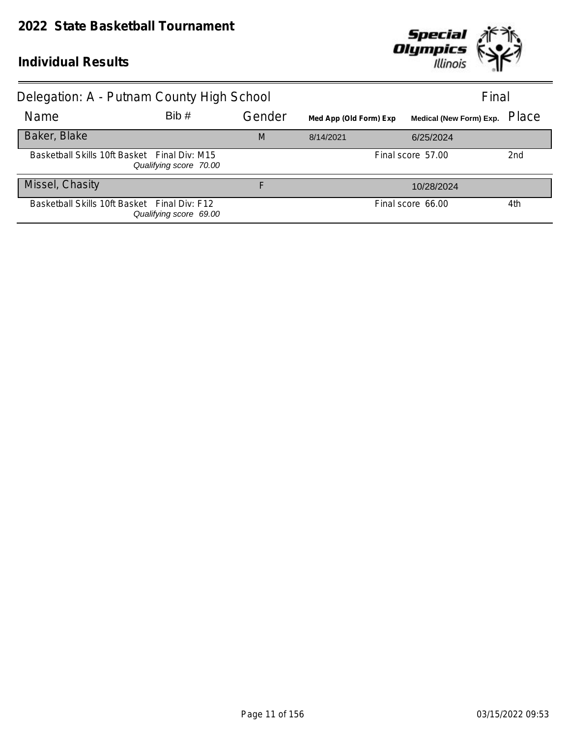

| Delegation: A - Putnam County High School    | Final                  |        |                        |                                |       |
|----------------------------------------------|------------------------|--------|------------------------|--------------------------------|-------|
| Name                                         | Bib#                   | Gender | Med App (Old Form) Exp | <b>Medical (New Form) Exp.</b> | Place |
| Baker, Blake                                 |                        | M      | 8/14/2021              | 6/25/2024                      |       |
| Basketball Skills 10ft Basket Final Div: M15 | Qualifying score 70.00 |        |                        | Final score 57.00              | 2nd   |
| Missel, Chasity                              |                        | F      |                        | 10/28/2024                     |       |
| Basketball Skills 10ft Basket Final Div: F12 | Qualifying score 69.00 |        |                        | Final score 66.00              | 4th   |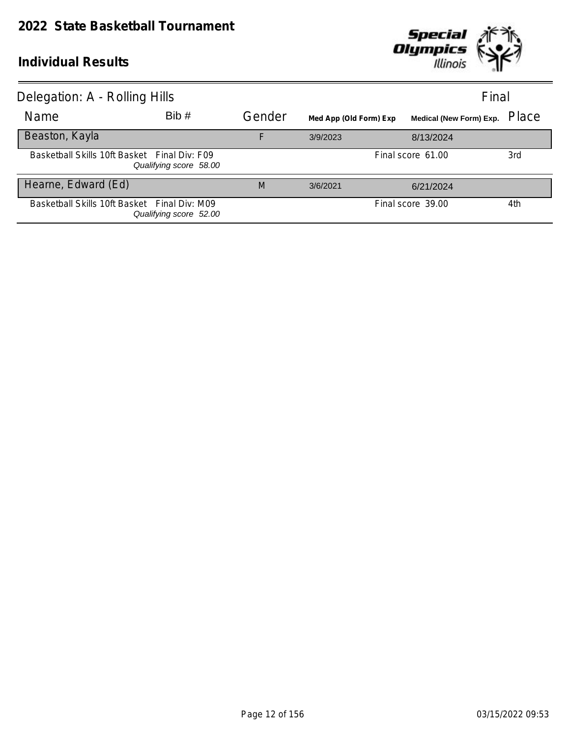

| Delegation: A - Rolling Hills<br>Final       |                        |        |                        |                               |     |  |
|----------------------------------------------|------------------------|--------|------------------------|-------------------------------|-----|--|
| Name                                         | Bib#                   | Gender | Med App (Old Form) Exp | Medical (New Form) Exp. Place |     |  |
| Beaston, Kayla                               |                        | F      | 3/9/2023               | 8/13/2024                     |     |  |
| Basketball Skills 10ft Basket Final Div: F09 | Qualifying score 58.00 |        |                        | Final score 61.00             | 3rd |  |
| Hearne, Edward (Ed)                          |                        | M      | 3/6/2021               | 6/21/2024                     |     |  |
| Basketball Skills 10ft Basket Final Div: M09 | Qualifying score 52.00 |        |                        | Final score 39.00             | 4th |  |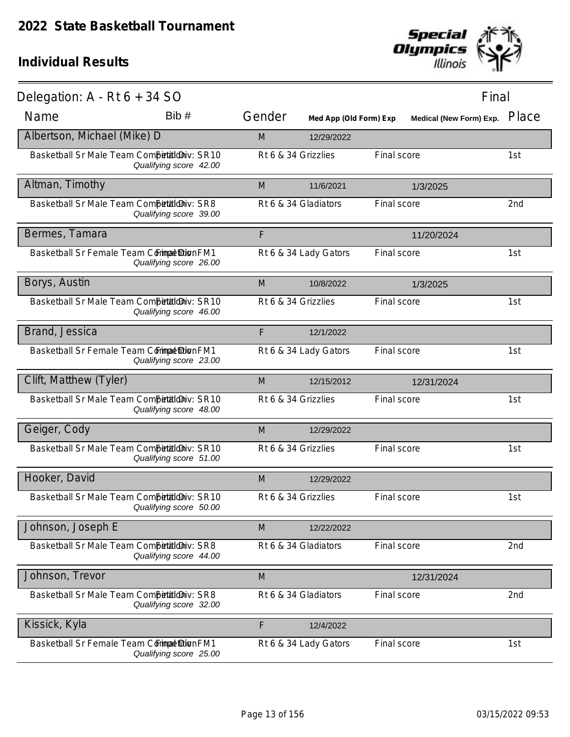

| Delegation: $A - Rt 6 + 34 SO$              |                        |        |                        |             | Final                   |       |
|---------------------------------------------|------------------------|--------|------------------------|-------------|-------------------------|-------|
| Name                                        | Bib #                  | Gender | Med App (Old Form) Exp |             | Medical (New Form) Exp. | Place |
| Albertson, Michael (Mike) D                 |                        | M      | 12/29/2022             |             |                         |       |
| Basketball Sr Male Team Competitioniv: SR10 | Qualifying score 42.00 |        | Rt 6 & 34 Grizzlies    | Final score |                         | 1st   |
| Altman, Timothy                             |                        | M      | 11/6/2021              |             | 1/3/2025                |       |
| Basketball Sr Male Team Competitioniv: SR8  | Qualifying score 39.00 |        | Rt 6 & 34 Gladiators   | Final score |                         | 2nd   |
| Bermes, Tamara                              |                        | F      |                        |             | 11/20/2024              |       |
| Basketball Sr Female Team Commat DionFM1    | Qualifying score 26.00 |        | Rt 6 & 34 Lady Gators  | Final score |                         | 1st   |
| Borys, Austin                               |                        | M      | 10/8/2022              |             | 1/3/2025                |       |
| Basketball Sr Male Team Competitioniv: SR10 | Qualifying score 46.00 |        | Rt 6 & 34 Grizzlies    | Final score |                         | 1st   |
| Brand, Jessica                              |                        | F      | 12/1/2022              |             |                         |       |
| Basketball Sr Female Team Commat DionFM1    | Qualifying score 23.00 |        | Rt 6 & 34 Lady Gators  | Final score |                         | 1st   |
| Clift, Matthew (Tyler)                      |                        | M      | 12/15/2012             |             | 12/31/2024              |       |
| Basketball Sr Male Team Competitioniv: SR10 | Qualifying score 48.00 |        | Rt 6 & 34 Grizzlies    | Final score |                         | 1st   |
| Geiger, Cody                                |                        | M      | 12/29/2022             |             |                         |       |
| Basketball Sr Male Team Competitioniv: SR10 | Qualifying score 51.00 |        | Rt 6 & 34 Grizzlies    | Final score |                         | 1st   |
| Hooker, David                               |                        | M      | 12/29/2022             |             |                         |       |
| Basketball Sr Male Team Competitioniv: SR10 | Qualifying score 50.00 |        | Rt 6 & 34 Grizzlies    | Final score |                         | 1st   |
| Johnson, Joseph E                           |                        | M      | 12/22/2022             |             |                         |       |
| Basketball Sr Male Team Competitioniv: SR8  | Qualifying score 44.00 |        | Rt 6 & 34 Gladiators   | Final score |                         | 2nd   |
| Johnson, Trevor                             |                        | M      |                        |             | 12/31/2024              |       |
| Basketball Sr Male Team Competitioniv: SR8  | Qualifying score 32.00 |        | Rt 6 & 34 Gladiators   | Final score |                         | 2nd   |
| Kissick, Kyla                               |                        | F      | 12/4/2022              |             |                         |       |
| Basketball Sr Female Team Commat DionFM1    | Qualifying score 25.00 |        | Rt 6 & 34 Lady Gators  | Final score |                         | 1st   |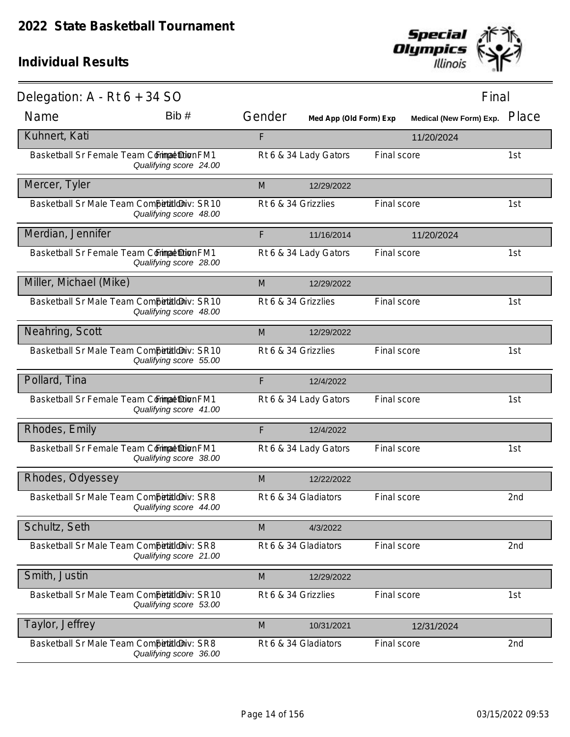

| Delegation: $A - Rt 6 + 34 SO$              |                        |                     |                        | Final       |                         |       |
|---------------------------------------------|------------------------|---------------------|------------------------|-------------|-------------------------|-------|
| Name                                        | Bib#                   | Gender              | Med App (Old Form) Exp |             | Medical (New Form) Exp. | Place |
| Kuhnert, Kati                               |                        | F                   |                        |             | 11/20/2024              |       |
| Basketball Sr Female Team Commat DionFM1    | Qualifying score 24.00 |                     | Rt 6 & 34 Lady Gators  | Final score |                         | 1st   |
| Mercer, Tyler                               |                        | M                   | 12/29/2022             |             |                         |       |
| Basketball Sr Male Team Competitioniv: SR10 | Qualifying score 48.00 | Rt 6 & 34 Grizzlies |                        | Final score |                         | 1st   |
| Merdian, Jennifer                           |                        | F                   | 11/16/2014             |             | 11/20/2024              |       |
| Basketball Sr Female Team Commat DionFM1    | Qualifying score 28.00 |                     | Rt 6 & 34 Lady Gators  | Final score |                         | 1st   |
| Miller, Michael (Mike)                      |                        | M                   | 12/29/2022             |             |                         |       |
| Basketball Sr Male Team Competitioniv: SR10 | Qualifying score 48.00 | Rt 6 & 34 Grizzlies |                        | Final score |                         | 1st   |
| Neahring, Scott                             |                        | M                   | 12/29/2022             |             |                         |       |
| Basketball Sr Male Team Competitioniv: SR10 | Qualifying score 55.00 | Rt 6 & 34 Grizzlies |                        | Final score |                         | 1st   |
| Pollard, Tina                               |                        | F                   | 12/4/2022              |             |                         |       |
| Basketball Sr Female Team Commat Dion FM1   | Qualifying score 41.00 |                     | Rt 6 & 34 Lady Gators  | Final score |                         | 1st   |
| Rhodes, Emily                               |                        | F                   | 12/4/2022              |             |                         |       |
| Basketball Sr Female Team Commat Dion FM1   | Qualifying score 38.00 |                     | Rt 6 & 34 Lady Gators  | Final score |                         | 1st   |
| Rhodes, Odyessey                            |                        | M                   | 12/22/2022             |             |                         |       |
| Basketball Sr Male Team Competitioniv: SR8  | Qualifying score 44.00 |                     | Rt 6 & 34 Gladiators   | Final score |                         | 2nd   |
| Schultz, Seth                               |                        | M                   | 4/3/2022               |             |                         |       |
| Basketball Sr Male Team Competitioniv: SR8  | Qualifying score 21.00 |                     | Rt 6 & 34 Gladiators   | Final score |                         | 2nd   |
| Smith, Justin                               |                        | M                   | 12/29/2022             |             |                         |       |
| Basketball Sr Male Team Competitioniv: SR10 | Qualifying score 53.00 | Rt 6 & 34 Grizzlies |                        | Final score |                         | 1st   |
| Taylor, Jeffrey                             |                        | M                   | 10/31/2021             |             | 12/31/2024              |       |
| Basketball Sr Male Team Competitioniv: SR8  | Qualifying score 36.00 |                     | Rt 6 & 34 Gladiators   | Final score |                         | 2nd   |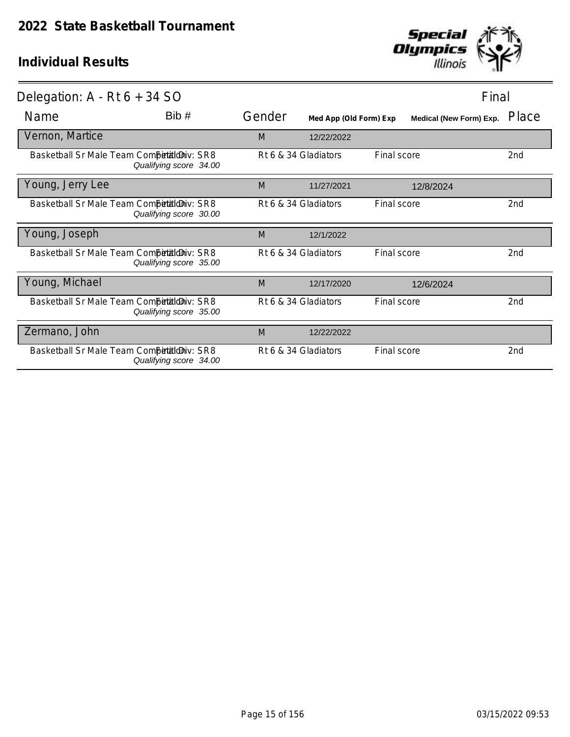

| Delegation: $A - Rt 6 + 34 SO$             |                        |        |                        | Final       |                                |                 |
|--------------------------------------------|------------------------|--------|------------------------|-------------|--------------------------------|-----------------|
| Name                                       | Bib #                  | Gender | Med App (Old Form) Exp |             | <b>Medical (New Form) Exp.</b> | Place           |
| Vernon, Martice                            |                        | M      | 12/22/2022             |             |                                |                 |
| Basketball Sr Male Team CompetialdDiv: SR8 | Qualifying score 34.00 |        | Rt 6 & 34 Gladiators   | Final score |                                | 2nd             |
| Young, Jerry Lee                           |                        | M      | 11/27/2021             |             | 12/8/2024                      |                 |
| Basketball Sr Male Team CompetialdDiv: SR8 | Qualifying score 30.00 |        | Rt 6 & 34 Gladiators   | Final score |                                | 2nd             |
| Young, Joseph                              |                        | M      | 12/1/2022              |             |                                |                 |
| Basketball Sr Male Team CompetialdDiv: SR8 | Qualifying score 35.00 |        | Rt 6 & 34 Gladiators   | Final score |                                | 2 <sub>nd</sub> |
| Young, Michael                             |                        | M      | 12/17/2020             |             | 12/6/2024                      |                 |
| Basketball Sr Male Team Competitioniv: SR8 | Qualifying score 35.00 |        | Rt 6 & 34 Gladiators   | Final score |                                | 2 <sub>nd</sub> |
| Zermano, John                              |                        | M      | 12/22/2022             |             |                                |                 |
| Basketball Sr Male Team Competitioniv: SR8 | Qualifying score 34.00 |        | Rt 6 & 34 Gladiators   | Final score |                                | 2nd             |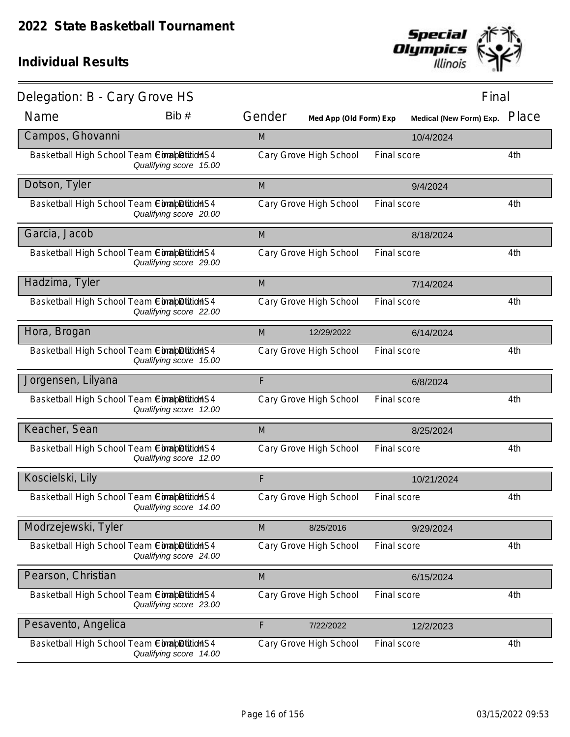

| Delegation: B - Cary Grove HS                |                        |        |                        |             | Final                   |       |
|----------------------------------------------|------------------------|--------|------------------------|-------------|-------------------------|-------|
| Name                                         | Bib#                   | Gender | Med App (Old Form) Exp |             | Medical (New Form) Exp. | Place |
| Campos, Ghovanni                             |                        | M      |                        |             | 10/4/2024               |       |
| Basketball High School Team Completition S4  | Qualifying score 15.00 |        | Cary Grove High School | Final score |                         | 4th   |
| Dotson, Tyler                                |                        | M      |                        |             | 9/4/2024                |       |
| Basketball High School Team CompletitionS4   | Qualifying score 20.00 |        | Cary Grove High School | Final score |                         | 4th   |
| Garcia, Jacob                                |                        | M      |                        |             | 8/18/2024               |       |
| Basketball High School Team ComapDition S4   | Qualifying score 29.00 |        | Cary Grove High School | Final score |                         | 4th   |
| Hadzima, Tyler                               |                        | M      |                        |             | 7/14/2024               |       |
| Basketball High School Team ConabDitionS4    | Qualifying score 22.00 |        | Cary Grove High School | Final score |                         | 4th   |
| Hora, Brogan                                 |                        | M      | 12/29/2022             |             | 6/14/2024               |       |
| Basketball High School Team Completition S4  | Qualifying score 15.00 |        | Cary Grove High School | Final score |                         | 4th   |
| Jorgensen, Lilyana                           |                        | F      |                        |             | 6/8/2024                |       |
| Basketball High School Team Completition S4  | Qualifying score 12.00 |        | Cary Grove High School | Final score |                         | 4th   |
| Keacher, Sean                                |                        | M      |                        |             | 8/25/2024               |       |
| Basketball High School Team Completition S4  | Qualifying score 12.00 |        | Cary Grove High School | Final score |                         | 4th   |
| Koscielski, Lily                             |                        | F      |                        |             | 10/21/2024              |       |
| Basketball High School Team ComapDitition S4 | Qualifying score 14.00 |        | Cary Grove High School | Final score |                         | 4th   |
| Modrzejewski, Tyler                          |                        | M      | 8/25/2016              |             | 9/29/2024               |       |
| Basketball High School Team Completition S4  | Qualifying score 24.00 |        | Cary Grove High School | Final score |                         | 4th   |
| Pearson, Christian                           |                        | M      |                        |             | 6/15/2024               |       |
| Basketball High School Team ComabDition S4   | Qualifying score 23.00 |        | Cary Grove High School | Final score |                         | 4th   |
| Pesavento, Angelica                          |                        | F      | 7/22/2022              |             | 12/2/2023               |       |
| Basketball High School Team Completition S4  | Qualifying score 14.00 |        | Cary Grove High School | Final score |                         | 4th   |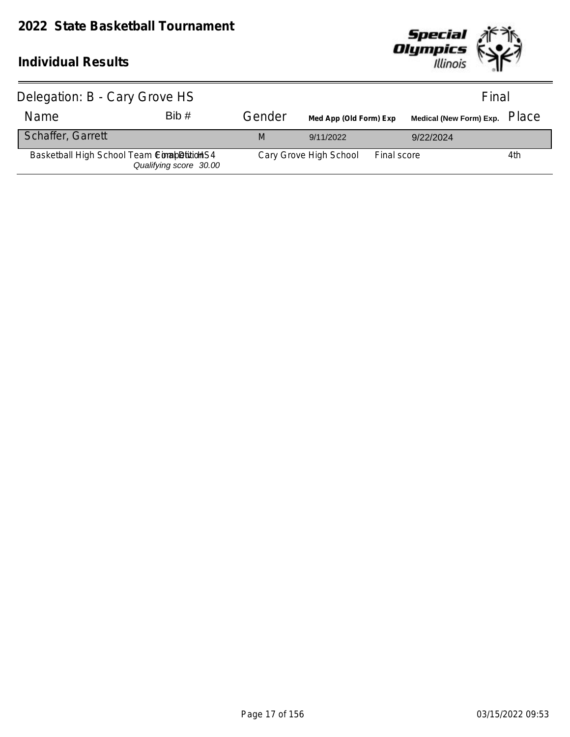

| Delegation: B - Cary Grove HS               | Final                  |        |                        |             |           |     |
|---------------------------------------------|------------------------|--------|------------------------|-------------|-----------|-----|
| <b>Name</b>                                 | Bib#                   | Gender | Med App (Old Form) Exp |             |           |     |
| <b>Schaffer, Garrett</b>                    |                        | M      | 9/11/2022              |             | 9/22/2024 |     |
| Basketball High School Team ComapDititioHS4 | Qualifying score 30.00 |        | Cary Grove High School | Final score |           | 4th |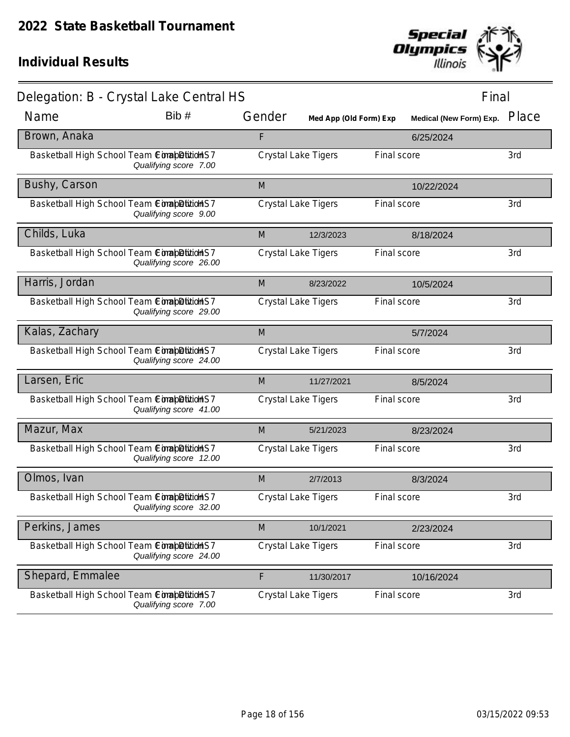

| Delegation: B - Crystal Lake Central HS      |                        |        |                            |             | Final                   |       |
|----------------------------------------------|------------------------|--------|----------------------------|-------------|-------------------------|-------|
| Name                                         | Bib #                  | Gender | Med App (Old Form) Exp     |             | Medical (New Form) Exp. | Place |
| Brown, Anaka                                 |                        | F      |                            |             | 6/25/2024               |       |
| Basketball High School Team ComabDition S7   | Qualifying score 7.00  |        | <b>Crystal Lake Tigers</b> | Final score |                         | 3rd   |
| Bushy, Carson                                |                        | M      |                            |             | 10/22/2024              |       |
| Basketball High School Team ComapDitionHS7   | Qualifying score 9.00  |        | Crystal Lake Tigers        | Final score |                         | 3rd   |
| Childs, Luka                                 |                        | M      | 12/3/2023                  |             | 8/18/2024               |       |
| Basketball High School Team ComapDitionHS7   | Qualifying score 26.00 |        | Crystal Lake Tigers        | Final score |                         | 3rd   |
| Harris, Jordan                               |                        | M      | 8/23/2022                  |             | 10/5/2024               |       |
| Basketball High School Team ConabDitionS7    | Qualifying score 29.00 |        | <b>Crystal Lake Tigers</b> | Final score |                         | 3rd   |
| Kalas, Zachary                               |                        | M      |                            |             | 5/7/2024                |       |
| Basketball High School Team ComapDitionHS7   | Qualifying score 24.00 |        | Crystal Lake Tigers        | Final score |                         | 3rd   |
| Larsen, Eric                                 |                        | M      | 11/27/2021                 |             | 8/5/2024                |       |
| Basketball High School Team ComapDitionHS7   | Qualifying score 41.00 |        | Crystal Lake Tigers        | Final score |                         | 3rd   |
| Mazur, Max                                   |                        | M      | 5/21/2023                  |             | 8/23/2024               |       |
| Basketball High School Team ConabDitionS7    | Qualifying score 12.00 |        | Crystal Lake Tigers        | Final score |                         | 3rd   |
| Olmos, Ivan                                  |                        | M      | 2/7/2013                   |             | 8/3/2024                |       |
| Basketball High School Team ComapDitition S7 | Qualifying score 32.00 |        | <b>Crystal Lake Tigers</b> | Final score |                         | 3rd   |
| Perkins, James                               |                        | M      | 10/1/2021                  |             | 2/23/2024               |       |
| Basketball High School Team CorapBittion S7  | Qualifying score 24.00 |        | Crystal Lake Tigers        | Final score |                         | 3rd   |
| Shepard, Emmalee                             |                        | F      | 11/30/2017                 |             | 10/16/2024              |       |
| Basketball High School Team CorapBittion S7  | Qualifying score 7.00  |        | <b>Crystal Lake Tigers</b> | Final score |                         | 3rd   |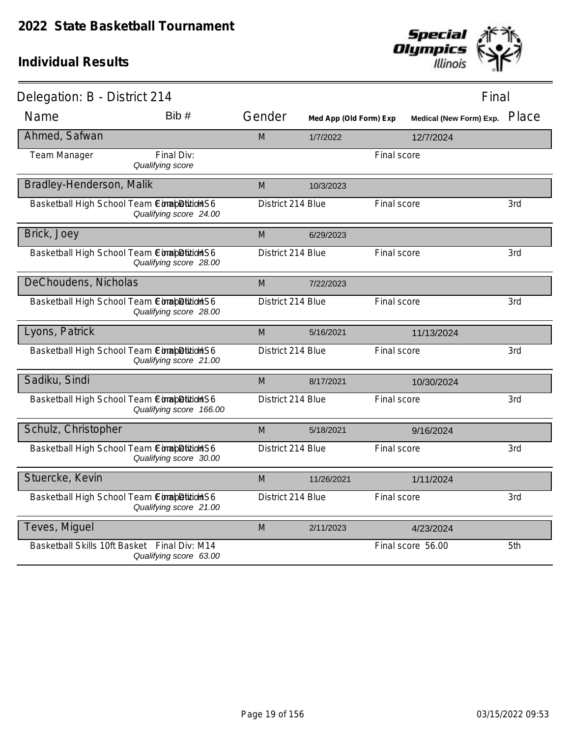

| Delegation: B - District 214                 |                                |                   |                        |             | Final                         |     |
|----------------------------------------------|--------------------------------|-------------------|------------------------|-------------|-------------------------------|-----|
| Name                                         | Bib #                          | Gender            | Med App (Old Form) Exp |             | Medical (New Form) Exp. Place |     |
| Ahmed, Safwan                                |                                | M                 | 1/7/2022               |             | 12/7/2024                     |     |
| Team Manager                                 | Final Div:<br>Qualifying score |                   |                        | Final score |                               |     |
| Bradley-Henderson, Malik                     |                                | M                 | 10/3/2023              |             |                               |     |
| Basketball High School Team Completition S6  | Qualifying score 24.00         | District 214 Blue |                        | Final score |                               | 3rd |
| Brick, Joey                                  |                                | M                 | 6/29/2023              |             |                               |     |
| Basketball High School Team ComapDition S6   | Qualifying score 28.00         | District 214 Blue |                        | Final score |                               | 3rd |
| DeChoudens, Nicholas                         |                                | M                 | 7/22/2023              |             |                               |     |
| Basketball High School Team Completition S6  | Qualifying score 28.00         | District 214 Blue |                        | Final score |                               | 3rd |
| Lyons, Patrick                               |                                | M                 | 5/16/2021              |             | 11/13/2024                    |     |
| Basketball High School Team ComapDition S6   | Qualifying score 21.00         | District 214 Blue |                        | Final score |                               | 3rd |
| Sadiku, Sindi                                |                                | M                 | 8/17/2021              |             | 10/30/2024                    |     |
| Basketball High School Team ComapDitionHS6   | Qualifying score 166.00        | District 214 Blue |                        | Final score |                               | 3rd |
| Schulz, Christopher                          |                                | M                 | 5/18/2021              |             | 9/16/2024                     |     |
| Basketball High School Team Completition S6  | Qualifying score 30.00         | District 214 Blue |                        | Final score |                               | 3rd |
| Stuercke, Kevin                              |                                | M                 | 11/26/2021             |             | 1/11/2024                     |     |
| Basketball High School Team Completition S6  | Qualifying score 21.00         | District 214 Blue |                        | Final score |                               | 3rd |
| Teves, Miguel                                |                                | M                 | 2/11/2023              |             | 4/23/2024                     |     |
| Basketball Skills 10ft Basket Final Div: M14 | Qualifying score 63.00         |                   |                        |             | Final score 56.00             | 5th |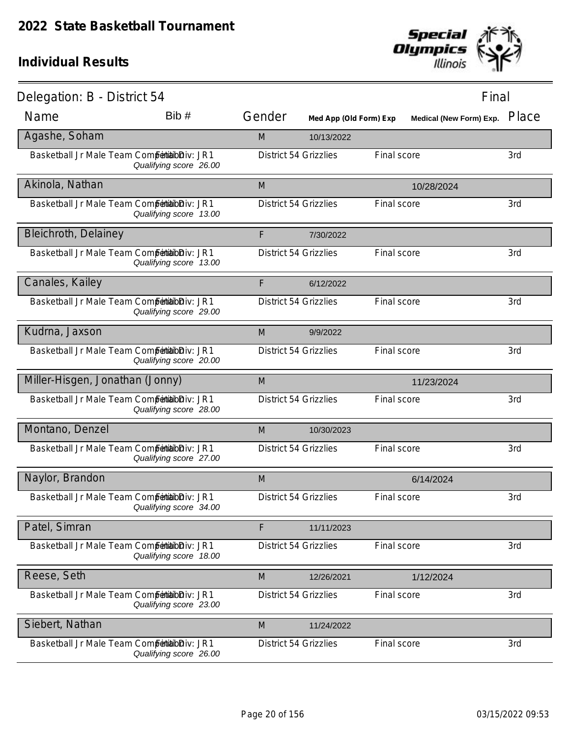

| Delegation: B - District 54                   |                        |                              |                        |             | Final                   |       |
|-----------------------------------------------|------------------------|------------------------------|------------------------|-------------|-------------------------|-------|
| Name                                          | Bib#                   | Gender                       | Med App (Old Form) Exp |             | Medical (New Form) Exp. | Place |
| Agashe, Soham                                 |                        | M                            | 10/13/2022             |             |                         |       |
| Basketball Jr Male Team Competibilibiliv: JR1 | Qualifying score 26.00 | <b>District 54 Grizzlies</b> |                        | Final score |                         | 3rd   |
| Akinola, Nathan                               |                        | M                            |                        |             | 10/28/2024              |       |
| Basketball Jr Male Team Competibilibiliv: JR1 | Qualifying score 13.00 | <b>District 54 Grizzlies</b> |                        | Final score |                         | 3rd   |
| <b>Bleichroth, Delainey</b>                   |                        | F                            | 7/30/2022              |             |                         |       |
| Basketball Jr Male Team Competibilibiliv: JR1 | Qualifying score 13.00 | <b>District 54 Grizzlies</b> |                        | Final score |                         | 3rd   |
| Canales, Kailey                               |                        | F                            | 6/12/2022              |             |                         |       |
| Basketball Jr Male Team Competibilibiliv: JR1 | Qualifying score 29.00 | <b>District 54 Grizzlies</b> |                        | Final score |                         | 3rd   |
| Kudrna, Jaxson                                |                        | M                            | 9/9/2022               |             |                         |       |
| Basketball Jr Male Team Competibilibiliv: JR1 | Qualifying score 20.00 | <b>District 54 Grizzlies</b> |                        | Final score |                         | 3rd   |
| Miller-Hisgen, Jonathan (Jonny)               |                        | M                            |                        |             | 11/23/2024              |       |
| Basketball Jr Male Team Competibilibiliv: JR1 | Qualifying score 28.00 | <b>District 54 Grizzlies</b> |                        | Final score |                         | 3rd   |
| Montano, Denzel                               |                        | M                            | 10/30/2023             |             |                         |       |
| Basketball Jr Male Team Competibilibiliv: JR1 | Qualifying score 27.00 | District 54 Grizzlies        |                        | Final score |                         | 3rd   |
| Naylor, Brandon                               |                        | M                            |                        |             | 6/14/2024               |       |
| Basketball Jr Male Team Competitabloiv: JR1   | Qualifying score 34.00 | <b>District 54 Grizzlies</b> |                        | Final score |                         | 3rd   |
| Patel, Simran                                 |                        | F                            | 11/11/2023             |             |                         |       |
| Basketball Jr Male Team Competibilibiliv: JR1 | Qualifying score 18.00 | <b>District 54 Grizzlies</b> |                        | Final score |                         | 3rd   |
| Reese, Seth                                   |                        | M                            | 12/26/2021             |             | 1/12/2024               |       |
| Basketball Jr Male Team Competibilibiliv: JR1 | Qualifying score 23.00 | <b>District 54 Grizzlies</b> |                        | Final score |                         | 3rd   |
| Siebert, Nathan                               |                        | M                            | 11/24/2022             |             |                         |       |
| Basketball Jr Male Team Competibilibiliv: JR1 | Qualifying score 26.00 | <b>District 54 Grizzlies</b> |                        | Final score |                         | 3rd   |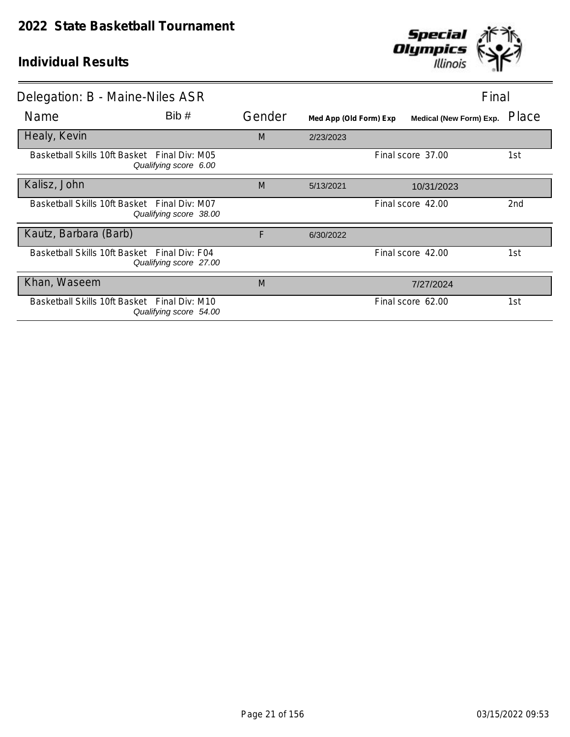

| Delegation: B - Maine-Niles ASR              |                                                                        |        |                        |                         | Final           |  |
|----------------------------------------------|------------------------------------------------------------------------|--------|------------------------|-------------------------|-----------------|--|
| Name                                         | Bib#                                                                   | Gender | Med App (Old Form) Exp | Medical (New Form) Exp. | Place           |  |
| Healy, Kevin                                 |                                                                        | M      | 2/23/2023              |                         |                 |  |
| Basketball Skills 10ft Basket Final Div: M05 | Qualifying score 6.00                                                  |        |                        | Final score 37.00       | 1st             |  |
| Kalisz, John                                 |                                                                        | M      | 5/13/2021              | 10/31/2023              |                 |  |
| Basketball Skills 10ft Basket Final Div: M07 | Qualifying score 38.00                                                 |        |                        | Final score 42.00       | 2 <sub>nd</sub> |  |
| Kautz, Barbara (Barb)                        |                                                                        | F      | 6/30/2022              |                         |                 |  |
| Basketball Skills 10ft Basket Final Div: F04 | Qualifying score 27.00                                                 |        |                        | Final score 42.00       | 1st             |  |
| Khan, Waseem                                 |                                                                        | M      |                        | 7/27/2024               |                 |  |
|                                              | Basketball Skills 10ft Basket Final Div: M10<br>Qualifying score 54.00 |        |                        | Final score 62.00       | 1st             |  |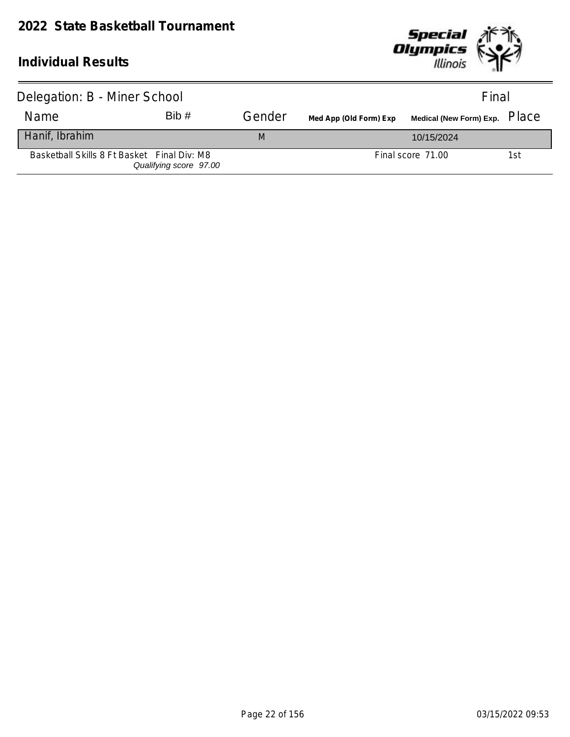

| Delegation: B - Miner School                |                        |        |                        | Final                            |     |  |
|---------------------------------------------|------------------------|--------|------------------------|----------------------------------|-----|--|
| <b>Name</b>                                 | Bib#                   | Gender | Med App (Old Form) Exp | Medical (New Form) Exp. PlaC $e$ |     |  |
| Hanif, Ibrahim                              |                        | M      |                        | 10/15/2024                       |     |  |
| Basketball Skills 8 Ft Basket Final Div: M8 | Qualifying score 97.00 |        |                        | Final score 71.00                | 1st |  |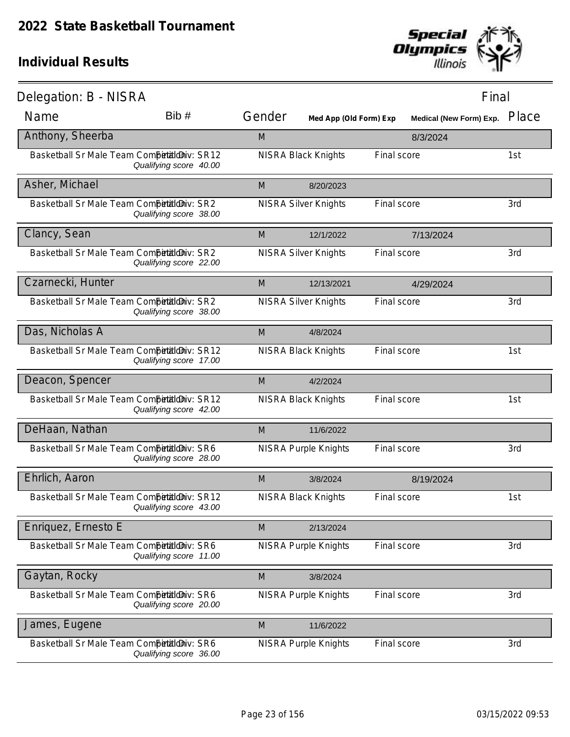

| Delegation: B - NISRA                       |                        |        |                             |             | Final                   |       |
|---------------------------------------------|------------------------|--------|-----------------------------|-------------|-------------------------|-------|
| Name                                        | Bib#                   | Gender | Med App (Old Form) Exp      |             | Medical (New Form) Exp. | Place |
| Anthony, Sheerba                            |                        | M      |                             |             | 8/3/2024                |       |
| Basketball Sr Male Team Competitioniv: SR12 | Qualifying score 40.00 |        | <b>NISRA Black Knights</b>  | Final score |                         | 1st   |
| Asher, Michael                              |                        | M      | 8/20/2023                   |             |                         |       |
| Basketball Sr Male Team Competitioniv: SR2  | Qualifying score 38.00 |        | <b>NISRA Silver Knights</b> | Final score |                         | 3rd   |
| Clancy, Sean                                |                        | M      | 12/1/2022                   |             | 7/13/2024               |       |
| Basketball Sr Male Team Competitioniv: SR2  | Qualifying score 22.00 |        | <b>NISRA Silver Knights</b> | Final score |                         | 3rd   |
| Czarnecki, Hunter                           |                        | M      | 12/13/2021                  |             | 4/29/2024               |       |
| Basketball Sr Male Team Competitioniv: SR2  | Qualifying score 38.00 |        | <b>NISRA Silver Knights</b> | Final score |                         | 3rd   |
| Das, Nicholas A                             |                        | M      | 4/8/2024                    |             |                         |       |
| Basketball Sr Male Team Competitioniv: SR12 | Qualifying score 17.00 |        | <b>NISRA Black Knights</b>  | Final score |                         | 1st   |
| Deacon, Spencer                             |                        | M      | 4/2/2024                    |             |                         |       |
| Basketball Sr Male Team Competitioniv: SR12 | Qualifying score 42.00 |        | <b>NISRA Black Knights</b>  | Final score |                         | 1st   |
| DeHaan, Nathan                              |                        | M      | 11/6/2022                   |             |                         |       |
| Basketball Sr Male Team Competitioniv: SR6  | Qualifying score 28.00 |        | <b>NISRA Purple Knights</b> | Final score |                         | 3rd   |
| Ehrlich, Aaron                              |                        | M      | 3/8/2024                    |             | 8/19/2024               |       |
| Basketball Sr Male Team Competitioniv: SR12 | Qualifying score 43.00 |        | <b>NISRA Black Knights</b>  | Final score |                         | 1st   |
| Enriquez, Ernesto E                         |                        | M      | 2/13/2024                   |             |                         |       |
| Basketball Sr Male Team Competitioniv: SR6  | Qualifying score 11.00 |        | <b>NISRA Purple Knights</b> | Final score |                         | 3rd   |
| Gaytan, Rocky                               |                        | M      | 3/8/2024                    |             |                         |       |
| Basketball Sr Male Team Competitioniv: SR6  | Qualifying score 20.00 |        | <b>NISRA Purple Knights</b> | Final score |                         | 3rd   |
| James, Eugene                               |                        | M      | 11/6/2022                   |             |                         |       |
| Basketball Sr Male Team Competitioniv: SR6  | Qualifying score 36.00 |        | <b>NISRA Purple Knights</b> | Final score |                         | 3rd   |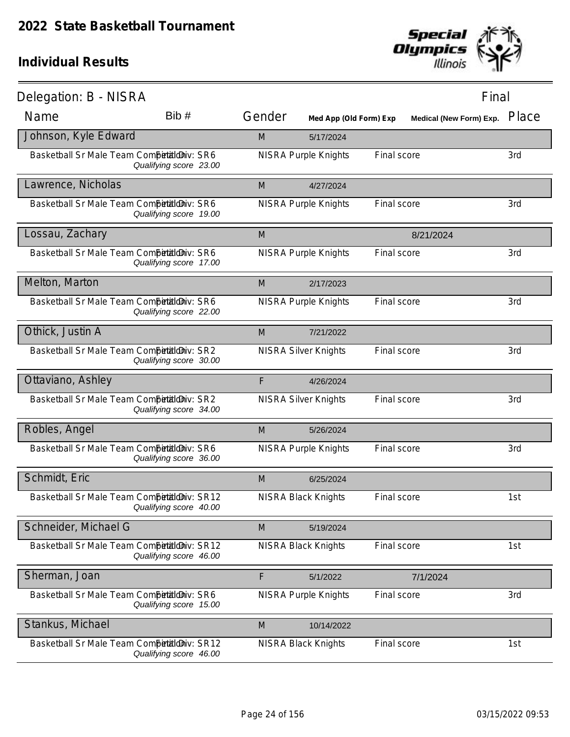

| Delegation: B - NISRA                       |                        |        |                             |             | Final                   |       |
|---------------------------------------------|------------------------|--------|-----------------------------|-------------|-------------------------|-------|
| Name                                        | Bib#                   | Gender | Med App (Old Form) Exp      |             | Medical (New Form) Exp. | Place |
| Johnson, Kyle Edward                        |                        | M      | 5/17/2024                   |             |                         |       |
| Basketball Sr Male Team Competitioniv: SR6  | Qualifying score 23.00 |        | <b>NISRA Purple Knights</b> | Final score |                         | 3rd   |
| Lawrence, Nicholas                          |                        | M      | 4/27/2024                   |             |                         |       |
| Basketball Sr Male Team Competitioniv: SR6  | Qualifying score 19.00 |        | <b>NISRA Purple Knights</b> | Final score |                         | 3rd   |
| Lossau, Zachary                             |                        | M      |                             |             | 8/21/2024               |       |
| Basketball Sr Male Team Competitioniv: SR6  | Qualifying score 17.00 |        | <b>NISRA Purple Knights</b> | Final score |                         | 3rd   |
| Melton, Marton                              |                        | M      | 2/17/2023                   |             |                         |       |
| Basketball Sr Male Team Competitioniv: SR6  | Qualifying score 22.00 |        | <b>NISRA Purple Knights</b> | Final score |                         | 3rd   |
| Othick, Justin A                            |                        | M      | 7/21/2022                   |             |                         |       |
| Basketball Sr Male Team Competitioniv: SR2  | Qualifying score 30.00 |        | <b>NISRA Silver Knights</b> | Final score |                         | 3rd   |
| Ottaviano, Ashley                           |                        | F      | 4/26/2024                   |             |                         |       |
| Basketball Sr Male Team Competitioniv: SR2  | Qualifying score 34.00 |        | <b>NISRA Silver Knights</b> | Final score |                         | 3rd   |
| Robles, Angel                               |                        | M      | 5/26/2024                   |             |                         |       |
| Basketball Sr Male Team Competitioniv: SR6  | Qualifying score 36.00 |        | <b>NISRA Purple Knights</b> | Final score |                         | 3rd   |
| Schmidt, Eric                               |                        | M      | 6/25/2024                   |             |                         |       |
| Basketball Sr Male Team Competitioniv: SR12 | Qualifying score 40.00 |        | <b>NISRA Black Knights</b>  | Final score |                         | 1st   |
| Schneider, Michael G                        |                        | M      | 5/19/2024                   |             |                         |       |
| Basketball Sr Male Team Competitioniv: SR12 | Qualifying score 46.00 |        | <b>NISRA Black Knights</b>  | Final score |                         | 1st   |
| Sherman, Joan                               |                        | F      | 5/1/2022                    |             | 7/1/2024                |       |
| Basketball Sr Male Team Competitioniv: SR6  | Qualifying score 15.00 |        | <b>NISRA Purple Knights</b> | Final score |                         | 3rd   |
| Stankus, Michael                            |                        | M      | 10/14/2022                  |             |                         |       |
| Basketball Sr Male Team Competitioniv: SR12 | Qualifying score 46.00 |        | <b>NISRA Black Knights</b>  | Final score |                         | 1st   |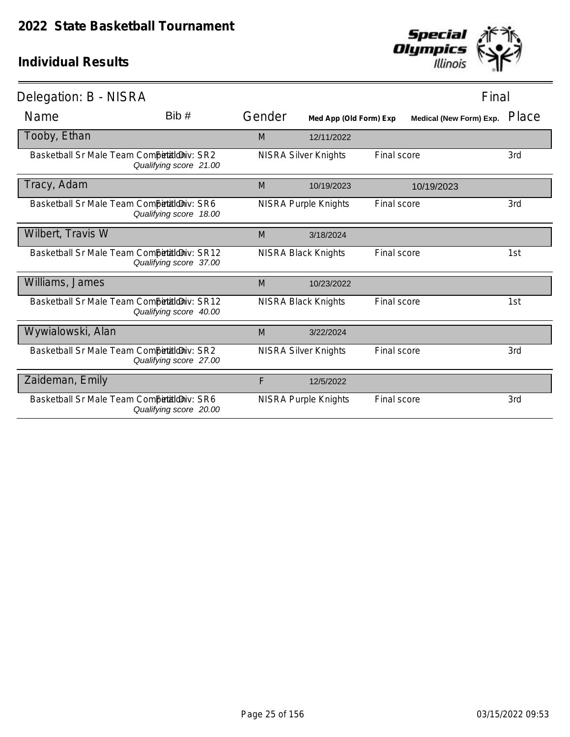

| Delegation: B - NISRA                       |                        |        |                             |                    | Final                          |       |
|---------------------------------------------|------------------------|--------|-----------------------------|--------------------|--------------------------------|-------|
| Name                                        | Bib #                  | Gender | Med App (Old Form) Exp      |                    | <b>Medical (New Form) Exp.</b> | Place |
| Tooby, Ethan                                |                        | M      | 12/11/2022                  |                    |                                |       |
| Basketball Sr Male Team CompetialdDiv: SR2  | Qualifying score 21.00 |        | <b>NISRA Silver Knights</b> | <b>Final score</b> |                                | 3rd   |
| Tracy, Adam                                 |                        | M      | 10/19/2023                  |                    | 10/19/2023                     |       |
| Basketball Sr Male Team Competitioniv: SR6  | Qualifying score 18.00 |        | <b>NISRA Purple Knights</b> | Final score        |                                | 3rd   |
| Wilbert, Travis W                           |                        | M      | 3/18/2024                   |                    |                                |       |
| Basketball Sr Male Team Competitioniv: SR12 | Qualifying score 37.00 |        | <b>NISRA Black Knights</b>  | Final score        |                                | 1st   |
| Williams, James                             |                        | M      | 10/23/2022                  |                    |                                |       |
| Basketball Sr Male Team Competitioniv: SR12 | Qualifying score 40.00 |        | <b>NISRA Black Knights</b>  | Final score        |                                | 1st   |
| Wywialowski, Alan                           |                        | M      | 3/22/2024                   |                    |                                |       |
| Basketball Sr Male Team Competitioniv: SR2  | Qualifying score 27.00 |        | <b>NISRA Silver Knights</b> | Final score        |                                | 3rd   |
| Zaideman, Emily                             |                        | F      | 12/5/2022                   |                    |                                |       |
| Basketball Sr Male Team Competitioniv: SR6  | Qualifying score 20.00 |        | NISRA Purple Knights        | <b>Final score</b> |                                | 3rd   |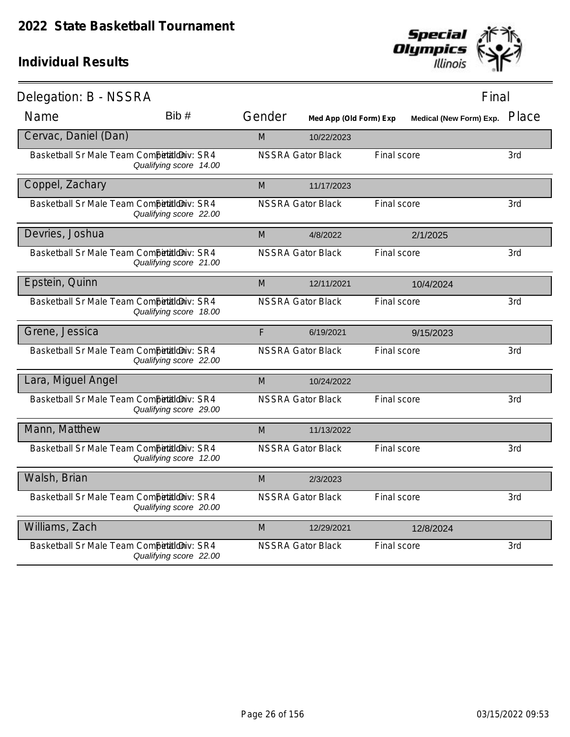

| Delegation: B - NSSRA                      |                        |        |                          |                                | Final |
|--------------------------------------------|------------------------|--------|--------------------------|--------------------------------|-------|
| Name                                       | Bib #                  | Gender | Med App (Old Form) Exp   | <b>Medical (New Form) Exp.</b> | Place |
| Cervac, Daniel (Dan)                       |                        | M      | 10/22/2023               |                                |       |
| Basketball Sr Male Team Competitioniv: SR4 | Qualifying score 14.00 |        | <b>NSSRA Gator Black</b> | Final score                    | 3rd   |
| Coppel, Zachary                            |                        | M      | 11/17/2023               |                                |       |
| Basketball Sr Male Team Competitioniv: SR4 | Qualifying score 22.00 |        | <b>NSSRA Gator Black</b> | Final score                    | 3rd   |
| Devries, Joshua                            |                        | M      | 4/8/2022                 | 2/1/2025                       |       |
| Basketball Sr Male Team Competitioniv: SR4 | Qualifying score 21.00 |        | <b>NSSRA Gator Black</b> | Final score                    | 3rd   |
| Epstein, Quinn                             |                        | M      | 12/11/2021               | 10/4/2024                      |       |
| Basketball Sr Male Team Competitioniv: SR4 | Qualifying score 18.00 |        | <b>NSSRA Gator Black</b> | Final score                    | 3rd   |
| Grene, Jessica                             |                        | F      | 6/19/2021                | 9/15/2023                      |       |
| Basketball Sr Male Team Competitioniv: SR4 | Qualifying score 22.00 |        | <b>NSSRA Gator Black</b> | Final score                    | 3rd   |
| Lara, Miguel Angel                         |                        | M      | 10/24/2022               |                                |       |
| Basketball Sr Male Team Competitioniv: SR4 | Qualifying score 29.00 |        | <b>NSSRA Gator Black</b> | Final score                    | 3rd   |
| Mann, Matthew                              |                        | M      | 11/13/2022               |                                |       |
| Basketball Sr Male Team Competitioniv: SR4 | Qualifying score 12.00 |        | <b>NSSRA Gator Black</b> | Final score                    | 3rd   |
| Walsh, Brian                               |                        | M      | 2/3/2023                 |                                |       |
| Basketball Sr Male Team Competitioniv: SR4 | Qualifying score 20.00 |        | <b>NSSRA Gator Black</b> | Final score                    | 3rd   |
| Williams, Zach                             |                        | M      | 12/29/2021               | 12/8/2024                      |       |
| Basketball Sr Male Team Competitioniv: SR4 | Qualifying score 22.00 |        | <b>NSSRA Gator Black</b> | Final score                    | 3rd   |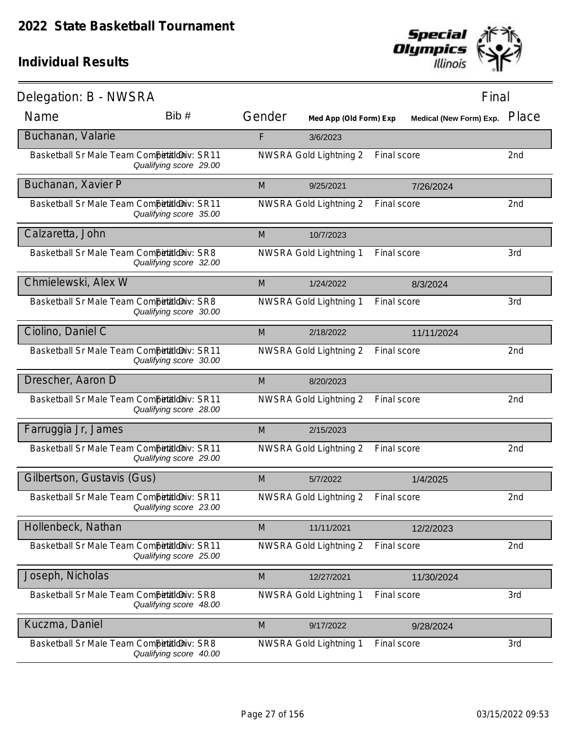

| Delegation: B - NWSRA                       |                        |        |                        |             | Final                            |
|---------------------------------------------|------------------------|--------|------------------------|-------------|----------------------------------|
| Name                                        | Bib#                   | Gender | Med App (Old Form) Exp |             | Place<br>Medical (New Form) Exp. |
| Buchanan, Valarie                           |                        | F      | 3/6/2023               |             |                                  |
| Basketball Sr Male Team CompetialdDiv: SR11 | Qualifying score 29.00 |        | NWSRA Gold Lightning 2 | Final score | 2nd                              |
| Buchanan, Xavier P                          |                        | M      | 9/25/2021              | 7/26/2024   |                                  |
| Basketball Sr Male Team CompetaldDiv: SR11  | Qualifying score 35.00 |        | NWSRA Gold Lightning 2 | Final score | 2nd                              |
| Calzaretta, John                            |                        | M      | 10/7/2023              |             |                                  |
| Basketball Sr Male Team CompetialdDiv: SR8  | Qualifying score 32.00 |        | NWSRA Gold Lightning 1 | Final score | 3rd                              |
| Chmielewski, Alex W                         |                        | M      | 1/24/2022              | 8/3/2024    |                                  |
| Basketball Sr Male Team Competitioniv: SR8  | Qualifying score 30.00 |        | NWSRA Gold Lightning 1 | Final score | 3rd                              |
| Ciolino, Daniel C                           |                        | M      | 2/18/2022              | 11/11/2024  |                                  |
| Basketball Sr Male Team CompetaldDiv: SR11  | Qualifying score 30.00 |        | NWSRA Gold Lightning 2 | Final score | 2nd                              |
| Drescher, Aaron D                           |                        | M      | 8/20/2023              |             |                                  |
| Basketball Sr Male Team CompetaldDiv: SR11  | Qualifying score 28.00 |        | NWSRA Gold Lightning 2 | Final score | 2nd                              |
| Farruggia Jr, James                         |                        | M      | 2/15/2023              |             |                                  |
| Basketball Sr Male Team Competitioniv: SR11 | Qualifying score 29.00 |        | NWSRA Gold Lightning 2 | Final score | 2nd                              |
| Gilbertson, Gustavis (Gus)                  |                        | M      | 5/7/2022               | 1/4/2025    |                                  |
| Basketball Sr Male Team CompetaldDiv: SR11  | Qualifying score 23.00 |        | NWSRA Gold Lightning 2 | Final score | 2nd                              |
| Hollenbeck, Nathan                          |                        | M      | 11/11/2021             | 12/2/2023   |                                  |
| Basketball Sr Male Team Competitioniv: SR11 | Qualifying score 25.00 |        | NWSRA Gold Lightning 2 | Final score | 2nd                              |
| Joseph, Nicholas                            |                        | M      | 12/27/2021             | 11/30/2024  |                                  |
| Basketball Sr Male Team Competitioniv: SR8  | Qualifying score 48.00 |        | NWSRA Gold Lightning 1 | Final score | 3rd                              |
| Kuczma, Daniel                              |                        | M      | 9/17/2022              | 9/28/2024   |                                  |
| Basketball Sr Male Team Competitioniv: SR8  | Qualifying score 40.00 |        | NWSRA Gold Lightning 1 | Final score | 3rd                              |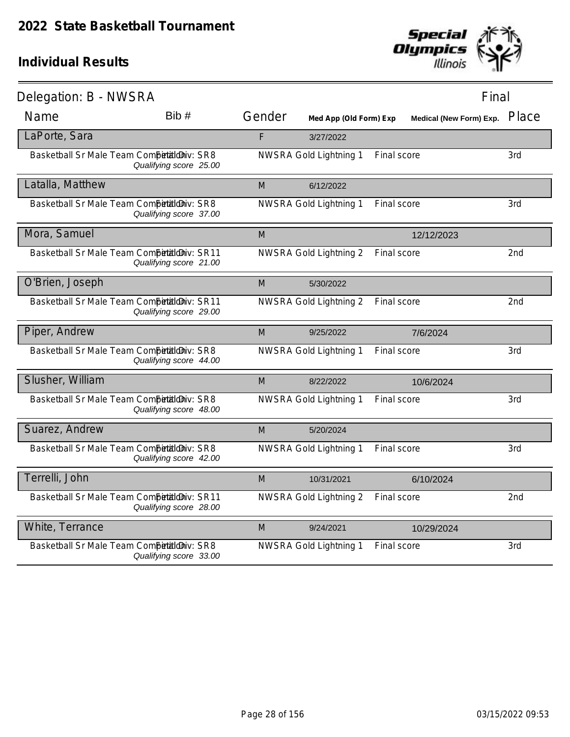

| Delegation: B - NWSRA                      |                        |        |                        |                         | Final           |
|--------------------------------------------|------------------------|--------|------------------------|-------------------------|-----------------|
| Name                                       | Bib#                   | Gender | Med App (Old Form) Exp | Medical (New Form) Exp. | Place           |
| LaPorte, Sara                              |                        | F      | 3/27/2022              |                         |                 |
| Basketball Sr Male Team Competitioniv: SR8 | Qualifying score 25.00 |        | NWSRA Gold Lightning 1 | Final score             | 3rd             |
| Latalla, Matthew                           |                        | M      | 6/12/2022              |                         |                 |
| Basketball Sr Male Team Competitioniv: SR8 | Qualifying score 37.00 |        | NWSRA Gold Lightning 1 | Final score             | 3rd             |
| Mora, Samuel                               |                        | M      |                        | 12/12/2023              |                 |
| Basketball Sr Male Team CompetaldDiv: SR11 | Qualifying score 21.00 |        | NWSRA Gold Lightning 2 | Final score             | 2 <sub>nd</sub> |
| O'Brien, Joseph                            |                        | M      | 5/30/2022              |                         |                 |
| Basketball Sr Male Team CompetaldDiv: SR11 | Qualifying score 29.00 |        | NWSRA Gold Lightning 2 | Final score             | 2nd             |
| Piper, Andrew                              |                        | M      | 9/25/2022              | 7/6/2024                |                 |
| Basketball Sr Male Team Competitioniv: SR8 | Qualifying score 44.00 |        | NWSRA Gold Lightning 1 | Final score             | 3rd             |
| Slusher, William                           |                        | M      | 8/22/2022              | 10/6/2024               |                 |
| Basketball Sr Male Team Competitioniv: SR8 | Qualifying score 48.00 |        | NWSRA Gold Lightning 1 | Final score             | 3rd             |
| Suarez, Andrew                             |                        | M      | 5/20/2024              |                         |                 |
| Basketball Sr Male Team Competitioniv: SR8 | Qualifying score 42.00 |        | NWSRA Gold Lightning 1 | Final score             | 3rd             |
| Terrelli, John                             |                        | M      | 10/31/2021             | 6/10/2024               |                 |
| Basketball Sr Male Team CompetaldDiv: SR11 | Qualifying score 28.00 |        | NWSRA Gold Lightning 2 | Final score             | 2 <sub>nd</sub> |
| White, Terrance                            |                        | M      | 9/24/2021              | 10/29/2024              |                 |
| Basketball Sr Male Team Competitioniv: SR8 | Qualifying score 33.00 |        | NWSRA Gold Lightning 1 | <b>Final score</b>      | 3rd             |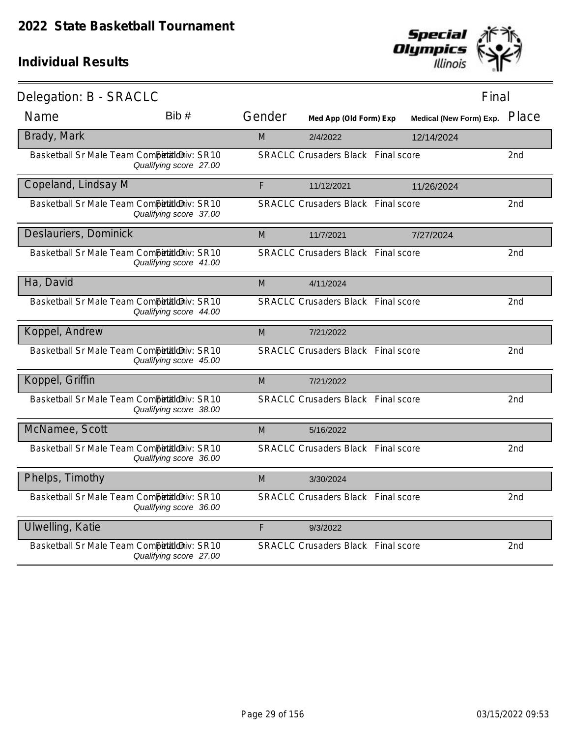

| Delegation: B - SRACLC                       |                        |        |                                           |            | Final                   |                 |
|----------------------------------------------|------------------------|--------|-------------------------------------------|------------|-------------------------|-----------------|
| Name                                         | Bib #                  | Gender | Med App (Old Form) Exp                    |            | Medical (New Form) Exp. | Place           |
| Brady, Mark                                  |                        | M      | 2/4/2022                                  | 12/14/2024 |                         |                 |
| Basketball Sr Male Team Competitioniv: SR10  | Qualifying score 27.00 |        | <b>SRACLC Crusaders Black Final score</b> |            |                         | 2nd             |
| Copeland, Lindsay M                          |                        | F      | 11/12/2021                                | 11/26/2024 |                         |                 |
| Basketball Sr Male Team Competitioniv: SR10  | Qualifying score 37.00 |        | <b>SRACLC Crusaders Black Final score</b> |            |                         | 2nd             |
| Deslauriers, Dominick                        |                        | M      | 11/7/2021                                 | 7/27/2024  |                         |                 |
| Basketball Sr Male Team Competitioniv: SR10  | Qualifying score 41.00 |        | <b>SRACLC Crusaders Black Final score</b> |            |                         | 2nd             |
| Ha, David                                    |                        | M      | 4/11/2024                                 |            |                         |                 |
| Basketball Sr Male Team Competitioniv: SR10  | Qualifying score 44.00 |        | <b>SRACLC Crusaders Black Final score</b> |            |                         | 2nd             |
| Koppel, Andrew                               |                        | M      | 7/21/2022                                 |            |                         |                 |
| Basketball Sr Male Team Competitioniv: SR10  | Qualifying score 45.00 |        | <b>SRACLC Crusaders Black Final score</b> |            |                         | 2nd             |
| Koppel, Griffin                              |                        | M      | 7/21/2022                                 |            |                         |                 |
| Basketball Sr Male Team Competitioniv: SR10  | Qualifying score 38.00 |        | <b>SRACLC Crusaders Black Final score</b> |            |                         | 2nd             |
| McNamee, Scott                               |                        | M      | 5/16/2022                                 |            |                         |                 |
| Basketball Sr Male Team Competitilo iv: SR10 | Qualifying score 36.00 |        | <b>SRACLC Crusaders Black Final score</b> |            |                         | 2 <sub>nd</sub> |
| Phelps, Timothy                              |                        | M      | 3/30/2024                                 |            |                         |                 |
| Basketball Sr Male Team Competitioniv: SR10  | Qualifying score 36.00 |        | <b>SRACLC Crusaders Black Final score</b> |            |                         | 2nd             |
| Ulwelling, Katie                             |                        | F      | 9/3/2022                                  |            |                         |                 |
| Basketball Sr Male Team Competitioniv: SR10  | Qualifying score 27.00 |        | <b>SRACLC Crusaders Black Final score</b> |            |                         | 2 <sub>nd</sub> |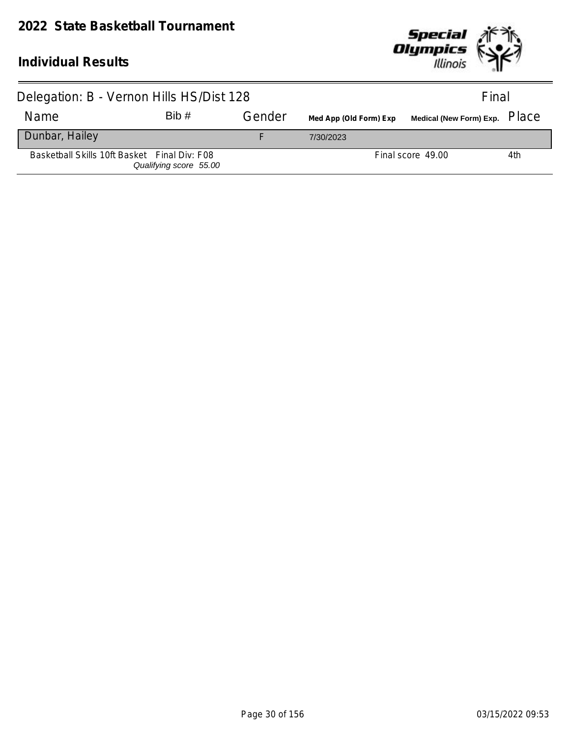#### **2022 State Basketball Tournament**



| Delegation: B - Vernon Hills HS/Dist 128     |                        |        | Final                  |                   |     |
|----------------------------------------------|------------------------|--------|------------------------|-------------------|-----|
| Name                                         | Bib#                   | Gender | Med App (Old Form) Exp |                   |     |
| Dunbar, Hailey                               |                        |        | 7/30/2023              |                   |     |
| Basketball Skills 10ft Basket Final Div: F08 | Qualifying score 55.00 |        |                        | Final score 49.00 | 4th |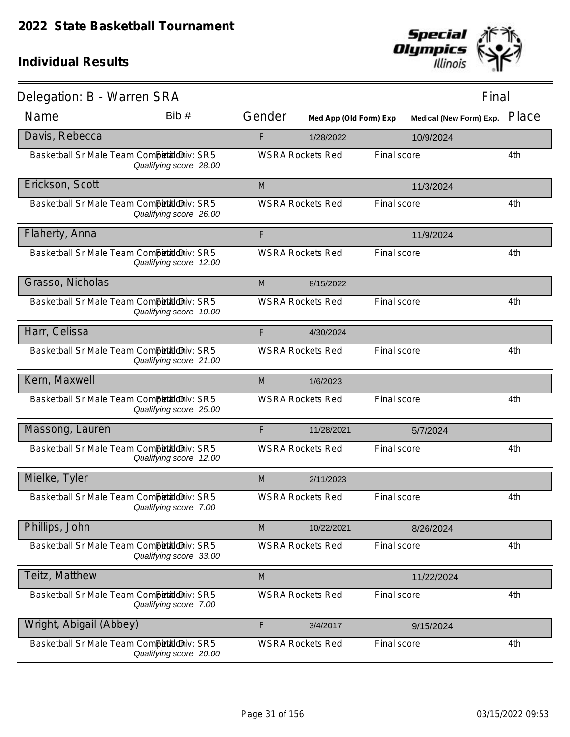

| Delegation: B - Warren SRA                 |                        |        |                         |             | Final                   |       |
|--------------------------------------------|------------------------|--------|-------------------------|-------------|-------------------------|-------|
| Name                                       | Bib#                   | Gender | Med App (Old Form) Exp  |             | Medical (New Form) Exp. | Place |
| Davis, Rebecca                             |                        | F      | 1/28/2022               |             | 10/9/2024               |       |
| Basketball Sr Male Team Competitioniv: SR5 | Qualifying score 28.00 |        | <b>WSRA Rockets Red</b> | Final score |                         | 4th   |
| Erickson, Scott                            |                        | M      |                         |             | 11/3/2024               |       |
| Basketball Sr Male Team Competitioniv: SR5 | Qualifying score 26.00 |        | <b>WSRA Rockets Red</b> | Final score |                         | 4th   |
| Flaherty, Anna                             |                        | F      |                         |             | 11/9/2024               |       |
| Basketball Sr Male Team Competitioniv: SR5 | Qualifying score 12.00 |        | <b>WSRA Rockets Red</b> | Final score |                         | 4th   |
| Grasso, Nicholas                           |                        | M      | 8/15/2022               |             |                         |       |
| Basketball Sr Male Team Competitioniv: SR5 | Qualifying score 10.00 |        | <b>WSRA Rockets Red</b> | Final score |                         | 4th   |
| Harr, Celissa                              |                        | F      | 4/30/2024               |             |                         |       |
| Basketball Sr Male Team Competitioniv: SR5 | Qualifying score 21.00 |        | <b>WSRA Rockets Red</b> | Final score |                         | 4th   |
| Kern, Maxwell                              |                        | M      | 1/6/2023                |             |                         |       |
| Basketball Sr Male Team Competitioniv: SR5 | Qualifying score 25.00 |        | <b>WSRA Rockets Red</b> | Final score |                         | 4th   |
| Massong, Lauren                            |                        | F      | 11/28/2021              |             | 5/7/2024                |       |
| Basketball Sr Male Team Competitioniv: SR5 | Qualifying score 12.00 |        | <b>WSRA Rockets Red</b> | Final score |                         | 4th   |
| Mielke, Tyler                              |                        | M      | 2/11/2023               |             |                         |       |
| Basketball Sr Male Team Competitioniv: SR5 | Qualifying score 7.00  |        | <b>WSRA Rockets Red</b> | Final score |                         | 4th   |
| Phillips, John                             |                        | M      | 10/22/2021              |             | 8/26/2024               |       |
| Basketball Sr Male Team Competitioniv: SR5 | Qualifying score 33.00 |        | <b>WSRA Rockets Red</b> | Final score |                         | 4th   |
| Teitz, Matthew                             |                        | M      |                         |             | 11/22/2024              |       |
| Basketball Sr Male Team Competitioniv: SR5 | Qualifying score 7.00  |        | <b>WSRA Rockets Red</b> | Final score |                         | 4th   |
| Wright, Abigail (Abbey)                    |                        | F      | 3/4/2017                |             | 9/15/2024               |       |
| Basketball Sr Male Team Competitioniv: SR5 | Qualifying score 20.00 |        | <b>WSRA Rockets Red</b> | Final score |                         | 4th   |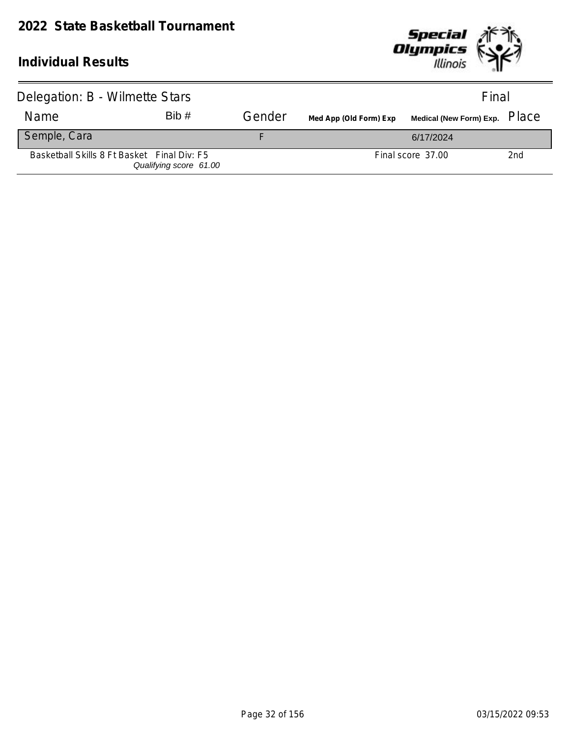

| Delegation: B - Wilmette Stars              |                        |        |                        | Final             |     |
|---------------------------------------------|------------------------|--------|------------------------|-------------------|-----|
| Name                                        | Bib#                   | Gender | Med App (Old Form) Exp |                   |     |
| Semple, Cara                                |                        |        |                        | 6/17/2024         |     |
| Basketball Skills 8 Ft Basket Final Div: F5 | Qualifying score 61.00 |        |                        | Final score 37.00 | 2nd |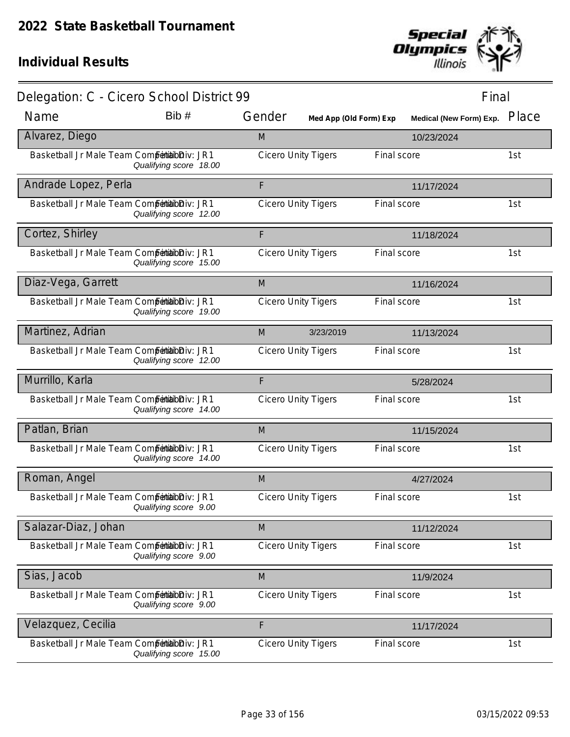

| Delegation: C - Cicero School District 99     |                        |                            |                            |             | Final                         |     |
|-----------------------------------------------|------------------------|----------------------------|----------------------------|-------------|-------------------------------|-----|
| Name                                          | Bib#                   | Gender                     | Med App (Old Form) Exp     |             | Medical (New Form) Exp. Place |     |
| Alvarez, Diego                                |                        | M                          |                            |             | 10/23/2024                    |     |
| Basketball Jr Male Team Competibilibiliv: JR1 | Qualifying score 18.00 |                            | <b>Cicero Unity Tigers</b> | Final score |                               | 1st |
| Andrade Lopez, Perla                          |                        | F                          |                            |             | 11/17/2024                    |     |
| Basketball Jr Male Team Competibilibiliv: JR1 | Qualifying score 12.00 |                            | <b>Cicero Unity Tigers</b> | Final score |                               | 1st |
| Cortez, Shirley                               |                        | F                          |                            |             | 11/18/2024                    |     |
| Basketball Jr Male Team Competibilibiliv: JR1 | Qualifying score 15.00 |                            | <b>Cicero Unity Tigers</b> | Final score |                               | 1st |
| Diaz-Vega, Garrett                            |                        | M                          |                            |             | 11/16/2024                    |     |
| Basketball Jr Male Team Competibilibiliv: JR1 | Qualifying score 19.00 |                            | <b>Cicero Unity Tigers</b> | Final score |                               | 1st |
| Martinez, Adrian                              |                        | M                          | 3/23/2019                  |             | 11/13/2024                    |     |
| Basketball Jr Male Team Competibilibiliv: JR1 | Qualifying score 12.00 | <b>Cicero Unity Tigers</b> |                            | Final score |                               | 1st |
| Murrillo, Karla                               |                        | F                          |                            |             | 5/28/2024                     |     |
| Basketball Jr Male Team Competitabloiv: JR1   | Qualifying score 14.00 |                            | <b>Cicero Unity Tigers</b> | Final score |                               | 1st |
| Patlan, Brian                                 |                        | M                          |                            |             | 11/15/2024                    |     |
| Basketball Jr Male Team Competibilibiliv: JR1 | Qualifying score 14.00 |                            | <b>Cicero Unity Tigers</b> | Final score |                               | 1st |
| Roman, Angel                                  |                        | M                          |                            |             | 4/27/2024                     |     |
| Basketball Jr Male Team Competibilibiliv: JR1 | Qualifying score 9.00  |                            | <b>Cicero Unity Tigers</b> | Final score |                               | 1st |
| Salazar-Diaz, Johan                           |                        | M                          |                            |             | 11/12/2024                    |     |
| Basketball Jr Male Team Competibilibiliv: JR1 | Qualifying score 9.00  | <b>Cicero Unity Tigers</b> |                            | Final score |                               | 1st |
| Sias, Jacob                                   |                        | M                          |                            |             | 11/9/2024                     |     |
| Basketball Jr Male Team Competibilibiliv: JR1 | Qualifying score 9.00  |                            | <b>Cicero Unity Tigers</b> | Final score |                               | 1st |
| Velazquez, Cecilia                            |                        | F                          |                            |             | 11/17/2024                    |     |
| Basketball Jr Male Team Competibilibiliv: JR1 | Qualifying score 15.00 |                            | <b>Cicero Unity Tigers</b> | Final score |                               | 1st |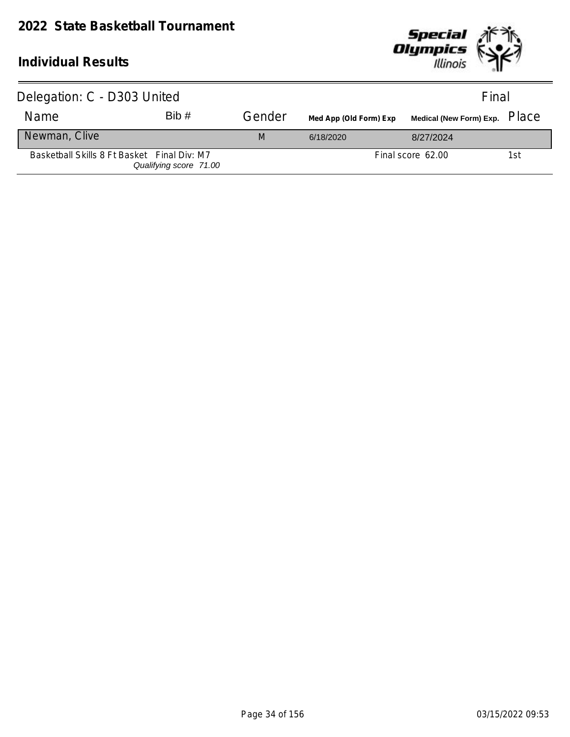

| Delegation: C - D303 United                 |                        |        |                        | Final                                |     |
|---------------------------------------------|------------------------|--------|------------------------|--------------------------------------|-----|
| Name                                        | Bib#                   | Gender | Med App (Old Form) Exp | Medical (New Form) Exp. PlaC $\rm e$ |     |
| Newman, Clive                               |                        | M      | 6/18/2020              | 8/27/2024                            |     |
| Basketball Skills 8 Ft Basket Final Div: M7 | Qualifying score 71.00 |        |                        | Final score 62.00                    | 1st |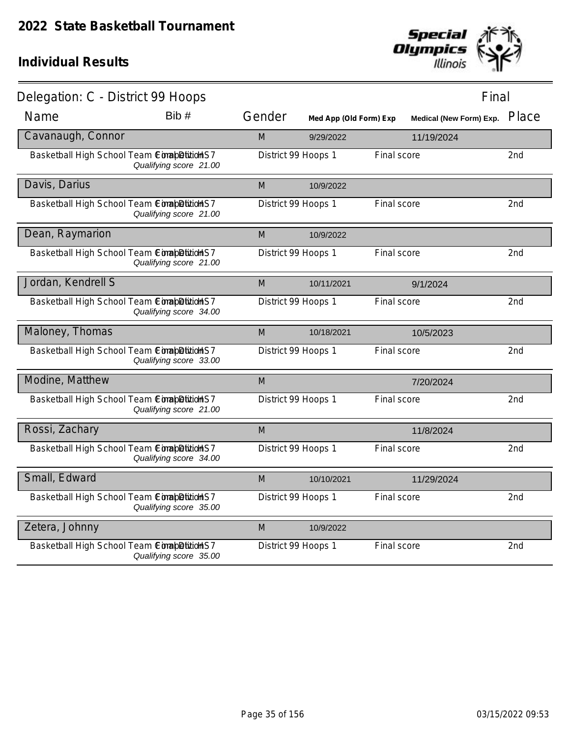

| Delegation: C - District 99 Hoops          |                        |                     |                        |                    | Final                         |                 |
|--------------------------------------------|------------------------|---------------------|------------------------|--------------------|-------------------------------|-----------------|
| Name                                       | Bib #                  | Gender              | Med App (Old Form) Exp |                    | Medical (New Form) Exp. Place |                 |
| Cavanaugh, Connor                          |                        | M                   | 9/29/2022              |                    | 11/19/2024                    |                 |
| Basketball High School Team ConabDitionHS7 | Qualifying score 21.00 | District 99 Hoops 1 |                        | Final score        |                               | 2nd             |
| Davis, Darius                              |                        | M                   | 10/9/2022              |                    |                               |                 |
| Basketball High School Team ComapDitions7  | Qualifying score 21.00 | District 99 Hoops 1 |                        | Final score        |                               | 2nd             |
| Dean, Raymarion                            |                        | M                   | 10/9/2022              |                    |                               |                 |
| Basketball High School Team ConapDitionS7  | Qualifying score 21.00 | District 99 Hoops 1 |                        | Final score        |                               | 2nd             |
| Jordan, Kendrell S                         |                        | M                   | 10/11/2021             |                    | 9/1/2024                      |                 |
| Basketball High School Team ComapDitionHS7 | Qualifying score 34.00 | District 99 Hoops 1 |                        | Final score        |                               | 2nd             |
| Maloney, Thomas                            |                        | M                   | 10/18/2021             |                    | 10/5/2023                     |                 |
| Basketball High School Team ConabDitionHS7 | Qualifying score 33.00 | District 99 Hoops 1 |                        | Final score        |                               | 2nd             |
| Modine, Matthew                            |                        | M                   |                        |                    | 7/20/2024                     |                 |
| Basketball High School Team ComapDitionHS7 | Qualifying score 21.00 | District 99 Hoops 1 |                        | Final score        |                               | 2nd             |
| Rossi, Zachary                             |                        | M                   |                        |                    | 11/8/2024                     |                 |
| Basketball High School Team ConabDitionHS7 | Qualifying score 34.00 | District 99 Hoops 1 |                        | <b>Final score</b> |                               | 2 <sub>nd</sub> |
| Small, Edward                              |                        | M                   | 10/10/2021             |                    | 11/29/2024                    |                 |
| Basketball High School Team ConabDitionS7  | Qualifying score 35.00 | District 99 Hoops 1 |                        | Final score        |                               | 2nd             |
| Zetera, Johnny                             |                        | M                   | 10/9/2022              |                    |                               |                 |
| Basketball High School Team ConapDitionS7  | Qualifying score 35.00 | District 99 Hoops 1 |                        | Final score        |                               | 2 <sub>nd</sub> |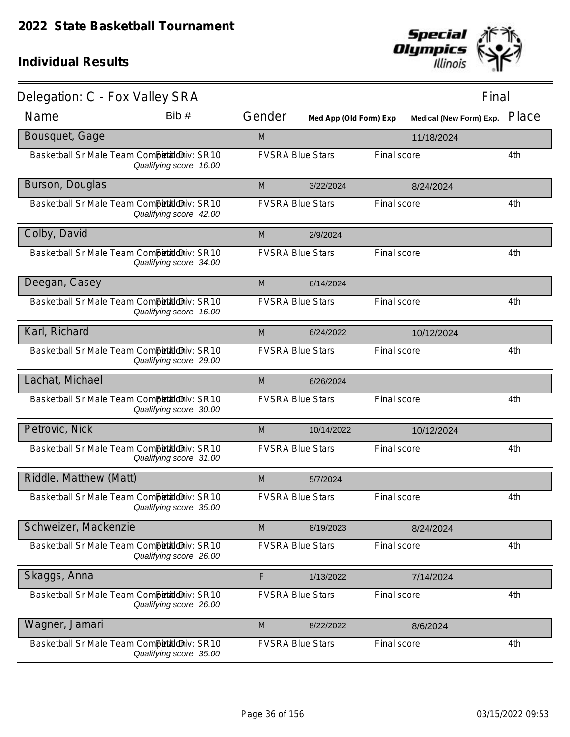

| Delegation: C - Fox Valley SRA               |                        |                         |                        |             | Final                   |       |
|----------------------------------------------|------------------------|-------------------------|------------------------|-------------|-------------------------|-------|
| Name                                         | Bib#                   | Gender                  | Med App (Old Form) Exp |             | Medical (New Form) Exp. | Place |
| Bousquet, Gage                               |                        | M                       |                        |             | 11/18/2024              |       |
| Basketball Sr Male Team Competitioniv: SR10  | Qualifying score 16.00 | <b>FVSRA Blue Stars</b> |                        | Final score |                         | 4th   |
| Burson, Douglas                              |                        | M                       | 3/22/2024              |             | 8/24/2024               |       |
| Basketball Sr Male Team Competitioniv: SR10  | Qualifying score 42.00 | <b>FVSRA Blue Stars</b> |                        | Final score |                         | 4th   |
| Colby, David                                 |                        | M                       | 2/9/2024               |             |                         |       |
| Basketball Sr Male Team Competitioniv: SR10  | Qualifying score 34.00 | <b>FVSRA Blue Stars</b> |                        | Final score |                         | 4th   |
| Deegan, Casey                                |                        | M                       | 6/14/2024              |             |                         |       |
| Basketball Sr Male Team Competitilo iv: SR10 | Qualifying score 16.00 | <b>FVSRA Blue Stars</b> |                        | Final score |                         | 4th   |
| Karl, Richard                                |                        | M                       | 6/24/2022              |             | 10/12/2024              |       |
| Basketball Sr Male Team Competitioniv: SR10  | Qualifying score 29.00 | <b>FVSRA Blue Stars</b> |                        | Final score |                         | 4th   |
| Lachat, Michael                              |                        | M                       | 6/26/2024              |             |                         |       |
| Basketball Sr Male Team Competitioniv: SR10  | Qualifying score 30.00 | <b>FVSRA Blue Stars</b> |                        | Final score |                         | 4th   |
| Petrovic, Nick                               |                        | M                       | 10/14/2022             |             | 10/12/2024              |       |
| Basketball Sr Male Team Competitioniv: SR10  | Qualifying score 31.00 | <b>FVSRA Blue Stars</b> |                        | Final score |                         | 4th   |
| Riddle, Matthew (Matt)                       |                        | M                       | 5/7/2024               |             |                         |       |
| Basketball Sr Male Team Competitioniv: SR10  | Qualifying score 35.00 | <b>FVSRA Blue Stars</b> |                        | Final score |                         | 4th   |
| Schweizer, Mackenzie                         |                        | M                       | 8/19/2023              |             | 8/24/2024               |       |
| Basketball Sr Male Team Competitioniv: SR10  | Qualifying score 26.00 | <b>FVSRA Blue Stars</b> |                        | Final score |                         | 4th   |
| Skaggs, Anna                                 |                        | $\mathsf F$             | 1/13/2022              |             | 7/14/2024               |       |
| Basketball Sr Male Team Competitioniv: SR10  | Qualifying score 26.00 | <b>FVSRA Blue Stars</b> |                        | Final score |                         | 4th   |
| Wagner, Jamari                               |                        | M                       | 8/22/2022              |             | 8/6/2024                |       |
| Basketball Sr Male Team Competitioniv: SR10  | Qualifying score 35.00 | <b>FVSRA Blue Stars</b> |                        | Final score |                         | 4th   |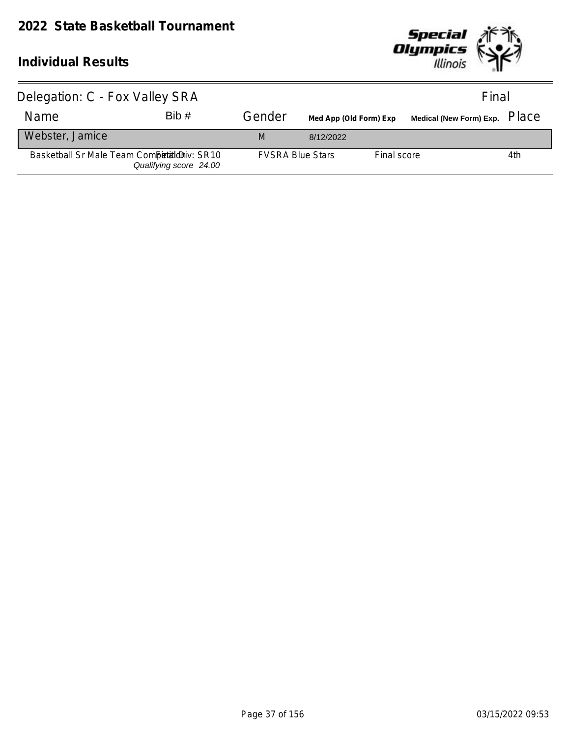

| Delegation: C - Fox Valley SRA              |                        |                         |                        |             | Final                                |     |
|---------------------------------------------|------------------------|-------------------------|------------------------|-------------|--------------------------------------|-----|
| <b>Name</b>                                 | Bib#                   | Gender                  | Med App (Old Form) Exp |             | Medical (New Form) Exp. PlaC $\rm e$ |     |
| Webster, Jamice                             |                        | M                       | 8/12/2022              |             |                                      |     |
| Basketball Sr Male Team Competition V: SR10 | Qualifying score 24.00 | <b>FVSRA Blue Stars</b> |                        | Final score |                                      | 4th |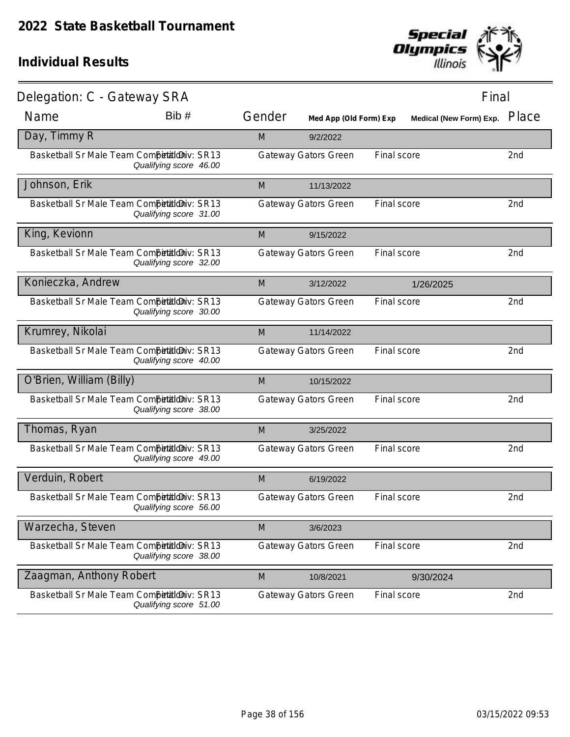

| Delegation: C - Gateway SRA                 |                        |        |                             |             | Final                   |                 |
|---------------------------------------------|------------------------|--------|-----------------------------|-------------|-------------------------|-----------------|
| Name                                        | Bib #                  | Gender | Med App (Old Form) Exp      |             | Medical (New Form) Exp. | Place           |
| Day, Timmy R                                |                        | M      | 9/2/2022                    |             |                         |                 |
| Basketball Sr Male Team CompetaldDiv: SR13  | Qualifying score 46.00 |        | <b>Gateway Gators Green</b> | Final score |                         | 2nd             |
| Johnson, Erik                               |                        | M      | 11/13/2022                  |             |                         |                 |
| Basketball Sr Male Team Competitioniv: SR13 | Qualifying score 31.00 |        | <b>Gateway Gators Green</b> | Final score |                         | 2nd             |
| King, Kevionn                               |                        | M      | 9/15/2022                   |             |                         |                 |
| Basketball Sr Male Team Competitioniv: SR13 | Qualifying score 32.00 |        | <b>Gateway Gators Green</b> | Final score |                         | 2nd             |
| Konieczka, Andrew                           |                        | M      | 3/12/2022                   |             | 1/26/2025               |                 |
| Basketball Sr Male Team Competitioniv: SR13 | Qualifying score 30.00 |        | <b>Gateway Gators Green</b> | Final score |                         | 2nd             |
| Krumrey, Nikolai                            |                        | M      | 11/14/2022                  |             |                         |                 |
| Basketball Sr Male Team Competitioniv: SR13 | Qualifying score 40.00 |        | <b>Gateway Gators Green</b> | Final score |                         | 2nd             |
| O'Brien, William (Billy)                    |                        | M      | 10/15/2022                  |             |                         |                 |
| Basketball Sr Male Team Competitioniv: SR13 | Qualifying score 38.00 |        | <b>Gateway Gators Green</b> | Final score |                         | 2nd             |
| Thomas, Ryan                                |                        | M      | 3/25/2022                   |             |                         |                 |
| Basketball Sr Male Team Competitioniv: SR13 | Qualifying score 49.00 |        | <b>Gateway Gators Green</b> | Final score |                         | 2nd             |
| Verduin, Robert                             |                        | M      | 6/19/2022                   |             |                         |                 |
| Basketball Sr Male Team Competitioniv: SR13 | Qualifying score 56.00 |        | <b>Gateway Gators Green</b> | Final score |                         | 2 <sub>nd</sub> |
| Warzecha, Steven                            |                        | M      | 3/6/2023                    |             |                         |                 |
| Basketball Sr Male Team Competitioniv: SR13 | Qualifying score 38.00 |        | <b>Gateway Gators Green</b> | Final score |                         | 2nd             |
| Zaagman, Anthony Robert                     |                        | M      | 10/8/2021                   |             | 9/30/2024               |                 |
| Basketball Sr Male Team Competitioniv: SR13 | Qualifying score 51.00 |        | <b>Gateway Gators Green</b> | Final score |                         | 2nd             |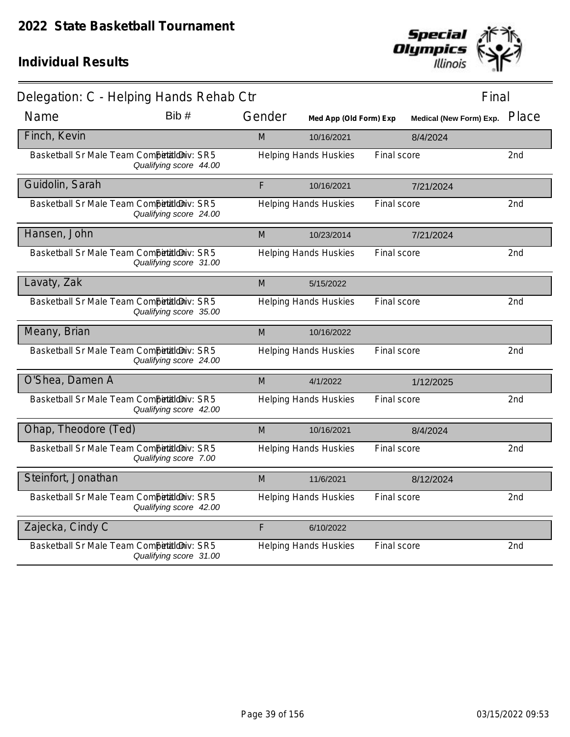

| Delegation: C - Helping Hands Rehab Ctr    |                        |        |                              |             | Final                         |                 |
|--------------------------------------------|------------------------|--------|------------------------------|-------------|-------------------------------|-----------------|
| Name                                       | Bib #                  | Gender | Med App (Old Form) Exp       |             | Medical (New Form) Exp. Place |                 |
| Finch, Kevin                               |                        | M      | 10/16/2021                   |             | 8/4/2024                      |                 |
| Basketball Sr Male Team Competitioniv: SR5 | Qualifying score 44.00 |        | <b>Helping Hands Huskies</b> | Final score |                               | 2nd             |
| Guidolin, Sarah                            |                        | F      | 10/16/2021                   |             | 7/21/2024                     |                 |
| Basketball Sr Male Team CompetaldDiv: SR5  | Qualifying score 24.00 |        | <b>Helping Hands Huskies</b> | Final score |                               | 2nd             |
| Hansen, John                               |                        | M      | 10/23/2014                   |             | 7/21/2024                     |                 |
| Basketball Sr Male Team Competitioniv: SR5 | Qualifying score 31.00 |        | <b>Helping Hands Huskies</b> | Final score |                               | 2nd             |
| Lavaty, Zak                                |                        | M      | 5/15/2022                    |             |                               |                 |
| Basketball Sr Male Team Competitioniv: SR5 | Qualifying score 35.00 |        | <b>Helping Hands Huskies</b> | Final score |                               | 2 <sub>nd</sub> |
| Meany, Brian                               |                        | M      | 10/16/2022                   |             |                               |                 |
| Basketball Sr Male Team Competitioniv: SR5 | Qualifying score 24.00 |        | <b>Helping Hands Huskies</b> | Final score |                               | 2nd             |
| O'Shea, Damen A                            |                        | M      | 4/1/2022                     |             | 1/12/2025                     |                 |
| Basketball Sr Male Team Competitioniv: SR5 | Qualifying score 42.00 |        | <b>Helping Hands Huskies</b> | Final score |                               | 2nd             |
| Ohap, Theodore (Ted)                       |                        | M      | 10/16/2021                   |             | 8/4/2024                      |                 |
| Basketball Sr Male Team Competitioniv: SR5 | Qualifying score 7.00  |        | <b>Helping Hands Huskies</b> | Final score |                               | 2nd             |
| Steinfort, Jonathan                        |                        | M      | 11/6/2021                    |             | 8/12/2024                     |                 |
| Basketball Sr Male Team Competitioniv: SR5 | Qualifying score 42.00 |        | <b>Helping Hands Huskies</b> | Final score |                               | 2 <sub>nd</sub> |
| Zajecka, Cindy C                           |                        | F      | 6/10/2022                    |             |                               |                 |
| Basketball Sr Male Team Competitioniv: SR5 | Qualifying score 31.00 |        | <b>Helping Hands Huskies</b> | Final score |                               | 2 <sub>nd</sub> |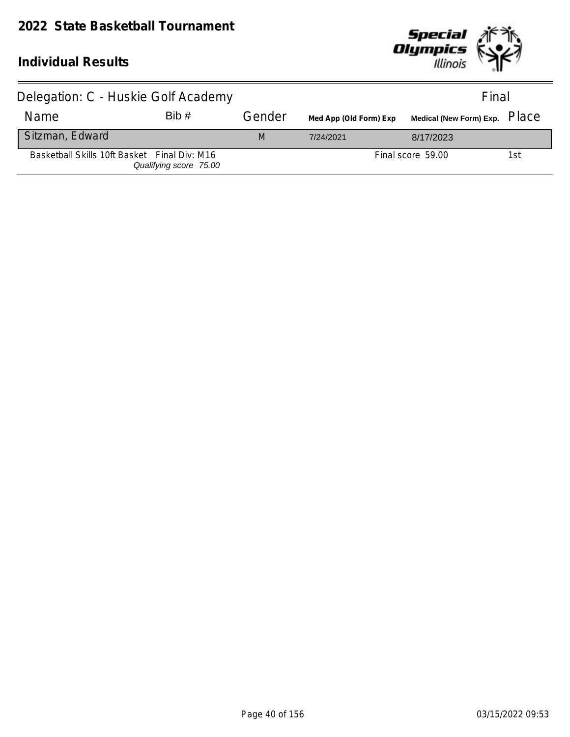

| Delegation: C - Huskie Golf Academy          |                        |        |                        | Final                                |     |
|----------------------------------------------|------------------------|--------|------------------------|--------------------------------------|-----|
| Name                                         | Bib#                   | Gender | Med App (Old Form) Exp | Medical (New Form) Exp. PlaC $\rm e$ |     |
| Sitzman, Edward                              |                        | M      | 7/24/2021              | 8/17/2023                            |     |
| Basketball Skills 10ft Basket Final Div: M16 | Qualifying score 75.00 |        |                        | Final score 59.00                    | 1st |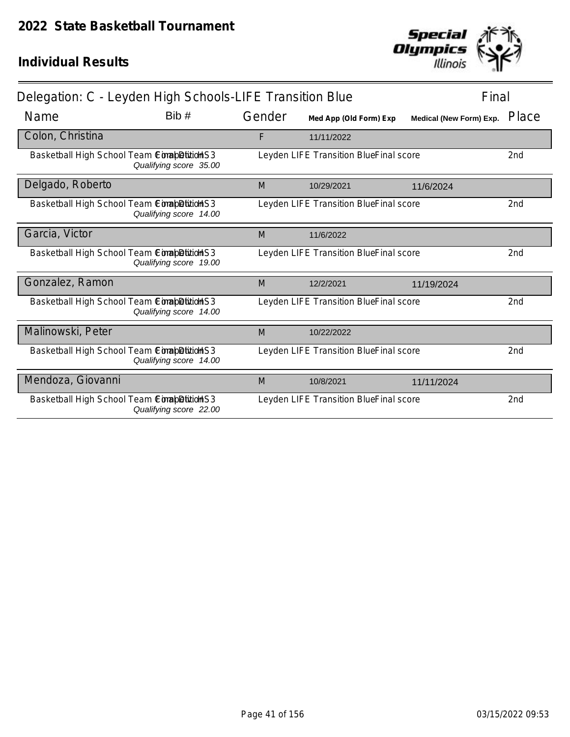

| Delegation: C - Leyden High Schools-LIFE Transition Blue<br>Final |                        |        |                                        |                         |                 |
|-------------------------------------------------------------------|------------------------|--------|----------------------------------------|-------------------------|-----------------|
| Name                                                              | Bib#                   | Gender | Med App (Old Form) Exp                 | Medical (New Form) Exp. | Place           |
| Colon, Christina                                                  |                        | F      | 11/11/2022                             |                         |                 |
| Basketball High School Team Completition S3                       | Qualifying score 35.00 |        | Leyden LIFE Transition BlueFinal score |                         | 2 <sub>nd</sub> |
| Delgado, Roberto                                                  |                        | M      | 10/29/2021                             | 11/6/2024               |                 |
| Basketball High School Team Completition S3                       | Qualifying score 14.00 |        | Leyden LIFE Transition BlueFinal score |                         | 2nd             |
| Garcia, Victor                                                    |                        | M      | 11/6/2022                              |                         |                 |
| Basketball High School Team ComapDiitioHS3                        | Qualifying score 19.00 |        | Leyden LIFE Transition BlueFinal score |                         | 2nd             |
| Gonzalez, Ramon                                                   |                        | M      | 12/2/2021                              | 11/19/2024              |                 |
| Basketball High School Team ComapDition S3                        | Qualifying score 14.00 |        | Leyden LIFE Transition BlueFinal score |                         | 2nd             |
| Malinowski, Peter                                                 |                        | M      | 10/22/2022                             |                         |                 |
| Basketball High School Team ComapDititioHS3                       | Qualifying score 14.00 |        | Leyden LIFE Transition BlueFinal score |                         | 2nd             |
| Mendoza, Giovanni                                                 |                        | M      | 10/8/2021                              | 11/11/2024              |                 |
| Basketball High School Team ComabDition S3                        | Qualifying score 22.00 |        | Leyden LIFE Transition BlueFinal score |                         | 2nd             |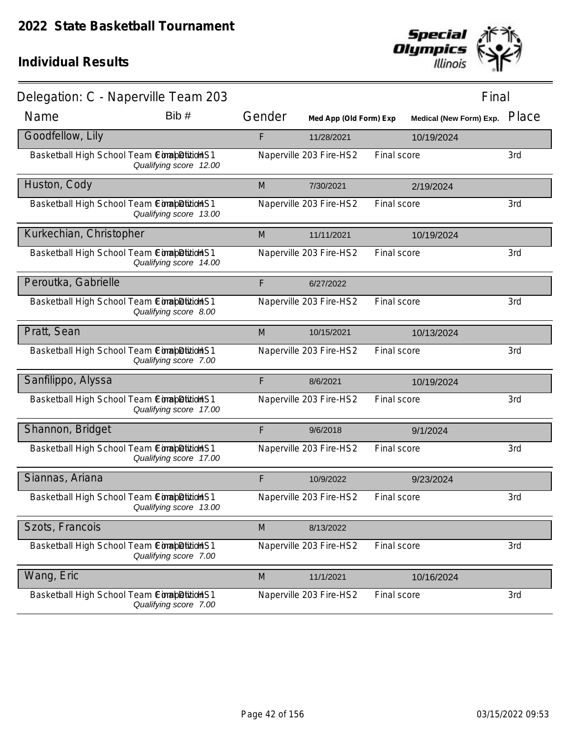

| Delegation: C - Naperville Team 203         |                        |        |                         |             | Final                          |       |
|---------------------------------------------|------------------------|--------|-------------------------|-------------|--------------------------------|-------|
| Name                                        | Bib#                   | Gender | Med App (Old Form) Exp  |             | <b>Medical (New Form) Exp.</b> | Place |
| Goodfellow, Lily                            |                        | F      | 11/28/2021              |             | 10/19/2024                     |       |
| Basketball High School Team CimabDitidHS1   | Qualifying score 12.00 |        | Naperville 203 Fire-HS2 | Final score |                                | 3rd   |
| Huston, Cody                                |                        | M      | 7/30/2021               |             | 2/19/2024                      |       |
| Basketball High School Team ComapDitionHS1  | Qualifying score 13.00 |        | Naperville 203 Fire-HS2 | Final score |                                | 3rd   |
| Kurkechian, Christopher                     |                        | M      | 11/11/2021              |             | 10/19/2024                     |       |
| Basketball High School Team ComapDition S1  | Qualifying score 14.00 |        | Naperville 203 Fire-HS2 | Final score |                                | 3rd   |
| Peroutka, Gabrielle                         |                        | F      | 6/27/2022               |             |                                |       |
| Basketball High School Team ConabDitidHS1   | Qualifying score 8.00  |        | Naperville 203 Fire-HS2 | Final score |                                | 3rd   |
| Pratt, Sean                                 |                        | M      | 10/15/2021              |             | 10/13/2024                     |       |
| Basketball High School Team ComapDitidHS1   | Qualifying score 7.00  |        | Naperville 203 Fire-HS2 | Final score |                                | 3rd   |
| Sanfilippo, Alyssa                          |                        | F      | 8/6/2021                |             | 10/19/2024                     |       |
| Basketball High School Team ConabDitidHS1   | Qualifying score 17.00 |        | Naperville 203 Fire-HS2 | Final score |                                | 3rd   |
| Shannon, Bridget                            |                        | F      | 9/6/2018                |             | 9/1/2024                       |       |
| Basketball High School Team Comab Bitid HS1 | Qualifying score 17.00 |        | Naperville 203 Fire-HS2 | Final score |                                | 3rd   |
| Siannas, Ariana                             |                        | F      | 10/9/2022               |             | 9/23/2024                      |       |
| Basketball High School Team ComapDitidHS1   | Qualifying score 13.00 |        | Naperville 203 Fire-HS2 | Final score |                                | 3rd   |
| Szots, Francois                             |                        | M      | 8/13/2022               |             |                                |       |
| Basketball High School Team ComapDition S1  | Qualifying score 7.00  |        | Naperville 203 Fire-HS2 | Final score |                                | 3rd   |
| Wang, Eric                                  |                        | M      | 11/1/2021               |             | 10/16/2024                     |       |
| Basketball High School Team ComapDitionHS1  | Qualifying score 7.00  |        | Naperville 203 Fire-HS2 | Final score |                                | 3rd   |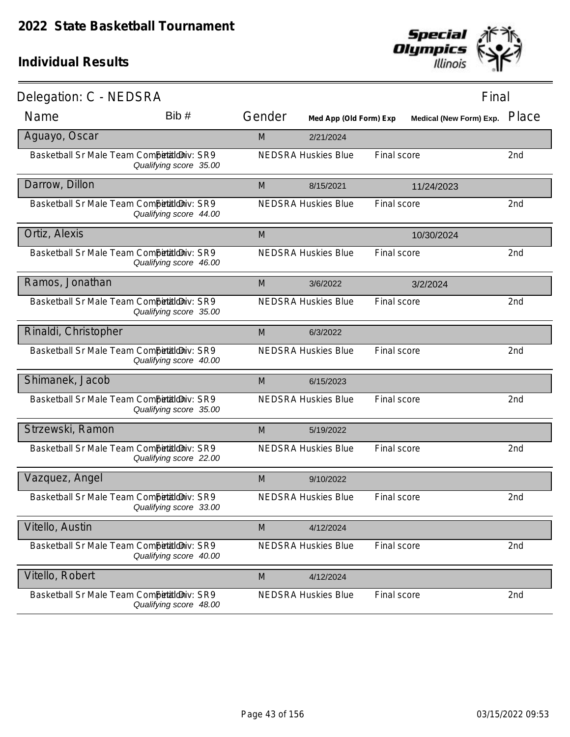

| Delegation: C - NEDSRA                     |                        |        |                            |             | Final                          |                 |
|--------------------------------------------|------------------------|--------|----------------------------|-------------|--------------------------------|-----------------|
| Name                                       | Bib #                  | Gender | Med App (Old Form) Exp     |             | <b>Medical (New Form) Exp.</b> | Place           |
| Aguayo, Oscar                              |                        | M      | 2/21/2024                  |             |                                |                 |
| Basketball Sr Male Team Competitioniv: SR9 | Qualifying score 35.00 |        | <b>NEDSRA Huskies Blue</b> | Final score |                                | 2nd             |
| Darrow, Dillon                             |                        | M      | 8/15/2021                  |             | 11/24/2023                     |                 |
| Basketball Sr Male Team Competitioniv: SR9 | Qualifying score 44.00 |        | <b>NEDSRA Huskies Blue</b> | Final score |                                | 2nd             |
| Ortiz, Alexis                              |                        | M      |                            |             | 10/30/2024                     |                 |
| Basketball Sr Male Team Competitioniv: SR9 | Qualifying score 46.00 |        | <b>NEDSRA Huskies Blue</b> | Final score |                                | 2nd             |
| Ramos, Jonathan                            |                        | M      | 3/6/2022                   |             | 3/2/2024                       |                 |
| Basketball Sr Male Team Competitioniv: SR9 | Qualifying score 35.00 |        | <b>NEDSRA Huskies Blue</b> | Final score |                                | 2nd             |
| Rinaldi, Christopher                       |                        | M      | 6/3/2022                   |             |                                |                 |
| Basketball Sr Male Team Competitioniv: SR9 | Qualifying score 40.00 |        | <b>NEDSRA Huskies Blue</b> | Final score |                                | 2nd             |
| Shimanek, Jacob                            |                        | M      | 6/15/2023                  |             |                                |                 |
| Basketball Sr Male Team Competitioniv: SR9 | Qualifying score 35.00 |        | <b>NEDSRA Huskies Blue</b> | Final score |                                | 2 <sub>nd</sub> |
| Strzewski, Ramon                           |                        | M      | 5/19/2022                  |             |                                |                 |
| Basketball Sr Male Team Competitioniv: SR9 | Qualifying score 22.00 |        | <b>NEDSRA Huskies Blue</b> | Final score |                                | 2nd             |
| Vazquez, Angel                             |                        | M      | 9/10/2022                  |             |                                |                 |
| Basketball Sr Male Team CompetaldDiv: SR9  | Qualifying score 33.00 |        | <b>NEDSRA Huskies Blue</b> | Final score |                                | 2nd             |
| Vitello, Austin                            |                        | M      | 4/12/2024                  |             |                                |                 |
| Basketball Sr Male Team Competitioniv: SR9 | Qualifying score 40.00 |        | <b>NEDSRA Huskies Blue</b> | Final score |                                | 2nd             |
| Vitello, Robert                            |                        | M      | 4/12/2024                  |             |                                |                 |
| Basketball Sr Male Team Competitioniv: SR9 | Qualifying score 48.00 |        | <b>NEDSRA Huskies Blue</b> | Final score |                                | 2nd             |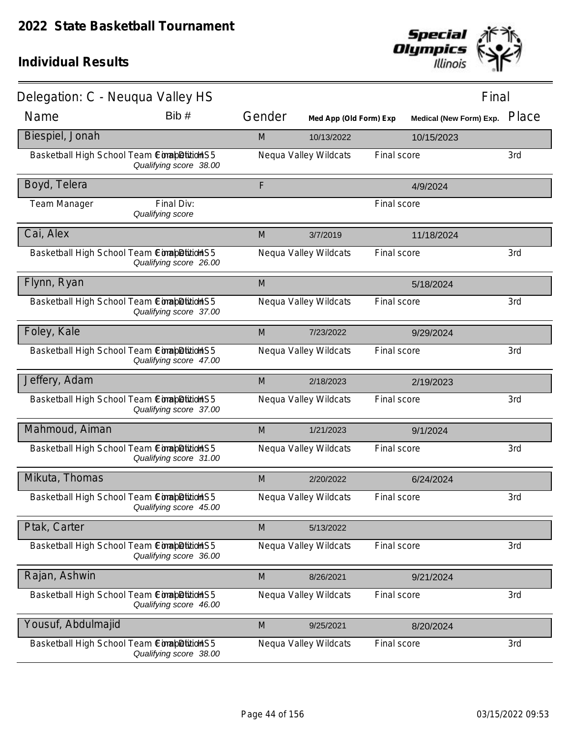

| Delegation: C - Neuqua Valley HS            |                                |        |                        |             | Final                          |       |
|---------------------------------------------|--------------------------------|--------|------------------------|-------------|--------------------------------|-------|
| Name                                        | Bib #                          | Gender | Med App (Old Form) Exp |             | <b>Medical (New Form) Exp.</b> | Place |
| Biespiel, Jonah                             |                                | M      | 10/13/2022             |             | 10/15/2023                     |       |
| Basketball High School Team ConabDitionS5   | Qualifying score 38.00         |        | Nequa Valley Wildcats  | Final score |                                | 3rd   |
| Boyd, Telera                                |                                | F      |                        |             | 4/9/2024                       |       |
| <b>Team Manager</b>                         | Final Div:<br>Qualifying score |        |                        | Final score |                                |       |
| Cai, Alex                                   |                                | M      | 3/7/2019               |             | 11/18/2024                     |       |
| Basketball High School Team ComapDitionHS5  | Qualifying score 26.00         |        | Nequa Valley Wildcats  | Final score |                                | 3rd   |
| Flynn, Ryan                                 |                                | M      |                        |             | 5/18/2024                      |       |
| Basketball High School Team ComapDition S5  | Qualifying score 37.00         |        | Nequa Valley Wildcats  | Final score |                                | 3rd   |
| Foley, Kale                                 |                                | M      | 7/23/2022              |             | 9/29/2024                      |       |
| Basketball High School Team ComapDition S5  | Qualifying score 47.00         |        | Nequa Valley Wildcats  | Final score |                                | 3rd   |
| Jeffery, Adam                               |                                | M      | 2/18/2023              |             | 2/19/2023                      |       |
| Basketball High School Team ConabDitionS5   | Qualifying score 37.00         |        | Nequa Valley Wildcats  | Final score |                                | 3rd   |
| Mahmoud, Aiman                              |                                | M      | 1/21/2023              |             | 9/1/2024                       |       |
| Basketball High School Team ConabDitionS5   | Qualifying score 31.00         |        | Nequa Valley Wildcats  | Final score |                                | 3rd   |
| Mikuta, Thomas                              |                                | M      | 2/20/2022              |             | 6/24/2024                      |       |
| Basketball High School Team ComapDitionHS5  | Qualifying score 45.00         |        | Nequa Valley Wildcats  | Final score |                                | 3rd   |
| Ptak, Carter                                |                                | M      | 5/13/2022              |             |                                |       |
| Basketball High School Team ConabDitionS5   | Qualifying score 36.00         |        | Nequa Valley Wildcats  | Final score |                                | 3rd   |
| Rajan, Ashwin                               |                                | M      | 8/26/2021              |             | 9/21/2024                      |       |
| Basketball High School Team Completition S5 | Qualifying score 46.00         |        | Nequa Valley Wildcats  | Final score |                                | 3rd   |
| Yousuf, Abdulmajid                          |                                | M      | 9/25/2021              |             | 8/20/2024                      |       |
| Basketball High School Team Completition S5 | Qualifying score 38.00         |        | Nequa Valley Wildcats  | Final score |                                | 3rd   |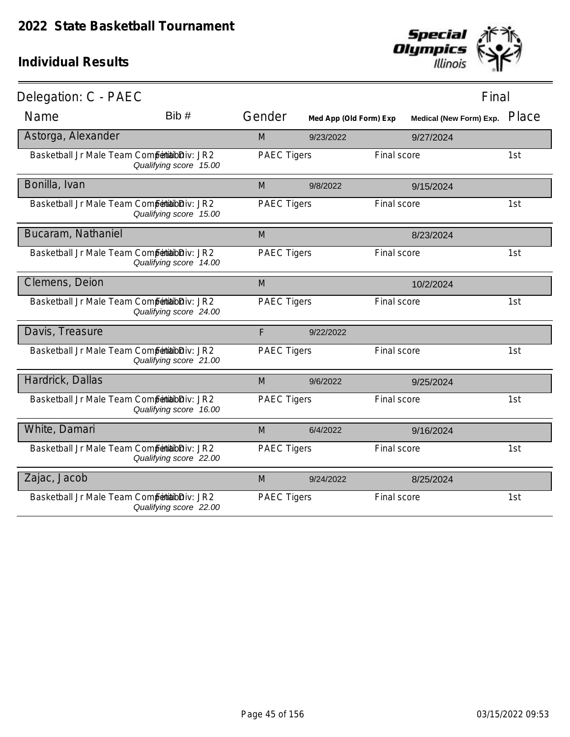

| Delegation: C - PAEC                          |                        |                    |                        |             | Final                   |       |
|-----------------------------------------------|------------------------|--------------------|------------------------|-------------|-------------------------|-------|
| Name                                          | Bib#                   | Gender             | Med App (Old Form) Exp |             | Medical (New Form) Exp. | Place |
| Astorga, Alexander                            |                        | M                  | 9/23/2022              |             | 9/27/2024               |       |
| Basketball Jr Male Team Competibilibiliv: JR2 | Qualifying score 15.00 | <b>PAEC Tigers</b> |                        | Final score |                         | 1st   |
| Bonilla, Ivan                                 |                        | M                  | 9/8/2022               |             | 9/15/2024               |       |
| Basketball Jr Male Team Competibilibiliv: JR2 | Qualifying score 15.00 | <b>PAEC Tigers</b> |                        | Final score |                         | 1st   |
| Bucaram, Nathaniel                            |                        | M                  |                        |             | 8/23/2024               |       |
| Basketball Jr Male Team Competibilibiliv: JR2 | Qualifying score 14.00 | <b>PAEC Tigers</b> |                        | Final score |                         | 1st   |
| Clemens, Deion                                |                        | M                  |                        |             | 10/2/2024               |       |
| Basketball Jr Male Team Competibilibiliv: JR2 | Qualifying score 24.00 | <b>PAEC Tigers</b> |                        | Final score |                         | 1st   |
| Davis, Treasure                               |                        | F                  | 9/22/2022              |             |                         |       |
| Basketball Jr Male Team Competibilibiliv: JR2 | Qualifying score 21.00 | <b>PAEC Tigers</b> |                        | Final score |                         | 1st   |
| Hardrick, Dallas                              |                        | M                  | 9/6/2022               |             | 9/25/2024               |       |
| Basketball Jr Male Team Competibilibiliv: JR2 | Qualifying score 16.00 | <b>PAEC Tigers</b> |                        | Final score |                         | 1st   |
| White, Damari                                 |                        | M                  | 6/4/2022               |             | 9/16/2024               |       |
| Basketball Jr Male Team Competibilibiliv: JR2 | Qualifying score 22.00 | <b>PAEC Tigers</b> |                        | Final score |                         | 1st   |
| Zajac, Jacob                                  |                        | M                  | 9/24/2022              |             | 8/25/2024               |       |
| Basketball Jr Male Team Competibilibiliv: JR2 | Qualifying score 22.00 | <b>PAEC Tigers</b> |                        | Final score |                         | 1st   |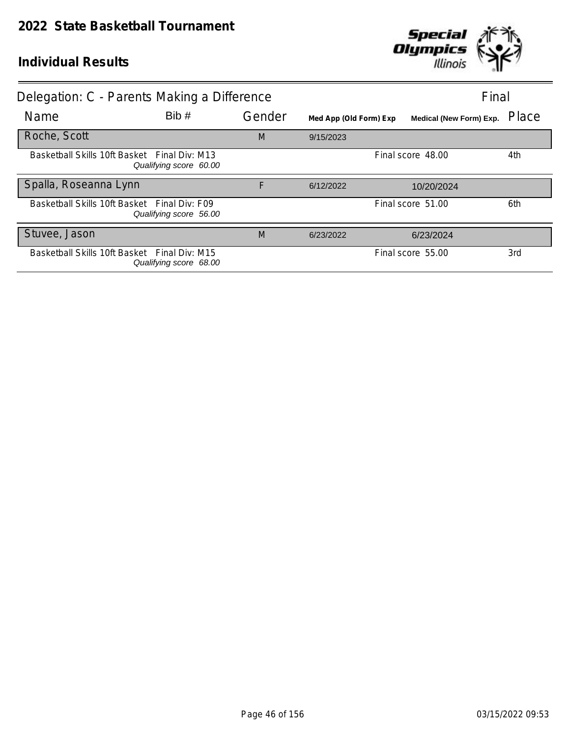

| Delegation: C - Parents Making a Difference  |                        |        |                        |                         | Final |
|----------------------------------------------|------------------------|--------|------------------------|-------------------------|-------|
| Name                                         | Bib#                   | Gender | Med App (Old Form) Exp | Medical (New Form) Exp. | Place |
| Roche, Scott                                 |                        | M      | 9/15/2023              |                         |       |
| Basketball Skills 10ft Basket Final Div: M13 | Qualifying score 60.00 |        |                        | Final score 48.00       | 4th   |
| Spalla, Roseanna Lynn                        |                        | F      | 6/12/2022              | 10/20/2024              |       |
| Basketball Skills 10ft Basket Final Div: F09 | Qualifying score 56.00 |        |                        | Final score 51.00       | 6th   |
| Stuvee, Jason                                |                        | M      | 6/23/2022              | 6/23/2024               |       |
| Basketball Skills 10ft Basket Final Div: M15 | Qualifying score 68.00 |        |                        | Final score 55.00       | 3rd   |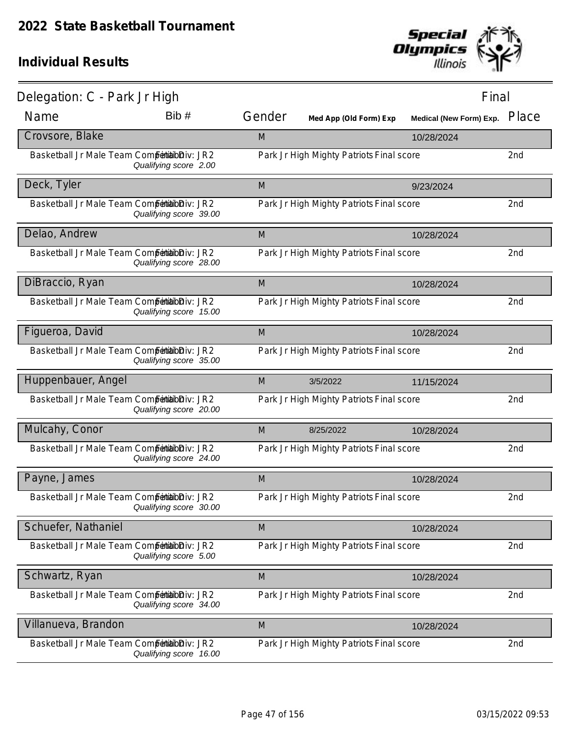

| Delegation: C - Park Jr High                  |                        |        |                                          | Final                          |       |
|-----------------------------------------------|------------------------|--------|------------------------------------------|--------------------------------|-------|
| Name                                          | Bib #                  | Gender | Med App (Old Form) Exp                   | <b>Medical (New Form) Exp.</b> | Place |
| Crovsore, Blake                               |                        | M      |                                          | 10/28/2024                     |       |
| Basketball Jr Male Team Competibilibiliv: JR2 | Qualifying score 2.00  |        | Park Jr High Mighty Patriots Final score |                                | 2nd   |
| Deck, Tyler                                   |                        | M      |                                          | 9/23/2024                      |       |
| Basketball Jr Male Team Competibilibiliv: JR2 | Qualifying score 39.00 |        | Park Jr High Mighty Patriots Final score |                                | 2nd   |
| Delao, Andrew                                 |                        | M      |                                          | 10/28/2024                     |       |
| Basketball Jr Male Team Competibilibiliv: JR2 | Qualifying score 28.00 |        | Park Jr High Mighty Patriots Final score |                                | 2nd   |
| DiBraccio, Ryan                               |                        | M      |                                          | 10/28/2024                     |       |
| Basketball Jr Male Team Competibilibiliv: JR2 | Qualifying score 15.00 |        | Park Jr High Mighty Patriots Final score |                                | 2nd   |
| Figueroa, David                               |                        | M      |                                          | 10/28/2024                     |       |
| Basketball Jr Male Team Competibilibiliv: JR2 | Qualifying score 35.00 |        | Park Jr High Mighty Patriots Final score |                                | 2nd   |
| Huppenbauer, Angel                            |                        | M      | 3/5/2022                                 | 11/15/2024                     |       |
| Basketball Jr Male Team Competibilibiliv: JR2 | Qualifying score 20.00 |        | Park Jr High Mighty Patriots Final score |                                | 2nd   |
| Mulcahy, Conor                                |                        | M      | 8/25/2022                                | 10/28/2024                     |       |
| Basketball Jr Male Team Competibilibiliv: JR2 | Qualifying score 24.00 |        | Park Jr High Mighty Patriots Final score |                                | 2nd   |
| Payne, James                                  |                        | M      |                                          | 10/28/2024                     |       |
| Basketball Jr Male Team Competibilibiliv: JR2 | Qualifying score 30.00 |        | Park Jr High Mighty Patriots Final score |                                | 2nd   |
| Schuefer, Nathaniel                           |                        | M      |                                          | 10/28/2024                     |       |
| Basketball Jr Male Team Competibilibiliv: JR2 | Qualifying score 5.00  |        | Park Jr High Mighty Patriots Final score |                                | 2nd   |
| Schwartz, Ryan                                |                        | M      |                                          | 10/28/2024                     |       |
| Basketball Jr Male Team Competibilibiliv: JR2 | Qualifying score 34.00 |        | Park Jr High Mighty Patriots Final score |                                | 2nd   |
| Villanueva, Brandon                           |                        | M      |                                          | 10/28/2024                     |       |
| Basketball Jr Male Team Competibilibiliv: JR2 | Qualifying score 16.00 |        | Park Jr High Mighty Patriots Final score |                                | 2nd   |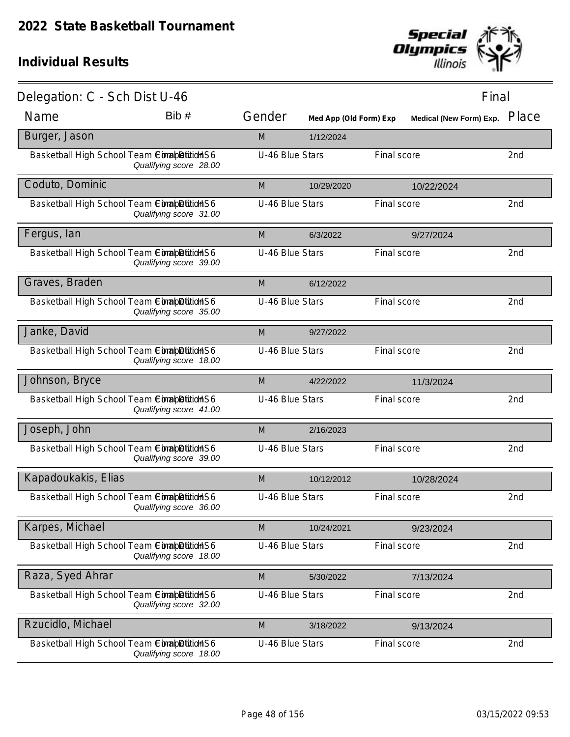

| Delegation: C - Sch Dist U-46                |                        |                 |                        |             | Final                   |                 |
|----------------------------------------------|------------------------|-----------------|------------------------|-------------|-------------------------|-----------------|
| Name                                         | Bib #                  | Gender          | Med App (Old Form) Exp |             | Medical (New Form) Exp. | Place           |
| Burger, Jason                                |                        | M               | 1/12/2024              |             |                         |                 |
| Basketball High School Team ComapDition S6   | Qualifying score 28.00 | U-46 Blue Stars |                        | Final score |                         | 2 <sub>nd</sub> |
| Coduto, Dominic                              |                        | M               | 10/29/2020             |             | 10/22/2024              |                 |
| Basketball High School Team ComapDitition S6 | Qualifying score 31.00 | U-46 Blue Stars |                        | Final score |                         | 2nd             |
| Fergus, lan                                  |                        | M               | 6/3/2022               |             | 9/27/2024               |                 |
| Basketball High School Team ComapDition S6   | Qualifying score 39.00 | U-46 Blue Stars |                        | Final score |                         | 2nd             |
| Graves, Braden                               |                        | M               | 6/12/2022              |             |                         |                 |
| Basketball High School Team ComapDitition S6 | Qualifying score 35.00 | U-46 Blue Stars |                        | Final score |                         | 2 <sub>nd</sub> |
| Janke, David                                 |                        | M               | 9/27/2022              |             |                         |                 |
| Basketball High School Team ComapDitition S6 | Qualifying score 18.00 | U-46 Blue Stars |                        | Final score |                         | 2 <sub>nd</sub> |
| Johnson, Bryce                               |                        | M               | 4/22/2022              |             | 11/3/2024               |                 |
| Basketball High School Team ComapDitition S6 | Qualifying score 41.00 | U-46 Blue Stars |                        | Final score |                         | 2nd             |
| Joseph, John                                 |                        | M               | 2/16/2023              |             |                         |                 |
| Basketball High School Team Completition S6  | Qualifying score 39.00 | U-46 Blue Stars |                        | Final score |                         | 2nd             |
| Kapadoukakis, Elias                          |                        | M               | 10/12/2012             |             | 10/28/2024              |                 |
| Basketball High School Team ComapDitition S6 | Qualifying score 36.00 | U-46 Blue Stars |                        | Final score |                         | 2nd             |
| Karpes, Michael                              |                        | M               | 10/24/2021             |             | 9/23/2024               |                 |
| Basketball High School Team Completition S6  | Qualifying score 18.00 | U-46 Blue Stars |                        | Final score |                         | 2nd             |
| Raza, Syed Ahrar                             |                        | M               | 5/30/2022              |             | 7/13/2024               |                 |
| Basketball High School Team Completition S6  | Qualifying score 32.00 | U-46 Blue Stars |                        | Final score |                         | 2nd             |
| Rzucidlo, Michael                            |                        | M               | 3/18/2022              |             | 9/13/2024               |                 |
| Basketball High School Team CorabDition S6   | Qualifying score 18.00 | U-46 Blue Stars |                        | Final score |                         | 2nd             |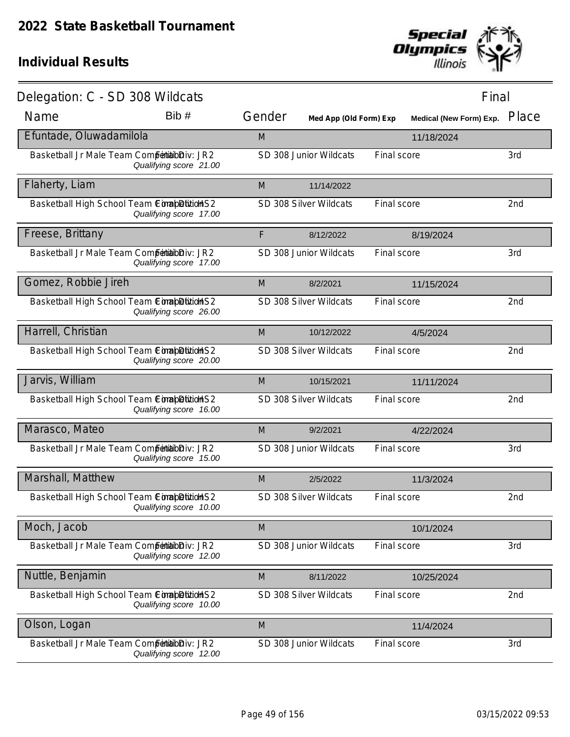

| Delegation: C - SD 308 Wildcats               |                        |        |                        |                         | Final |
|-----------------------------------------------|------------------------|--------|------------------------|-------------------------|-------|
| Name                                          | Bib#                   | Gender | Med App (Old Form) Exp | Medical (New Form) Exp. | Place |
| Efuntade, Oluwadamilola                       |                        | M      |                        | 11/18/2024              |       |
| Basketball Jr Male Team Competibilibiliv: JR2 | Qualifying score 21.00 |        | SD 308 Junior Wildcats | Final score             | 3rd   |
| Flaherty, Liam                                |                        | M      | 11/14/2022             |                         |       |
| Basketball High School Team ComapDititioHS2   | Qualifying score 17.00 |        | SD 308 Silver Wildcats | Final score             | 2nd   |
| Freese, Brittany                              |                        | F      | 8/12/2022              | 8/19/2024               |       |
| Basketball Jr Male Team Competibilibiliv: JR2 | Qualifying score 17.00 |        | SD 308 Junior Wildcats | Final score             | 3rd   |
| Gomez, Robbie Jireh                           |                        | M      | 8/2/2021               | 11/15/2024              |       |
| Basketball High School Team ComapDition S2    | Qualifying score 26.00 |        | SD 308 Silver Wildcats | Final score             | 2nd   |
| Harrell, Christian                            |                        | M      | 10/12/2022             | 4/5/2024                |       |
| Basketball High School Team ComapDition S2    | Qualifying score 20.00 |        | SD 308 Silver Wildcats | Final score             | 2nd   |
| Jarvis, William                               |                        | M      | 10/15/2021             | 11/11/2024              |       |
| Basketball High School Team CompletitionS2    | Qualifying score 16.00 |        | SD 308 Silver Wildcats | Final score             | 2nd   |
| Marasco, Mateo                                |                        | M      | 9/2/2021               | 4/22/2024               |       |
| Basketball Jr Male Team Competibilibiliv: JR2 | Qualifying score 15.00 |        | SD 308 Junior Wildcats | Final score             | 3rd   |
| Marshall, Matthew                             |                        | M      | 2/5/2022               | 11/3/2024               |       |
| Basketball High School Team ComapDitition S2  | Qualifying score 10.00 |        | SD 308 Silver Wildcats | Final score             | 2nd   |
| Moch, Jacob                                   |                        | M      |                        | 10/1/2024               |       |
| Basketball Jr Male Team Competibilibiliv: JR2 | Qualifying score 12.00 |        | SD 308 Junior Wildcats | Final score             | 3rd   |
| Nuttle, Benjamin                              |                        | M      | 8/11/2022              | 10/25/2024              |       |
| Basketball High School Team ComabDitition S2  | Qualifying score 10.00 |        | SD 308 Silver Wildcats | Final score             | 2nd   |
| Olson, Logan                                  |                        | M      |                        | 11/4/2024               |       |
| Basketball Jr Male Team Competibilibiliv: JR2 | Qualifying score 12.00 |        | SD 308 Junior Wildcats | Final score             | 3rd   |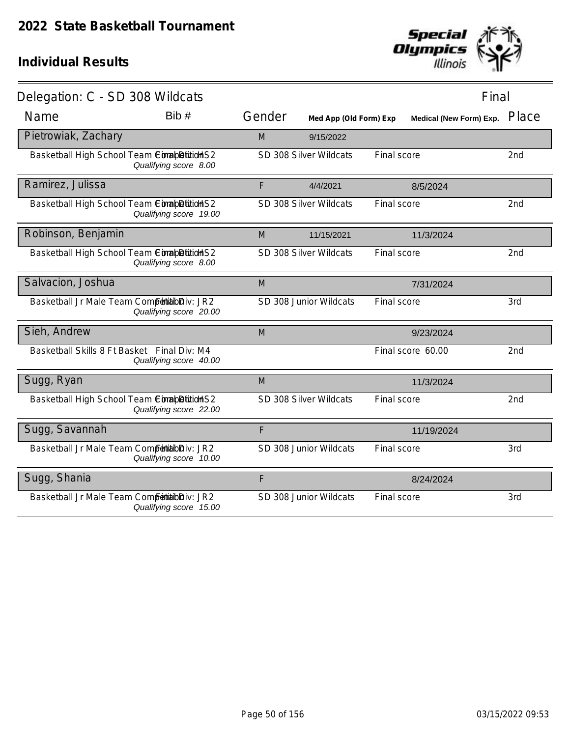

| Delegation: C - SD 308 Wildcats               |                        |        |                        |             | Final                   |       |
|-----------------------------------------------|------------------------|--------|------------------------|-------------|-------------------------|-------|
| Name                                          | Bib#                   | Gender | Med App (Old Form) Exp |             | Medical (New Form) Exp. | Place |
| Pietrowiak, Zachary                           |                        | M      | 9/15/2022              |             |                         |       |
| Basketball High School Team ComapDition S2    | Qualifying score 8.00  |        | SD 308 Silver Wildcats | Final score |                         | 2nd   |
| Ramirez, Julissa                              |                        | F      | 4/4/2021               |             | 8/5/2024                |       |
| Basketball High School Team ComapDititionS2   | Qualifying score 19.00 |        | SD 308 Silver Wildcats | Final score |                         | 2nd   |
| Robinson, Benjamin                            |                        | M      | 11/15/2021             |             | 11/3/2024               |       |
| Basketball High School Team ComapDitition S2  | Qualifying score 8.00  |        | SD 308 Silver Wildcats | Final score |                         | 2nd   |
| Salvacion, Joshua                             |                        | M      |                        |             | 7/31/2024               |       |
| Basketball Jr Male Team Competibilibiliv: JR2 | Qualifying score 20.00 |        | SD 308 Junior Wildcats | Final score |                         | 3rd   |
| Sieh, Andrew                                  |                        | M      |                        |             | 9/23/2024               |       |
| Basketball Skills 8 Ft Basket Final Div: M4   | Qualifying score 40.00 |        |                        |             | Final score 60.00       | 2nd   |
| Sugg, Ryan                                    |                        | M      |                        |             | 11/3/2024               |       |
| Basketball High School Team ComapDitionS2     | Qualifying score 22.00 |        | SD 308 Silver Wildcats | Final score |                         | 2nd   |
| Sugg, Savannah                                |                        | F      |                        |             | 11/19/2024              |       |
| Basketball Jr Male Team Competibilibiliv: JR2 | Qualifying score 10.00 |        | SD 308 Junior Wildcats | Final score |                         | 3rd   |
| Sugg, Shania                                  |                        | F      |                        |             | 8/24/2024               |       |
| Basketball Jr Male Team Competibilioniv: JR2  | Qualifying score 15.00 |        | SD 308 Junior Wildcats | Final score |                         | 3rd   |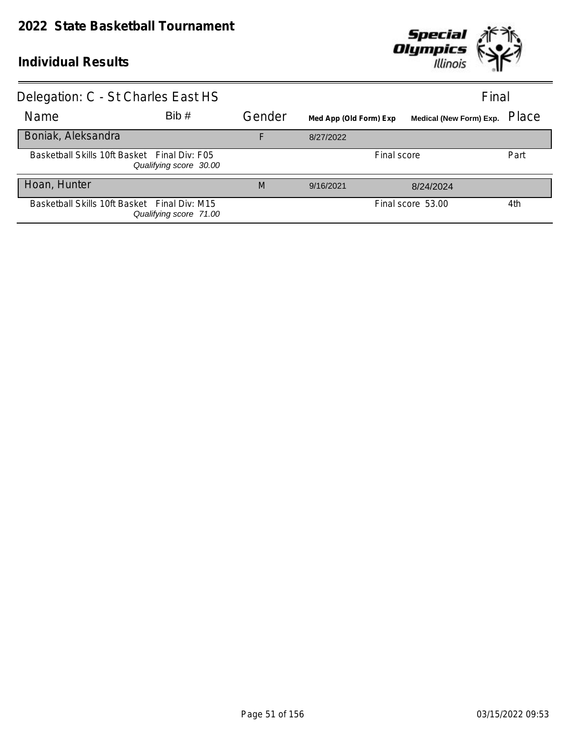

| Delegation: C - St Charles East HS           |                        |        |                        |                         | Final |
|----------------------------------------------|------------------------|--------|------------------------|-------------------------|-------|
| Name                                         | Bib#                   | Gender | Med App (Old Form) Exp | Medical (New Form) Exp. | Place |
| Boniak, Aleksandra                           |                        | F      | 8/27/2022              |                         |       |
| Basketball Skills 10ft Basket Final Div: F05 | Qualifying score 30.00 |        |                        | Final score             | Part  |
| Hoan, Hunter                                 |                        | M      | 9/16/2021              | 8/24/2024               |       |
| Basketball Skills 10ft Basket Final Div: M15 | Qualifying score 71.00 |        |                        | Final score 53.00       | 4th   |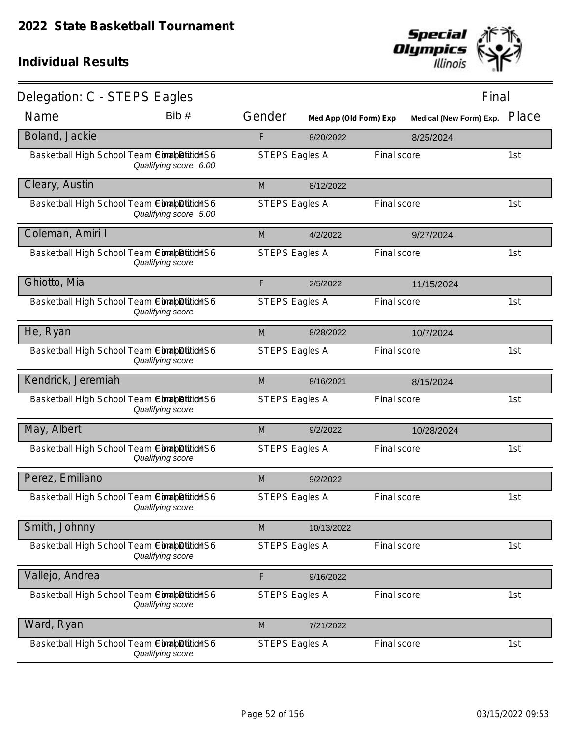

| Delegation: C - STEPS Eagles                 |                       |                       |                        |             | Final                          |       |
|----------------------------------------------|-----------------------|-----------------------|------------------------|-------------|--------------------------------|-------|
| Name                                         | Bib #                 | Gender                | Med App (Old Form) Exp |             | <b>Medical (New Form) Exp.</b> | Place |
| Boland, Jackie                               |                       | F                     | 8/20/2022              |             | 8/25/2024                      |       |
| Basketball High School Team ComapDitition S6 | Qualifying score 6.00 | <b>STEPS Eagles A</b> |                        | Final score |                                | 1st   |
| Cleary, Austin                               |                       | M                     | 8/12/2022              |             |                                |       |
| Basketball High School Team ComapDition S6   | Qualifying score 5.00 | <b>STEPS Eagles A</b> |                        | Final score |                                | 1st   |
| Coleman, Amiri I                             |                       | M                     | 4/2/2022               |             | 9/27/2024                      |       |
| Basketball High School Team ComapDitidHS6    | Qualifying score      | <b>STEPS Eagles A</b> |                        | Final score |                                | 1st   |
| Ghiotto, Mia                                 |                       | F                     | 2/5/2022               |             | 11/15/2024                     |       |
| Basketball High School Team ConabDition S6   | Qualifying score      | <b>STEPS Eagles A</b> |                        | Final score |                                | 1st   |
| He, Ryan                                     |                       | M                     | 8/28/2022              |             | 10/7/2024                      |       |
| Basketball High School Team ComapDitition S6 | Qualifying score      | <b>STEPS Eagles A</b> |                        | Final score |                                | 1st   |
| Kendrick, Jeremiah                           |                       | M                     | 8/16/2021              |             | 8/15/2024                      |       |
| Basketball High School Team ComapDition S6   | Qualifying score      | <b>STEPS Eagles A</b> |                        | Final score |                                | 1st   |
| May, Albert                                  |                       | M                     | 9/2/2022               |             | 10/28/2024                     |       |
| Basketball High School Team CimabDitidHS6    | Qualifying score      | <b>STEPS Eagles A</b> |                        | Final score |                                | 1st   |
| Perez, Emiliano                              |                       | M                     | 9/2/2022               |             |                                |       |
| Basketball High School Team Competition S6   | Qualifying score      | <b>STEPS Eagles A</b> |                        | Final score |                                | 1st   |
| Smith, Johnny                                |                       | M                     | 10/13/2022             |             |                                |       |
| Basketball High School Team ConabDition S6   | Qualifying score      | <b>STEPS Eagles A</b> |                        | Final score |                                | 1st   |
| Vallejo, Andrea                              |                       | F                     | 9/16/2022              |             |                                |       |
| Basketball High School Team ComapDition S6   | Qualifying score      | <b>STEPS Eagles A</b> |                        | Final score |                                | 1st   |
| Ward, Ryan                                   |                       | M                     | 7/21/2022              |             |                                |       |
| Basketball High School Team ConabDition S6   | Qualifying score      | <b>STEPS Eagles A</b> |                        | Final score |                                | 1st   |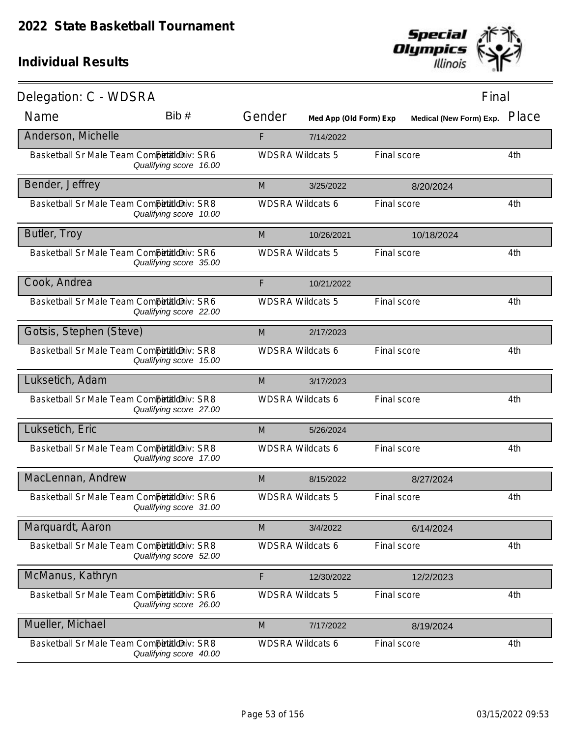

| Delegation: C - WDSRA                      |                        |                         |                        |             | Final                   |       |
|--------------------------------------------|------------------------|-------------------------|------------------------|-------------|-------------------------|-------|
| Name                                       | Bib#                   | Gender                  | Med App (Old Form) Exp |             | Medical (New Form) Exp. | Place |
| Anderson, Michelle                         |                        | F                       | 7/14/2022              |             |                         |       |
| Basketball Sr Male Team Competitioniv: SR6 | Qualifying score 16.00 | <b>WDSRA Wildcats 5</b> |                        | Final score |                         | 4th   |
| Bender, Jeffrey                            |                        | M                       | 3/25/2022              |             | 8/20/2024               |       |
| Basketball Sr Male Team Competitioniv: SR8 | Qualifying score 10.00 | <b>WDSRA Wildcats 6</b> |                        | Final score |                         | 4th   |
| Butler, Troy                               |                        | M                       | 10/26/2021             |             | 10/18/2024              |       |
| Basketball Sr Male Team Competitioniv: SR6 | Qualifying score 35.00 | <b>WDSRA Wildcats 5</b> |                        | Final score |                         | 4th   |
| Cook, Andrea                               |                        | F                       | 10/21/2022             |             |                         |       |
| Basketball Sr Male Team Competitioniv: SR6 | Qualifying score 22.00 | <b>WDSRA Wildcats 5</b> |                        | Final score |                         | 4th   |
| Gotsis, Stephen (Steve)                    |                        | M                       | 2/17/2023              |             |                         |       |
| Basketball Sr Male Team Competitioniv: SR8 | Qualifying score 15.00 | <b>WDSRA Wildcats 6</b> |                        | Final score |                         | 4th   |
| Luksetich, Adam                            |                        | M                       | 3/17/2023              |             |                         |       |
| Basketball Sr Male Team Competitioniv: SR8 | Qualifying score 27.00 | <b>WDSRA Wildcats 6</b> |                        | Final score |                         | 4th   |
| Luksetich, Eric                            |                        | M                       | 5/26/2024              |             |                         |       |
| Basketball Sr Male Team Competitioniv: SR8 | Qualifying score 17.00 | <b>WDSRA Wildcats 6</b> |                        | Final score |                         | 4th   |
| MacLennan, Andrew                          |                        | M                       | 8/15/2022              |             | 8/27/2024               |       |
| Basketball Sr Male Team Competitioniv: SR6 | Qualifying score 31.00 | <b>WDSRA Wildcats 5</b> |                        | Final score |                         | 4th   |
| Marquardt, Aaron                           |                        | M                       | 3/4/2022               |             | 6/14/2024               |       |
| Basketball Sr Male Team Competitioniv: SR8 | Qualifying score 52.00 | <b>WDSRA Wildcats 6</b> |                        | Final score |                         | 4th   |
| McManus, Kathryn                           |                        | F                       | 12/30/2022             |             | 12/2/2023               |       |
| Basketball Sr Male Team Competitioniv: SR6 | Qualifying score 26.00 | <b>WDSRA Wildcats 5</b> |                        | Final score |                         | 4th   |
| Mueller, Michael                           |                        | M                       | 7/17/2022              |             | 8/19/2024               |       |
| Basketball Sr Male Team Competitioniv: SR8 | Qualifying score 40.00 | <b>WDSRA Wildcats 6</b> |                        | Final score |                         | 4th   |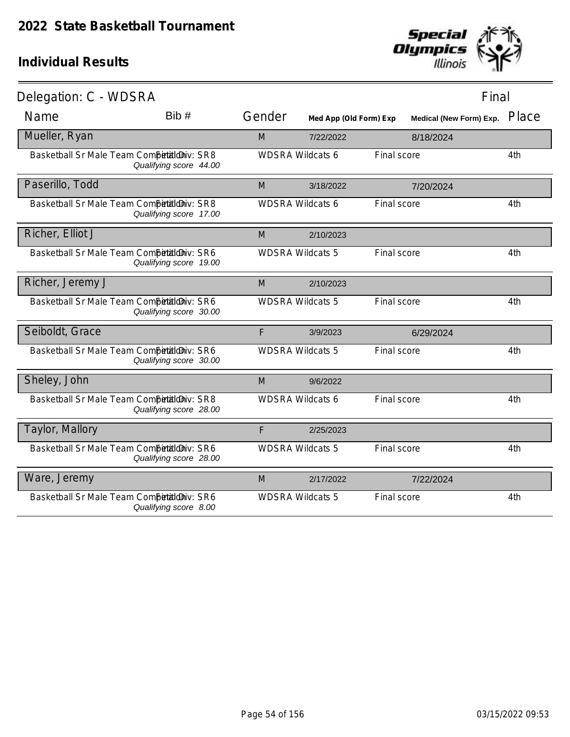

| Delegation: C - WDSRA                      |                        |        |                         |             | Final                   |       |
|--------------------------------------------|------------------------|--------|-------------------------|-------------|-------------------------|-------|
| Name                                       | Bib#                   | Gender | Med App (Old Form) Exp  |             | Medical (New Form) Exp. | Place |
| Mueller, Ryan                              |                        | M      | 7/22/2022               |             | 8/18/2024               |       |
| Basketball Sr Male Team Competitioniv: SR8 | Qualifying score 44.00 |        | <b>WDSRA Wildcats 6</b> | Final score |                         | 4th   |
| Paserillo, Todd                            |                        | M      | 3/18/2022               |             | 7/20/2024               |       |
| Basketball Sr Male Team Competitioniv: SR8 | Qualifying score 17.00 |        | <b>WDSRA Wildcats 6</b> | Final score |                         | 4th   |
| Richer, Elliot J                           |                        | M      | 2/10/2023               |             |                         |       |
| Basketball Sr Male Team Competitioniv: SR6 | Qualifying score 19.00 |        | <b>WDSRA Wildcats 5</b> | Final score |                         | 4th   |
| Richer, Jeremy J                           |                        | M      | 2/10/2023               |             |                         |       |
| Basketball Sr Male Team Competitioniv: SR6 | Qualifying score 30.00 |        | <b>WDSRA Wildcats 5</b> | Final score |                         | 4th   |
| Seiboldt, Grace                            |                        | F      | 3/9/2023                |             | 6/29/2024               |       |
| Basketball Sr Male Team Competitioniv: SR6 | Qualifying score 30.00 |        | <b>WDSRA Wildcats 5</b> | Final score |                         | 4th   |
| Sheley, John                               |                        | M      | 9/6/2022                |             |                         |       |
| Basketball Sr Male Team Competitioniv: SR8 | Qualifying score 28.00 |        | <b>WDSRA Wildcats 6</b> | Final score |                         | 4th   |
| Taylor, Mallory                            |                        | F      | 2/25/2023               |             |                         |       |
| Basketball Sr Male Team Competitioniv: SR6 | Qualifying score 28.00 |        | <b>WDSRA Wildcats 5</b> | Final score |                         | 4th   |
| Ware, Jeremy                               |                        | M      | 2/17/2022               |             | 7/22/2024               |       |
| Basketball Sr Male Team Competitioniv: SR6 | Qualifying score 8.00  |        | <b>WDSRA Wildcats 5</b> | Final score |                         | 4th   |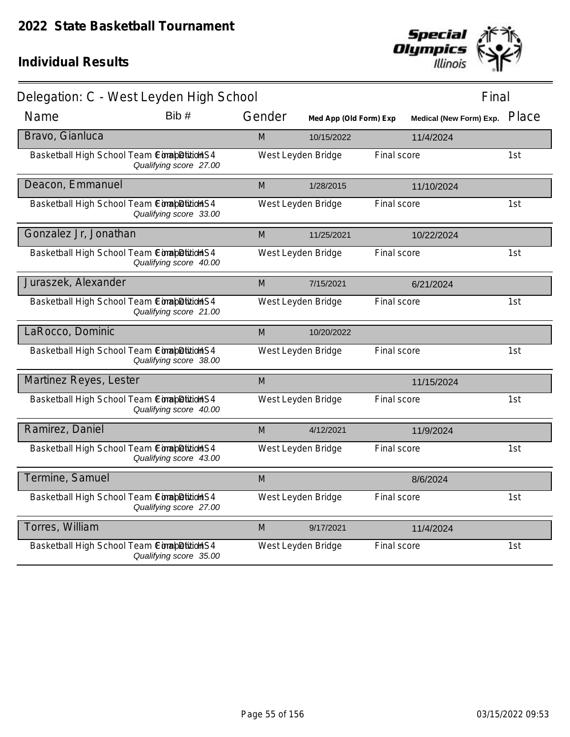

| Delegation: C - West Leyden High School    |                        |        |                        |             | Final                         |     |
|--------------------------------------------|------------------------|--------|------------------------|-------------|-------------------------------|-----|
| Name                                       | Bib #                  | Gender | Med App (Old Form) Exp |             | Medical (New Form) Exp. Place |     |
| Bravo, Gianluca                            |                        | M      | 10/15/2022             |             | 11/4/2024                     |     |
| Basketball High School Team ConabDitionS4  | Qualifying score 27.00 |        | West Leyden Bridge     | Final score |                               | 1st |
| Deacon, Emmanuel                           |                        | M      | 1/28/2015              |             | 11/10/2024                    |     |
| Basketball High School Team ComapDition S4 | Qualifying score 33.00 |        | West Leyden Bridge     | Final score |                               | 1st |
| Gonzalez Jr, Jonathan                      |                        | M      | 11/25/2021             |             | 10/22/2024                    |     |
| Basketball High School Team ComapDition S4 | Qualifying score 40.00 |        | West Leyden Bridge     | Final score |                               | 1st |
| Juraszek, Alexander                        |                        | M      | 7/15/2021              |             | 6/21/2024                     |     |
| Basketball High School Team ComapDition S4 | Qualifying score 21.00 |        | West Leyden Bridge     | Final score |                               | 1st |
| LaRocco, Dominic                           |                        | M      | 10/20/2022             |             |                               |     |
| Basketball High School Team ComapDition S4 | Qualifying score 38.00 |        | West Leyden Bridge     | Final score |                               | 1st |
| Martinez Reyes, Lester                     |                        | M      |                        |             | 11/15/2024                    |     |
| Basketball High School Team ComapDition S4 | Qualifying score 40.00 |        | West Leyden Bridge     | Final score |                               | 1st |
| Ramirez, Daniel                            |                        | M      | 4/12/2021              |             | 11/9/2024                     |     |
| Basketball High School Team CompletitionS4 | Qualifying score 43.00 |        | West Leyden Bridge     | Final score |                               | 1st |
| Termine, Samuel                            |                        | M      |                        |             | 8/6/2024                      |     |
| Basketball High School Team ConabDitionS4  | Qualifying score 27.00 |        | West Leyden Bridge     | Final score |                               | 1st |
| Torres, William                            |                        | M      | 9/17/2021              |             | 11/4/2024                     |     |
| Basketball High School Team ComapDition S4 | Qualifying score 35.00 |        | West Leyden Bridge     | Final score |                               | 1st |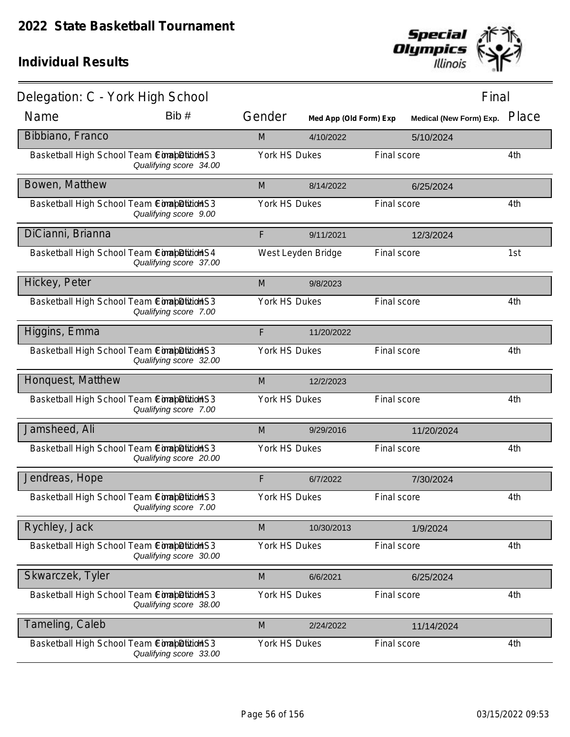

| Delegation: C - York High School             |                        |               |                        |             | Final                          |       |
|----------------------------------------------|------------------------|---------------|------------------------|-------------|--------------------------------|-------|
| Name                                         | Bib #                  | Gender        | Med App (Old Form) Exp |             | <b>Medical (New Form) Exp.</b> | Place |
| Bibbiano, Franco                             |                        | M             | 4/10/2022              |             | 5/10/2024                      |       |
| Basketball High School Team ComapDition S3   | Qualifying score 34.00 | York HS Dukes |                        | Final score |                                | 4th   |
| Bowen, Matthew                               |                        | M             | 8/14/2022              |             | 6/25/2024                      |       |
| Basketball High School Team ComapDition S3   | Qualifying score 9.00  | York HS Dukes |                        | Final score |                                | 4th   |
| DiCianni, Brianna                            |                        | F             | 9/11/2021              |             | 12/3/2024                      |       |
| Basketball High School Team ComapDition S4   | Qualifying score 37.00 |               | West Leyden Bridge     | Final score |                                | 1st   |
| Hickey, Peter                                |                        | M             | 9/8/2023               |             |                                |       |
| Basketball High School Team ComapDition S3   | Qualifying score 7.00  | York HS Dukes |                        | Final score |                                | 4th   |
| Higgins, Emma                                |                        | F             | 11/20/2022             |             |                                |       |
| Basketball High School Team CompletitionS3   | Qualifying score 32.00 | York HS Dukes |                        | Final score |                                | 4th   |
| Honquest, Matthew                            |                        | M             | 12/2/2023              |             |                                |       |
| Basketball High School Team ComapDition S3   | Qualifying score 7.00  | York HS Dukes |                        | Final score |                                | 4th   |
| Jamsheed, Ali                                |                        | M             | 9/29/2016              |             | 11/20/2024                     |       |
| Basketball High School Team ComapDitionS3    | Qualifying score 20.00 | York HS Dukes |                        | Final score |                                | 4th   |
| Jendreas, Hope                               |                        | F             | 6/7/2022               |             | 7/30/2024                      |       |
| Basketball High School Team ComapDitition S3 | Qualifying score 7.00  | York HS Dukes |                        | Final score |                                | 4th   |
| Rychley, Jack                                |                        | M             | 10/30/2013             |             | 1/9/2024                       |       |
| Basketball High School Team CompletitionS3   | Qualifying score 30.00 | York HS Dukes |                        | Final score |                                | 4th   |
| Skwarczek, Tyler                             |                        | M             | 6/6/2021               |             | 6/25/2024                      |       |
| Basketball High School Team ComapDitition S3 | Qualifying score 38.00 | York HS Dukes |                        | Final score |                                | 4th   |
| Tameling, Caleb                              |                        | M             | 2/24/2022              |             | 11/14/2024                     |       |
| Basketball High School Team Completition S3  | Qualifying score 33.00 | York HS Dukes |                        | Final score |                                | 4th   |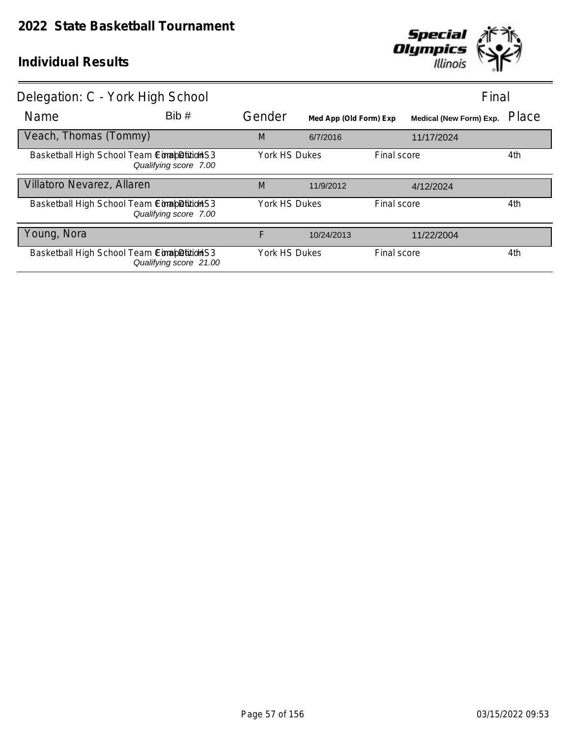

| Delegation: C - York High School            |                        |               |                        |             | Final                          |       |
|---------------------------------------------|------------------------|---------------|------------------------|-------------|--------------------------------|-------|
| Name                                        | Bib #                  | Gender        | Med App (Old Form) Exp |             | <b>Medical (New Form) Exp.</b> | Place |
| Veach, Thomas (Tommy)                       |                        | M             | 6/7/2016               |             | 11/17/2024                     |       |
| Basketball High School Team ComapDition S3  | Qualifying score 7.00  | York HS Dukes |                        | Final score |                                | 4th   |
| Villatoro Nevarez, Allaren                  |                        | M             | 11/9/2012              |             | 4/12/2024                      |       |
| Basketball High School Team ComapDition S3  | Qualifying score 7.00  | York HS Dukes |                        | Final score |                                | 4th   |
| Young, Nora                                 |                        | F             | 10/24/2013             |             | 11/22/2004                     |       |
| Basketball High School Team Completition S3 | Qualifying score 21.00 | York HS Dukes |                        | Final score |                                | 4th   |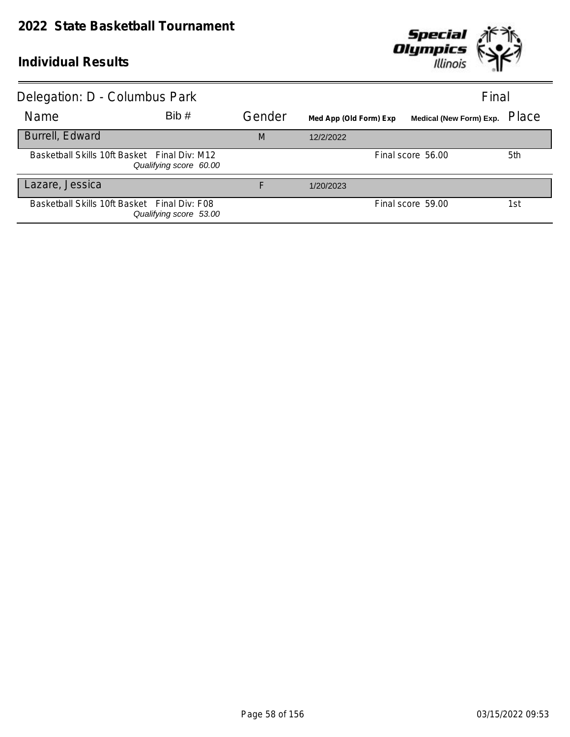

| Delegation: D - Columbus Park                |                        |        |                        | Final                          |       |
|----------------------------------------------|------------------------|--------|------------------------|--------------------------------|-------|
| Name                                         | Bib#                   | Gender | Med App (Old Form) Exp | <b>Medical (New Form) Exp.</b> | Place |
| Burrell, Edward                              |                        | M      | 12/2/2022              |                                |       |
| Basketball Skills 10ft Basket Final Div: M12 | Qualifying score 60.00 |        |                        | Final score 56.00              | 5th   |
| Lazare, Jessica                              |                        | F      | 1/20/2023              |                                |       |
| Basketball Skills 10ft Basket Final Div: F08 | Qualifying score 53.00 |        |                        | Final score 59.00              | 1st   |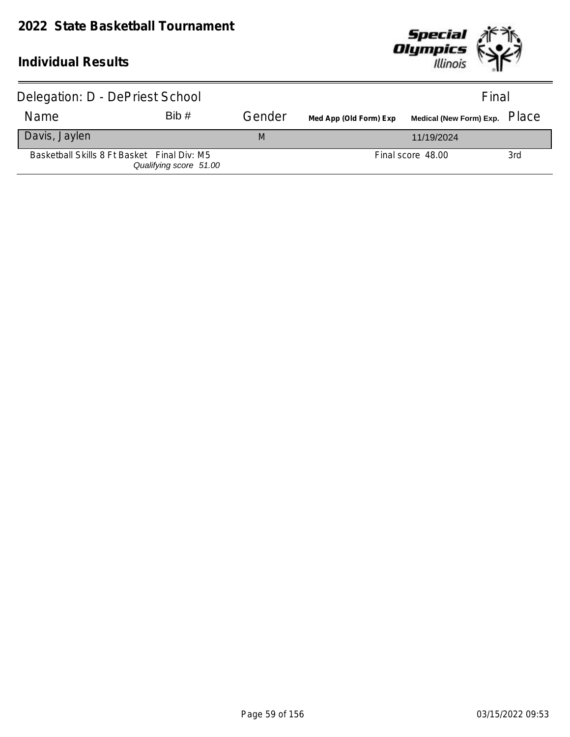

| Delegation: D - DePriest School             |                        |        |                        | Final                                                                                         |     |
|---------------------------------------------|------------------------|--------|------------------------|-----------------------------------------------------------------------------------------------|-----|
| Name                                        | Bib#                   | Gender | Med App (Old Form) Exp | Medical (New Form) Exp. $\,$ $\rm \Gamma$ $\rm \Gamma$ $\rm \Omega$ $\rm \Gamma$ $\rm \Gamma$ |     |
| Davis, Jaylen                               |                        | M      |                        | 11/19/2024                                                                                    |     |
| Basketball Skills 8 Ft Basket Final Div: M5 | Qualifying score 51.00 |        |                        | Final score 48.00                                                                             | 3rd |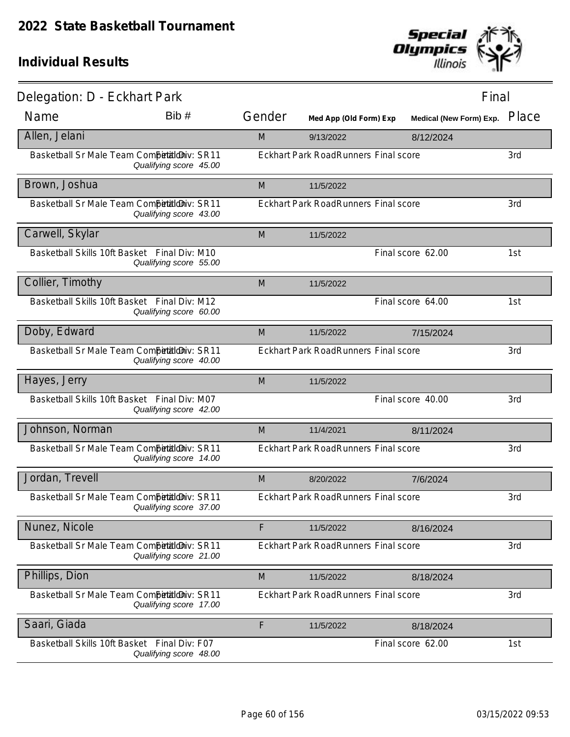

| Delegation: D - Eckhart Park                 |                        |        |                                             |                   | Final                   |       |
|----------------------------------------------|------------------------|--------|---------------------------------------------|-------------------|-------------------------|-------|
| Name                                         | Bib#                   | Gender | Med App (Old Form) Exp                      |                   | Medical (New Form) Exp. | Place |
| Allen, Jelani                                |                        | M      | 9/13/2022                                   |                   | 8/12/2024               |       |
| Basketball Sr Male Team Competitioniv: SR11  | Qualifying score 45.00 |        | <b>Eckhart Park RoadRunners Final score</b> |                   |                         | 3rd   |
| Brown, Joshua                                |                        | M      | 11/5/2022                                   |                   |                         |       |
| Basketball Sr Male Team CompetaldDiv: SR11   | Qualifying score 43.00 |        | <b>Eckhart Park RoadRunners Final score</b> |                   |                         | 3rd   |
| Carwell, Skylar                              |                        | M      | 11/5/2022                                   |                   |                         |       |
| Basketball Skills 10ft Basket Final Div: M10 | Qualifying score 55.00 |        |                                             | Final score 62.00 |                         | 1st   |
| Collier, Timothy                             |                        | M      | 11/5/2022                                   |                   |                         |       |
| Basketball Skills 10ft Basket Final Div: M12 | Qualifying score 60.00 |        |                                             | Final score 64.00 |                         | 1st   |
| Doby, Edward                                 |                        | M      | 11/5/2022                                   |                   | 7/15/2024               |       |
| Basketball Sr Male Team Competitioniv: SR11  | Qualifying score 40.00 |        | <b>Eckhart Park RoadRunners Final score</b> |                   |                         | 3rd   |
| Hayes, Jerry                                 |                        | M      | 11/5/2022                                   |                   |                         |       |
| Basketball Skills 10ft Basket Final Div: M07 | Qualifying score 42.00 |        |                                             | Final score 40.00 |                         | 3rd   |
| Johnson, Norman                              |                        | M      | 11/4/2021                                   |                   | 8/11/2024               |       |
| Basketball Sr Male Team Competitioniv: SR11  | Qualifying score 14.00 |        | Eckhart Park RoadRunners Final score        |                   |                         | 3rd   |
| Jordan, Trevell                              |                        | M      | 8/20/2022                                   |                   | 7/6/2024                |       |
| Basketball Sr Male Team CompetaldDiv: SR11   | Qualifying score 37.00 |        | Eckhart Park RoadRunners Final score        |                   |                         | 3rd   |
| Nunez, Nicole                                |                        | F      | 11/5/2022                                   |                   | 8/16/2024               |       |
| Basketball Sr Male Team Competitioniv: SR11  | Qualifying score 21.00 |        | <b>Eckhart Park RoadRunners Final score</b> |                   |                         | 3rd   |
| Phillips, Dion                               |                        | M      | 11/5/2022                                   |                   | 8/18/2024               |       |
| Basketball Sr Male Team Competitioniv: SR11  | Qualifying score 17.00 |        | Eckhart Park RoadRunners Final score        |                   |                         | 3rd   |
| Saari, Giada                                 |                        | F      | 11/5/2022                                   |                   | 8/18/2024               |       |
| Basketball Skills 10ft Basket Final Div: F07 | Qualifying score 48.00 |        |                                             | Final score 62.00 |                         | 1st   |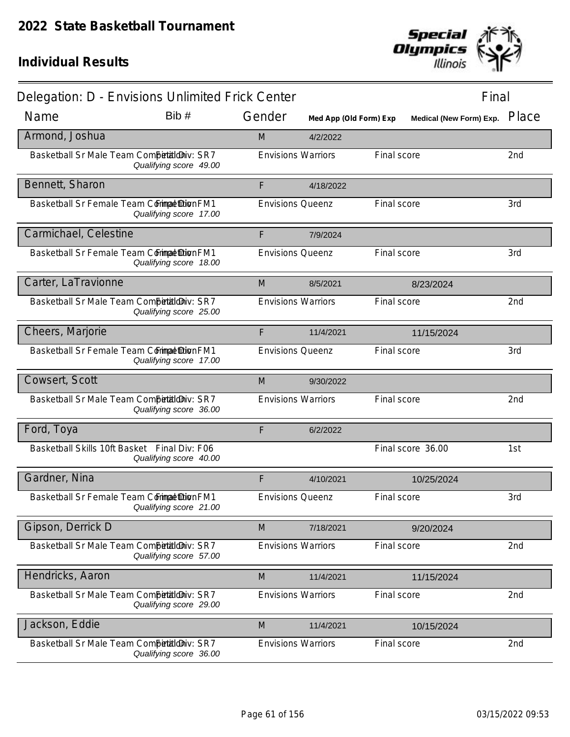

| Delegation: D - Envisions Unlimited Frick Center |                        |                           |                        |             | Final                   |       |  |
|--------------------------------------------------|------------------------|---------------------------|------------------------|-------------|-------------------------|-------|--|
| Name                                             | Bib #                  | Gender                    | Med App (Old Form) Exp |             | Medical (New Form) Exp. | Place |  |
| Armond, Joshua                                   |                        | M                         | 4/2/2022               |             |                         |       |  |
| Basketball Sr Male Team Competitioniv: SR7       | Qualifying score 49.00 | <b>Envisions Warriors</b> |                        | Final score |                         | 2nd   |  |
| Bennett, Sharon                                  |                        | F                         | 4/18/2022              |             |                         |       |  |
| Basketball Sr Female Team Commat Dion FM1        | Qualifying score 17.00 | <b>Envisions Queenz</b>   |                        | Final score |                         | 3rd   |  |
| Carmichael, Celestine                            |                        | F                         | 7/9/2024               |             |                         |       |  |
| Basketball Sr Female Team Commat Dion FM1        | Qualifying score 18.00 | <b>Envisions Queenz</b>   |                        | Final score |                         | 3rd   |  |
| Carter, LaTravionne                              |                        | M                         | 8/5/2021               |             | 8/23/2024               |       |  |
| Basketball Sr Male Team Competitioniv: SR7       | Qualifying score 25.00 | <b>Envisions Warriors</b> |                        | Final score |                         | 2nd   |  |
| Cheers, Marjorie                                 |                        | F                         | 11/4/2021              |             | 11/15/2024              |       |  |
| Basketball Sr Female Team Commat DionFM1         | Qualifying score 17.00 | <b>Envisions Queenz</b>   |                        | Final score |                         | 3rd   |  |
| Cowsert, Scott                                   |                        | M                         | 9/30/2022              |             |                         |       |  |
| Basketball Sr Male Team Competitioniv: SR7       | Qualifying score 36.00 | <b>Envisions Warriors</b> |                        | Final score |                         | 2nd   |  |
| Ford, Toya                                       |                        | F                         | 6/2/2022               |             |                         |       |  |
| Basketball Skills 10ft Basket Final Div: F06     | Qualifying score 40.00 |                           |                        |             | Final score 36.00       | 1st   |  |
| Gardner, Nina                                    |                        | F                         | 4/10/2021              |             | 10/25/2024              |       |  |
| Basketball Sr Female Team Commat DionFM1         | Qualifying score 21.00 | <b>Envisions Queenz</b>   |                        | Final score |                         | 3rd   |  |
| Gipson, Derrick D                                |                        | M                         | 7/18/2021              |             | 9/20/2024               |       |  |
| Basketball Sr Male Team Competitioniv: SR7       | Qualifying score 57.00 | <b>Envisions Warriors</b> |                        | Final score |                         | 2nd   |  |
| Hendricks, Aaron                                 |                        | M                         | 11/4/2021              |             | 11/15/2024              |       |  |
| Basketball Sr Male Team CompetialdDiv: SR7       | Qualifying score 29.00 | <b>Envisions Warriors</b> |                        | Final score |                         | 2nd   |  |
| Jackson, Eddie                                   |                        | M                         | 11/4/2021              |             | 10/15/2024              |       |  |
| Basketball Sr Male Team Competitioniv: SR7       | Qualifying score 36.00 | <b>Envisions Warriors</b> |                        | Final score |                         | 2nd   |  |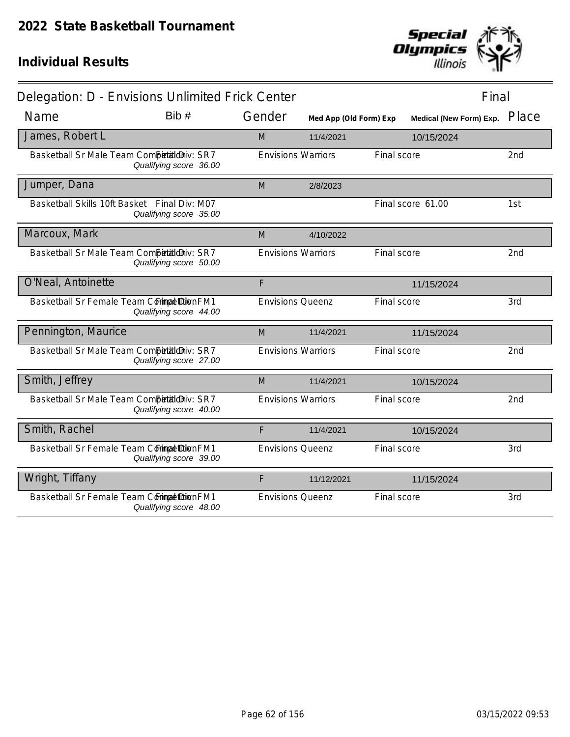

| Delegation: D - Envisions Unlimited Frick Center |                        |        |                           |                        |             | Final                   |                 |
|--------------------------------------------------|------------------------|--------|---------------------------|------------------------|-------------|-------------------------|-----------------|
| Name                                             | Bib#                   | Gender |                           | Med App (Old Form) Exp |             | Medical (New Form) Exp. | Place           |
| James, Robert L                                  |                        | M      |                           | 11/4/2021              |             | 10/15/2024              |                 |
| Basketball Sr Male Team Competitioniv: SR7       | Qualifying score 36.00 |        | <b>Envisions Warriors</b> |                        | Final score |                         | 2nd             |
| Jumper, Dana                                     |                        | M      |                           | 2/8/2023               |             |                         |                 |
| Basketball Skills 10ft Basket Final Div: M07     | Qualifying score 35.00 |        |                           |                        |             | Final score 61.00       | 1st             |
| Marcoux, Mark                                    |                        | M      |                           | 4/10/2022              |             |                         |                 |
| Basketball Sr Male Team Competitioniv: SR7       | Qualifying score 50.00 |        | <b>Envisions Warriors</b> |                        | Final score |                         | 2nd             |
| O'Neal, Antoinette                               |                        | F      |                           |                        |             | 11/15/2024              |                 |
| Basketball Sr Female Team Commat Dion FM1        | Qualifying score 44.00 |        | <b>Envisions Queenz</b>   |                        | Final score |                         | 3rd             |
| Pennington, Maurice                              |                        | M      |                           | 11/4/2021              |             | 11/15/2024              |                 |
| Basketball Sr Male Team Competitioniv: SR7       | Qualifying score 27.00 |        | <b>Envisions Warriors</b> |                        | Final score |                         | 2 <sub>nd</sub> |
| Smith, Jeffrey                                   |                        | M      |                           | 11/4/2021              |             | 10/15/2024              |                 |
| Basketball Sr Male Team Competitioniv: SR7       | Qualifying score 40.00 |        | <b>Envisions Warriors</b> |                        | Final score |                         | 2 <sub>nd</sub> |
| Smith, Rachel                                    |                        | F      |                           | 11/4/2021              |             | 10/15/2024              |                 |
| Basketball Sr Female Team Commat Dion FM1        | Qualifying score 39.00 |        | <b>Envisions Queenz</b>   |                        | Final score |                         | 3rd             |
| Wright, Tiffany                                  |                        | F      |                           | 11/12/2021             |             | 11/15/2024              |                 |
| Basketball Sr Female Team Commat Dion FM1        | Qualifying score 48.00 |        | <b>Envisions Queenz</b>   |                        | Final score |                         | 3rd             |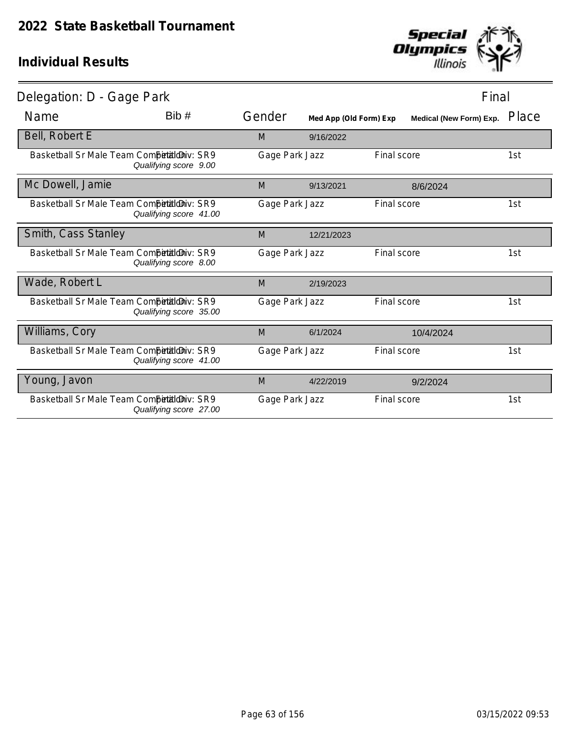

| Delegation: D - Gage Park                  |                        |                |                        |             | Final                   |       |
|--------------------------------------------|------------------------|----------------|------------------------|-------------|-------------------------|-------|
| Name                                       | Bib#                   | Gender         | Med App (Old Form) Exp |             | Medical (New Form) Exp. | Place |
| Bell, Robert E                             |                        | M              | 9/16/2022              |             |                         |       |
| Basketball Sr Male Team CompetialdDiv: SR9 | Qualifying score 9.00  | Gage Park Jazz |                        | Final score |                         | 1st   |
| Mc Dowell, Jamie                           |                        | M              | 9/13/2021              |             | 8/6/2024                |       |
| Basketball Sr Male Team Competitioniv: SR9 | Qualifying score 41.00 | Gage Park Jazz |                        | Final score |                         | 1st   |
| Smith, Cass Stanley                        |                        | M              | 12/21/2023             |             |                         |       |
| Basketball Sr Male Team Competitioniv: SR9 | Qualifying score 8.00  | Gage Park Jazz |                        | Final score |                         | 1st   |
| Wade, Robert L                             |                        | M              | 2/19/2023              |             |                         |       |
| Basketball Sr Male Team CompetialdDiv: SR9 | Qualifying score 35.00 | Gage Park Jazz |                        | Final score |                         | 1st   |
| Williams, Cory                             |                        | M              | 6/1/2024               |             | 10/4/2024               |       |
| Basketball Sr Male Team Competitioniv: SR9 | Qualifying score 41.00 | Gage Park Jazz |                        | Final score |                         | 1st   |
| Young, Javon                               |                        | M              | 4/22/2019              |             | 9/2/2024                |       |
| Basketball Sr Male Team CompetialdDiv: SR9 | Qualifying score 27.00 | Gage Park Jazz |                        | Final score |                         | 1st   |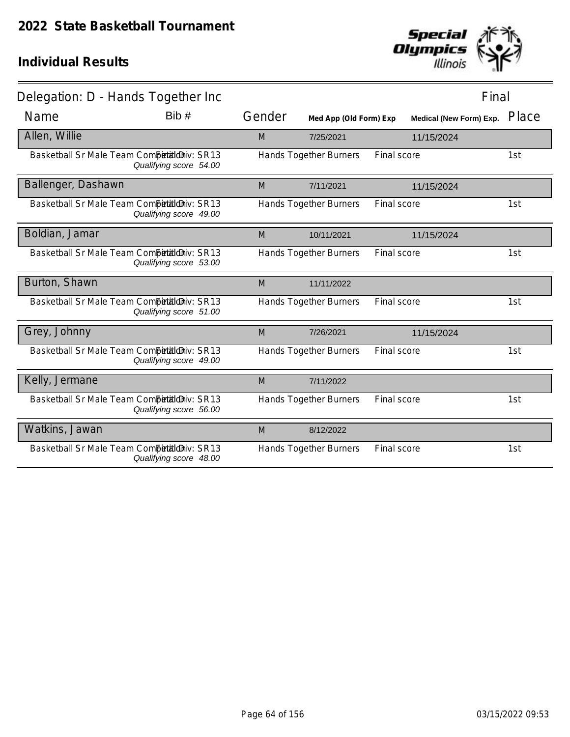

| Delegation: D - Hands Together Inc          |                        |        |                               |             | Final                          |       |
|---------------------------------------------|------------------------|--------|-------------------------------|-------------|--------------------------------|-------|
| Name                                        | Bib #                  | Gender | Med App (Old Form) Exp        |             | <b>Medical (New Form) Exp.</b> | Place |
| Allen, Willie                               |                        | M      | 7/25/2021                     | 11/15/2024  |                                |       |
| Basketball Sr Male Team Competitioniv: SR13 | Qualifying score 54.00 |        | Hands Together Burners        | Final score |                                | 1st   |
| Ballenger, Dashawn                          |                        | M      | 7/11/2021                     | 11/15/2024  |                                |       |
| Basketball Sr Male Team Competitioniv: SR13 | Qualifying score 49.00 |        | <b>Hands Together Burners</b> | Final score |                                | 1st   |
| Boldian, Jamar                              |                        | M      | 10/11/2021                    | 11/15/2024  |                                |       |
| Basketball Sr Male Team Competitioniv: SR13 | Qualifying score 53.00 |        | Hands Together Burners        | Final score |                                | 1st   |
| Burton, Shawn                               |                        | M      | 11/11/2022                    |             |                                |       |
| Basketball Sr Male Team Competitioniv: SR13 | Qualifying score 51.00 |        | Hands Together Burners        | Final score |                                | 1st   |
| Grey, Johnny                                |                        | M      | 7/26/2021                     | 11/15/2024  |                                |       |
| Basketball Sr Male Team Competitioniv: SR13 | Qualifying score 49.00 |        | Hands Together Burners        | Final score |                                | 1st   |
| Kelly, Jermane                              |                        | M      | 7/11/2022                     |             |                                |       |
| Basketball Sr Male Team Competitioniv: SR13 | Qualifying score 56.00 |        | Hands Together Burners        | Final score |                                | 1st   |
| Watkins, Jawan                              |                        | M      | 8/12/2022                     |             |                                |       |
| Basketball Sr Male Team Competitioniv: SR13 | Qualifying score 48.00 |        | <b>Hands Together Burners</b> | Final score |                                | 1st   |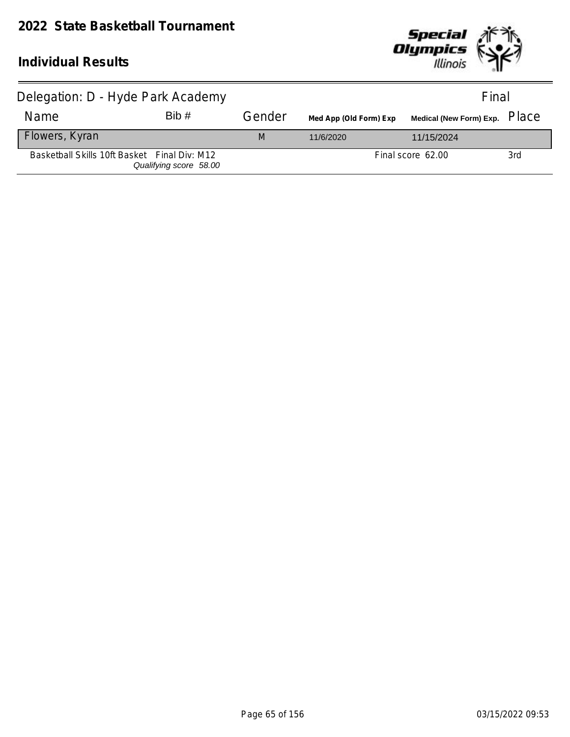#### **2022 State Basketball Tournament**



| Delegation: D - Hyde Park Academy            |                        |        |                        | Final                                |     |
|----------------------------------------------|------------------------|--------|------------------------|--------------------------------------|-----|
| <b>Name</b>                                  | Bib #                  | Gender | Med App (Old Form) Exp | Medical (New Form) Exp. PlaC $\rm e$ |     |
| Flowers, Kyran                               |                        | M      | 11/6/2020              | 11/15/2024                           |     |
| Basketball Skills 10ft Basket Final Div: M12 | Qualifying score 58.00 |        |                        | Final score 62.00                    | 3rd |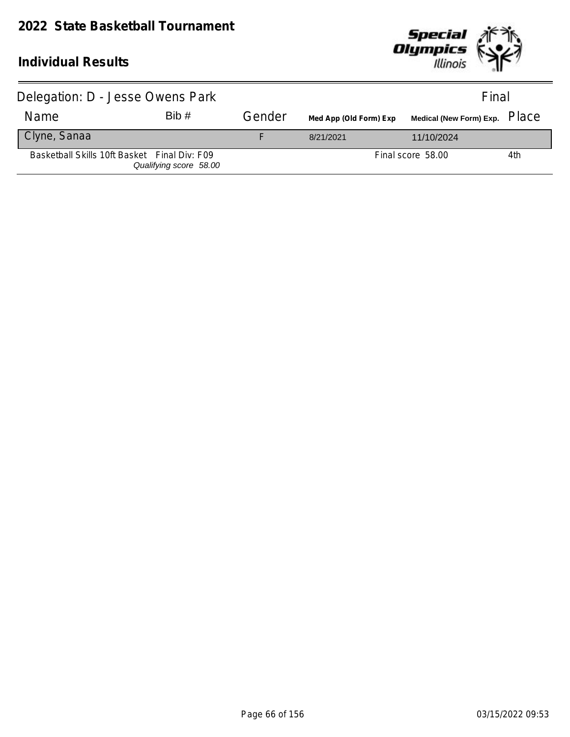

| Delegation: D - Jesse Owens Park             |                        |        | Final                  |                                      |     |
|----------------------------------------------|------------------------|--------|------------------------|--------------------------------------|-----|
| Name                                         | Bib#                   | Gender | Med App (Old Form) Exp | Medical (New Form) Exp. PlaC $\rm e$ |     |
| Clyne, Sanaa                                 |                        |        | 8/21/2021              | 11/10/2024                           |     |
| Basketball Skills 10ft Basket Final Div: F09 | Qualifying score 58.00 |        |                        | Final score 58.00                    | 4th |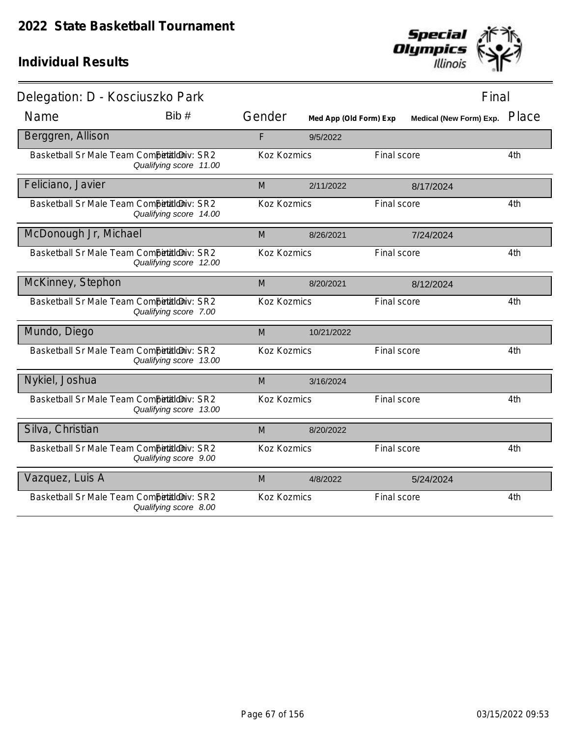

| Delegation: D - Kosciuszko Park            |                        |                    |                        |             | Final                   |       |
|--------------------------------------------|------------------------|--------------------|------------------------|-------------|-------------------------|-------|
| Name                                       | Bib #                  | Gender             | Med App (Old Form) Exp |             | Medical (New Form) Exp. | Place |
| Berggren, Allison                          |                        | F                  | 9/5/2022               |             |                         |       |
| Basketball Sr Male Team Competitioniv: SR2 | Qualifying score 11.00 | Koz Kozmics        |                        | Final score |                         | 4th   |
| Feliciano, Javier                          |                        | M                  | 2/11/2022              |             | 8/17/2024               |       |
| Basketball Sr Male Team Competitioniv: SR2 | Qualifying score 14.00 | Koz Kozmics        |                        | Final score |                         | 4th   |
| McDonough Jr, Michael                      |                        | M                  | 8/26/2021              |             | 7/24/2024               |       |
| Basketball Sr Male Team Competitioniv: SR2 | Qualifying score 12.00 | <b>Koz Kozmics</b> |                        | Final score |                         | 4th   |
| McKinney, Stephon                          |                        | M                  | 8/20/2021              |             | 8/12/2024               |       |
| Basketball Sr Male Team Competitioniv: SR2 | Qualifying score 7.00  | Koz Kozmics        |                        | Final score |                         | 4th   |
| Mundo, Diego                               |                        | M                  | 10/21/2022             |             |                         |       |
| Basketball Sr Male Team Competitioniv: SR2 | Qualifying score 13.00 | Koz Kozmics        |                        | Final score |                         | 4th   |
| Nykiel, Joshua                             |                        | M                  | 3/16/2024              |             |                         |       |
| Basketball Sr Male Team Competitioniv: SR2 | Qualifying score 13.00 | Koz Kozmics        |                        | Final score |                         | 4th   |
| Silva, Christian                           |                        | M                  | 8/20/2022              |             |                         |       |
| Basketball Sr Male Team Competitioniv: SR2 | Qualifying score 9.00  | Koz Kozmics        |                        | Final score |                         | 4th   |
| Vazquez, Luis A                            |                        | M                  | 4/8/2022               |             | 5/24/2024               |       |
| Basketball Sr Male Team CompetialdDiv: SR2 | Qualifying score 8.00  | Koz Kozmics        |                        | Final score |                         | 4th   |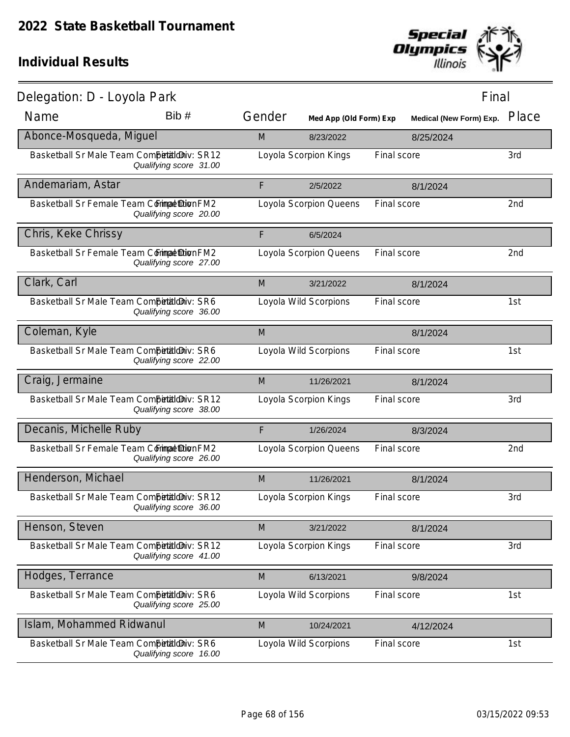

| Delegation: D - Loyola Park                 |                        |        |                        |             | Final                   |       |
|---------------------------------------------|------------------------|--------|------------------------|-------------|-------------------------|-------|
| Name                                        | Bib #                  | Gender | Med App (Old Form) Exp |             | Medical (New Form) Exp. | Place |
| Abonce-Mosqueda, Miguel                     |                        | M      | 8/23/2022              |             | 8/25/2024               |       |
| Basketball Sr Male Team Competitioniv: SR12 | Qualifying score 31.00 |        | Loyola Scorpion Kings  | Final score |                         | 3rd   |
| Andemariam, Astar                           |                        | F      | 2/5/2022               |             | 8/1/2024                |       |
| Basketball Sr Female Team Corimpet Dion FM2 | Qualifying score 20.00 |        | Loyola Scorpion Queens | Final score |                         | 2nd   |
| Chris, Keke Chrissy                         |                        | F      | 6/5/2024               |             |                         |       |
| Basketball Sr Female Team Commat Dion FM2   | Qualifying score 27.00 |        | Loyola Scorpion Queens | Final score |                         | 2nd   |
| Clark, Carl                                 |                        | M      | 3/21/2022              |             | 8/1/2024                |       |
| Basketball Sr Male Team Competitioniv: SR6  | Qualifying score 36.00 |        | Loyola Wild Scorpions  | Final score |                         | 1st   |
| Coleman, Kyle                               |                        | M      |                        |             | 8/1/2024                |       |
| Basketball Sr Male Team Competitioniv: SR6  | Qualifying score 22.00 |        | Loyola Wild Scorpions  | Final score |                         | 1st   |
| Craig, Jermaine                             |                        | M      | 11/26/2021             |             | 8/1/2024                |       |
| Basketball Sr Male Team Competitioniv: SR12 | Qualifying score 38.00 |        | Loyola Scorpion Kings  | Final score |                         | 3rd   |
| Decanis, Michelle Ruby                      |                        | F      | 1/26/2024              |             | 8/3/2024                |       |
| Basketball Sr Female Team Commat Dion FM2   | Qualifying score 26.00 |        | Loyola Scorpion Queens | Final score |                         | 2nd   |
| Henderson, Michael                          |                        | M      | 11/26/2021             |             | 8/1/2024                |       |
| Basketball Sr Male Team Competitioniv: SR12 | Qualifying score 36.00 |        | Loyola Scorpion Kings  | Final score |                         | 3rd   |
| Henson, Steven                              |                        | M      | 3/21/2022              |             | 8/1/2024                |       |
| Basketball Sr Male Team Competitioniv: SR12 | Qualifying score 41.00 |        | Loyola Scorpion Kings  | Final score |                         | 3rd   |
| Hodges, Terrance                            |                        | M      | 6/13/2021              |             | 9/8/2024                |       |
| Basketball Sr Male Team Competitioniv: SR6  | Qualifying score 25.00 |        | Loyola Wild Scorpions  | Final score |                         | 1st   |
| Islam, Mohammed Ridwanul                    |                        | M      | 10/24/2021             |             | 4/12/2024               |       |
| Basketball Sr Male Team Competitioniv: SR6  | Qualifying score 16.00 |        | Loyola Wild Scorpions  | Final score |                         | 1st   |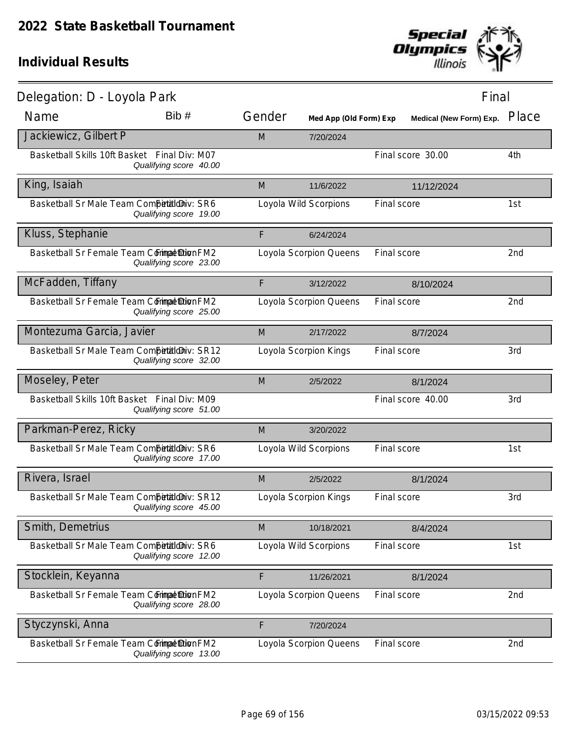

| Delegation: D - Loyola Park                  |                                          |        |                        |             | Final                   |       |
|----------------------------------------------|------------------------------------------|--------|------------------------|-------------|-------------------------|-------|
| Name                                         | Bib #                                    | Gender | Med App (Old Form) Exp |             | Medical (New Form) Exp. | Place |
| Jackiewicz, Gilbert P                        |                                          | M      | 7/20/2024              |             |                         |       |
| Basketball Skills 10ft Basket                | Final Div: M07<br>Qualifying score 40.00 |        |                        |             | Final score 30.00       | 4th   |
| King, Isaiah                                 |                                          | M      | 11/6/2022              |             | 11/12/2024              |       |
| Basketball Sr Male Team Competitioniv: SR6   | Qualifying score 19.00                   |        | Loyola Wild Scorpions  | Final score |                         | 1st   |
| Kluss, Stephanie                             |                                          | F      | 6/24/2024              |             |                         |       |
| Basketball Sr Female Team Commat Dion FM2    | Qualifying score 23.00                   |        | Loyola Scorpion Queens | Final score |                         | 2nd   |
| McFadden, Tiffany                            |                                          | F      | 3/12/2022              |             | 8/10/2024               |       |
| Basketball Sr Female Team Commat DionFM2     | Qualifying score 25.00                   |        | Loyola Scorpion Queens | Final score |                         | 2nd   |
| Montezuma Garcia, Javier                     |                                          | M      | 2/17/2022              |             | 8/7/2024                |       |
| Basketball Sr Male Team Competitioniv: SR12  | Qualifying score 32.00                   |        | Loyola Scorpion Kings  | Final score |                         | 3rd   |
| Moseley, Peter                               |                                          | M      | 2/5/2022               |             | 8/1/2024                |       |
| Basketball Skills 10ft Basket Final Div: M09 | Qualifying score 51.00                   |        |                        |             | Final score 40.00       | 3rd   |
| Parkman-Perez, Ricky                         |                                          | M      | 3/20/2022              |             |                         |       |
| Basketball Sr Male Team Competitioniv: SR6   | Qualifying score 17.00                   |        | Loyola Wild Scorpions  | Final score |                         | 1st   |
| Rivera, Israel                               |                                          | M      | 2/5/2022               |             | 8/1/2024                |       |
| Basketball Sr Male Team Competitioniv: SR12  | Qualifying score 45.00                   |        | Loyola Scorpion Kings  | Final score |                         | 3rd   |
| Smith, Demetrius                             |                                          | M      | 10/18/2021             |             | 8/4/2024                |       |
| Basketball Sr Male Team Competitioniv: SR6   | Qualifying score 12.00                   |        | Loyola Wild Scorpions  | Final score |                         | 1st   |
| Stocklein, Keyanna                           |                                          | F      | 11/26/2021             |             | 8/1/2024                |       |
| Basketball Sr Female Team Commat Dion FM2    | Qualifying score 28.00                   |        | Loyola Scorpion Queens | Final score |                         | 2nd   |
| Styczynski, Anna                             |                                          | F      | 7/20/2024              |             |                         |       |
| Basketball Sr Female Team Commat Dion FM2    | Qualifying score 13.00                   |        | Loyola Scorpion Queens | Final score |                         | 2nd   |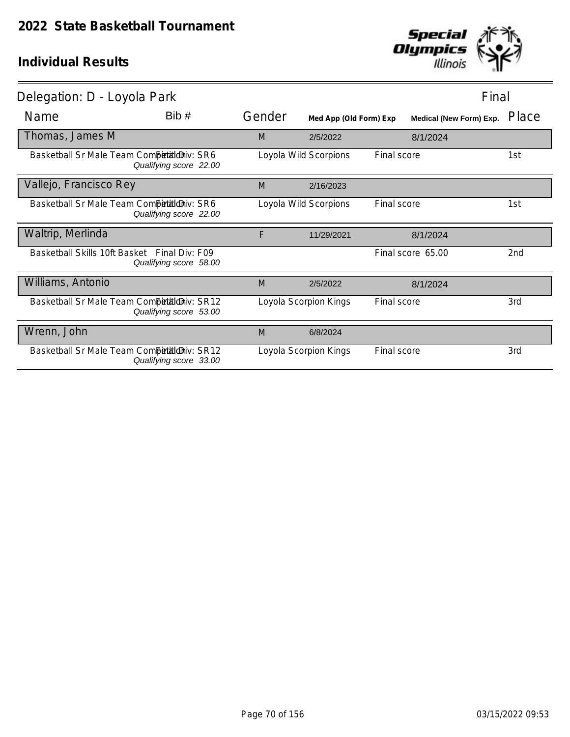

| Delegation: D - Loyola Park                  |                        |        |                        |             | Final                   |                 |  |
|----------------------------------------------|------------------------|--------|------------------------|-------------|-------------------------|-----------------|--|
| Name                                         | Bib#                   | Gender | Med App (Old Form) Exp |             | Medical (New Form) Exp. | Place           |  |
| Thomas, James M                              |                        | M      | 2/5/2022               |             | 8/1/2024                |                 |  |
| Basketball Sr Male Team CompetialdDiv: SR6   | Qualifying score 22.00 |        | Loyola Wild Scorpions  | Final score |                         | 1st             |  |
| Vallejo, Francisco Rey                       |                        | M      | 2/16/2023              |             |                         |                 |  |
| Basketball Sr Male Team Competitioniv: SR6   | Qualifying score 22.00 |        | Loyola Wild Scorpions  | Final score |                         | 1st             |  |
| Waltrip, Merlinda                            |                        | F      | 11/29/2021             |             | 8/1/2024                |                 |  |
| Basketball Skills 10ft Basket Final Div: F09 | Qualifying score 58.00 |        |                        |             | Final score 65.00       | 2 <sub>nd</sub> |  |
| Williams, Antonio                            |                        | M      | 2/5/2022               |             | 8/1/2024                |                 |  |
| Basketball Sr Male Team Competition iv: SR12 | Qualifying score 53.00 |        | Loyola Scorpion Kings  | Final score |                         | 3rd             |  |
| Wrenn, John                                  |                        | M      | 6/8/2024               |             |                         |                 |  |
| Basketball Sr Male Team Competition iv: SR12 | Qualifying score 33.00 |        | Loyola Scorpion Kings  | Final score |                         | 3rd             |  |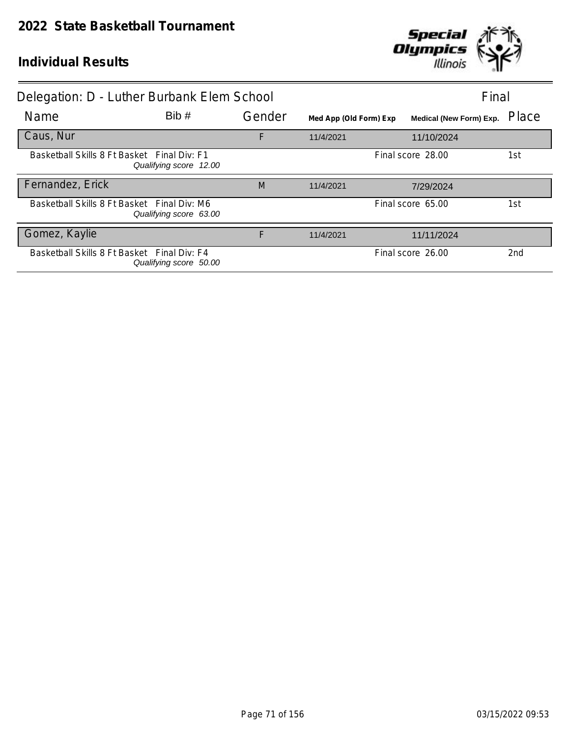

|                                             | Delegation: D - Luther Burbank Elem School                            |        | Final                  |                         |                 |
|---------------------------------------------|-----------------------------------------------------------------------|--------|------------------------|-------------------------|-----------------|
| <b>Name</b>                                 | Bib#                                                                  | Gender | Med App (Old Form) Exp | Medical (New Form) Exp. | Place           |
| Caus, Nur                                   |                                                                       | F      | 11/4/2021              | 11/10/2024              |                 |
| Basketball Skills 8 Ft Basket Final Div: F1 | Qualifying score 12.00                                                |        | Final score 28.00      |                         | 1st             |
| Fernandez, Erick                            |                                                                       | M      | 11/4/2021              | 7/29/2024               |                 |
|                                             | Basketball Skills 8 Ft Basket Final Div: M6<br>Qualifying score 63.00 |        |                        | Final score 65.00       | 1st             |
| Gomez, Kaylie                               |                                                                       | F      | 11/4/2021              | 11/11/2024              |                 |
| Basketball Skills 8 Ft Basket Final Div: F4 | Qualifying score 50.00                                                |        |                        | Final score 26.00       | 2 <sub>nd</sub> |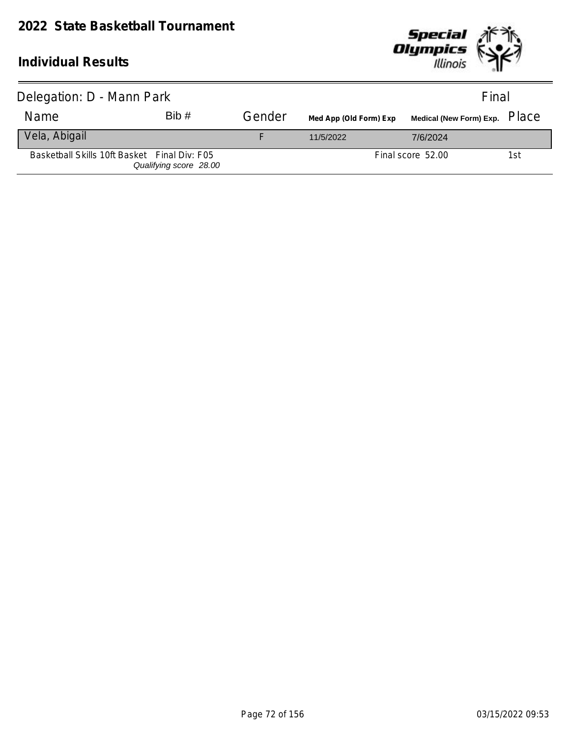

| Delegation: D - Mann Park                    |                        |        | Final                  |                   |     |
|----------------------------------------------|------------------------|--------|------------------------|-------------------|-----|
| Name                                         | Bib#                   | Gender | Med App (Old Form) Exp |                   |     |
| Vela, Abigail                                |                        |        | 11/5/2022              | 7/6/2024          |     |
| Basketball Skills 10ft Basket Final Div: F05 | Qualifying score 28.00 |        |                        | Final score 52.00 | 1st |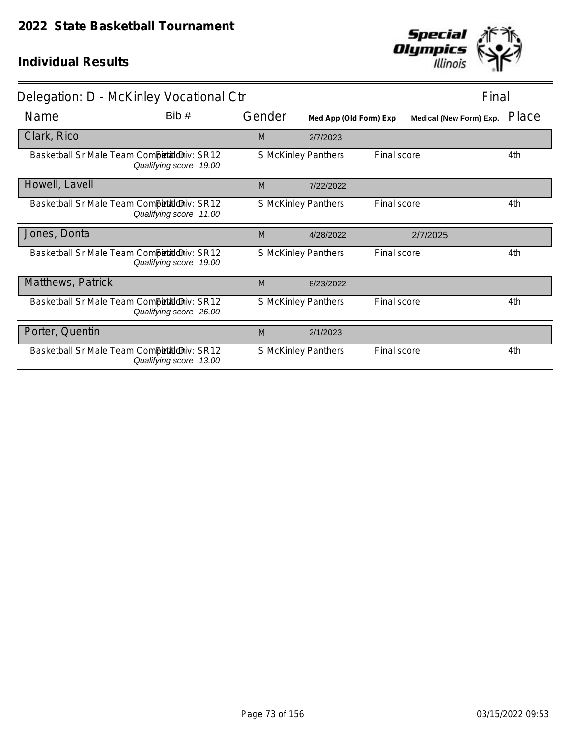

| Delegation: D - McKinley Vocational Ctr                               |                            | Final                  |                         |       |
|-----------------------------------------------------------------------|----------------------------|------------------------|-------------------------|-------|
| Bib#<br>Name                                                          | Gender                     | Med App (Old Form) Exp | Medical (New Form) Exp. | Place |
| Clark, Rico                                                           | M                          | 2/7/2023               |                         |       |
| Basketball Sr Male Team Competitioniv: SR12<br>Qualifying score 19.00 | S McKinley Panthers        |                        | Final score             | 4th   |
| Howell, Lavell                                                        | M                          | 7/22/2022              |                         |       |
| Basketball Sr Male Team Competition v: SR12<br>Qualifying score 11.00 | S McKinley Panthers        |                        | Final score             | 4th   |
| Jones, Donta                                                          | M                          | 4/28/2022              | 2/7/2025                |       |
| Basketball Sr Male Team Competitioniv: SR12<br>Qualifying score 19.00 | S McKinley Panthers        |                        | Final score             | 4th   |
| Matthews, Patrick                                                     | M                          | 8/23/2022              |                         |       |
| Basketball Sr Male Team Competitioniv: SR12<br>Qualifying score 26.00 | <b>S McKinley Panthers</b> |                        | <b>Final score</b>      | 4th   |
| Porter, Quentin                                                       | M                          | 2/1/2023               |                         |       |
| Basketball Sr Male Team Competitioniv: SR12<br>Qualifying score 13.00 | <b>S McKinley Panthers</b> |                        | <b>Final score</b>      | 4th   |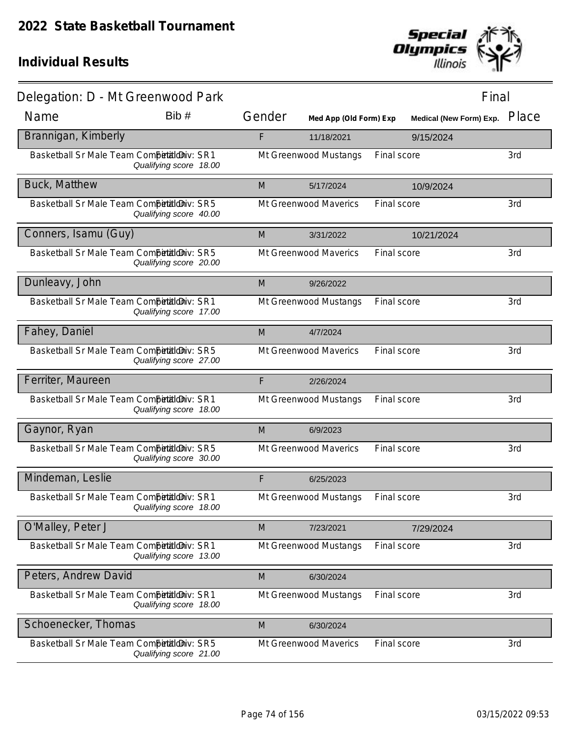

| Delegation: D - Mt Greenwood Park          |                        |        |                        |             | Final                   |       |
|--------------------------------------------|------------------------|--------|------------------------|-------------|-------------------------|-------|
| Name                                       | Bib #                  | Gender | Med App (Old Form) Exp |             | Medical (New Form) Exp. | Place |
| Brannigan, Kimberly                        |                        | F      | 11/18/2021             |             | 9/15/2024               |       |
| Basketball Sr Male Team Competitioniv: SR1 | Qualifying score 18.00 |        | Mt Greenwood Mustangs  | Final score |                         | 3rd   |
| <b>Buck, Matthew</b>                       |                        | M      | 5/17/2024              |             | 10/9/2024               |       |
| Basketball Sr Male Team Competitioniv: SR5 | Qualifying score 40.00 |        | Mt Greenwood Maverics  | Final score |                         | 3rd   |
| Conners, Isamu (Guy)                       |                        | M      | 3/31/2022              |             | 10/21/2024              |       |
| Basketball Sr Male Team Competitioniv: SR5 | Qualifying score 20.00 |        | Mt Greenwood Maverics  | Final score |                         | 3rd   |
| Dunleavy, John                             |                        | M      | 9/26/2022              |             |                         |       |
| Basketball Sr Male Team Competitioniv: SR1 | Qualifying score 17.00 |        | Mt Greenwood Mustangs  | Final score |                         | 3rd   |
| Fahey, Daniel                              |                        | M      | 4/7/2024               |             |                         |       |
| Basketball Sr Male Team Competitioniv: SR5 | Qualifying score 27.00 |        | Mt Greenwood Maverics  | Final score |                         | 3rd   |
| Ferriter, Maureen                          |                        | F      | 2/26/2024              |             |                         |       |
| Basketball Sr Male Team Competitioniv: SR1 | Qualifying score 18.00 |        | Mt Greenwood Mustangs  | Final score |                         | 3rd   |
| Gaynor, Ryan                               |                        | M      | 6/9/2023               |             |                         |       |
| Basketball Sr Male Team Competitioniv: SR5 | Qualifying score 30.00 |        | Mt Greenwood Maverics  | Final score |                         | 3rd   |
| Mindeman, Leslie                           |                        | F      | 6/25/2023              |             |                         |       |
| Basketball Sr Male Team Competialoniv: SR1 | Qualifying score 18.00 |        | Mt Greenwood Mustangs  | Final score |                         | 3rd   |
| O'Malley, Peter J                          |                        | M      | 7/23/2021              |             | 7/29/2024               |       |
| Basketball Sr Male Team CompetaldDiv: SR1  | Qualifying score 13.00 |        | Mt Greenwood Mustangs  | Final score |                         | 3rd   |
| Peters, Andrew David                       |                        | M      | 6/30/2024              |             |                         |       |
| Basketball Sr Male Team Competitioniv: SR1 | Qualifying score 18.00 |        | Mt Greenwood Mustangs  | Final score |                         | 3rd   |
| Schoenecker, Thomas                        |                        | M      | 6/30/2024              |             |                         |       |
| Basketball Sr Male Team Competitioniv: SR5 | Qualifying score 21.00 |        | Mt Greenwood Maverics  | Final score |                         | 3rd   |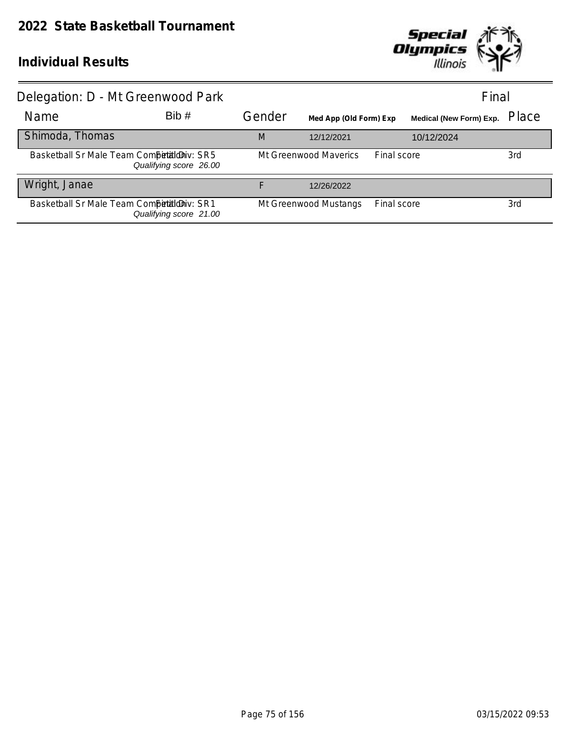

| Delegation: D - Mt Greenwood Park          |                        |        |                        |             | Final                   |       |
|--------------------------------------------|------------------------|--------|------------------------|-------------|-------------------------|-------|
| Name                                       | Bib#                   | Gender | Med App (Old Form) Exp |             | Medical (New Form) Exp. | Place |
| Shimoda, Thomas                            |                        | M      | 12/12/2021             |             | 10/12/2024              |       |
| Basketball Sr Male Team Competitioniv: SR5 | Qualifying score 26.00 |        | Mt Greenwood Maverics  | Final score |                         | 3rd   |
| Wright, Janae                              |                        |        | 12/26/2022             |             |                         |       |
| Basketball Sr Male Team Competitioniv: SR1 | Qualifying score 21.00 |        | Mt Greenwood Mustangs  | Final score |                         | 3rd   |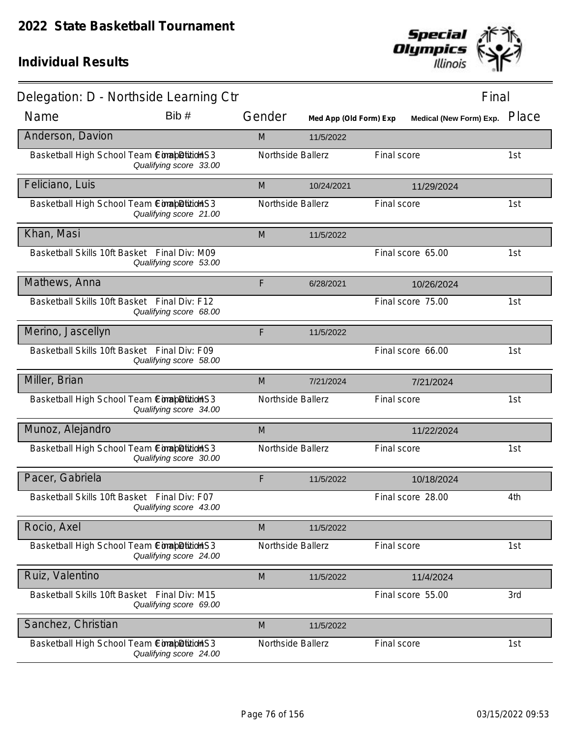

| Delegation: D - Northside Learning Ctr       |                        |                   |                        |             | Final                          |       |
|----------------------------------------------|------------------------|-------------------|------------------------|-------------|--------------------------------|-------|
| Name                                         | Bib#                   | Gender            | Med App (Old Form) Exp |             | <b>Medical (New Form) Exp.</b> | Place |
| Anderson, Davion                             |                        | M                 | 11/5/2022              |             |                                |       |
| Basketball High School Team ComapDition S3   | Qualifying score 33.00 | Northside Ballerz |                        | Final score |                                | 1st   |
| Feliciano, Luis                              |                        | M                 | 10/24/2021             |             | 11/29/2024                     |       |
| Basketball High School Team ComapDition S3   | Qualifying score 21.00 | Northside Ballerz |                        | Final score |                                | 1st   |
| Khan, Masi                                   |                        | M                 | 11/5/2022              |             |                                |       |
| Basketball Skills 10ft Basket Final Div: M09 | Qualifying score 53.00 |                   |                        |             | Final score 65.00              | 1st   |
| Mathews, Anna                                |                        | F                 | 6/28/2021              |             | 10/26/2024                     |       |
| Basketball Skills 10ft Basket Final Div: F12 | Qualifying score 68.00 |                   |                        |             | Final score 75.00              | 1st   |
| Merino, Jascellyn                            |                        | F                 | 11/5/2022              |             |                                |       |
| Basketball Skills 10ft Basket Final Div: F09 | Qualifying score 58.00 |                   |                        |             | Final score 66.00              | 1st   |
| Miller, Brian                                |                        | M                 | 7/21/2024              |             | 7/21/2024                      |       |
| Basketball High School Team ComapDitition S3 | Qualifying score 34.00 | Northside Ballerz |                        | Final score |                                | 1st   |
| Munoz, Alejandro                             |                        | M                 |                        |             | 11/22/2024                     |       |
| Basketball High School Team ComapDitionS3    | Qualifying score 30.00 | Northside Ballerz |                        | Final score |                                | 1st   |
| Pacer, Gabriela                              |                        | F                 | 11/5/2022              |             | 10/18/2024                     |       |
| Basketball Skills 10ft Basket Final Div: F07 | Qualifying score 43.00 |                   |                        |             | Final score 28.00              | 4th   |
| Rocio, Axel                                  |                        | M                 | 11/5/2022              |             |                                |       |
| Basketball High School Team ComapDitition S3 | Qualifying score 24.00 | Northside Ballerz |                        | Final score |                                | 1st   |
| Ruiz, Valentino                              |                        | M                 | 11/5/2022              |             | 11/4/2024                      |       |
| Basketball Skills 10ft Basket Final Div: M15 | Qualifying score 69.00 |                   |                        |             | Final score 55.00              | 3rd   |
| Sanchez, Christian                           |                        | M                 | 11/5/2022              |             |                                |       |
| Basketball High School Team ComapDition S3   | Qualifying score 24.00 | Northside Ballerz |                        | Final score |                                | 1st   |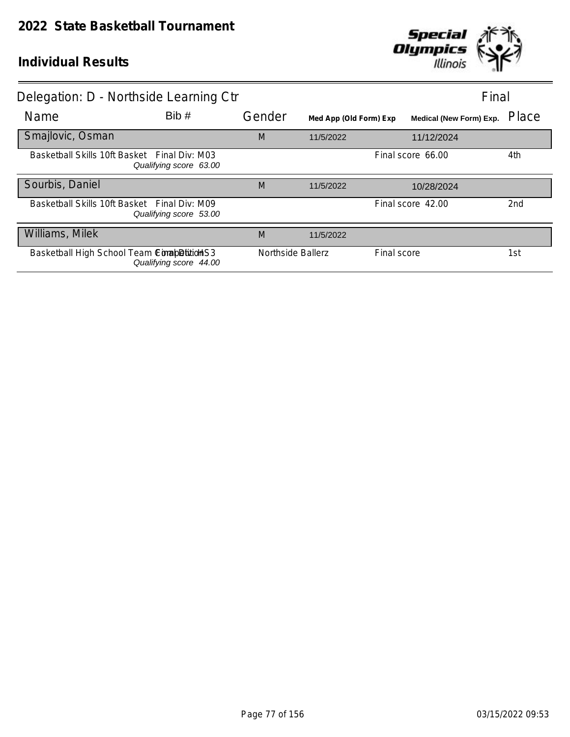

| Delegation: D - Northside Learning Ctr       |                        |                   |                        |                   | Final                          |                 |
|----------------------------------------------|------------------------|-------------------|------------------------|-------------------|--------------------------------|-----------------|
| Name                                         | Bib#                   | Gender            | Med App (Old Form) Exp |                   | <b>Medical (New Form) Exp.</b> | Place           |
| Smajlovic, Osman                             |                        | M                 | 11/5/2022              |                   | 11/12/2024                     |                 |
| Basketball Skills 10ft Basket Final Div: M03 | Qualifying score 63.00 |                   |                        | Final score 66.00 |                                | 4th             |
| Sourbis, Daniel                              |                        | M                 | 11/5/2022              |                   | 10/28/2024                     |                 |
| Basketball Skills 10ft Basket Final Div: M09 | Qualifying score 53.00 |                   |                        | Final score 42.00 |                                | 2 <sub>nd</sub> |
| Williams, Milek                              |                        | M                 | 11/5/2022              |                   |                                |                 |
| Basketball High School Team ComapDition S3   | Qualifying score 44.00 | Northside Ballerz |                        | Final score       |                                | 1st             |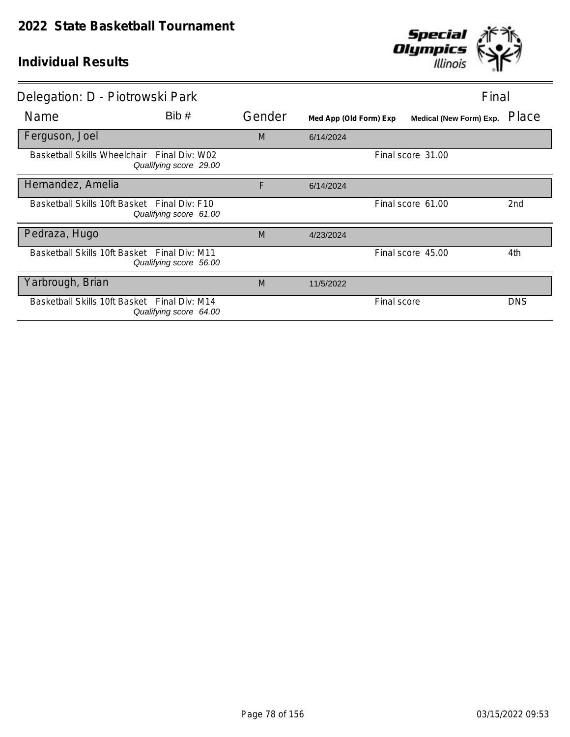

| Delegation: D - Piotrowski Park              |                                                                       |        |                        | Final                   |                 |
|----------------------------------------------|-----------------------------------------------------------------------|--------|------------------------|-------------------------|-----------------|
| Name                                         | Bib#                                                                  | Gender | Med App (Old Form) Exp | Medical (New Form) Exp. | Place           |
| Ferguson, Joel                               |                                                                       | M      | 6/14/2024              |                         |                 |
|                                              | Basketball Skills Wheelchair Final Div: W02<br>Qualifying score 29.00 |        |                        | Final score 31.00       |                 |
| Hernandez, Amelia                            |                                                                       | F      | 6/14/2024              |                         |                 |
| Basketball Skills 10ft Basket Final Div: F10 | Qualifying score 61.00                                                |        |                        | Final score 61.00       | 2 <sub>nd</sub> |
| Pedraza, Hugo                                |                                                                       | M      | 4/23/2024              |                         |                 |
| Basketball Skills 10ft Basket Final Div: M11 | Qualifying score 56.00                                                |        |                        | Final score 45.00       | 4th             |
| Yarbrough, Brian                             |                                                                       | M      | 11/5/2022              |                         |                 |
| Basketball Skills 10ft Basket                | Final Div: M14<br>Qualifying score 64.00                              |        |                        | Final score             | <b>DNS</b>      |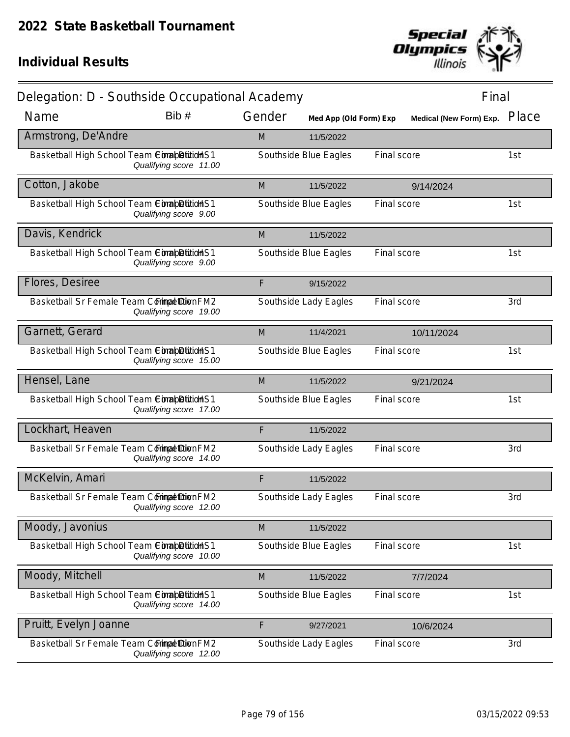

| Delegation: D - Southside Occupational Academy |                        |        |                        |             | Final                   |       |
|------------------------------------------------|------------------------|--------|------------------------|-------------|-------------------------|-------|
| Name                                           | Bib#                   | Gender | Med App (Old Form) Exp |             | Medical (New Form) Exp. | Place |
| Armstrong, De'Andre                            |                        | M      | 11/5/2022              |             |                         |       |
| Basketball High School Team ComapDition S1     | Qualifying score 11.00 |        | Southside Blue Eagles  | Final score |                         | 1st   |
| Cotton, Jakobe                                 |                        | M      | 11/5/2022              |             | 9/14/2024               |       |
| Basketball High School Team ComapDition S1     | Qualifying score 9.00  |        | Southside Blue Eagles  | Final score |                         | 1st   |
| Davis, Kendrick                                |                        | M      | 11/5/2022              |             |                         |       |
| Basketball High School Team ComapDitionHS1     | Qualifying score 9.00  |        | Southside Blue Eagles  | Final score |                         | 1st   |
| Flores, Desiree                                |                        | F      | 9/15/2022              |             |                         |       |
| Basketball Sr Female Team Corimpet Dion FM2    | Qualifying score 19.00 |        | Southside Lady Eagles  | Final score |                         | 3rd   |
| Garnett, Gerard                                |                        | M      | 11/4/2021              |             | 10/11/2024              |       |
| Basketball High School Team ComapDitionHS1     | Qualifying score 15.00 |        | Southside Blue Eagles  | Final score |                         | 1st   |
| Hensel, Lane                                   |                        | M      | 11/5/2022              |             | 9/21/2024               |       |
| Basketball High School Team ConabDitidHS1      | Qualifying score 17.00 |        | Southside Blue Eagles  | Final score |                         | 1st   |
| Lockhart, Heaven                               |                        | F      | 11/5/2022              |             |                         |       |
| Basketball Sr Female Team Commat Dion FM2      | Qualifying score 14.00 |        | Southside Lady Eagles  | Final score |                         | 3rd   |
| McKelvin, Amari                                |                        | F      | 11/5/2022              |             |                         |       |
| Basketball Sr Female Team Corimpet Dion FM2    | Qualifying score 12.00 |        | Southside Lady Eagles  | Final score |                         | 3rd   |
| Moody, Javonius                                |                        | M      | 11/5/2022              |             |                         |       |
| Basketball High School Team ComapDition S1     | Qualifying score 10.00 |        | Southside Blue Eagles  | Final score |                         | 1st   |
| Moody, Mitchell                                |                        | M      | 11/5/2022              |             | 7/7/2024                |       |
| Basketball High School Team ComapDition S1     | Qualifying score 14.00 |        | Southside Blue Eagles  | Final score |                         | 1st   |
| Pruitt, Evelyn Joanne                          |                        | F      | 9/27/2021              |             | 10/6/2024               |       |
| Basketball Sr Female Team Commat Dion FM2      | Qualifying score 12.00 |        | Southside Lady Eagles  | Final score |                         | 3rd   |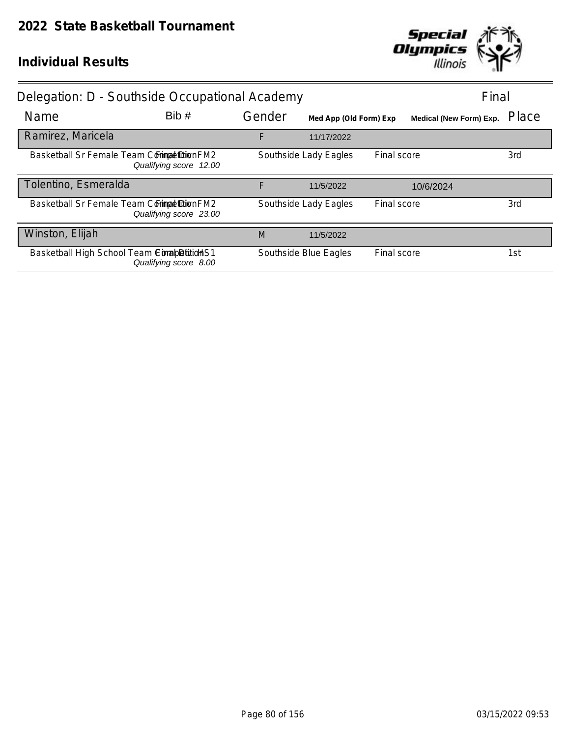

|                                            | Delegation: D - Southside Occupational Academy |        |                        |             |                                |       |
|--------------------------------------------|------------------------------------------------|--------|------------------------|-------------|--------------------------------|-------|
| Name                                       | Bib#                                           | Gender | Med App (Old Form) Exp |             | <b>Medical (New Form) Exp.</b> | Place |
| Ramirez, Maricela                          |                                                | F      | 11/17/2022             |             |                                |       |
| Basketball Sr Female Team Commat DionFM2   | Qualifying score 12.00                         |        | Southside Lady Eagles  | Final score |                                | 3rd   |
| Tolentino, Esmeralda                       |                                                | F      | 11/5/2022              |             | 10/6/2024                      |       |
| Basketball Sr Female Team Comma buion FM2  | Qualifying score 23.00                         |        | Southside Lady Eagles  | Final score |                                | 3rd   |
| Winston, Elijah                            |                                                | M      | 11/5/2022              |             |                                |       |
| Basketball High School Team ComapDition S1 | Qualifying score 8.00                          |        | Southside Blue Eagles  | Final score |                                | 1st   |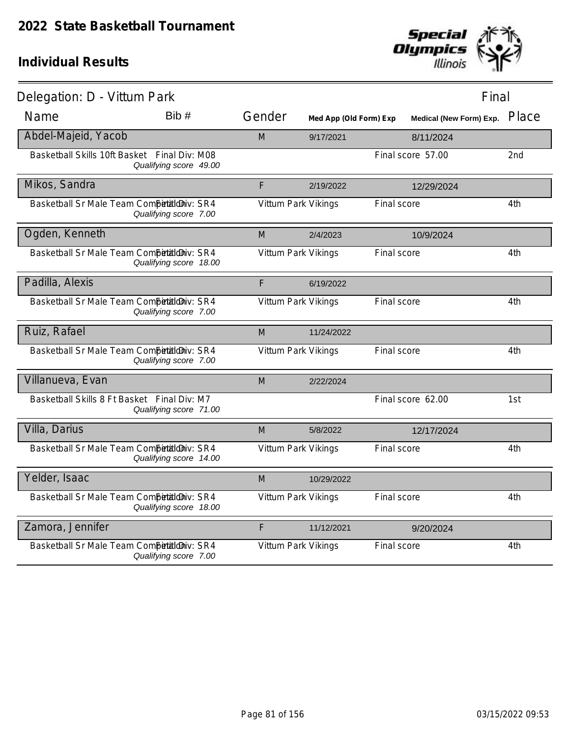

| Delegation: D - Vittum Park                  |                        |                     |                        |             |                               | Final |     |
|----------------------------------------------|------------------------|---------------------|------------------------|-------------|-------------------------------|-------|-----|
| Name                                         | Bib#                   | Gender              | Med App (Old Form) Exp |             | Medical (New Form) Exp. Place |       |     |
| Abdel-Majeid, Yacob                          |                        | M                   | 9/17/2021              |             | 8/11/2024                     |       |     |
| Basketball Skills 10ft Basket Final Div: M08 | Qualifying score 49.00 |                     |                        |             | Final score 57.00             |       | 2nd |
| Mikos, Sandra                                |                        | F                   | 2/19/2022              |             | 12/29/2024                    |       |     |
| Basketball Sr Male Team Competitioniv: SR4   | Qualifying score 7.00  | Vittum Park Vikings |                        | Final score |                               |       | 4th |
| Ogden, Kenneth                               |                        | M                   | 2/4/2023               |             | 10/9/2024                     |       |     |
| Basketball Sr Male Team CompetaldDiv: SR4    | Qualifying score 18.00 | Vittum Park Vikings |                        | Final score |                               |       | 4th |
| Padilla, Alexis                              |                        | F                   | 6/19/2022              |             |                               |       |     |
| Basketball Sr Male Team Competitioniv: SR4   | Qualifying score 7.00  | Vittum Park Vikings |                        | Final score |                               |       | 4th |
| Ruiz, Rafael                                 |                        | M                   | 11/24/2022             |             |                               |       |     |
| Basketball Sr Male Team Competitioniv: SR4   | Qualifying score 7.00  | Vittum Park Vikings |                        | Final score |                               |       | 4th |
| Villanueva, Evan                             |                        | M                   | 2/22/2024              |             |                               |       |     |
| Basketball Skills 8 Ft Basket Final Div: M7  | Qualifying score 71.00 |                     |                        |             | Final score 62.00             |       | 1st |
| Villa, Darius                                |                        | M                   | 5/8/2022               |             | 12/17/2024                    |       |     |
| Basketball Sr Male Team Competitioniv: SR4   | Qualifying score 14.00 | Vittum Park Vikings |                        | Final score |                               |       | 4th |
| Yelder, Isaac                                |                        | M                   | 10/29/2022             |             |                               |       |     |
| Basketball Sr Male Team Competitioniv: SR4   | Qualifying score 18.00 | Vittum Park Vikings |                        | Final score |                               |       | 4th |
| Zamora, Jennifer                             |                        | F                   | 11/12/2021             |             | 9/20/2024                     |       |     |
| Basketball Sr Male Team Competitioniv: SR4   | Qualifying score 7.00  | Vittum Park Vikings |                        | Final score |                               |       | 4th |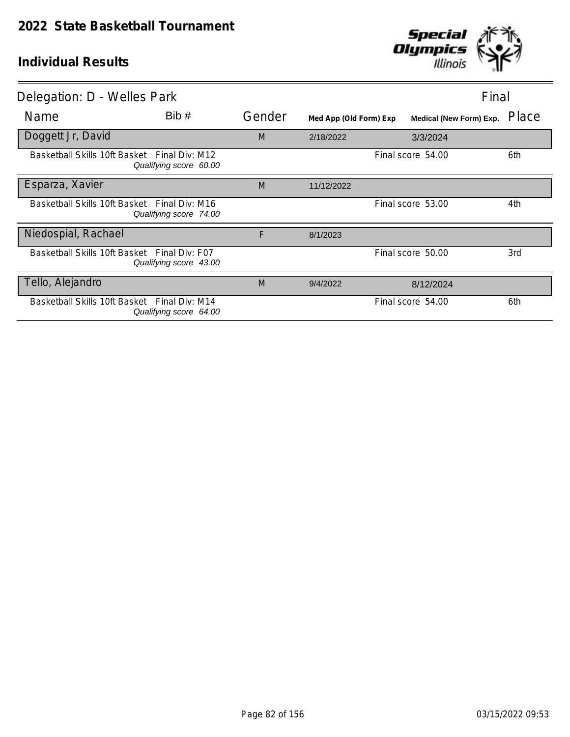

| Delegation: D - Welles Park                  |                        |        |                        | Final                          |       |
|----------------------------------------------|------------------------|--------|------------------------|--------------------------------|-------|
| Name                                         | Bib#                   | Gender | Med App (Old Form) Exp | <b>Medical (New Form) Exp.</b> | Place |
| Doggett Jr, David                            |                        | M      | 2/18/2022              | 3/3/2024                       |       |
| Basketball Skills 10ft Basket Final Div: M12 | Qualifying score 60.00 |        |                        | Final score 54.00              | 6th   |
| Esparza, Xavier                              |                        | M      | 11/12/2022             |                                |       |
| Basketball Skills 10ft Basket Final Div: M16 | Qualifying score 74.00 |        |                        | Final score 53.00              | 4th   |
| Niedospial, Rachael                          |                        | F      | 8/1/2023               |                                |       |
| Basketball Skills 10ft Basket Final Div: F07 | Qualifying score 43.00 |        |                        | Final score 50.00              | 3rd   |
| Tello, Alejandro                             |                        | M      | 9/4/2022               | 8/12/2024                      |       |
| Basketball Skills 10ft Basket Final Div: M14 | Qualifying score 64.00 |        |                        | Final score 54.00              | 6th   |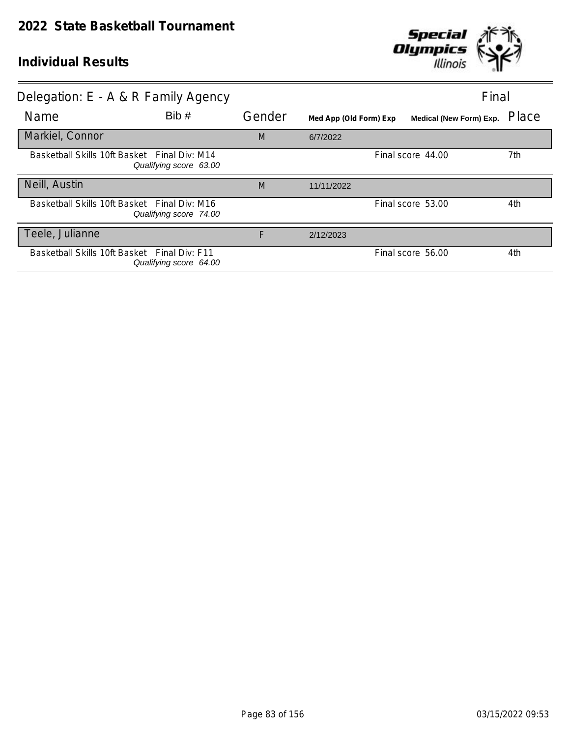

| Delegation: E - A & R Family Agency          |                        |        |                        | Final                   |       |
|----------------------------------------------|------------------------|--------|------------------------|-------------------------|-------|
| <b>Name</b>                                  | Bib#                   | Gender | Med App (Old Form) Exp | Medical (New Form) Exp. | Place |
| Markiel, Connor                              |                        | M      | 6/7/2022               |                         |       |
| Basketball Skills 10ft Basket Final Div: M14 | Qualifying score 63.00 |        |                        | Final score 44.00       | 7th   |
| Neill, Austin                                |                        | M      | 11/11/2022             |                         |       |
| Basketball Skills 10ft Basket Final Div: M16 | Qualifying score 74.00 |        |                        | Final score 53.00       | 4th   |
| Teele, Julianne                              |                        | F      | 2/12/2023              |                         |       |
| Basketball Skills 10ft Basket Final Div: F11 | Qualifying score 64.00 |        |                        | Final score 56.00       | 4th   |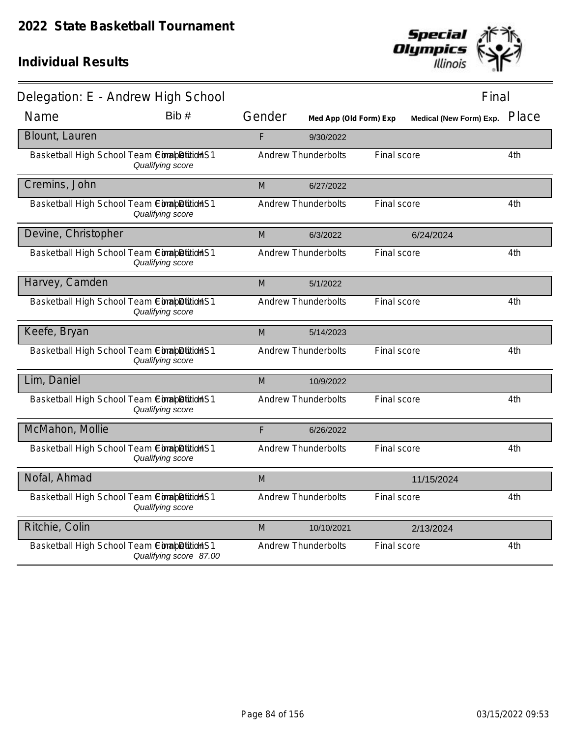

| Delegation: E - Andrew High School         |                        |        |                            |                    | Final                         |     |
|--------------------------------------------|------------------------|--------|----------------------------|--------------------|-------------------------------|-----|
| Name                                       | Bib #                  | Gender | Med App (Old Form) Exp     |                    | Medical (New Form) Exp. Place |     |
| Blount, Lauren                             |                        | F      | 9/30/2022                  |                    |                               |     |
| Basketball High School Team CompletitionS1 | Qualifying score       |        | <b>Andrew Thunderbolts</b> | Final score        |                               | 4th |
| Cremins, John                              |                        | M      | 6/27/2022                  |                    |                               |     |
| Basketball High School Team CompletitionS1 | Qualifying score       |        | <b>Andrew Thunderbolts</b> | Final score        |                               | 4th |
| Devine, Christopher                        |                        | M      | 6/3/2022                   |                    | 6/24/2024                     |     |
| Basketball High School Team ComapDitidHS1  | Qualifying score       |        | <b>Andrew Thunderbolts</b> | Final score        |                               | 4th |
| Harvey, Camden                             |                        | M      | 5/1/2022                   |                    |                               |     |
| Basketball High School Team CompletitionS1 | Qualifying score       |        | <b>Andrew Thunderbolts</b> | Final score        |                               | 4th |
| Keefe, Bryan                               |                        | M      | 5/14/2023                  |                    |                               |     |
| Basketball High School Team ComapDitidHS1  | Qualifying score       |        | <b>Andrew Thunderbolts</b> | Final score        |                               | 4th |
| Lim, Daniel                                |                        | M      | 10/9/2022                  |                    |                               |     |
| Basketball High School Team ComapDition S1 | Qualifying score       |        | <b>Andrew Thunderbolts</b> | Final score        |                               | 4th |
| McMahon, Mollie                            |                        | F      | 6/26/2022                  |                    |                               |     |
| Basketball High School Team ComapDition S1 | Qualifying score       |        | Andrew Thunderbolts        | <b>Final score</b> |                               | 4th |
| Nofal, Ahmad                               |                        | M      |                            |                    | 11/15/2024                    |     |
| Basketball High School Team ComapDitidHS1  | Qualifying score       |        | <b>Andrew Thunderbolts</b> | Final score        |                               | 4th |
| Ritchie, Colin                             |                        | M      | 10/10/2021                 |                    | 2/13/2024                     |     |
| Basketball High School Team ComapDitionHS1 | Qualifying score 87.00 |        | <b>Andrew Thunderbolts</b> | Final score        |                               | 4th |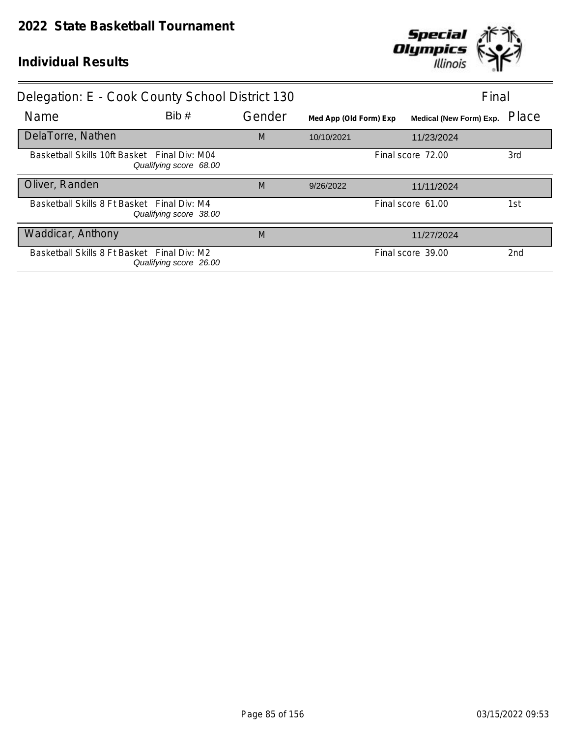

| Delegation: E - Cook County School District 130 |                        |        |                        |                   | Final                          |                 |
|-------------------------------------------------|------------------------|--------|------------------------|-------------------|--------------------------------|-----------------|
| Name                                            | Bib#                   | Gender | Med App (Old Form) Exp |                   | <b>Medical (New Form) Exp.</b> | Place           |
| DelaTorre, Nathen                               |                        | M      | 10/10/2021             |                   | 11/23/2024                     |                 |
| Basketball Skills 10ft Basket Final Div: M04    | Qualifying score 68.00 |        | Final score 72.00      |                   | 3rd                            |                 |
| Oliver, Randen                                  |                        | M      | 9/26/2022              |                   | 11/11/2024                     |                 |
| Basketball Skills 8 Ft Basket Final Div: M4     | Qualifying score 38.00 |        |                        | Final score 61.00 |                                | 1st             |
| Waddicar, Anthony                               |                        | M      |                        |                   | 11/27/2024                     |                 |
| Basketball Skills 8 Ft Basket Final Div: M2     | Qualifying score 26.00 |        |                        | Final score 39.00 |                                | 2 <sub>nd</sub> |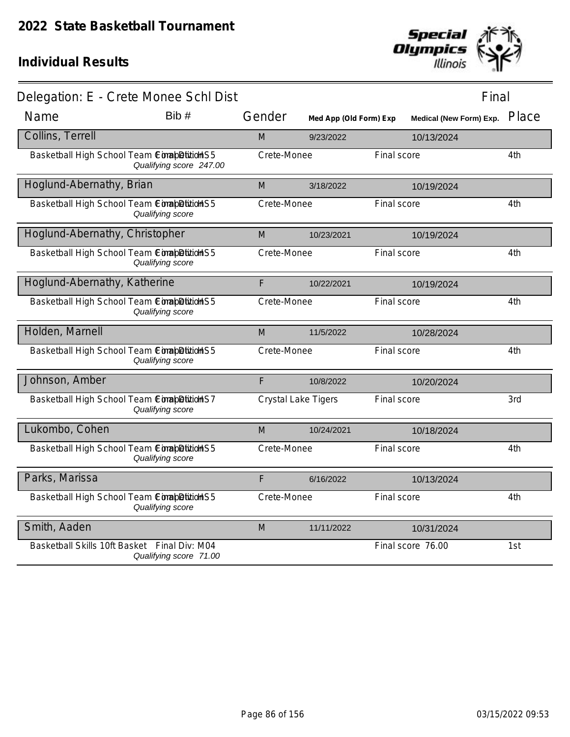

|                                              | Delegation: E - Crete Monee Schl Dist |             |                        |                               | Final |
|----------------------------------------------|---------------------------------------|-------------|------------------------|-------------------------------|-------|
| Name                                         | Bib#                                  | Gender      | Med App (Old Form) Exp | Medical (New Form) Exp. Place |       |
| Collins, Terrell                             |                                       | M           | 9/23/2022              | 10/13/2024                    |       |
| Basketball High School Team ComapDition S5   | Qualifying score 247.00               | Crete-Monee |                        | Final score                   | 4th   |
| Hoglund-Abernathy, Brian                     |                                       | M           | 3/18/2022              | 10/19/2024                    |       |
| Basketball High School Team ComapDition S5   | Qualifying score                      | Crete-Monee |                        | Final score                   | 4th   |
| Hoglund-Abernathy, Christopher               |                                       | M           | 10/23/2021             | 10/19/2024                    |       |
| Basketball High School Team ComapDition S5   | Qualifying score                      | Crete-Monee |                        | Final score                   | 4th   |
| Hoglund-Abernathy, Katherine                 |                                       | F           | 10/22/2021             | 10/19/2024                    |       |
| Basketball High School Team ComapDitionHS5   | Qualifying score                      | Crete-Monee |                        | Final score                   | 4th   |
| Holden, Marnell                              |                                       | M           | 11/5/2022              | 10/28/2024                    |       |
| Basketball High School Team ConapDition S5   | Qualifying score                      | Crete-Monee |                        | Final score                   | 4th   |
| Johnson, Amber                               |                                       | F           | 10/8/2022              | 10/20/2024                    |       |
| Basketball High School Team ComabDition S7   | Qualifying score                      |             | Crystal Lake Tigers    | Final score                   | 3rd   |
| Lukombo, Cohen                               |                                       | M           | 10/24/2021             | 10/18/2024                    |       |
| Basketball High School Team ConabDition S5   | Qualifying score                      | Crete-Monee |                        | Final score                   | 4th   |
| Parks, Marissa                               |                                       | F           | 6/16/2022              | 10/13/2024                    |       |
| Basketball High School Team ComapDitionHS5   | Qualifying score                      | Crete-Monee |                        | Final score                   | 4th   |
| Smith, Aaden                                 |                                       | M           | 11/11/2022             | 10/31/2024                    |       |
| Basketball Skills 10ft Basket Final Div: M04 | Qualifying score 71.00                |             |                        | Final score 76.00             | 1st   |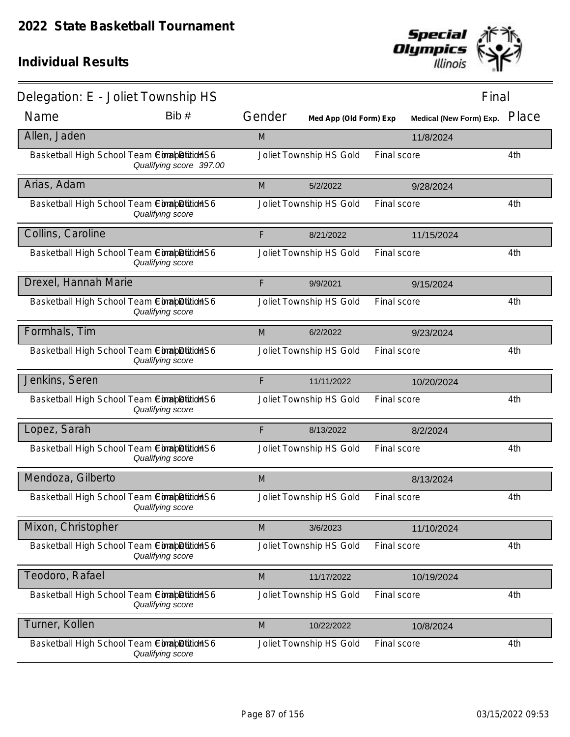

| Delegation: E - Joliet Township HS          |                         |        |                         |             | Final                   |       |
|---------------------------------------------|-------------------------|--------|-------------------------|-------------|-------------------------|-------|
| Name                                        | Bib#                    | Gender | Med App (Old Form) Exp  |             | Medical (New Form) Exp. | Place |
| Allen, Jaden                                |                         | M      |                         |             | 11/8/2024               |       |
| Basketball High School Team ComapDition S6  | Qualifying score 397.00 |        | Joliet Township HS Gold | Final score |                         | 4th   |
| Arias, Adam                                 |                         | M      | 5/2/2022                |             | 9/28/2024               |       |
| Basketball High School Team ConabDition S6  | Qualifying score        |        | Joliet Township HS Gold | Final score |                         | 4th   |
| Collins, Caroline                           |                         | F      | 8/21/2022               |             | 11/15/2024              |       |
| Basketball High School Team ComapDitionHS6  | Qualifying score        |        | Joliet Township HS Gold | Final score |                         | 4th   |
| Drexel, Hannah Marie                        |                         | F      | 9/9/2021                |             | 9/15/2024               |       |
| Basketball High School Team ConabDition S6  | Qualifying score        |        | Joliet Township HS Gold | Final score |                         | 4th   |
| Formhals, Tim                               |                         | M      | 6/2/2022                |             | 9/23/2024               |       |
| Basketball High School Team ComapDitionHS6  | Qualifying score        |        | Joliet Township HS Gold | Final score |                         | 4th   |
| Jenkins, Seren                              |                         | F      | 11/11/2022              |             | 10/20/2024              |       |
| Basketball High School Team ComapDition S6  | Qualifying score        |        | Joliet Township HS Gold | Final score |                         | 4th   |
| Lopez, Sarah                                |                         | F      | 8/13/2022               |             | 8/2/2024                |       |
| Basketball High School Team CimabDitidHS6   | Qualifying score        |        | Joliet Township HS Gold | Final score |                         | 4th   |
| Mendoza, Gilberto                           |                         | M      |                         |             | 8/13/2024               |       |
| Basketball High School Team Completition S6 | Qualifying score        |        | Joliet Township HS Gold | Final score |                         | 4th   |
| Mixon, Christopher                          |                         | M      | 3/6/2023                |             | 11/10/2024              |       |
| Basketball High School Team ComabDition S6  | Qualifying score        |        | Joliet Township HS Gold | Final score |                         | 4th   |
| Teodoro, Rafael                             |                         | M      | 11/17/2022              |             | 10/19/2024              |       |
| Basketball High School Team ConabDition S6  | Qualifying score        |        | Joliet Township HS Gold | Final score |                         | 4th   |
| Turner, Kollen                              |                         | M      | 10/22/2022              |             | 10/8/2024               |       |
| Basketball High School Team ComapDitidHS6   | Qualifying score        |        | Joliet Township HS Gold | Final score |                         | 4th   |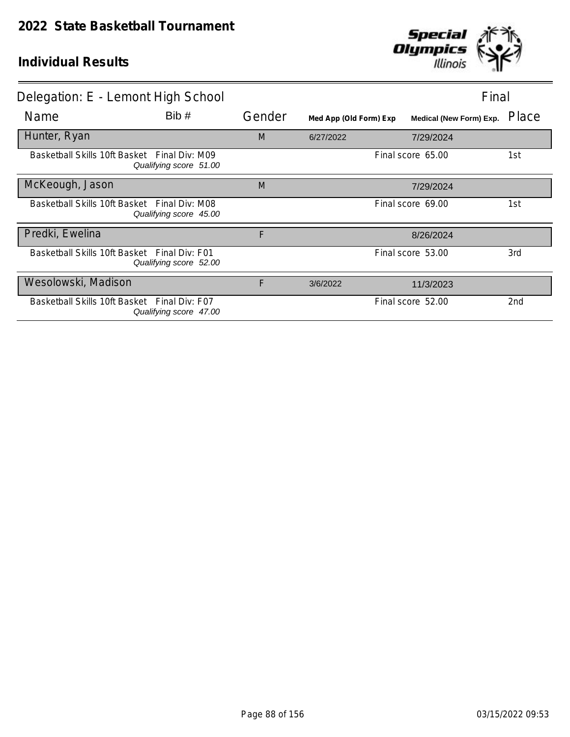

| Delegation: E - Lemont High School           |                                                                        |        | Final                  |  |                                |                 |
|----------------------------------------------|------------------------------------------------------------------------|--------|------------------------|--|--------------------------------|-----------------|
| Name                                         | Bib#                                                                   | Gender | Med App (Old Form) Exp |  | <b>Medical (New Form) Exp.</b> | Place           |
| Hunter, Ryan                                 |                                                                        | M      | 6/27/2022              |  | 7/29/2024                      |                 |
|                                              | Basketball Skills 10ft Basket Final Div: M09<br>Qualifying score 51.00 |        |                        |  | Final score 65.00              | 1st             |
| McKeough, Jason                              |                                                                        | M      |                        |  | 7/29/2024                      |                 |
|                                              | Basketball Skills 10ft Basket Final Div: M08<br>Qualifying score 45.00 |        |                        |  | Final score 69.00              | 1st             |
| Predki, Ewelina                              |                                                                        | F      |                        |  | 8/26/2024                      |                 |
| Basketball Skills 10ft Basket Final Div: F01 | Qualifying score 52.00                                                 |        |                        |  | Final score 53.00              | 3rd             |
| Wesolowski, Madison                          |                                                                        | F      | 3/6/2022               |  | 11/3/2023                      |                 |
| Basketball Skills 10ft Basket Final Div: F07 | Qualifying score 47.00                                                 |        |                        |  | Final score 52.00              | 2 <sub>nd</sub> |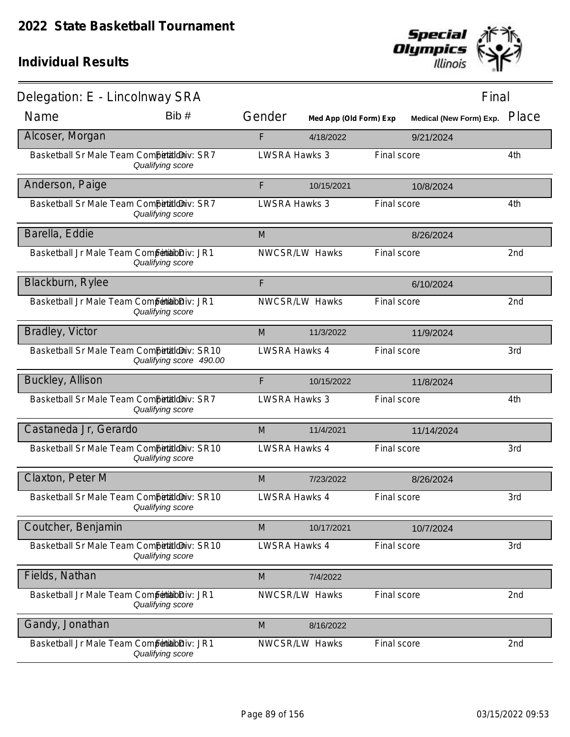

| Delegation: E - Lincolnway SRA                |                         |                      |                        |             | Final                          |                 |
|-----------------------------------------------|-------------------------|----------------------|------------------------|-------------|--------------------------------|-----------------|
| Name                                          | Bib#                    | Gender               | Med App (Old Form) Exp |             | <b>Medical (New Form) Exp.</b> | Place           |
| Alcoser, Morgan                               |                         | F                    | 4/18/2022              |             | 9/21/2024                      |                 |
| Basketball Sr Male Team Competitioniv: SR7    | Qualifying score        | <b>LWSRA Hawks 3</b> |                        | Final score |                                | 4th             |
| Anderson, Paige                               |                         | F                    | 10/15/2021             |             | 10/8/2024                      |                 |
| Basketball Sr Male Team Competitioniv: SR7    | Qualifying score        | <b>LWSRA Hawks 3</b> |                        | Final score |                                | 4th             |
| Barella, Eddie                                |                         | M                    |                        |             | 8/26/2024                      |                 |
| Basketball Jr Male Team Competibilibiliv: JR1 | Qualifying score        |                      | NWCSR/LW Hawks         | Final score |                                | 2nd             |
| Blackburn, Rylee                              |                         | F                    |                        |             | 6/10/2024                      |                 |
| Basketball Jr Male Team Competibilibiliv: JR1 | Qualifying score        |                      | NWCSR/LW Hawks         | Final score |                                | 2 <sub>nd</sub> |
| Bradley, Victor                               |                         | M                    | 11/3/2022              |             | 11/9/2024                      |                 |
| Basketball Sr Male Team Competitioniv: SR10   | Qualifying score 490.00 | LWSRA Hawks 4        |                        | Final score |                                | 3rd             |
| <b>Buckley, Allison</b>                       |                         | F                    | 10/15/2022             |             | 11/8/2024                      |                 |
| Basketball Sr Male Team Competitioniv: SR7    | Qualifying score        | LWSRA Hawks 3        |                        | Final score |                                | 4th             |
| Castaneda Jr, Gerardo                         |                         | M                    | 11/4/2021              |             | 11/14/2024                     |                 |
| Basketball Sr Male Team Competitioniv: SR10   | Qualifying score        | LWSRA Hawks 4        |                        | Final score |                                | 3rd             |
| Claxton, Peter M                              |                         | M                    | 7/23/2022              |             | 8/26/2024                      |                 |
| Basketball Sr Male Team Competitioniv: SR10   | Qualifying score        | LWSRA Hawks 4        |                        | Final score |                                | 3rd             |
| Coutcher, Benjamin                            |                         | M                    | 10/17/2021             |             | 10/7/2024                      |                 |
| Basketball Sr Male Team Competitioniv: SR10   | Qualifying score        | <b>LWSRA Hawks 4</b> |                        | Final score |                                | 3rd             |
| Fields, Nathan                                |                         | M                    | 7/4/2022               |             |                                |                 |
| Basketball Jr Male Team Competibilibiliv: JR1 | Qualifying score        |                      | NWCSR/LW Hawks         | Final score |                                | 2nd             |
| Gandy, Jonathan                               |                         | M                    | 8/16/2022              |             |                                |                 |
| Basketball Jr Male Team Competitabliv: JR1    | Qualifying score        |                      | NWCSR/LW Hawks         | Final score |                                | 2nd             |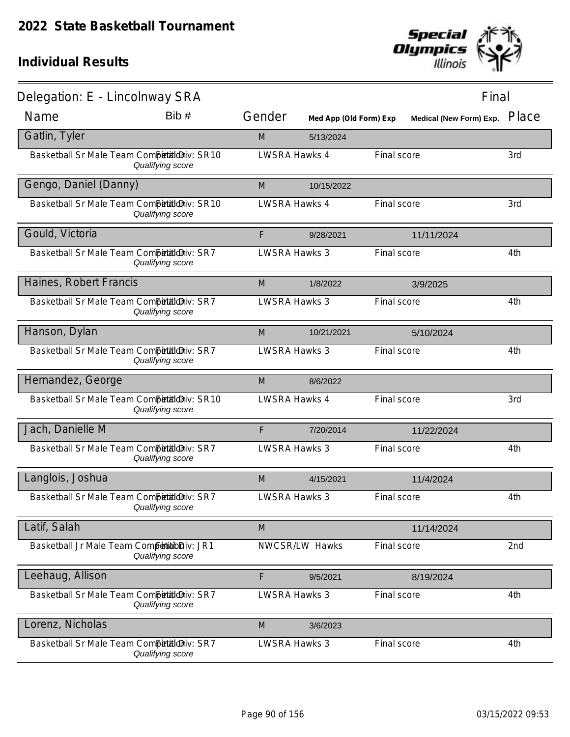

| Delegation: E - Lincolnway SRA                |                  |                      |                        |             |                         | Final |
|-----------------------------------------------|------------------|----------------------|------------------------|-------------|-------------------------|-------|
| Name                                          | Bib#             | Gender               | Med App (Old Form) Exp |             | Medical (New Form) Exp. | Place |
| Gatlin, Tyler                                 |                  | M                    | 5/13/2024              |             |                         |       |
| Basketball Sr Male Team Competitioniv: SR10   | Qualifying score | LWSRA Hawks 4        |                        | Final score |                         | 3rd   |
| Gengo, Daniel (Danny)                         |                  | M                    | 10/15/2022             |             |                         |       |
| Basketball Sr Male Team Competitioniv: SR10   | Qualifying score | <b>LWSRA Hawks 4</b> |                        | Final score |                         | 3rd   |
| Gould, Victoria                               |                  | F                    | 9/28/2021              |             | 11/11/2024              |       |
| Basketball Sr Male Team Competitioniv: SR7    | Qualifying score | <b>LWSRA Hawks 3</b> |                        | Final score |                         | 4th   |
| Haines, Robert Francis                        |                  | M                    | 1/8/2022               |             | 3/9/2025                |       |
| Basketball Sr Male Team CompetaldDiv: SR7     | Qualifying score | <b>LWSRA Hawks 3</b> |                        | Final score |                         | 4th   |
| Hanson, Dylan                                 |                  | M                    | 10/21/2021             |             | 5/10/2024               |       |
| Basketball Sr Male Team Competitioniv: SR7    | Qualifying score | <b>LWSRA Hawks 3</b> |                        | Final score |                         | 4th   |
| Hernandez, George                             |                  | M                    | 8/6/2022               |             |                         |       |
| Basketball Sr Male Team Competitioniv: SR10   | Qualifying score | <b>LWSRA Hawks 4</b> |                        | Final score |                         | 3rd   |
| Jach, Danielle M                              |                  | F                    | 7/20/2014              |             | 11/22/2024              |       |
| Basketball Sr Male Team CompetaldDiv: SR7     | Qualifying score | <b>LWSRA Hawks 3</b> |                        | Final score |                         | 4th   |
| Langlois, Joshua                              |                  | M                    | 4/15/2021              |             | 11/4/2024               |       |
| Basketball Sr Male Team Competitilo Niv: SR7  | Qualifying score | <b>LWSRA Hawks 3</b> |                        | Final score |                         | 4th   |
| Latif, Salah                                  |                  | M                    |                        |             | 11/14/2024              |       |
| Basketball Jr Male Team Competibilibiliv: JR1 | Qualifying score |                      | NWCSR/LW Hawks         | Final score |                         | 2nd   |
| Leehaug, Allison                              |                  | F                    | 9/5/2021               |             | 8/19/2024               |       |
| Basketball Sr Male Team Competitilo Nv: SR7   | Qualifying score | <b>LWSRA Hawks 3</b> |                        | Final score |                         | 4th   |
| Lorenz, Nicholas                              |                  | M                    | 3/6/2023               |             |                         |       |
| Basketball Sr Male Team CompetialdDiv: SR7    | Qualifying score | <b>LWSRA Hawks 3</b> |                        | Final score |                         | 4th   |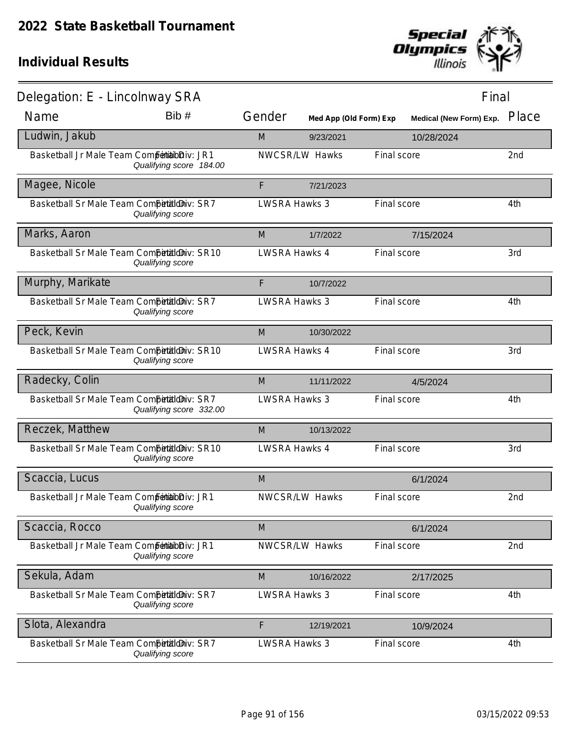

| Delegation: E - Lincolnway SRA                |                         |                      |                        |             | Final                          |       |
|-----------------------------------------------|-------------------------|----------------------|------------------------|-------------|--------------------------------|-------|
| Name                                          | Bib #                   | Gender               | Med App (Old Form) Exp |             | <b>Medical (New Form) Exp.</b> | Place |
| Ludwin, Jakub                                 |                         | M                    | 9/23/2021              |             | 10/28/2024                     |       |
| Basketball Jr Male Team Competibilibiliv: JR1 | Qualifying score 184.00 |                      | NWCSR/LW Hawks         | Final score |                                | 2nd   |
| Magee, Nicole                                 |                         | F                    | 7/21/2023              |             |                                |       |
| Basketball Sr Male Team Competitioniv: SR7    | Qualifying score        | <b>LWSRA Hawks 3</b> |                        | Final score |                                | 4th   |
| Marks, Aaron                                  |                         | M                    | 1/7/2022               |             | 7/15/2024                      |       |
| Basketball Sr Male Team Competitioniv: SR10   | Qualifying score        | LWSRA Hawks 4        |                        | Final score |                                | 3rd   |
| Murphy, Marikate                              |                         | F                    | 10/7/2022              |             |                                |       |
| Basketball Sr Male Team Competitioniv: SR7    | Qualifying score        | <b>LWSRA Hawks 3</b> |                        | Final score |                                | 4th   |
| Peck, Kevin                                   |                         | M                    | 10/30/2022             |             |                                |       |
| Basketball Sr Male Team Competitioniv: SR10   | Qualifying score        | <b>LWSRA Hawks 4</b> |                        | Final score |                                | 3rd   |
| Radecky, Colin                                |                         | M                    | 11/11/2022             |             | 4/5/2024                       |       |
| Basketball Sr Male Team Competitioniv: SR7    | Qualifying score 332.00 | <b>LWSRA Hawks 3</b> |                        | Final score |                                | 4th   |
| Reczek, Matthew                               |                         | M                    | 10/13/2022             |             |                                |       |
| Basketball Sr Male Team Competitioniv: SR10   | Qualifying score        | <b>LWSRA Hawks 4</b> |                        | Final score |                                | 3rd   |
| Scaccia, Lucus                                |                         | M                    |                        |             | 6/1/2024                       |       |
| Basketball Jr Male Team Competibilibiliv: JR1 | Qualifying score        |                      | NWCSR/LW Hawks         | Final score |                                | 2nd   |
| Scaccia, Rocco                                |                         | M                    |                        |             | 6/1/2024                       |       |
| Basketball Jr Male Team Competibilibiliv: JR1 | Qualifying score        |                      | NWCSR/LW Hawks         | Final score |                                | 2nd   |
| Sekula, Adam                                  |                         | M                    | 10/16/2022             |             | 2/17/2025                      |       |
| Basketball Sr Male Team Competitioniv: SR7    | Qualifying score        | <b>LWSRA Hawks 3</b> |                        | Final score |                                | 4th   |
| Slota, Alexandra                              |                         | F                    | 12/19/2021             |             | 10/9/2024                      |       |
| Basketball Sr Male Team CompetaldDiv: SR7     | Qualifying score        | <b>LWSRA Hawks 3</b> |                        | Final score |                                | 4th   |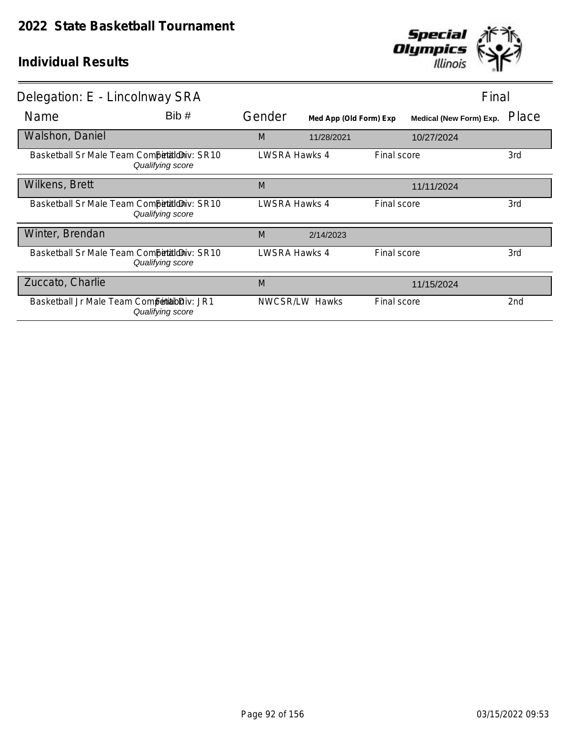

| Delegation: E - Lincolnway SRA                |                                                                  |               |                        |                    |                                | Final |  |
|-----------------------------------------------|------------------------------------------------------------------|---------------|------------------------|--------------------|--------------------------------|-------|--|
| Name                                          | Bib#                                                             | Gender        | Med App (Old Form) Exp |                    | <b>Medical (New Form) Exp.</b> | Place |  |
| Walshon, Daniel                               |                                                                  | M             | 11/28/2021             |                    | 10/27/2024                     |       |  |
|                                               | Basketball Sr Male Team Competitioniv: SR10<br>Qualifying score  | LWSRA Hawks 4 |                        | Final score        |                                | 3rd   |  |
| Wilkens, Brett                                |                                                                  | M             |                        |                    | 11/11/2024                     |       |  |
|                                               | Basketball Sr Male Team Competitioniv: SR10<br>Qualifying score  | LWSRA Hawks 4 |                        | Final score        |                                | 3rd   |  |
| Winter, Brendan                               |                                                                  | M             | 2/14/2023              |                    |                                |       |  |
|                                               | Basketball Sr Male Team Competition iv: SR10<br>Qualifying score | LWSRA Hawks 4 |                        | Final score        |                                | 3rd   |  |
| Zuccato, Charlie                              |                                                                  | M             |                        |                    | 11/15/2024                     |       |  |
| Basketball Jr Male Team Competibilibiliv: JR1 | Qualifying score                                                 |               | NWCSR/LW Hawks         | <b>Final score</b> |                                | 2nd   |  |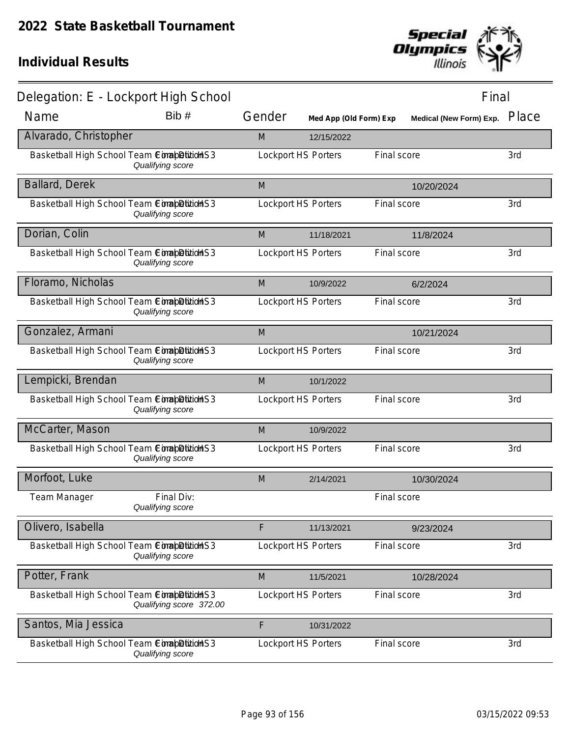

| Delegation: E - Lockport High School         |                                |        |                            |             | Final                          |       |
|----------------------------------------------|--------------------------------|--------|----------------------------|-------------|--------------------------------|-------|
| Name                                         | Bib #                          | Gender | Med App (Old Form) Exp     |             | <b>Medical (New Form) Exp.</b> | Place |
| Alvarado, Christopher                        |                                | M      | 12/15/2022                 |             |                                |       |
| Basketball High School Team ConabDitionS3    | Qualifying score               |        | <b>Lockport HS Porters</b> | Final score |                                | 3rd   |
| Ballard, Derek                               |                                | M      |                            |             | 10/20/2024                     |       |
| Basketball High School Team ConabDitionS3    | Qualifying score               |        | <b>Lockport HS Porters</b> | Final score |                                | 3rd   |
| Dorian, Colin                                |                                | M      | 11/18/2021                 |             | 11/8/2024                      |       |
| Basketball High School Team ComapDition S3   | Qualifying score               |        | <b>Lockport HS Porters</b> | Final score |                                | 3rd   |
| Floramo, Nicholas                            |                                | M      | 10/9/2022                  |             | 6/2/2024                       |       |
| Basketball High School Team ComapDitionS3    | Qualifying score               |        | <b>Lockport HS Porters</b> | Final score |                                | 3rd   |
| Gonzalez, Armani                             |                                | M      |                            |             | 10/21/2024                     |       |
| Basketball High School Team ConabDitionS3    | Qualifying score               |        | <b>Lockport HS Porters</b> | Final score |                                | 3rd   |
| Lempicki, Brendan                            |                                | M      | 10/1/2022                  |             |                                |       |
| Basketball High School Team ComapDitionS3    | Qualifying score               |        | <b>Lockport HS Porters</b> | Final score |                                | 3rd   |
| McCarter, Mason                              |                                | M      | 10/9/2022                  |             |                                |       |
| Basketball High School Team ComapDition S3   | Qualifying score               |        | <b>Lockport HS Porters</b> | Final score |                                | 3rd   |
| Morfoot, Luke                                |                                | M      | 2/14/2021                  |             | 10/30/2024                     |       |
| <b>Team Manager</b>                          | Final Div:<br>Qualifying score |        |                            | Final score |                                |       |
| Olivero, Isabella                            |                                | F      | 11/13/2021                 |             | 9/23/2024                      |       |
| Basketball High School Team ComapDitition S3 | Qualifying score               |        | <b>Lockport HS Porters</b> | Final score |                                | 3rd   |
| Potter, Frank                                |                                | M      | 11/5/2021                  |             | 10/28/2024                     |       |
| Basketball High School Team ComapDitionS3    | Qualifying score 372.00        |        | <b>Lockport HS Porters</b> | Final score |                                | 3rd   |
| Santos, Mia Jessica                          |                                | F      | 10/31/2022                 |             |                                |       |
| Basketball High School Team CorapBittion S3  | Qualifying score               |        | <b>Lockport HS Porters</b> | Final score |                                | 3rd   |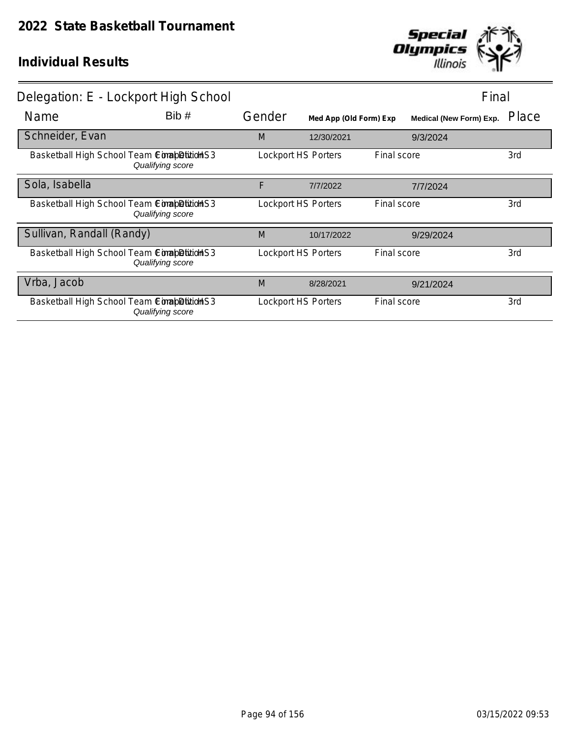

| Delegation: E - Lockport High School        |                  |        |                            | Final       |                         |       |
|---------------------------------------------|------------------|--------|----------------------------|-------------|-------------------------|-------|
| Name                                        | Bib#             | Gender | Med App (Old Form) Exp     |             | Medical (New Form) Exp. | Place |
| Schneider, Evan                             |                  | M      | 12/30/2021                 |             | 9/3/2024                |       |
| Basketball High School Team ComapDition S3  | Qualifying score |        | <b>Lockport HS Porters</b> | Final score |                         | 3rd   |
| Sola, Isabella                              |                  | F      | 7/7/2022                   |             | 7/7/2024                |       |
| Basketball High School Team ComapDition S3  | Qualifying score |        | <b>Lockport HS Porters</b> | Final score |                         | 3rd   |
| Sullivan, Randall (Randy)                   |                  | M      | 10/17/2022                 |             | 9/29/2024               |       |
| Basketball High School Team Completition S3 | Qualifying score |        | <b>Lockport HS Porters</b> | Final score |                         | 3rd   |
| Vrba, Jacob                                 |                  | M      | 8/28/2021                  |             | 9/21/2024               |       |
| Basketball High School Team ComapDition S3  | Qualifying score |        | <b>Lockport HS Porters</b> | Final score |                         | 3rd   |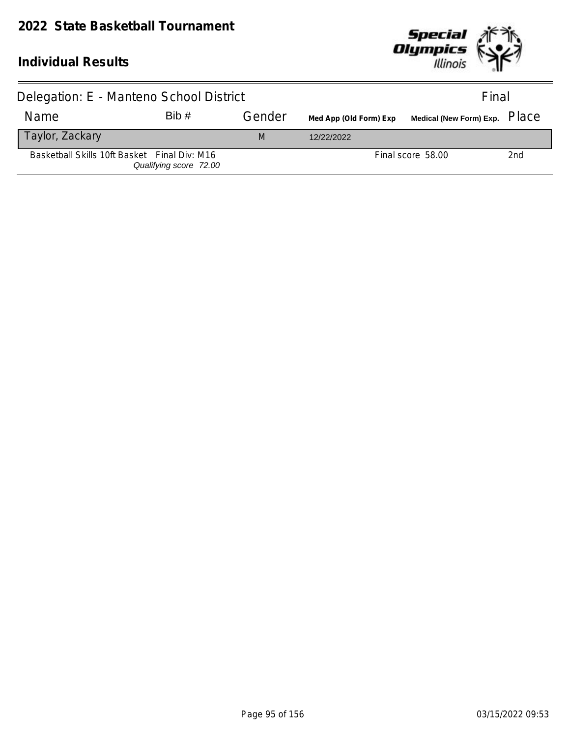

| Delegation: E - Manteno School District      |                        |        |                        | Final             |     |
|----------------------------------------------|------------------------|--------|------------------------|-------------------|-----|
| Name                                         | Bib#                   | Gender | Med App (Old Form) Exp |                   |     |
| Taylor, Zackary                              |                        | M      | 12/22/2022             |                   |     |
| Basketball Skills 10ft Basket Final Div: M16 | Qualifying score 72.00 |        |                        | Final score 58.00 | 2nd |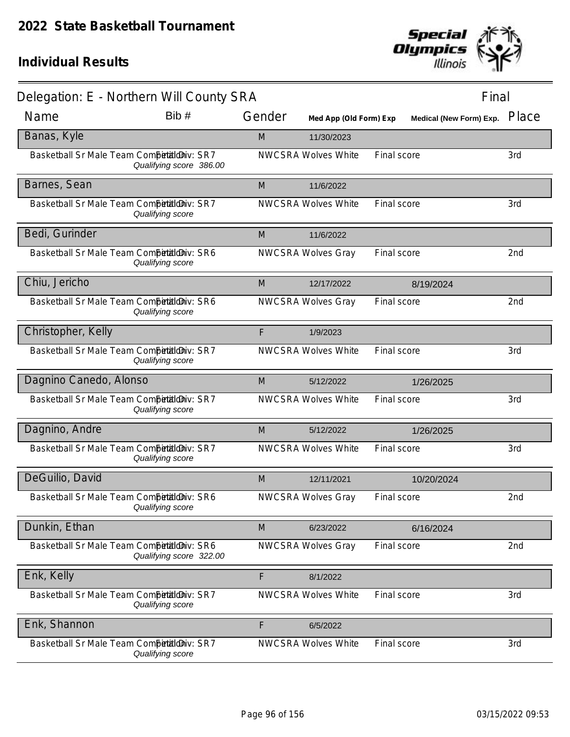

|                                              | Delegation: E - Northern Will County SRA |        |                            |             |                         | Final |  |  |
|----------------------------------------------|------------------------------------------|--------|----------------------------|-------------|-------------------------|-------|--|--|
| Name                                         | Bib #                                    | Gender | Med App (Old Form) Exp     |             | Medical (New Form) Exp. | Place |  |  |
| Banas, Kyle                                  |                                          | M      | 11/30/2023                 |             |                         |       |  |  |
| Basketball Sr Male Team Competitioniv: SR7   | Qualifying score 386.00                  |        | <b>NWCSRA Wolves White</b> | Final score |                         | 3rd   |  |  |
| Barnes, Sean                                 |                                          | M      | 11/6/2022                  |             |                         |       |  |  |
| Basketball Sr Male Team Competitioniv: SR7   | Qualifying score                         |        | <b>NWCSRA Wolves White</b> | Final score |                         | 3rd   |  |  |
| Bedi, Gurinder                               |                                          | M      | 11/6/2022                  |             |                         |       |  |  |
| Basketball Sr Male Team Competitioniv: SR6   | Qualifying score                         |        | <b>NWCSRA Wolves Gray</b>  | Final score |                         | 2nd   |  |  |
| Chiu, Jericho                                |                                          | M      | 12/17/2022                 |             | 8/19/2024               |       |  |  |
| Basketball Sr Male Team Competitioniv: SR6   | Qualifying score                         |        | <b>NWCSRA Wolves Gray</b>  | Final score |                         | 2nd   |  |  |
| Christopher, Kelly                           |                                          | F      | 1/9/2023                   |             |                         |       |  |  |
| Basketball Sr Male Team Competitioniv: SR7   | Qualifying score                         |        | <b>NWCSRA Wolves White</b> | Final score |                         | 3rd   |  |  |
| Dagnino Canedo, Alonso                       |                                          | M      | 5/12/2022                  |             | 1/26/2025               |       |  |  |
| Basketball Sr Male Team CompetaldDiv: SR7    | Qualifying score                         |        | <b>NWCSRA Wolves White</b> | Final score |                         | 3rd   |  |  |
| Dagnino, Andre                               |                                          | M      | 5/12/2022                  |             | 1/26/2025               |       |  |  |
| Basketball Sr Male Team Competitioniv: SR7   | Qualifying score                         |        | <b>NWCSRA Wolves White</b> | Final score |                         | 3rd   |  |  |
| DeGuilio, David                              |                                          | M      | 12/11/2021                 |             | 10/20/2024              |       |  |  |
| Basketball Sr Male Team Competitilo Niv: SR6 | Qualifying score                         |        | <b>NWCSRA Wolves Gray</b>  | Final score |                         | 2nd   |  |  |
| Dunkin, Ethan                                |                                          | M      | 6/23/2022                  |             | 6/16/2024               |       |  |  |
| Basketball Sr Male Team Competitioniv: SR6   | Qualifying score 322.00                  |        | <b>NWCSRA Wolves Gray</b>  | Final score |                         | 2nd   |  |  |
| Enk, Kelly                                   |                                          | F      | 8/1/2022                   |             |                         |       |  |  |
| Basketball Sr Male Team Competitioniv: SR7   | Qualifying score                         |        | <b>NWCSRA Wolves White</b> | Final score |                         | 3rd   |  |  |
| Enk, Shannon                                 |                                          | F      | 6/5/2022                   |             |                         |       |  |  |
| Basketball Sr Male Team Competitioniv: SR7   | Qualifying score                         |        | <b>NWCSRA Wolves White</b> | Final score |                         | 3rd   |  |  |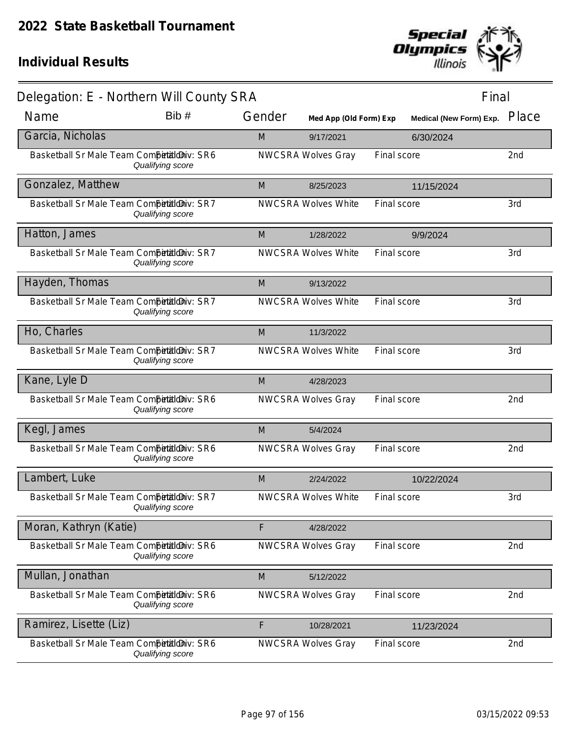

| Delegation: E - Northern Will County SRA   |                  |        |                            |             | Final                          |                 |
|--------------------------------------------|------------------|--------|----------------------------|-------------|--------------------------------|-----------------|
| Name                                       | Bib #            | Gender | Med App (Old Form) Exp     |             | <b>Medical (New Form) Exp.</b> | Place           |
| Garcia, Nicholas                           |                  | M      | 9/17/2021                  |             | 6/30/2024                      |                 |
| Basketball Sr Male Team Competitioniv: SR6 | Qualifying score |        | <b>NWCSRA Wolves Gray</b>  | Final score |                                | 2nd             |
| Gonzalez, Matthew                          |                  | M      | 8/25/2023                  |             | 11/15/2024                     |                 |
| Basketball Sr Male Team CompetaldDiv: SR7  | Qualifying score |        | <b>NWCSRA Wolves White</b> | Final score |                                | 3rd             |
| Hatton, James                              |                  | M      | 1/28/2022                  |             | 9/9/2024                       |                 |
| Basketball Sr Male Team Competitioniv: SR7 | Qualifying score |        | <b>NWCSRA Wolves White</b> | Final score |                                | 3rd             |
| Hayden, Thomas                             |                  | M      | 9/13/2022                  |             |                                |                 |
| Basketball Sr Male Team Competitioniv: SR7 | Qualifying score |        | <b>NWCSRA Wolves White</b> | Final score |                                | 3rd             |
| Ho, Charles                                |                  | M      | 11/3/2022                  |             |                                |                 |
| Basketball Sr Male Team CompetaldDiv: SR7  | Qualifying score |        | <b>NWCSRA Wolves White</b> | Final score |                                | 3rd             |
| Kane, Lyle D                               |                  | M      | 4/28/2023                  |             |                                |                 |
| Basketball Sr Male Team Competitioniv: SR6 | Qualifying score |        | <b>NWCSRA Wolves Gray</b>  | Final score |                                | 2nd             |
| Kegl, James                                |                  | M      | 5/4/2024                   |             |                                |                 |
| Basketball Sr Male Team CompetaldDiv: SR6  | Qualifying score |        | <b>NWCSRA Wolves Gray</b>  | Final score |                                | 2nd             |
| Lambert, Luke                              |                  | M      | 2/24/2022                  |             | 10/22/2024                     |                 |
| Basketball Sr Male Team Competitioniv: SR7 | Qualifying score |        | <b>NWCSRA Wolves White</b> | Final score |                                | 3rd             |
| Moran, Kathryn (Katie)                     |                  | F      | 4/28/2022                  |             |                                |                 |
| Basketball Sr Male Team Competitioniv: SR6 | Qualifying score |        | <b>NWCSRA Wolves Gray</b>  | Final score |                                | 2nd             |
| Mullan, Jonathan                           |                  | M      | 5/12/2022                  |             |                                |                 |
| Basketball Sr Male Team Competitioniv: SR6 | Qualifying score |        | <b>NWCSRA Wolves Gray</b>  | Final score |                                | 2 <sub>nd</sub> |
| Ramirez, Lisette (Liz)                     |                  | F      | 10/28/2021                 |             | 11/23/2024                     |                 |
| Basketball Sr Male Team Competitioniv: SR6 | Qualifying score |        | <b>NWCSRA Wolves Gray</b>  | Final score |                                | 2nd             |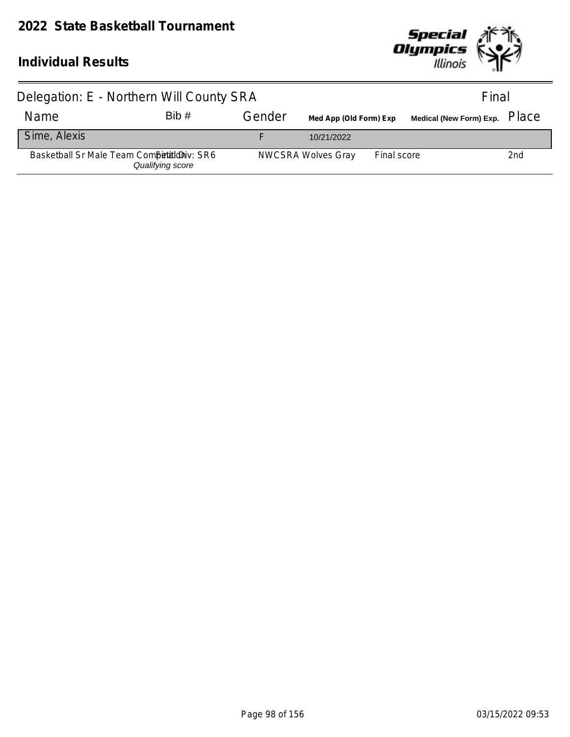

| Delegation: E - Northern Will County SRA    |                  |        |                           | Final       |                                  |                 |
|---------------------------------------------|------------------|--------|---------------------------|-------------|----------------------------------|-----------------|
| <b>Name</b>                                 | Bib#             | Gender | Med App (Old Form) Exp    |             | Medical (New Form) Exp. PlaC $e$ |                 |
| Sime, Alexis                                |                  |        | 10/21/2022                |             |                                  |                 |
| Basketball Sr Male Team Competition iv: SR6 | Qualifying score |        | <b>NWCSRA Wolves Gray</b> | Final score |                                  | 2 <sub>nd</sub> |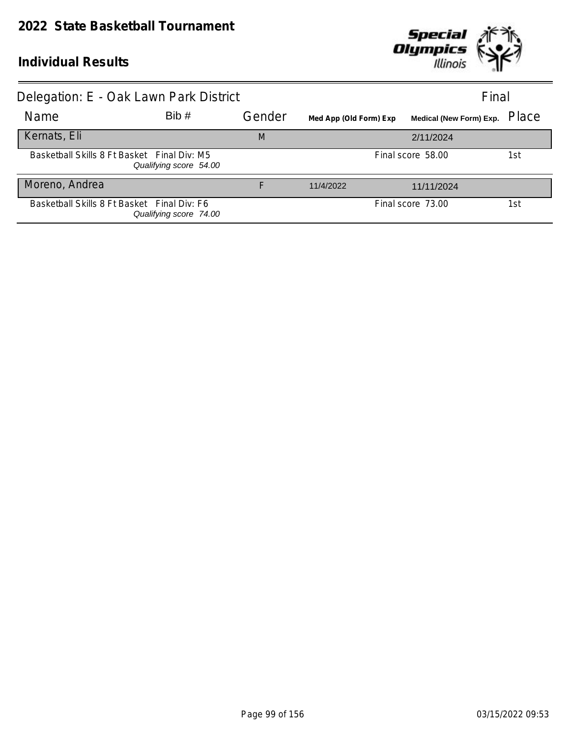

| Delegation: E - Oak Lawn Park District      |                        |        |                        | Final                         |     |
|---------------------------------------------|------------------------|--------|------------------------|-------------------------------|-----|
| Name                                        | Bib#                   | Gender | Med App (Old Form) Exp | Medical (New Form) Exp. Place |     |
| Kernats, Eli                                |                        | M      |                        | 2/11/2024                     |     |
| Basketball Skills 8 Ft Basket Final Div: M5 | Qualifying score 54.00 |        |                        | Final score 58.00             | 1st |
| Moreno, Andrea                              |                        |        | 11/4/2022              | 11/11/2024                    |     |
| Basketball Skills 8 Ft Basket Final Div: F6 | Qualifying score 74.00 |        |                        | Final score 73.00             | 1st |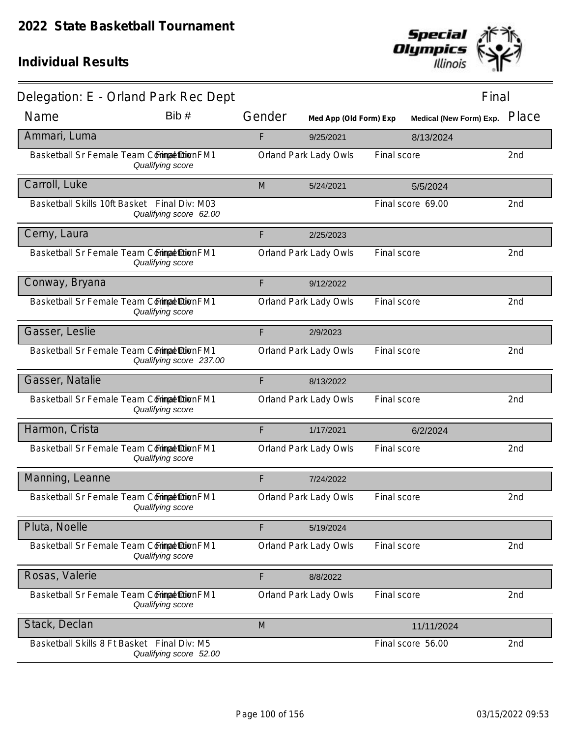

|                                             | Delegation: E - Orland Park Rec Dept                                   |        |                        |             | Final                          |       |
|---------------------------------------------|------------------------------------------------------------------------|--------|------------------------|-------------|--------------------------------|-------|
| Name                                        | Bib#                                                                   | Gender | Med App (Old Form) Exp |             | <b>Medical (New Form) Exp.</b> | Place |
| Ammari, Luma                                |                                                                        | F      | 9/25/2021              |             | 8/13/2024                      |       |
| Basketball Sr Female Team Commat DionFM1    | Qualifying score                                                       |        | Orland Park Lady Owls  | Final score |                                | 2nd   |
| Carroll, Luke                               |                                                                        | M      | 5/24/2021              |             | 5/5/2024                       |       |
|                                             | Basketball Skills 10ft Basket Final Div: M03<br>Qualifying score 62.00 |        |                        |             | Final score 69.00              | 2nd   |
| Cerny, Laura                                |                                                                        | F      | 2/25/2023              |             |                                |       |
| Basketball Sr Female Team Commat DionFM1    | Qualifying score                                                       |        | Orland Park Lady Owls  | Final score |                                | 2nd   |
| Conway, Bryana                              |                                                                        | F      | 9/12/2022              |             |                                |       |
| Basketball Sr Female Team Commat DionFM1    | Qualifying score                                                       |        | Orland Park Lady Owls  | Final score |                                | 2nd   |
| Gasser, Leslie                              |                                                                        | F      | 2/9/2023               |             |                                |       |
| Basketball Sr Female Team Commat Dion FM1   | Qualifying score 237.00                                                |        | Orland Park Lady Owls  | Final score |                                | 2nd   |
| Gasser, Natalie                             |                                                                        | F      | 8/13/2022              |             |                                |       |
| Basketball Sr Female Team Commat DionFM1    | Qualifying score                                                       |        | Orland Park Lady Owls  | Final score |                                | 2nd   |
| Harmon, Crista                              |                                                                        | F      | 1/17/2021              |             | 6/2/2024                       |       |
| Basketball Sr Female Team CorimpatiDionFM1  | Qualifying score                                                       |        | Orland Park Lady Owls  | Final score |                                | 2nd   |
| Manning, Leanne                             |                                                                        | F      | 7/24/2022              |             |                                |       |
| Basketball Sr Female Team Commat Dion FM1   | Qualifying score                                                       |        | Orland Park Lady Owls  | Final score |                                | 2nd   |
| Pluta, Noelle                               |                                                                        | F      | 5/19/2024              |             |                                |       |
| Basketball Sr Female Team Corimat DionFM1   | Qualifying score                                                       |        | Orland Park Lady Owls  | Final score |                                | 2nd   |
| Rosas, Valerie                              |                                                                        | F      | 8/8/2022               |             |                                |       |
| Basketball Sr Female Team Commat DionFM1    | Qualifying score                                                       |        | Orland Park Lady Owls  | Final score |                                | 2nd   |
| Stack, Declan                               |                                                                        | M      |                        |             | 11/11/2024                     |       |
| Basketball Skills 8 Ft Basket Final Div: M5 | Qualifying score 52.00                                                 |        |                        |             | Final score 56.00              | 2nd   |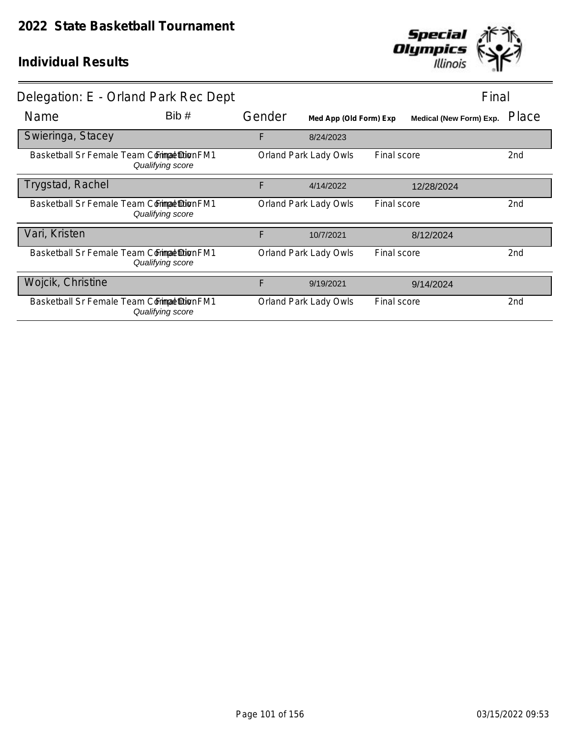

|                   | Delegation: E - Orland Park Rec Dept                          |        |                        |             | Final                   |       |
|-------------------|---------------------------------------------------------------|--------|------------------------|-------------|-------------------------|-------|
| Name              | Bib#                                                          | Gender | Med App (Old Form) Exp |             | Medical (New Form) Exp. | Place |
| Swieringa, Stacey |                                                               | F      | 8/24/2023              |             |                         |       |
|                   | Basketball Sr Female Team Commat Dion FM1<br>Qualifying score |        | Orland Park Lady Owls  | Final score |                         | 2nd   |
| Trygstad, Rachel  |                                                               | F      | 4/14/2022              |             | 12/28/2024              |       |
|                   | Basketball Sr Female Team Commat Dion FM1<br>Qualifying score |        | Orland Park Lady Owls  | Final score |                         | 2nd   |
| Vari, Kristen     |                                                               | F      | 10/7/2021              |             | 8/12/2024               |       |
|                   | Basketball Sr Female Team Commat Dion FM1<br>Qualifying score |        | Orland Park Lady Owls  | Final score |                         | 2nd   |
| Wojcik, Christine |                                                               | F      | 9/19/2021              |             | 9/14/2024               |       |
|                   | Basketball Sr Female Team Commat Dion FM1<br>Qualifying score |        | Orland Park Lady Owls  | Final score |                         | 2nd   |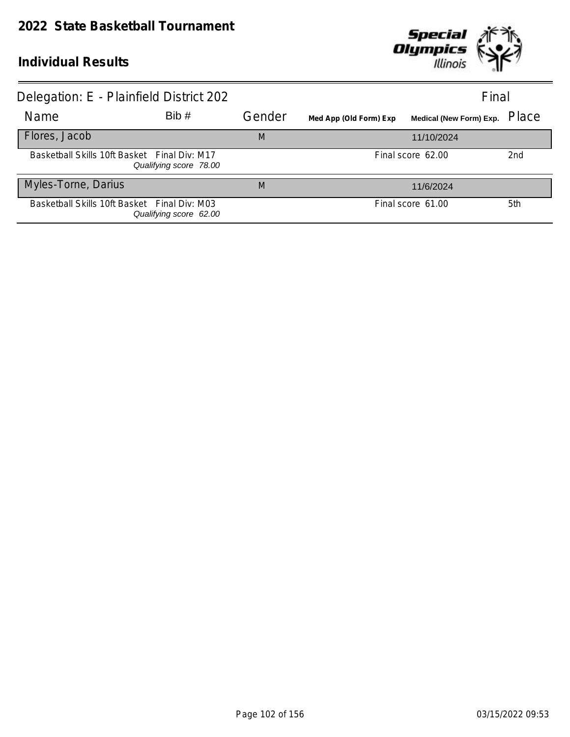

| Delegation: E - Plainfield District 202      |                        |        |                        | Final                   |                 |
|----------------------------------------------|------------------------|--------|------------------------|-------------------------|-----------------|
| Name                                         | Bib#                   | Gender | Med App (Old Form) Exp | Medical (New Form) Exp. | Place           |
| Flores, Jacob                                |                        | M      |                        | 11/10/2024              |                 |
| Basketball Skills 10ft Basket Final Div: M17 | Qualifying score 78.00 |        |                        | Final score 62.00       | 2 <sub>nd</sub> |
| Myles-Torne, Darius                          |                        | M      |                        | 11/6/2024               |                 |
| Basketball Skills 10ft Basket Final Div: M03 | Qualifying score 62.00 |        |                        | Final score 61.00       | 5th             |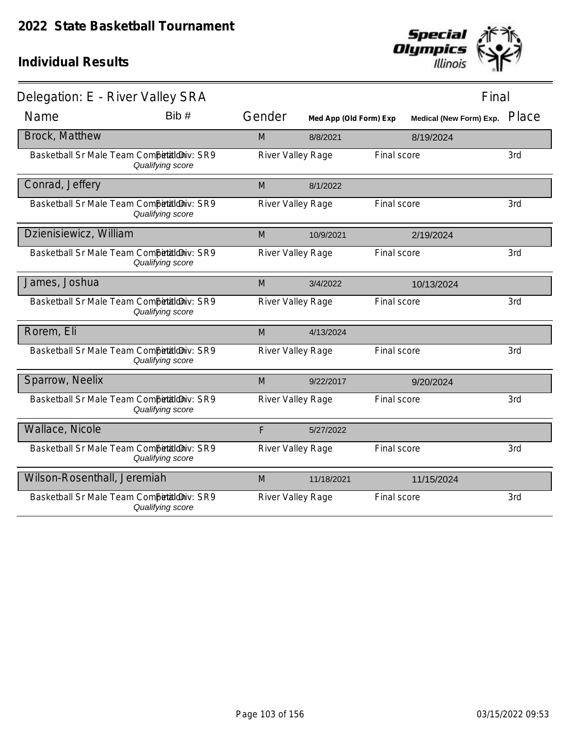

| Delegation: E - River Valley SRA           |                  |                   |                        |             | Final                   |       |
|--------------------------------------------|------------------|-------------------|------------------------|-------------|-------------------------|-------|
| Name                                       | Bib#             | Gender            | Med App (Old Form) Exp |             | Medical (New Form) Exp. | Place |
| Brock, Matthew                             |                  | M                 | 8/8/2021               |             | 8/19/2024               |       |
| Basketball Sr Male Team Competitioniv: SR9 | Qualifying score | River Valley Rage |                        | Final score |                         | 3rd   |
| Conrad, Jeffery                            |                  | M                 | 8/1/2022               |             |                         |       |
| Basketball Sr Male Team Competitioniv: SR9 | Qualifying score | River Valley Rage |                        | Final score |                         | 3rd   |
| Dzienisiewicz, William                     |                  | M                 | 10/9/2021              |             | 2/19/2024               |       |
| Basketball Sr Male Team CompetaldDiv: SR9  | Qualifying score | River Valley Rage |                        | Final score |                         | 3rd   |
| James, Joshua                              |                  | M                 | 3/4/2022               |             | 10/13/2024              |       |
| Basketball Sr Male Team Competitioniv: SR9 | Qualifying score | River Valley Rage |                        | Final score |                         | 3rd   |
| Rorem, Eli                                 |                  | M                 | 4/13/2024              |             |                         |       |
| Basketball Sr Male Team Competitioniv: SR9 | Qualifying score | River Valley Rage |                        | Final score |                         | 3rd   |
| Sparrow, Neelix                            |                  | M                 | 9/22/2017              |             | 9/20/2024               |       |
| Basketball Sr Male Team Competitioniv: SR9 | Qualifying score | River Valley Rage |                        | Final score |                         | 3rd   |
| Wallace, Nicole                            |                  | F                 | 5/27/2022              |             |                         |       |
| Basketball Sr Male Team CompetaldDiv: SR9  | Qualifying score | River Valley Rage |                        | Final score |                         | 3rd   |
| Wilson-Rosenthall, Jeremiah                |                  | M                 | 11/18/2021             |             | 11/15/2024              |       |
| Basketball Sr Male Team CompetaldDiv: SR9  | Qualifying score | River Valley Rage |                        | Final score |                         | 3rd   |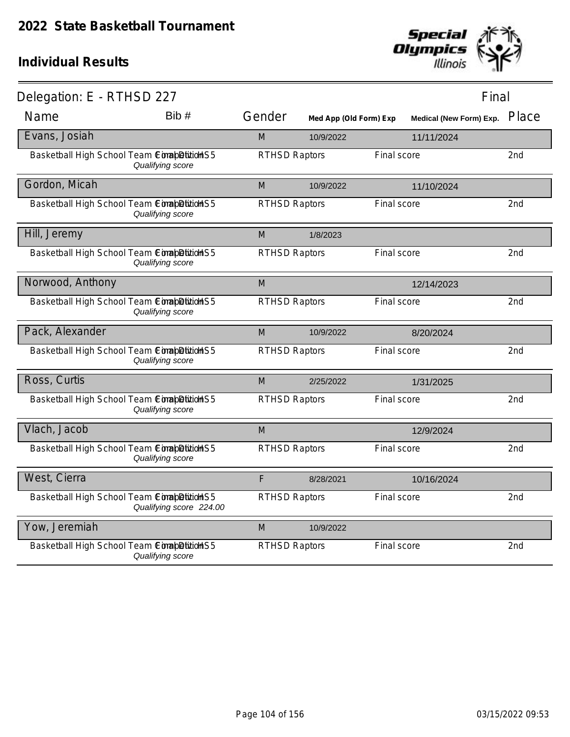

| Delegation: E - RTHSD 227                  |                         |                      |                        |             | Final                         |                 |
|--------------------------------------------|-------------------------|----------------------|------------------------|-------------|-------------------------------|-----------------|
| Name                                       | Bib #                   | Gender               | Med App (Old Form) Exp |             | Medical (New Form) Exp. Place |                 |
| Evans, Josiah                              |                         | M                    | 10/9/2022              |             | 11/11/2024                    |                 |
| Basketball High School Team ConabDition S5 | Qualifying score        | <b>RTHSD Raptors</b> |                        | Final score |                               | 2nd             |
| Gordon, Micah                              |                         | M                    | 10/9/2022              |             | 11/10/2024                    |                 |
| Basketball High School Team ConabDition S5 | Qualifying score        | <b>RTHSD Raptors</b> |                        | Final score |                               | 2nd             |
| Hill, Jeremy                               |                         | M                    | 1/8/2023               |             |                               |                 |
| Basketball High School Team ConabDitionHS5 | Qualifying score        | <b>RTHSD Raptors</b> |                        | Final score |                               | 2 <sub>nd</sub> |
| Norwood, Anthony                           |                         | M                    |                        |             | 12/14/2023                    |                 |
| Basketball High School Team ConabDitionHS5 | Qualifying score        | <b>RTHSD Raptors</b> |                        | Final score |                               | 2nd             |
| Pack, Alexander                            |                         | M                    | 10/9/2022              |             | 8/20/2024                     |                 |
| Basketball High School Team ConapDitionHS5 | Qualifying score        | <b>RTHSD Raptors</b> |                        | Final score |                               | 2nd             |
| Ross, Curtis                               |                         | M                    | 2/25/2022              |             | 1/31/2025                     |                 |
| Basketball High School Team ComapDitionHS5 | Qualifying score        | <b>RTHSD Raptors</b> |                        | Final score |                               | 2 <sub>nd</sub> |
| Vlach, Jacob                               |                         | M                    |                        |             | 12/9/2024                     |                 |
| Basketball High School Team ComapDition S5 | Qualifying score        | <b>RTHSD Raptors</b> |                        | Final score |                               | 2nd             |
| West, Cierra                               |                         | F                    | 8/28/2021              |             | 10/16/2024                    |                 |
| Basketball High School Team ComapDition S5 | Qualifying score 224.00 | <b>RTHSD Raptors</b> |                        | Final score |                               | 2nd             |
| Yow, Jeremiah                              |                         | M                    | 10/9/2022              |             |                               |                 |
| Basketball High School Team ComapDition S5 | Qualifying score        | <b>RTHSD Raptors</b> |                        | Final score |                               | 2nd             |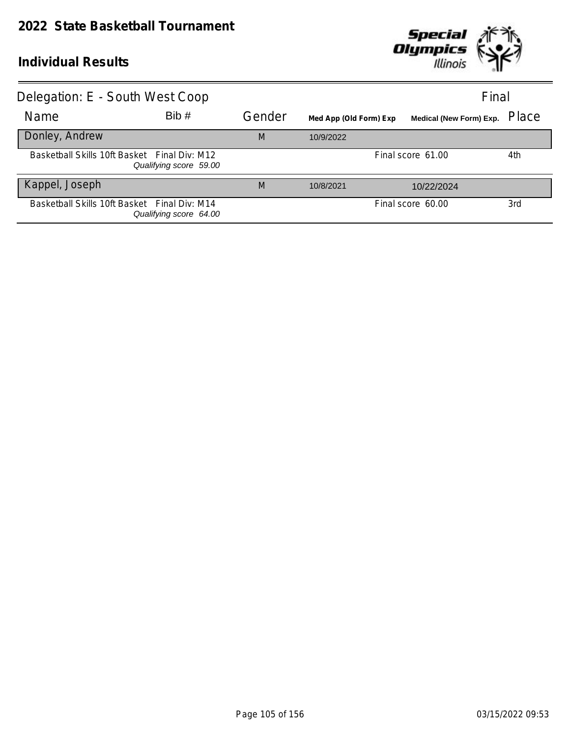

| Delegation: E - South West Coop              |                        |        |                        |                                | Final |
|----------------------------------------------|------------------------|--------|------------------------|--------------------------------|-------|
| Name                                         | Bib#                   | Gender | Med App (Old Form) Exp | <b>Medical (New Form) Exp.</b> | Place |
| Donley, Andrew                               |                        | M      | 10/9/2022              |                                |       |
| Basketball Skills 10ft Basket Final Div: M12 | Qualifying score 59.00 |        |                        | Final score 61.00              | 4th   |
| Kappel, Joseph                               |                        | M      | 10/8/2021              | 10/22/2024                     |       |
| Basketball Skills 10ft Basket Final Div: M14 | Qualifying score 64.00 |        |                        | Final score 60.00              | 3rd   |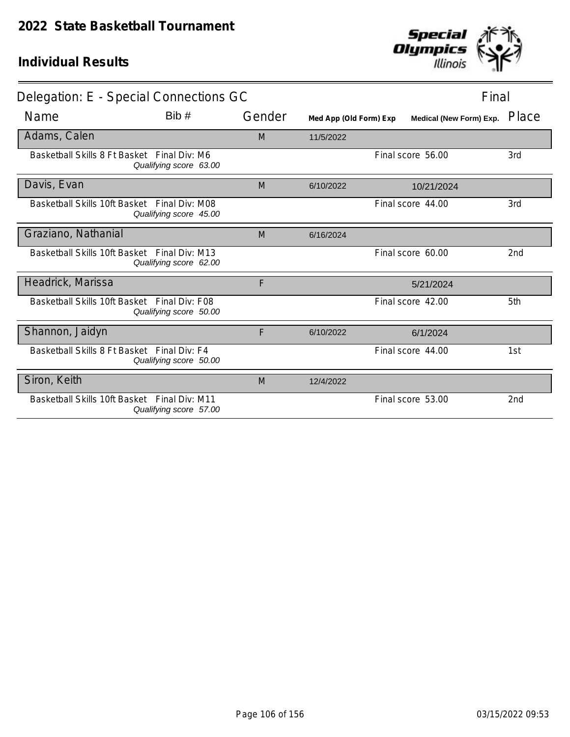

| Delegation: E - Special Connections GC       |                        |        |                        | Final                   |                 |
|----------------------------------------------|------------------------|--------|------------------------|-------------------------|-----------------|
| Name                                         | Bib#                   | Gender | Med App (Old Form) Exp | Medical (New Form) Exp. | Place           |
| Adams, Calen                                 |                        | M      | 11/5/2022              |                         |                 |
| Basketball Skills 8 Ft Basket Final Div: M6  | Qualifying score 63.00 |        |                        | Final score 56.00       | 3rd             |
| Davis, Evan                                  |                        | M      | 6/10/2022              | 10/21/2024              |                 |
| Basketball Skills 10ft Basket Final Div: M08 | Qualifying score 45.00 |        |                        | Final score 44.00       | 3rd             |
| Graziano, Nathanial                          |                        | M      | 6/16/2024              |                         |                 |
| Basketball Skills 10ft Basket Final Div: M13 | Qualifying score 62.00 |        |                        | Final score 60.00       | 2 <sub>nd</sub> |
| Headrick, Marissa                            |                        | F      |                        | 5/21/2024               |                 |
| Basketball Skills 10ft Basket Final Div: F08 | Qualifying score 50.00 |        |                        | Final score 42.00       | 5th             |
| Shannon, Jaidyn                              |                        | F      | 6/10/2022              | 6/1/2024                |                 |
| Basketball Skills 8 Ft Basket Final Div: F4  | Qualifying score 50.00 |        |                        | Final score 44.00       | 1st             |
| Siron, Keith                                 |                        | M      | 12/4/2022              |                         |                 |
| Basketball Skills 10ft Basket Final Div: M11 | Qualifying score 57.00 |        |                        | Final score 53.00       | 2 <sub>nd</sub> |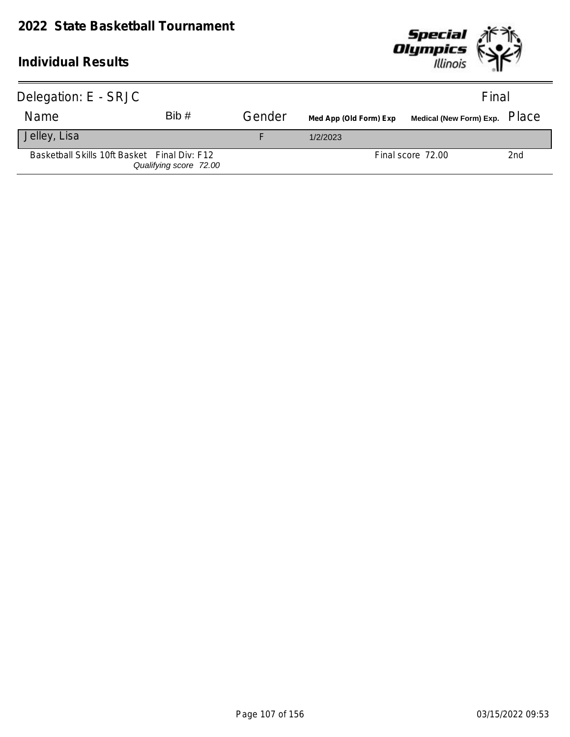

| Delegation: E - SRJC                         |                        |        |                        |                   | Final           |
|----------------------------------------------|------------------------|--------|------------------------|-------------------|-----------------|
| Name                                         | Bib#                   | Gender | Med App (Old Form) Exp |                   |                 |
| Jelley, Lisa                                 |                        |        | 1/2/2023               |                   |                 |
| Basketball Skills 10ft Basket Final Div: F12 | Qualifying score 72.00 |        |                        | Final score 72.00 | 2 <sub>nd</sub> |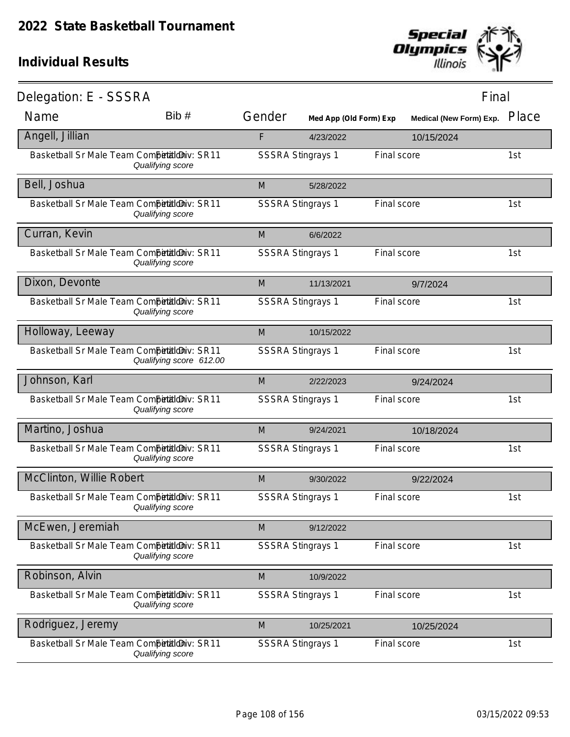

| Delegation: E - SSSRA                       |                         |                          |                        |             | Final                          |       |
|---------------------------------------------|-------------------------|--------------------------|------------------------|-------------|--------------------------------|-------|
| Name                                        | Bib #                   | Gender                   | Med App (Old Form) Exp |             | <b>Medical (New Form) Exp.</b> | Place |
| Angell, Jillian                             |                         | F                        | 4/23/2022              |             | 10/15/2024                     |       |
| Basketball Sr Male Team Competitioniv: SR11 | Qualifying score        | <b>SSSRA Stingrays 1</b> |                        | Final score |                                | 1st   |
| Bell, Joshua                                |                         | M                        | 5/28/2022              |             |                                |       |
| Basketball Sr Male Team Competitioniv: SR11 | Qualifying score        | <b>SSSRA Stingrays 1</b> |                        | Final score |                                | 1st   |
| Curran, Kevin                               |                         | M                        | 6/6/2022               |             |                                |       |
| Basketball Sr Male Team Competitioniv: SR11 | Qualifying score        | <b>SSSRA Stingrays 1</b> |                        | Final score |                                | 1st   |
| Dixon, Devonte                              |                         | M                        | 11/13/2021             |             | 9/7/2024                       |       |
| Basketball Sr Male Team Competitioniv: SR11 | Qualifying score        | <b>SSSRA Stingrays 1</b> |                        | Final score |                                | 1st   |
| Holloway, Leeway                            |                         | M                        | 10/15/2022             |             |                                |       |
| Basketball Sr Male Team Competitioniv: SR11 | Qualifying score 612.00 | <b>SSSRA Stingrays 1</b> |                        | Final score |                                | 1st   |
| Johnson, Karl                               |                         | M                        | 2/22/2023              |             | 9/24/2024                      |       |
| Basketball Sr Male Team Competitioniv: SR11 | Qualifying score        | <b>SSSRA Stingrays 1</b> |                        | Final score |                                | 1st   |
| Martino, Joshua                             |                         | M                        | 9/24/2021              |             | 10/18/2024                     |       |
| Basketball Sr Male Team CompetialdDiv: SR11 | Qualifying score        | <b>SSSRA Stingrays 1</b> |                        | Final score |                                | 1st   |
| McClinton, Willie Robert                    |                         | M                        | 9/30/2022              |             | 9/22/2024                      |       |
| Basketball Sr Male Team Competitioniv: SR11 | Qualifying score        | <b>SSSRA Stingrays 1</b> |                        | Final score |                                | 1st   |
| McEwen, Jeremiah                            |                         | M                        | 9/12/2022              |             |                                |       |
| Basketball Sr Male Team CompetialdDiv: SR11 | Qualifying score        | <b>SSSRA Stingrays 1</b> |                        | Final score |                                | 1st   |
| Robinson, Alvin                             |                         | M                        | 10/9/2022              |             |                                |       |
| Basketball Sr Male Team Competitioniv: SR11 | Qualifying score        | <b>SSSRA Stingrays 1</b> |                        | Final score |                                | 1st   |
| Rodriguez, Jeremy                           |                         | M                        | 10/25/2021             |             | 10/25/2024                     |       |
| Basketball Sr Male Team CompetialdDiv: SR11 | Qualifying score        | <b>SSSRA Stingrays 1</b> |                        | Final score |                                | 1st   |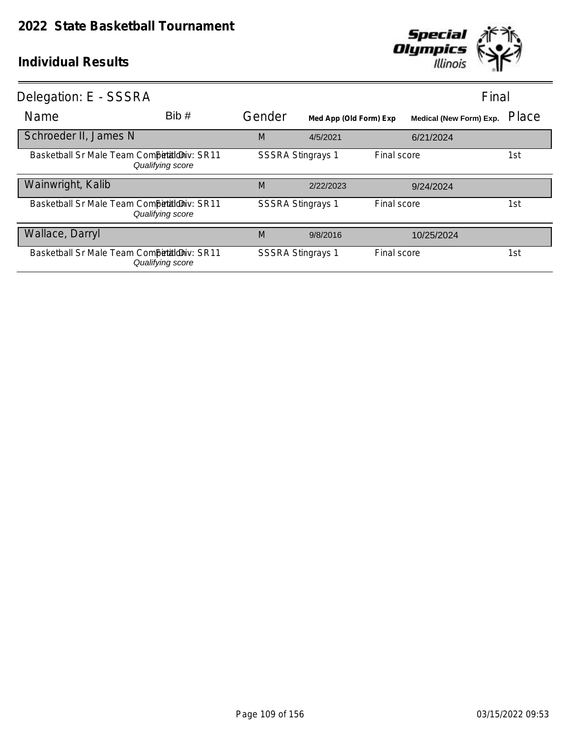

| Delegation: E - SSSRA                       |                  |                          |                        | Final       |                         |       |
|---------------------------------------------|------------------|--------------------------|------------------------|-------------|-------------------------|-------|
| Name                                        | Bib#             | Gender                   | Med App (Old Form) Exp |             | Medical (New Form) Exp. | Place |
| Schroeder II, James N                       |                  | M                        | 4/5/2021               |             | 6/21/2024               |       |
| Basketball Sr Male Team Competitioniv: SR11 | Qualifying score | <b>SSSRA Stingrays 1</b> |                        | Final score |                         | 1st   |
| Wainwright, Kalib                           |                  | M                        | 2/22/2023              |             | 9/24/2024               |       |
| Basketball Sr Male Team Competitioniv: SR11 | Qualifying score | <b>SSSRA Stingrays 1</b> |                        | Final score |                         | 1st   |
| Wallace, Darryl                             |                  | M                        | 9/8/2016               |             | 10/25/2024              |       |
| Basketball Sr Male Team Competitioniv: SR11 | Qualifying score | <b>SSSRA Stingrays 1</b> |                        | Final score |                         | 1st   |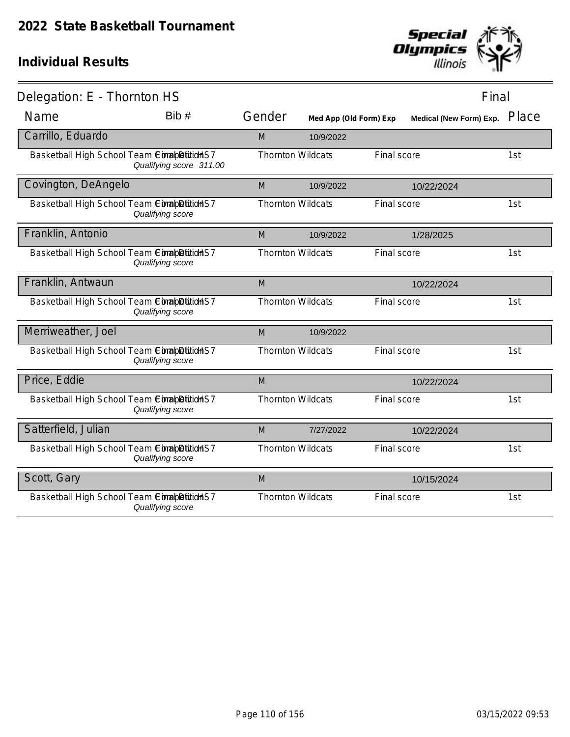

| Delegation: E - Thornton HS                |                         |                          |                        |             | Final                   |       |
|--------------------------------------------|-------------------------|--------------------------|------------------------|-------------|-------------------------|-------|
| Name                                       | Bib#                    | Gender                   | Med App (Old Form) Exp |             | Medical (New Form) Exp. | Place |
| Carrillo, Eduardo                          |                         | M                        | 10/9/2022              |             |                         |       |
| Basketball High School Team ComapDitionHS7 | Qualifying score 311.00 | <b>Thornton Wildcats</b> |                        | Final score |                         | 1st   |
| Covington, DeAngelo                        |                         | M                        | 10/9/2022              |             | 10/22/2024              |       |
| Basketball High School Team ConabDitionHS7 | Qualifying score        | <b>Thornton Wildcats</b> |                        | Final score |                         | 1st   |
| Franklin, Antonio                          |                         | M                        | 10/9/2022              |             | 1/28/2025               |       |
| Basketball High School Team ComapDitionHS7 | Qualifying score        | <b>Thornton Wildcats</b> |                        | Final score |                         | 1st   |
| Franklin, Antwaun                          |                         | M                        |                        |             | 10/22/2024              |       |
| Basketball High School Team ComapDitionHS7 | Qualifying score        | <b>Thornton Wildcats</b> |                        | Final score |                         | 1st   |
| Merriweather, Joel                         |                         | M                        | 10/9/2022              |             |                         |       |
| Basketball High School Team ComapDitionHS7 | Qualifying score        | <b>Thornton Wildcats</b> |                        | Final score |                         | 1st   |
| Price, Eddie                               |                         | M                        |                        |             | 10/22/2024              |       |
| Basketball High School Team ConabDitidHS7  | Qualifying score        | <b>Thornton Wildcats</b> |                        | Final score |                         | 1st   |
| Satterfield, Julian                        |                         | M                        | 7/27/2022              |             | 10/22/2024              |       |
| Basketball High School Team ComapDitionHS7 | Qualifying score        | <b>Thornton Wildcats</b> |                        | Final score |                         | 1st   |
| Scott, Gary                                |                         | M                        |                        |             | 10/15/2024              |       |
| Basketball High School Team ComabDitionS7  | Qualifying score        | <b>Thornton Wildcats</b> |                        | Final score |                         | 1st   |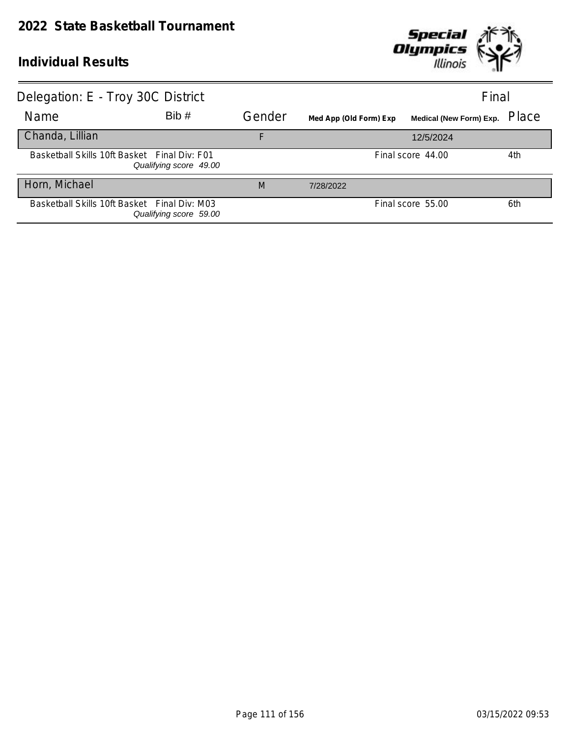

| Delegation: E - Troy 30C District            |                        |        |                        | Final                   |       |
|----------------------------------------------|------------------------|--------|------------------------|-------------------------|-------|
| Name                                         | Bib#                   | Gender | Med App (Old Form) Exp | Medical (New Form) Exp. | Place |
| Chanda, Lillian                              |                        | F      |                        | 12/5/2024               |       |
| Basketball Skills 10ft Basket Final Div: F01 | Qualifying score 49.00 |        |                        | Final score 44.00       | 4th   |
| Horn, Michael                                |                        | M      | 7/28/2022              |                         |       |
| Basketball Skills 10ft Basket Final Div: M03 | Qualifying score 59.00 |        |                        | Final score 55.00       | 6th   |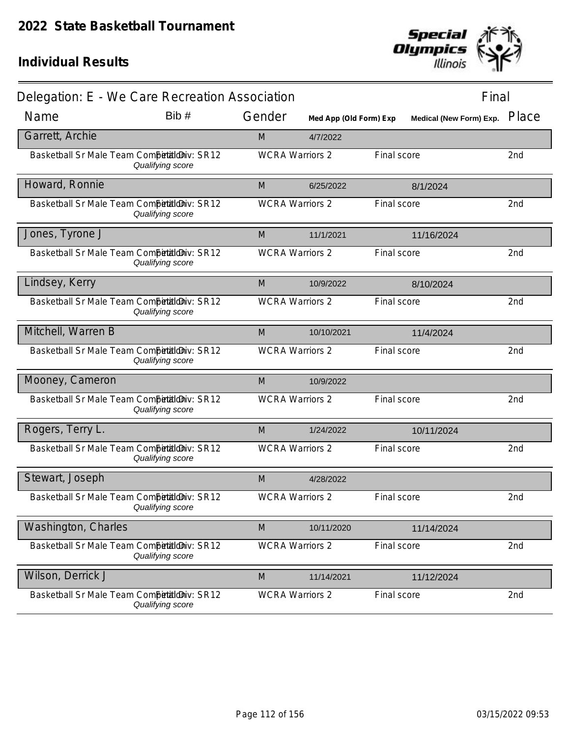

| Delegation: E - We Care Recreation Association |                  |                        |                        |             | Final                   |       |
|------------------------------------------------|------------------|------------------------|------------------------|-------------|-------------------------|-------|
| Name                                           | Bib #            | Gender                 | Med App (Old Form) Exp |             | Medical (New Form) Exp. | Place |
| Garrett, Archie                                |                  | M                      | 4/7/2022               |             |                         |       |
| Basketball Sr Male Team Competitioniv: SR12    | Qualifying score | <b>WCRA Warriors 2</b> |                        | Final score |                         | 2nd   |
| Howard, Ronnie                                 |                  | M                      | 6/25/2022              |             | 8/1/2024                |       |
| Basketball Sr Male Team Competitilo iv: SR12   | Qualifying score | <b>WCRA Warriors 2</b> |                        | Final score |                         | 2nd   |
| Jones, Tyrone J                                |                  | M                      | 11/1/2021              |             | 11/16/2024              |       |
| Basketball Sr Male Team Competitioniv: SR12    | Qualifying score | <b>WCRA Warriors 2</b> |                        | Final score |                         | 2nd   |
| Lindsey, Kerry                                 |                  | M                      | 10/9/2022              |             | 8/10/2024               |       |
| Basketball Sr Male Team Competitioniv: SR12    | Qualifying score | <b>WCRA Warriors 2</b> |                        | Final score |                         | 2nd   |
| Mitchell, Warren B                             |                  | M                      | 10/10/2021             |             | 11/4/2024               |       |
| Basketball Sr Male Team Competitioniv: SR12    | Qualifying score | <b>WCRA Warriors 2</b> |                        | Final score |                         | 2nd   |
| Mooney, Cameron                                |                  | M                      | 10/9/2022              |             |                         |       |
| Basketball Sr Male Team Competitioniv: SR12    | Qualifying score | <b>WCRA Warriors 2</b> |                        | Final score |                         | 2nd   |
| Rogers, Terry L.                               |                  | M                      | 1/24/2022              |             | 10/11/2024              |       |
| Basketball Sr Male Team Competitioniv: SR12    | Qualifying score | <b>WCRA Warriors 2</b> |                        | Final score |                         | 2nd   |
| Stewart, Joseph                                |                  | M                      | 4/28/2022              |             |                         |       |
| Basketball Sr Male Team Competitioniv: SR12    | Qualifying score | <b>WCRA Warriors 2</b> |                        | Final score |                         | 2nd   |
| Washington, Charles                            |                  | M                      | 10/11/2020             |             | 11/14/2024              |       |
| Basketball Sr Male Team Competitioniv: SR12    | Qualifying score | <b>WCRA Warriors 2</b> |                        | Final score |                         | 2nd   |
| Wilson, Derrick J                              |                  | M                      | 11/14/2021             |             | 11/12/2024              |       |
| Basketball Sr Male Team Competitioniv: SR12    | Qualifying score | <b>WCRA Warriors 2</b> |                        | Final score |                         | 2nd   |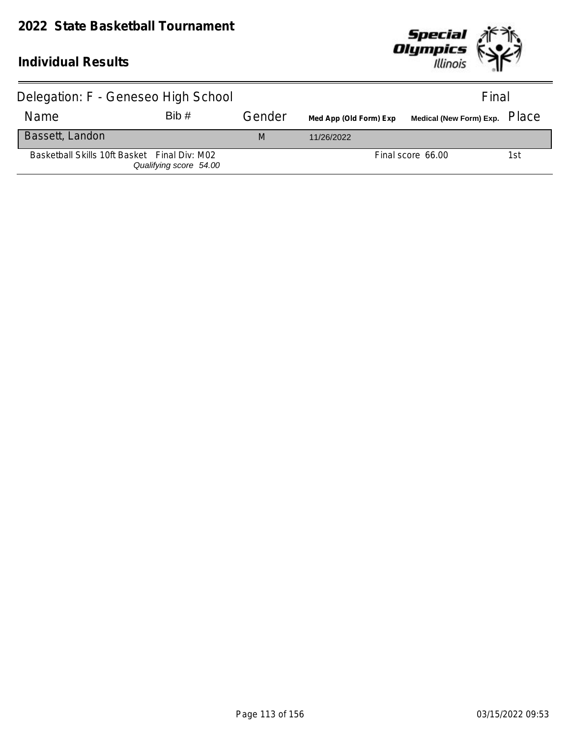

| Delegation: F - Geneseo High School          |                        |        |                        | Final                                                      |     |
|----------------------------------------------|------------------------|--------|------------------------|------------------------------------------------------------|-----|
| Name                                         | Bib#                   | Gender | Med App (Old Form) Exp | Medical (New Form) Exp. $\,$ $\rm \Gamma$ $\rm \Gamma dCe$ |     |
| Bassett, Landon                              |                        | M      | 11/26/2022             |                                                            |     |
| Basketball Skills 10ft Basket Final Div: M02 | Qualifying score 54.00 |        |                        | Final score 66.00                                          | 1st |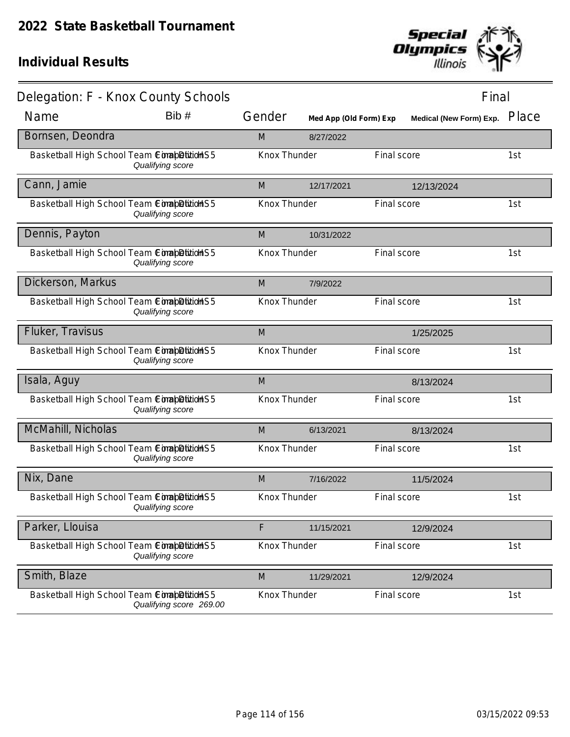

| Delegation: F - Knox County Schools        |                         |                     |                        |             | Final                          |       |
|--------------------------------------------|-------------------------|---------------------|------------------------|-------------|--------------------------------|-------|
| Name                                       | Bib#                    | Gender              | Med App (Old Form) Exp |             | <b>Medical (New Form) Exp.</b> | Place |
| Bornsen, Deondra                           |                         | M                   | 8/27/2022              |             |                                |       |
| Basketball High School Team ComapDition S5 | Qualifying score        | Knox Thunder        |                        | Final score |                                | 1st   |
| Cann, Jamie                                |                         | M                   | 12/17/2021             |             | 12/13/2024                     |       |
| Basketball High School Team ComapDitionHS5 | Qualifying score        | Knox Thunder        |                        | Final score |                                | 1st   |
| Dennis, Payton                             |                         | M                   | 10/31/2022             |             |                                |       |
| Basketball High School Team ComapDitionHS5 | Qualifying score        | Knox Thunder        |                        | Final score |                                | 1st   |
| Dickerson, Markus                          |                         | M                   | 7/9/2022               |             |                                |       |
| Basketball High School Team ConabDition S5 | Qualifying score        | Knox Thunder        |                        | Final score |                                | 1st   |
| Fluker, Travisus                           |                         | M                   |                        |             | 1/25/2025                      |       |
| Basketball High School Team ComapDitionHS5 | Qualifying score        | Knox Thunder        |                        | Final score |                                | 1st   |
| Isala, Aguy                                |                         | M                   |                        |             | 8/13/2024                      |       |
| Basketball High School Team ConabDitidHS5  | Qualifying score        | Knox Thunder        |                        | Final score |                                | 1st   |
| McMahill, Nicholas                         |                         | M                   | 6/13/2021              |             | 8/13/2024                      |       |
| Basketball High School Team ComapDitionHS5 | Qualifying score        | <b>Knox Thunder</b> |                        | Final score |                                | 1st   |
| Nix, Dane                                  |                         | M                   | 7/16/2022              |             | 11/5/2024                      |       |
| Basketball High School Team CorapDition S5 | Qualifying score        | Knox Thunder        |                        | Final score |                                | 1st   |
| Parker, Llouisa                            |                         | F                   | 11/15/2021             |             | 12/9/2024                      |       |
| Basketball High School Team ComapDitionHS5 | Qualifying score        | Knox Thunder        |                        | Final score |                                | 1st   |
| Smith, Blaze                               |                         | M                   | 11/29/2021             |             | 12/9/2024                      |       |
| Basketball High School Team ConabDition S5 | Qualifying score 269.00 | Knox Thunder        |                        | Final score |                                | 1st   |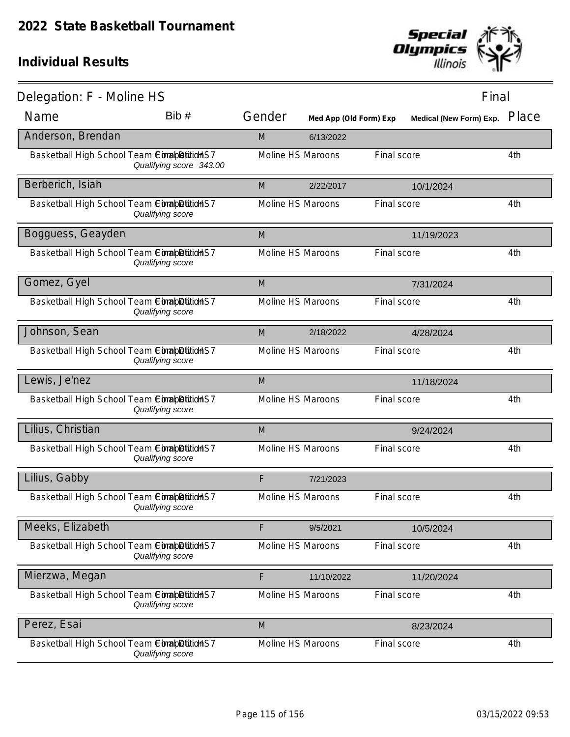

| Delegation: F - Moline HS                  |                         |                   |                        |             | Final                   |       |
|--------------------------------------------|-------------------------|-------------------|------------------------|-------------|-------------------------|-------|
| Name                                       | Bib#                    | Gender            | Med App (Old Form) Exp |             | Medical (New Form) Exp. | Place |
| Anderson, Brendan                          |                         | M                 | 6/13/2022              |             |                         |       |
| Basketball High School Team ComapDition S7 | Qualifying score 343.00 | Moline HS Maroons |                        | Final score |                         | 4th   |
| Berberich, Isiah                           |                         | M                 | 2/22/2017              |             | 10/1/2024               |       |
| Basketball High School Team ComapDitionHS7 | Qualifying score        | Moline HS Maroons |                        | Final score |                         | 4th   |
| Bogguess, Geayden                          |                         | M                 |                        |             | 11/19/2023              |       |
| Basketball High School Team ComapDitionHS7 | Qualifying score        | Moline HS Maroons |                        | Final score |                         | 4th   |
| Gomez, Gyel                                |                         | M                 |                        |             | 7/31/2024               |       |
| Basketball High School Team ComapDitionHS7 | Qualifying score        | Moline HS Maroons |                        | Final score |                         | 4th   |
| Johnson, Sean                              |                         | M                 | 2/18/2022              |             | 4/28/2024               |       |
| Basketball High School Team ComapDitidHS7  | Qualifying score        | Moline HS Maroons |                        | Final score |                         | 4th   |
| Lewis, Je'nez                              |                         | M                 |                        |             | 11/18/2024              |       |
| Basketball High School Team ComapDitionHS7 | Qualifying score        | Moline HS Maroons |                        | Final score |                         | 4th   |
| Lilius, Christian                          |                         | M                 |                        |             | 9/24/2024               |       |
| Basketball High School Team CimabDitidHS7  | Qualifying score        | Moline HS Maroons |                        | Final score |                         | 4th   |
| Lilius, Gabby                              |                         | F                 | 7/21/2023              |             |                         |       |
| Basketball High School Team ComapDitionHS7 | Qualifying score        | Moline HS Maroons |                        | Final score |                         | 4th   |
| Meeks, Elizabeth                           |                         | F                 | 9/5/2021               |             | 10/5/2024               |       |
| Basketball High School Team ComapDition S7 | Qualifying score        | Moline HS Maroons |                        | Final score |                         | 4th   |
| Mierzwa, Megan                             |                         | F                 | 11/10/2022             |             | 11/20/2024              |       |
| Basketball High School Team ComapDitionHS7 | Qualifying score        | Moline HS Maroons |                        | Final score |                         | 4th   |
| Perez, Esai                                |                         | M                 |                        |             | 8/23/2024               |       |
| Basketball High School Team CimabDitidHS7  | Qualifying score        | Moline HS Maroons |                        | Final score |                         | 4th   |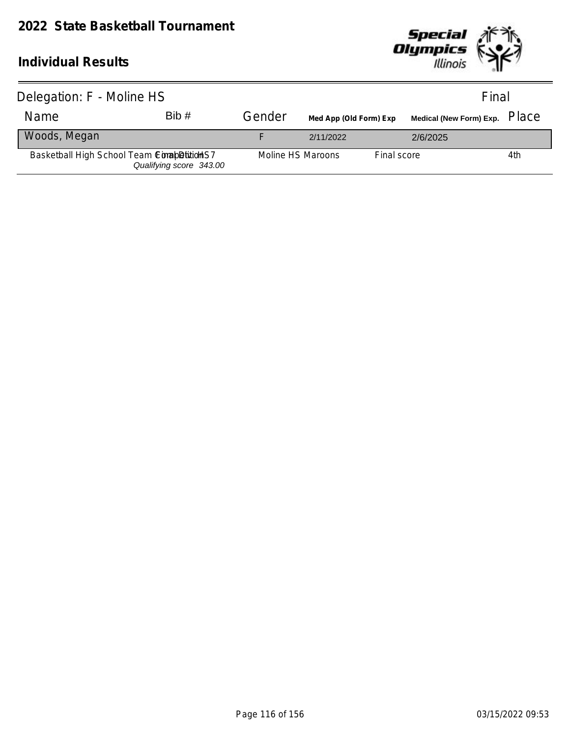

| Delegation: F - Moline HS                   |                         |                   |                        |             | Final                                |     |
|---------------------------------------------|-------------------------|-------------------|------------------------|-------------|--------------------------------------|-----|
| Name                                        | Bib#                    | Gender            | Med App (Old Form) Exp |             | Medical (New Form) Exp. PlaC $\rm e$ |     |
| Woods, Megan                                |                         |                   | 2/11/2022              |             | 2/6/2025                             |     |
| Basketball High School Team Completition S7 | Qualifying score 343.00 | Moline HS Maroons |                        | Final score |                                      | 4th |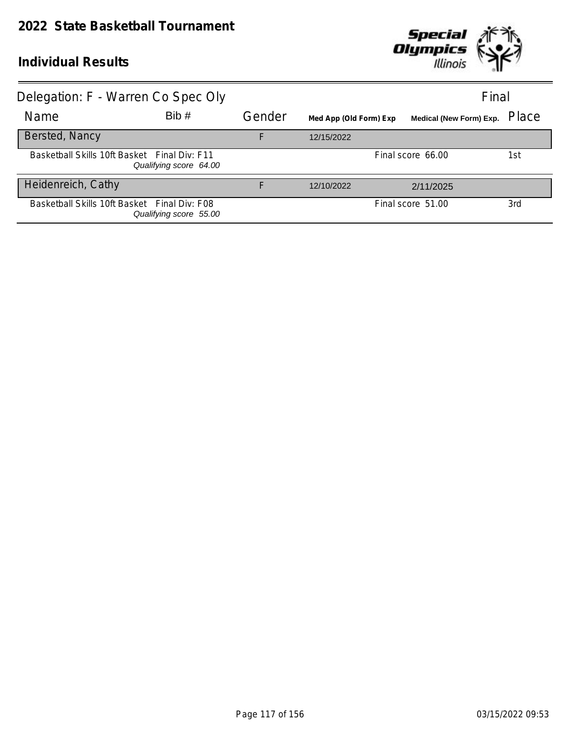

| Delegation: F - Warren Co Spec Oly           |                        |        |                        |                                | Final |
|----------------------------------------------|------------------------|--------|------------------------|--------------------------------|-------|
| Name                                         | Bib#                   | Gender | Med App (Old Form) Exp | <b>Medical (New Form) Exp.</b> | Place |
| Bersted, Nancy                               |                        | F      | 12/15/2022             |                                |       |
| Basketball Skills 10ft Basket Final Div: F11 | Qualifying score 64.00 |        |                        | Final score 66.00              | 1st   |
| Heidenreich, Cathy                           |                        | F      | 12/10/2022             | 2/11/2025                      |       |
| Basketball Skills 10ft Basket Final Div: F08 | Qualifying score 55.00 |        |                        | Final score 51.00              | 3rd   |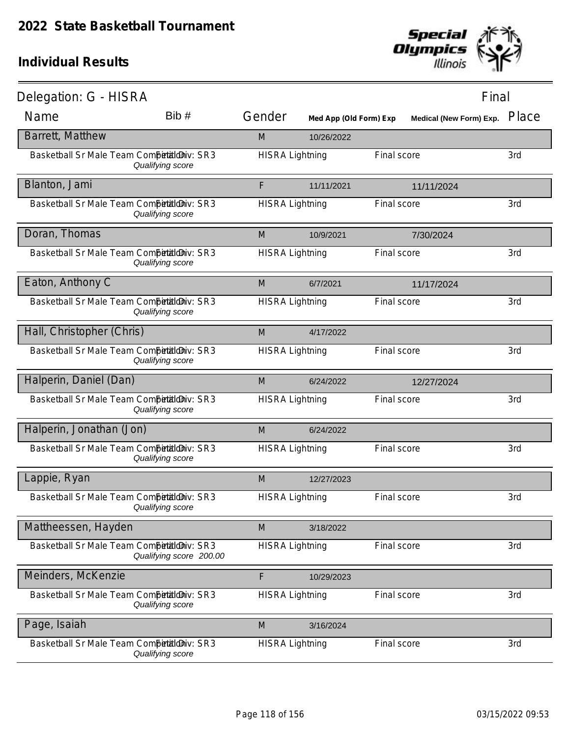

| Delegation: G - HISRA                      |                         |                        |                        |             | Final                          |       |
|--------------------------------------------|-------------------------|------------------------|------------------------|-------------|--------------------------------|-------|
| Name                                       | Bib #                   | Gender                 | Med App (Old Form) Exp |             | <b>Medical (New Form) Exp.</b> | Place |
| Barrett, Matthew                           |                         | M                      | 10/26/2022             |             |                                |       |
| Basketball Sr Male Team Competitioniv: SR3 | Qualifying score        | <b>HISRA Lightning</b> |                        | Final score |                                | 3rd   |
| Blanton, Jami                              |                         | F                      | 11/11/2021             |             | 11/11/2024                     |       |
| Basketball Sr Male Team Competitioniv: SR3 | Qualifying score        | <b>HISRA Lightning</b> |                        | Final score |                                | 3rd   |
| Doran, Thomas                              |                         | M                      | 10/9/2021              |             | 7/30/2024                      |       |
| Basketball Sr Male Team Competitioniv: SR3 | Qualifying score        | <b>HISRA Lightning</b> |                        | Final score |                                | 3rd   |
| Eaton, Anthony C                           |                         | M                      | 6/7/2021               |             | 11/17/2024                     |       |
| Basketball Sr Male Team Competitioniv: SR3 | Qualifying score        | <b>HISRA Lightning</b> |                        | Final score |                                | 3rd   |
| Hall, Christopher (Chris)                  |                         | M                      | 4/17/2022              |             |                                |       |
| Basketball Sr Male Team Competitioniv: SR3 | Qualifying score        | <b>HISRA Lightning</b> |                        | Final score |                                | 3rd   |
| Halperin, Daniel (Dan)                     |                         | M                      | 6/24/2022              |             | 12/27/2024                     |       |
| Basketball Sr Male Team CompetaldDiv: SR3  | Qualifying score        | <b>HISRA Lightning</b> |                        | Final score |                                | 3rd   |
| Halperin, Jonathan (Jon)                   |                         | M                      | 6/24/2022              |             |                                |       |
| Basketball Sr Male Team Competitioniv: SR3 | Qualifying score        | <b>HISRA Lightning</b> |                        | Final score |                                | 3rd   |
| Lappie, Ryan                               |                         | M                      | 12/27/2023             |             |                                |       |
| Basketball Sr Male Team Competitioniv: SR3 | Qualifying score        | <b>HISRA Lightning</b> |                        | Final score |                                | 3rd   |
| Mattheessen, Hayden                        |                         | M                      | 3/18/2022              |             |                                |       |
| Basketball Sr Male Team Competitioniv: SR3 | Qualifying score 200.00 | <b>HISRA Lightning</b> |                        | Final score |                                | 3rd   |
| Meinders, McKenzie                         |                         | F                      | 10/29/2023             |             |                                |       |
| Basketball Sr Male Team Competitioniv: SR3 | Qualifying score        | <b>HISRA Lightning</b> |                        | Final score |                                | 3rd   |
| Page, Isaiah                               |                         | M                      | 3/16/2024              |             |                                |       |
| Basketball Sr Male Team Competitioniv: SR3 | Qualifying score        | <b>HISRA Lightning</b> |                        | Final score |                                | 3rd   |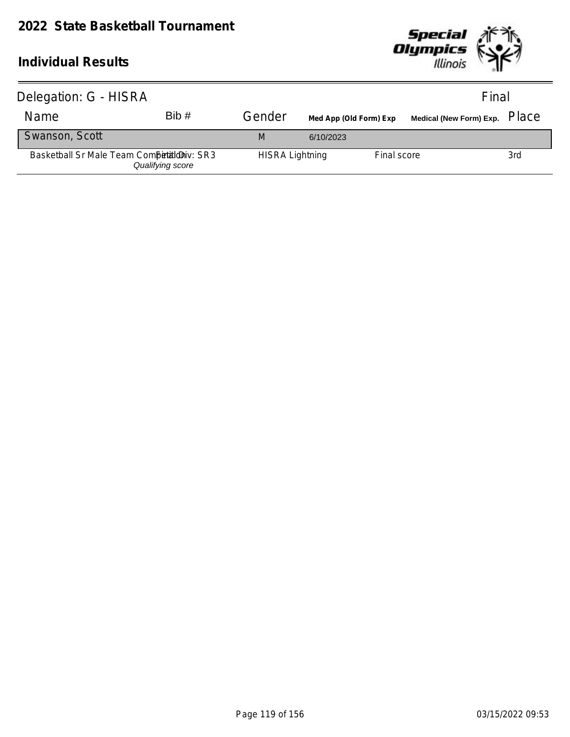

| Delegation: G - HISRA                      |                  |                        |                        |             | Final                                                        |     |
|--------------------------------------------|------------------|------------------------|------------------------|-------------|--------------------------------------------------------------|-----|
| Name                                       | Bib#             | Gender                 | Med App (Old Form) Exp |             | Medical (New Form) Exp. $\left\vert \text{Place}\right\vert$ |     |
| Swanson, Scott                             |                  | M                      | 6/10/2023              |             |                                                              |     |
| Basketball Sr Male Team Competition v: SR3 | Qualifying score | <b>HISRA Lightning</b> |                        | Final score |                                                              | 3rd |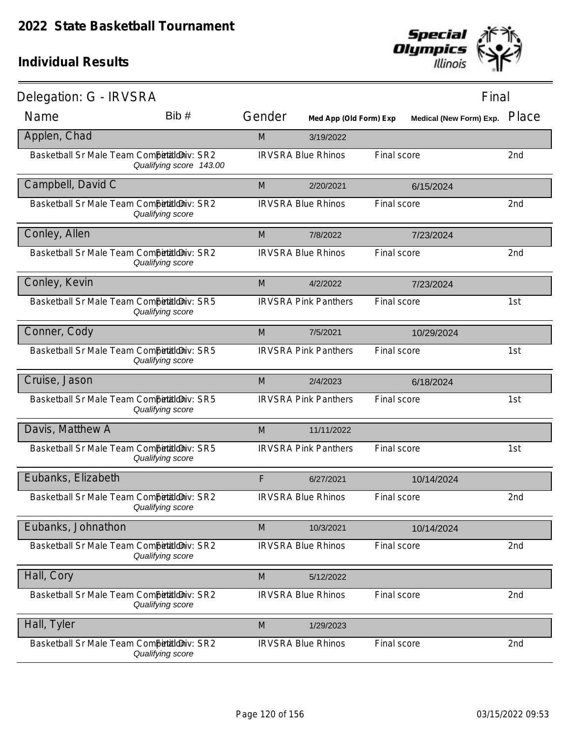

| Delegation: G - IRVSRA                      |                         |        |                             |             | Final                   |       |
|---------------------------------------------|-------------------------|--------|-----------------------------|-------------|-------------------------|-------|
| Name                                        | Bib#                    | Gender | Med App (Old Form) Exp      |             | Medical (New Form) Exp. | Place |
| Applen, Chad                                |                         | M      | 3/19/2022                   |             |                         |       |
| Basketball Sr Male Team Competitioniv: SR2  | Qualifying score 143.00 |        | <b>IRVSRA Blue Rhinos</b>   | Final score |                         | 2nd   |
| Campbell, David C                           |                         | M      | 2/20/2021                   |             | 6/15/2024               |       |
| Basketball Sr Male Team Competitioniv: SR2  | Qualifying score        |        | <b>IRVSRA Blue Rhinos</b>   | Final score |                         | 2nd   |
| Conley, Allen                               |                         | M      | 7/8/2022                    |             | 7/23/2024               |       |
| Basketball Sr Male Team Competitioniv: SR2  | Qualifying score        |        | <b>IRVSRA Blue Rhinos</b>   | Final score |                         | 2nd   |
| Conley, Kevin                               |                         | M      | 4/2/2022                    |             | 7/23/2024               |       |
| Basketball Sr Male Team Competitioniv: SR5  | Qualifying score        |        | <b>IRVSRA Pink Panthers</b> | Final score |                         | 1st   |
| Conner, Cody                                |                         | M      | 7/5/2021                    |             | 10/29/2024              |       |
| Basketball Sr Male Team Competitioniv: SR5  | Qualifying score        |        | <b>IRVSRA Pink Panthers</b> | Final score |                         | 1st   |
| Cruise, Jason                               |                         | M      | 2/4/2023                    |             | 6/18/2024               |       |
| Basketball Sr Male Team CompetialdDiv: SR5  | Qualifying score        |        | <b>IRVSRA Pink Panthers</b> | Final score |                         | 1st   |
| Davis, Matthew A                            |                         | M      | 11/11/2022                  |             |                         |       |
| Basketball Sr Male Team Competitiloniv: SR5 | Qualifying score        |        | <b>IRVSRA Pink Panthers</b> | Final score |                         | 1st   |
| Eubanks, Elizabeth                          |                         | F      | 6/27/2021                   |             | 10/14/2024              |       |
| Basketball Sr Male Team Competitioniv: SR2  | Qualifying score        |        | <b>IRVSRA Blue Rhinos</b>   | Final score |                         | 2nd   |
| Eubanks, Johnathon                          |                         | M      | 10/3/2021                   |             | 10/14/2024              |       |
| Basketball Sr Male Team Competitioniv: SR2  | Qualifying score        |        | <b>IRVSRA Blue Rhinos</b>   | Final score |                         | 2nd   |
| Hall, Cory                                  |                         | M      | 5/12/2022                   |             |                         |       |
| Basketball Sr Male Team CompetialdDiv: SR2  | Qualifying score        |        | <b>IRVSRA Blue Rhinos</b>   | Final score |                         | 2nd   |
| Hall, Tyler                                 |                         | M      | 1/29/2023                   |             |                         |       |
| Basketball Sr Male Team Competitioniv: SR2  | Qualifying score        |        | <b>IRVSRA Blue Rhinos</b>   | Final score |                         | 2nd   |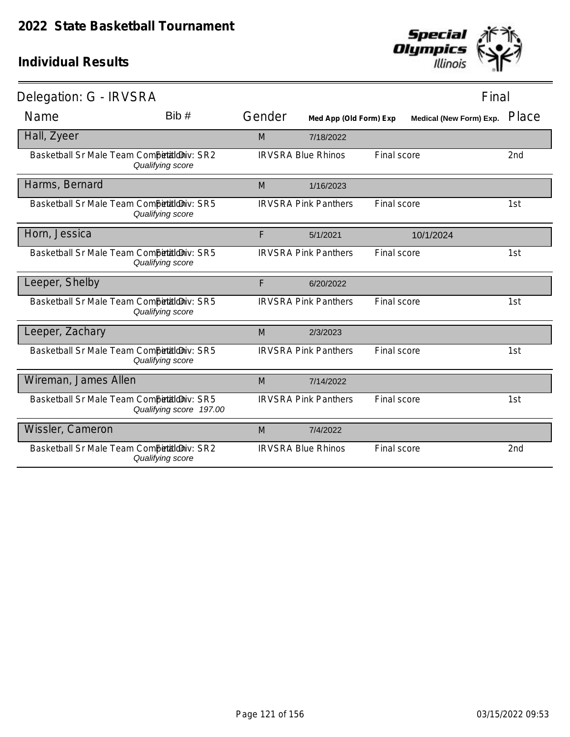

| Delegation: G - IRVSRA                     |                         |        |                             |             | Final                   |                 |
|--------------------------------------------|-------------------------|--------|-----------------------------|-------------|-------------------------|-----------------|
| Name                                       | Bib #                   | Gender | Med App (Old Form) Exp      |             | Medical (New Form) Exp. | Place           |
| Hall, Zyeer                                |                         | M      | 7/18/2022                   |             |                         |                 |
| Basketball Sr Male Team Competitioniv: SR2 | Qualifying score        |        | <b>IRVSRA Blue Rhinos</b>   | Final score |                         | 2 <sub>nd</sub> |
| Harms, Bernard                             |                         | M      | 1/16/2023                   |             |                         |                 |
| Basketball Sr Male Team Competitioniv: SR5 | Qualifying score        |        | <b>IRVSRA Pink Panthers</b> | Final score |                         | 1st             |
| Horn, Jessica                              |                         | F      | 5/1/2021                    |             | 10/1/2024               |                 |
| Basketball Sr Male Team Competitioniv: SR5 | Qualifying score        |        | <b>IRVSRA Pink Panthers</b> | Final score |                         | 1st             |
| Leeper, Shelby                             |                         | F      | 6/20/2022                   |             |                         |                 |
| Basketball Sr Male Team Competitioniv: SR5 | Qualifying score        |        | <b>IRVSRA Pink Panthers</b> | Final score |                         | 1st             |
| Leeper, Zachary                            |                         | M      | 2/3/2023                    |             |                         |                 |
| Basketball Sr Male Team Competitioniv: SR5 | Qualifying score        |        | <b>IRVSRA Pink Panthers</b> | Final score |                         | 1st             |
| Wireman, James Allen                       |                         | M      | 7/14/2022                   |             |                         |                 |
| Basketball Sr Male Team Competitioniv: SR5 | Qualifying score 197.00 |        | <b>IRVSRA Pink Panthers</b> | Final score |                         | 1st             |
| Wissler, Cameron                           |                         | M      | 7/4/2022                    |             |                         |                 |
| Basketball Sr Male Team Competitioniv: SR2 | Qualifying score        |        | <b>IRVSRA Blue Rhinos</b>   | Final score |                         | 2 <sub>nd</sub> |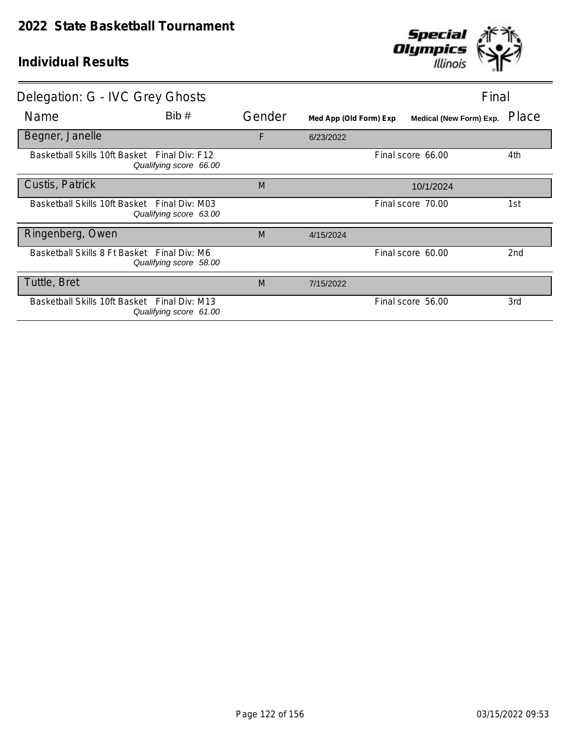

| Delegation: G - IVC Grey Ghosts              |                                          |        |                        |                         | Final |
|----------------------------------------------|------------------------------------------|--------|------------------------|-------------------------|-------|
| Name                                         | Bib#                                     | Gender | Med App (Old Form) Exp | Medical (New Form) Exp. | Place |
| Begner, Janelle                              |                                          | F      | 6/23/2022              |                         |       |
| Basketball Skills 10ft Basket Final Div: F12 | Qualifying score 66.00                   |        |                        | Final score 66.00       | 4th   |
| Custis, Patrick                              |                                          | M      |                        | 10/1/2024               |       |
| Basketball Skills 10ft Basket Final Div: M03 | Qualifying score 63.00                   |        |                        | Final score 70.00       | 1st   |
| Ringenberg, Owen                             |                                          | M      | 4/15/2024              |                         |       |
| Basketball Skills 8 Ft Basket Final Div: M6  | Qualifying score 58.00                   |        |                        | Final score 60.00       | 2nd   |
| Tuttle, Bret                                 |                                          | M      | 7/15/2022              |                         |       |
| Basketball Skills 10ft Basket                | Final Div: M13<br>Qualifying score 61.00 |        |                        | Final score 56.00       | 3rd   |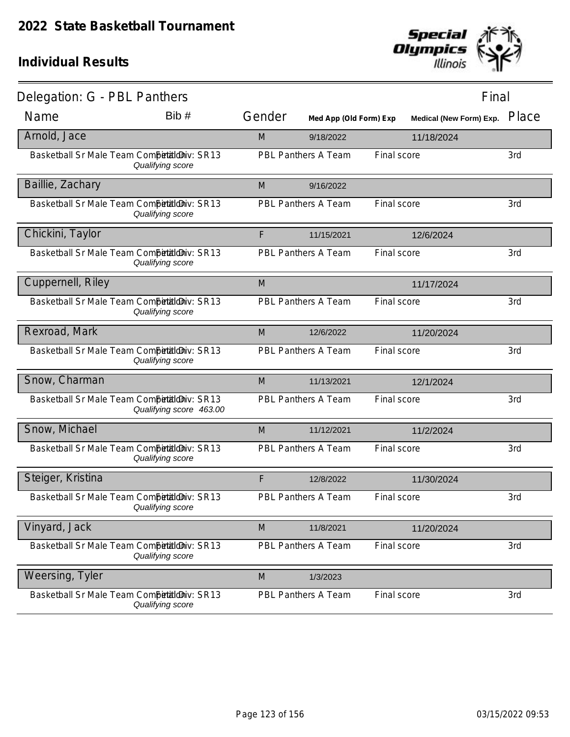

| Delegation: G - PBL Panthers                |                         |        |                            |             | Final                          |       |
|---------------------------------------------|-------------------------|--------|----------------------------|-------------|--------------------------------|-------|
| Name                                        | Bib#                    | Gender | Med App (Old Form) Exp     |             | <b>Medical (New Form) Exp.</b> | Place |
| Arnold, Jace                                |                         | M      | 9/18/2022                  |             | 11/18/2024                     |       |
| Basketball Sr Male Team Competitioniv: SR13 | Qualifying score        |        | PBL Panthers A Team        | Final score |                                | 3rd   |
| Baillie, Zachary                            |                         | M      | 9/16/2022                  |             |                                |       |
| Basketball Sr Male Team Competitioniv: SR13 | Qualifying score        |        | PBL Panthers A Team        | Final score |                                | 3rd   |
| Chickini, Taylor                            |                         | F      | 11/15/2021                 |             | 12/6/2024                      |       |
| Basketball Sr Male Team Competitioniv: SR13 | Qualifying score        |        | PBL Panthers A Team        | Final score |                                | 3rd   |
| Cuppernell, Riley                           |                         | M      |                            |             | 11/17/2024                     |       |
| Basketball Sr Male Team Competitioniv: SR13 | Qualifying score        |        | PBL Panthers A Team        | Final score |                                | 3rd   |
| Rexroad, Mark                               |                         | M      | 12/6/2022                  |             | 11/20/2024                     |       |
| Basketball Sr Male Team Competitioniv: SR13 | Qualifying score        |        | PBL Panthers A Team        | Final score |                                | 3rd   |
| Snow, Charman                               |                         | M      | 11/13/2021                 |             | 12/1/2024                      |       |
| Basketball Sr Male Team Competitioniv: SR13 | Qualifying score 463.00 |        | PBL Panthers A Team        | Final score |                                | 3rd   |
| Snow, Michael                               |                         | M      | 11/12/2021                 |             | 11/2/2024                      |       |
| Basketball Sr Male Team CompetaldDiv: SR13  | Qualifying score        |        | PBL Panthers A Team        | Final score |                                | 3rd   |
| Steiger, Kristina                           |                         | F      | 12/8/2022                  |             | 11/30/2024                     |       |
| Basketball Sr Male Team Competitioniv: SR13 | Qualifying score        |        | PBL Panthers A Team        | Final score |                                | 3rd   |
| Vinyard, Jack                               |                         | M      | 11/8/2021                  |             | 11/20/2024                     |       |
| Basketball Sr Male Team Competitioniv: SR13 | Qualifying score        |        | PBL Panthers A Team        | Final score |                                | 3rd   |
| Weersing, Tyler                             |                         | M      | 1/3/2023                   |             |                                |       |
| Basketball Sr Male Team Competitioniv: SR13 | Qualifying score        |        | <b>PBL Panthers A Team</b> | Final score |                                | 3rd   |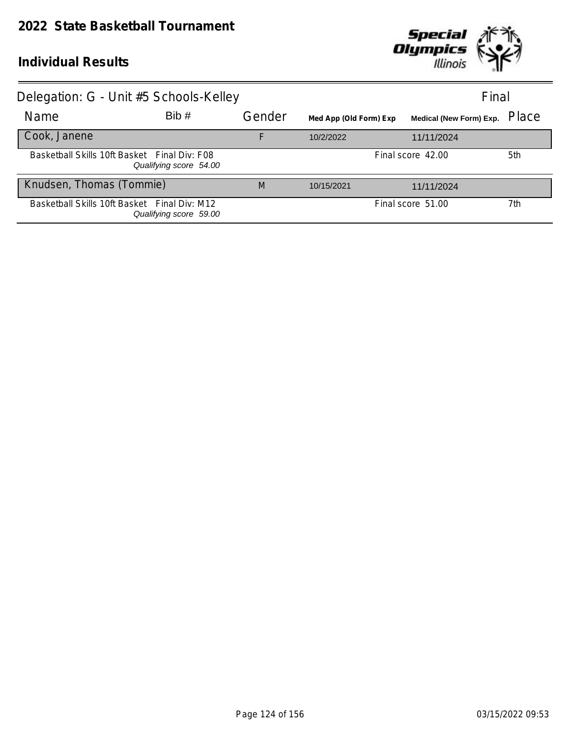

| Delegation: G - Unit #5 Schools-Kelley       |                        |        |                        |                                | Final |
|----------------------------------------------|------------------------|--------|------------------------|--------------------------------|-------|
| Name                                         | Bib#                   | Gender | Med App (Old Form) Exp | <b>Medical (New Form) Exp.</b> | Place |
| Cook, Janene                                 |                        | F      | 10/2/2022              | 11/11/2024                     |       |
| Basketball Skills 10ft Basket Final Div: F08 | Qualifying score 54.00 |        |                        | Final score 42.00              | 5th   |
| Knudsen, Thomas (Tommie)                     |                        | M      | 10/15/2021             | 11/11/2024                     |       |
| Basketball Skills 10ft Basket Final Div: M12 | Qualifying score 59.00 |        |                        | Final score 51.00              | 7th   |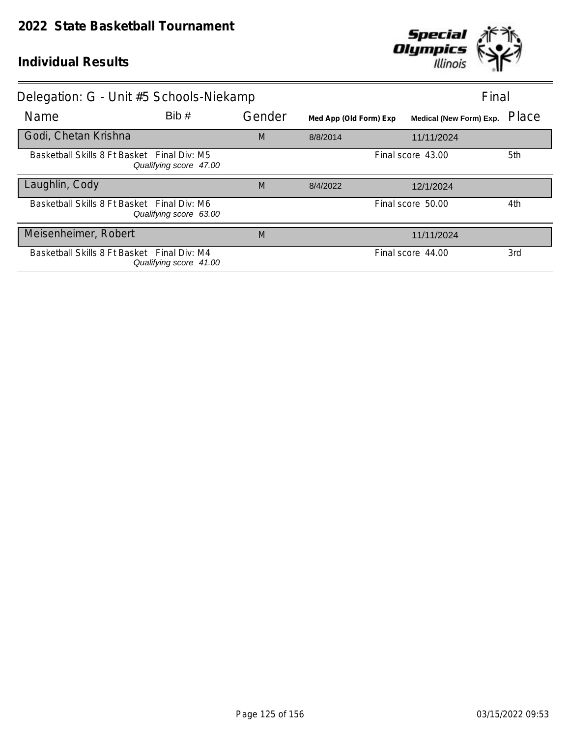

| Delegation: G - Unit #5 Schools-Niekamp     |                        |        |                        | Final                   |       |
|---------------------------------------------|------------------------|--------|------------------------|-------------------------|-------|
| Name                                        | Bib#                   | Gender | Med App (Old Form) Exp | Medical (New Form) Exp. | Place |
| Godi, Chetan Krishna                        |                        | M      | 8/8/2014               | 11/11/2024              |       |
| Basketball Skills 8 Ft Basket Final Div: M5 | Qualifying score 47.00 |        |                        | Final score 43.00       | 5th   |
| Laughlin, Cody                              |                        | M      | 8/4/2022               | 12/1/2024               |       |
| Basketball Skills 8 Ft Basket Final Div: M6 | Qualifying score 63.00 |        |                        | Final score 50.00       | 4th   |
| Meisenheimer, Robert                        |                        | M      |                        | 11/11/2024              |       |
| Basketball Skills 8 Ft Basket Final Div: M4 | Qualifying score 41.00 |        |                        | Final score 44.00       | 3rd   |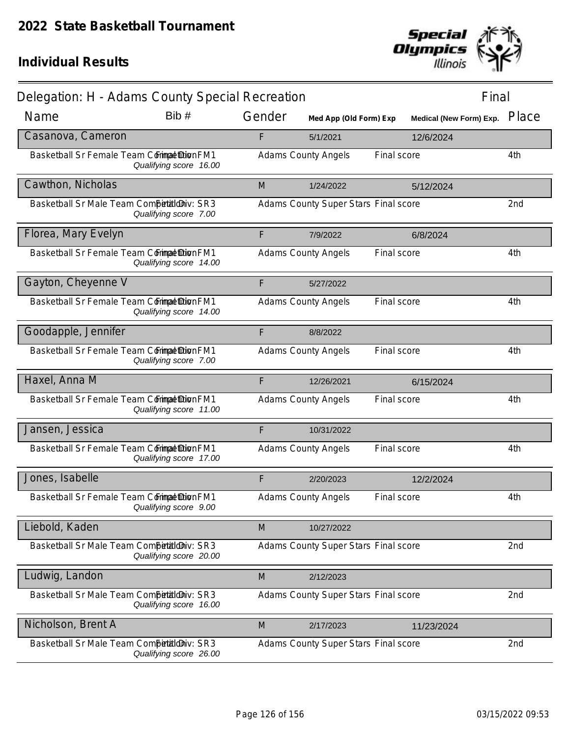

| Delegation: H - Adams County Special Recreation |                        |        |                                      |             | Final                   |       |
|-------------------------------------------------|------------------------|--------|--------------------------------------|-------------|-------------------------|-------|
| Name                                            | Bib #                  | Gender | Med App (Old Form) Exp               |             | Medical (New Form) Exp. | Place |
| Casanova, Cameron                               |                        | F      | 5/1/2021                             |             | 12/6/2024               |       |
| Basketball Sr Female Team Commat Dion FM1       | Qualifying score 16.00 |        | <b>Adams County Angels</b>           | Final score |                         | 4th   |
| Cawthon, Nicholas                               |                        | M      | 1/24/2022                            |             | 5/12/2024               |       |
| Basketball Sr Male Team Competitioniv: SR3      | Qualifying score 7.00  |        | Adams County Super Stars Final score |             |                         | 2nd   |
| Florea, Mary Evelyn                             |                        | F      | 7/9/2022                             |             | 6/8/2024                |       |
| Basketball Sr Female Team Commat Dion FM1       | Qualifying score 14.00 |        | <b>Adams County Angels</b>           | Final score |                         | 4th   |
| Gayton, Cheyenne V                              |                        | F      | 5/27/2022                            |             |                         |       |
| Basketball Sr Female Team Commat Dion FM1       | Qualifying score 14.00 |        | <b>Adams County Angels</b>           | Final score |                         | 4th   |
| Goodapple, Jennifer                             |                        | F      | 8/8/2022                             |             |                         |       |
| Basketball Sr Female Team Commat Dion FM1       | Qualifying score 7.00  |        | <b>Adams County Angels</b>           | Final score |                         | 4th   |
| Haxel, Anna M                                   |                        | F      | 12/26/2021                           |             | 6/15/2024               |       |
| Basketball Sr Female Team Commat Dion FM1       | Qualifying score 11.00 |        | <b>Adams County Angels</b>           | Final score |                         | 4th   |
| Jansen, Jessica                                 |                        | F      | 10/31/2022                           |             |                         |       |
| Basketball Sr Female Team Commat Dion FM1       | Qualifying score 17.00 |        | <b>Adams County Angels</b>           | Final score |                         | 4th   |
| Jones, Isabelle                                 |                        | F      | 2/20/2023                            |             | 12/2/2024               |       |
| Basketball Sr Female Team Commat Dion FM1       | Qualifying score 9.00  |        | <b>Adams County Angels</b>           | Final score |                         | 4th   |
| Liebold, Kaden                                  |                        | M      | 10/27/2022                           |             |                         |       |
| Basketball Sr Male Team Competitioniv: SR3      | Qualifying score 20.00 |        | Adams County Super Stars Final score |             |                         | 2nd   |
| Ludwig, Landon                                  |                        | M      | 2/12/2023                            |             |                         |       |
| Basketball Sr Male Team Competitioniv: SR3      | Qualifying score 16.00 |        | Adams County Super Stars Final score |             |                         | 2nd   |
| Nicholson, Brent A                              |                        | M      | 2/17/2023                            |             | 11/23/2024              |       |
| Basketball Sr Male Team Competitioniv: SR3      | Qualifying score 26.00 |        | Adams County Super Stars Final score |             |                         | 2nd   |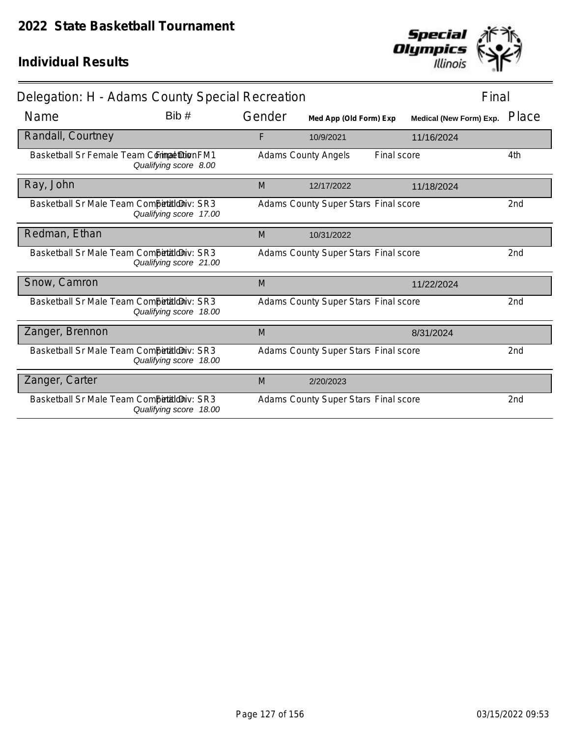

| Delegation: H - Adams County Special Recreation |                        |        |                                      |             | Final                   |                 |
|-------------------------------------------------|------------------------|--------|--------------------------------------|-------------|-------------------------|-----------------|
| Name                                            | Bib#                   | Gender | Med App (Old Form) Exp               |             | Medical (New Form) Exp. | Place           |
| Randall, Courtney                               |                        | F      | 10/9/2021                            |             | 11/16/2024              |                 |
| Basketball Sr Female Team Commat Dion FM1       | Qualifying score 8.00  |        | <b>Adams County Angels</b>           | Final score |                         | 4th             |
| Ray, John                                       |                        | M      | 12/17/2022                           |             | 11/18/2024              |                 |
| Basketball Sr Male Team Competitioniv: SR3      | Qualifying score 17.00 |        | Adams County Super Stars Final score |             |                         | 2 <sub>nd</sub> |
| Redman, Ethan                                   |                        | M      | 10/31/2022                           |             |                         |                 |
| Basketball Sr Male Team Competitioniv: SR3      | Qualifying score 21.00 |        | Adams County Super Stars Final score |             |                         | 2 <sub>nd</sub> |
| Snow, Camron                                    |                        | M      |                                      |             | 11/22/2024              |                 |
| Basketball Sr Male Team CompetialdDiv: SR3      | Qualifying score 18.00 |        | Adams County Super Stars Final score |             |                         | 2nd             |
| Zanger, Brennon                                 |                        | M      |                                      |             | 8/31/2024               |                 |
| Basketball Sr Male Team Competitioniv: SR3      | Qualifying score 18.00 |        | Adams County Super Stars Final score |             |                         | 2nd             |
| Zanger, Carter                                  |                        | M      | 2/20/2023                            |             |                         |                 |
| Basketball Sr Male Team Competitioniv: SR3      | Qualifying score 18.00 |        | Adams County Super Stars Final score |             |                         | 2nd             |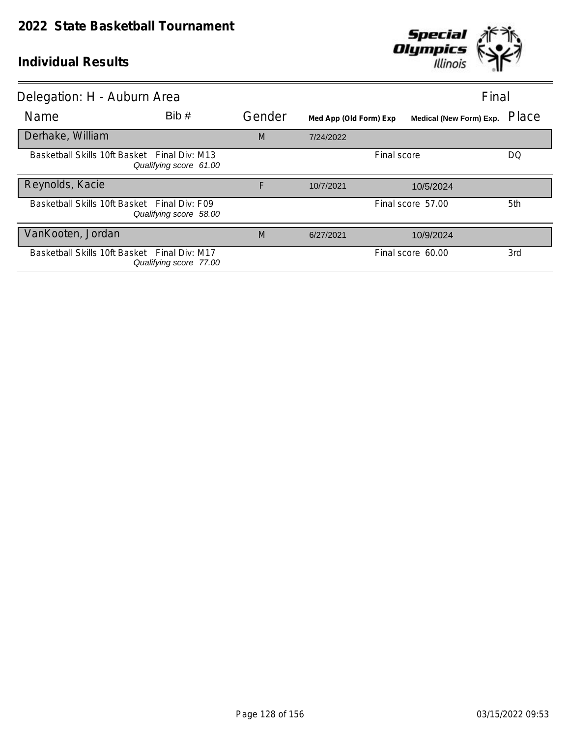

| Delegation: H - Auburn Area                  |                        |        |                        | Final                   |       |
|----------------------------------------------|------------------------|--------|------------------------|-------------------------|-------|
| Name                                         | Bib#                   | Gender | Med App (Old Form) Exp | Medical (New Form) Exp. | Place |
| Derhake, William                             |                        | M      | 7/24/2022              |                         |       |
| Basketball Skills 10ft Basket Final Div: M13 | Qualifying score 61.00 |        |                        | Final score             | DQ    |
| Reynolds, Kacie                              |                        | F      | 10/7/2021              | 10/5/2024               |       |
| Basketball Skills 10ft Basket Final Div: F09 | Qualifying score 58.00 |        |                        | Final score 57.00       | 5th   |
| VanKooten, Jordan                            |                        | M      | 6/27/2021              | 10/9/2024               |       |
| Basketball Skills 10ft Basket Final Div: M17 | Qualifying score 77.00 |        |                        | Final score 60.00       | 3rd   |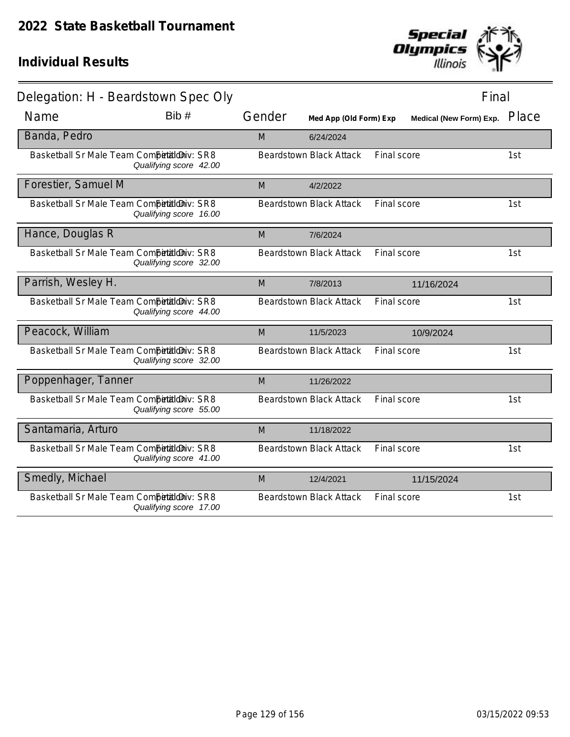

| Delegation: H - Beardstown Spec Oly        |                        |        |                                |             | Final                          |       |
|--------------------------------------------|------------------------|--------|--------------------------------|-------------|--------------------------------|-------|
| Name                                       | Bib#                   | Gender | Med App (Old Form) Exp         |             | <b>Medical (New Form) Exp.</b> | Place |
| Banda, Pedro                               |                        | M      | 6/24/2024                      |             |                                |       |
| Basketball Sr Male Team Competitioniv: SR8 | Qualifying score 42.00 |        | <b>Beardstown Black Attack</b> | Final score |                                | 1st   |
| Forestier, Samuel M                        |                        | M      | 4/2/2022                       |             |                                |       |
| Basketball Sr Male Team Competitioniv: SR8 | Qualifying score 16.00 |        | <b>Beardstown Black Attack</b> | Final score |                                | 1st   |
| Hance, Douglas R                           |                        | M      | 7/6/2024                       |             |                                |       |
| Basketball Sr Male Team Competitioniv: SR8 | Qualifying score 32.00 |        | <b>Beardstown Black Attack</b> | Final score |                                | 1st   |
| Parrish, Wesley H.                         |                        | M      | 7/8/2013                       |             | 11/16/2024                     |       |
| Basketball Sr Male Team Competitioniv: SR8 | Qualifying score 44.00 |        | <b>Beardstown Black Attack</b> | Final score |                                | 1st   |
| Peacock, William                           |                        | M      | 11/5/2023                      |             | 10/9/2024                      |       |
| Basketball Sr Male Team Competitioniv: SR8 | Qualifying score 32.00 |        | <b>Beardstown Black Attack</b> | Final score |                                | 1st   |
| Poppenhager, Tanner                        |                        | M      | 11/26/2022                     |             |                                |       |
| Basketball Sr Male Team Competitioniv: SR8 | Qualifying score 55.00 |        | <b>Beardstown Black Attack</b> | Final score |                                | 1st   |
| Santamaria, Arturo                         |                        | M      | 11/18/2022                     |             |                                |       |
| Basketball Sr Male Team Competitioniv: SR8 | Qualifying score 41.00 |        | <b>Beardstown Black Attack</b> | Final score |                                | 1st   |
| Smedly, Michael                            |                        | M      | 12/4/2021                      |             | 11/15/2024                     |       |
| Basketball Sr Male Team Competitioniv: SR8 | Qualifying score 17.00 |        | <b>Beardstown Black Attack</b> | Final score |                                | 1st   |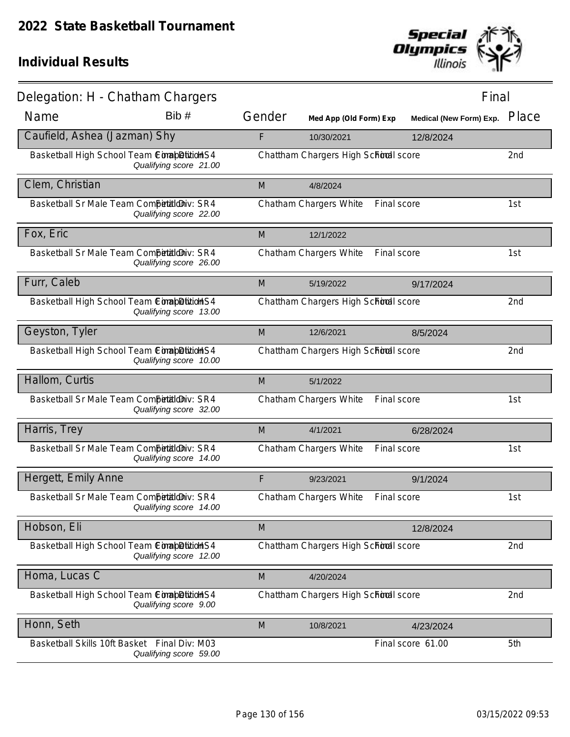

| Delegation: H - Chatham Chargers             |                        |        |                                       | Final                   |                 |
|----------------------------------------------|------------------------|--------|---------------------------------------|-------------------------|-----------------|
| Name                                         | Bib #                  | Gender | Med App (Old Form) Exp                | Medical (New Form) Exp. | Place           |
| Caufield, Ashea (Jazman) Shy                 |                        | F      | 10/30/2021                            | 12/8/2024               |                 |
| Basketball High School Team ComapDitionS4    | Qualifying score 21.00 |        | Chattham Chargers High School score   |                         | 2 <sub>nd</sub> |
| Clem, Christian                              |                        | M      | 4/8/2024                              |                         |                 |
| Basketball Sr Male Team Competitioniv: SR4   | Qualifying score 22.00 |        | Chatham Chargers White<br>Final score |                         | 1st             |
| Fox, Eric                                    |                        | M      | 12/1/2022                             |                         |                 |
| Basketball Sr Male Team Competitioniv: SR4   | Qualifying score 26.00 |        | Chatham Chargers White<br>Final score |                         | 1st             |
| Furr, Caleb                                  |                        | M      | 5/19/2022                             | 9/17/2024               |                 |
| Basketball High School Team ComapDition S4   | Qualifying score 13.00 |        | Chattham Chargers High School score   |                         | 2 <sub>nd</sub> |
| Geyston, Tyler                               |                        | M      | 12/6/2021                             | 8/5/2024                |                 |
| Basketball High School Team ComapDition S4   | Qualifying score 10.00 |        | Chattham Chargers High School score   |                         | 2nd             |
| Hallom, Curtis                               |                        | M      | 5/1/2022                              |                         |                 |
| Basketball Sr Male Team Competitioniv: SR4   | Qualifying score 32.00 |        | Chatham Chargers White<br>Final score |                         | 1st             |
| Harris, Trey                                 |                        | M      | 4/1/2021                              | 6/28/2024               |                 |
| Basketball Sr Male Team Competitioniv: SR4   | Qualifying score 14.00 |        | Chatham Chargers White<br>Final score |                         | 1st             |
| Hergett, Emily Anne                          |                        | F      | 9/23/2021                             | 9/1/2024                |                 |
| Basketball Sr Male Team Competitioniv: SR4   | Qualifying score 14.00 |        | Chatham Chargers White<br>Final score |                         | 1st             |
| Hobson, Eli                                  |                        | M      |                                       | 12/8/2024               |                 |
| Basketball High School Team Completition S4  | Qualifying score 12.00 |        | Chattham Chargers High School score   |                         | 2nd             |
| Homa, Lucas C                                |                        | M      | 4/20/2024                             |                         |                 |
| Basketball High School Team ComapDitition S4 | Qualifying score 9.00  |        | Chattham Chargers High School score   |                         | 2nd             |
| Honn, Seth                                   |                        | M      | 10/8/2021                             | 4/23/2024               |                 |
| Basketball Skills 10ft Basket Final Div: M03 | Qualifying score 59.00 |        |                                       | Final score 61.00       | 5th             |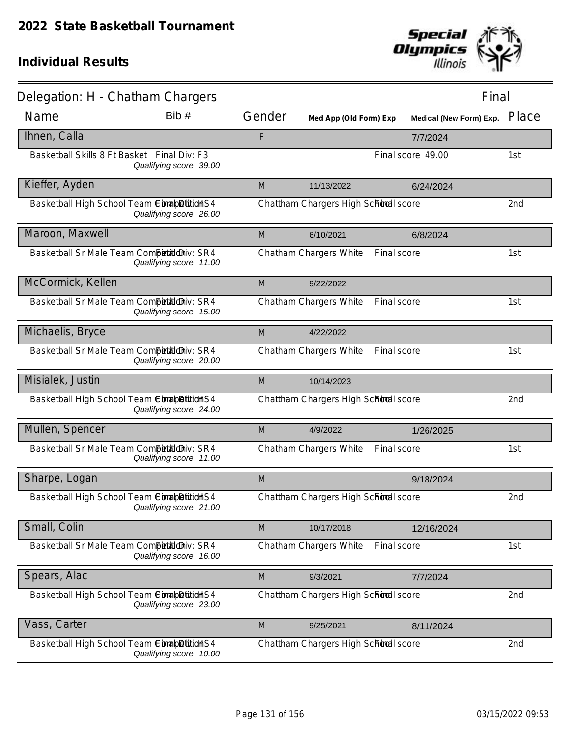

| Delegation: H - Chatham Chargers            |                        |        |                                     | Final                   |       |
|---------------------------------------------|------------------------|--------|-------------------------------------|-------------------------|-------|
| Name                                        | Bib #                  | Gender | Med App (Old Form) Exp              | Medical (New Form) Exp. | Place |
| Ihnen, Calla                                |                        | F      |                                     | 7/7/2024                |       |
| Basketball Skills 8 Ft Basket Final Div: F3 | Qualifying score 39.00 |        |                                     | Final score 49.00       | 1st   |
| Kieffer, Ayden                              |                        | M      | 11/13/2022                          | 6/24/2024               |       |
| Basketball High School Team ConabDitionS4   | Qualifying score 26.00 |        | Chattham Chargers High School score |                         | 2nd   |
| Maroon, Maxwell                             |                        | M      | 6/10/2021                           | 6/8/2024                |       |
| Basketball Sr Male Team Competitioniv: SR4  | Qualifying score 11.00 |        | Chatham Chargers White              | Final score             | 1st   |
| McCormick, Kellen                           |                        | M      | 9/22/2022                           |                         |       |
| Basketball Sr Male Team Competitioniv: SR4  | Qualifying score 15.00 |        | Chatham Chargers White              | Final score             | 1st   |
| Michaelis, Bryce                            |                        | M      | 4/22/2022                           |                         |       |
| Basketball Sr Male Team CompetaldDiv: SR4   | Qualifying score 20.00 |        | Chatham Chargers White              | Final score             | 1st   |
| Misialek, Justin                            |                        | M      | 10/14/2023                          |                         |       |
| Basketball High School Team ComapDition S4  | Qualifying score 24.00 |        | Chattham Chargers High School score |                         | 2nd   |
| Mullen, Spencer                             |                        | M      | 4/9/2022                            | 1/26/2025               |       |
| Basketball Sr Male Team CompetialdDiv: SR4  | Qualifying score 11.00 |        | Chatham Chargers White              | Final score             | 1st   |
| Sharpe, Logan                               |                        | M      |                                     | 9/18/2024               |       |
| Basketball High School Team ComapDition S4  | Qualifying score 21.00 |        | Chattham Chargers High School score |                         | 2nd   |
| Small, Colin                                |                        | M      | 10/17/2018                          | 12/16/2024              |       |
| Basketball Sr Male Team Competitioniv: SR4  | Qualifying score 16.00 |        | Chatham Chargers White              | Final score             | 1st   |
| Spears, Alac                                |                        | M      | 9/3/2021                            | 7/7/2024                |       |
| Basketball High School Team ComapDition S4  | Qualifying score 23.00 |        | Chattham Chargers High School score |                         | 2nd   |
| Vass, Carter                                |                        | M      | 9/25/2021                           | 8/11/2024               |       |
| Basketball High School Team ComapDition S4  | Qualifying score 10.00 |        | Chattham Chargers High School score |                         | 2nd   |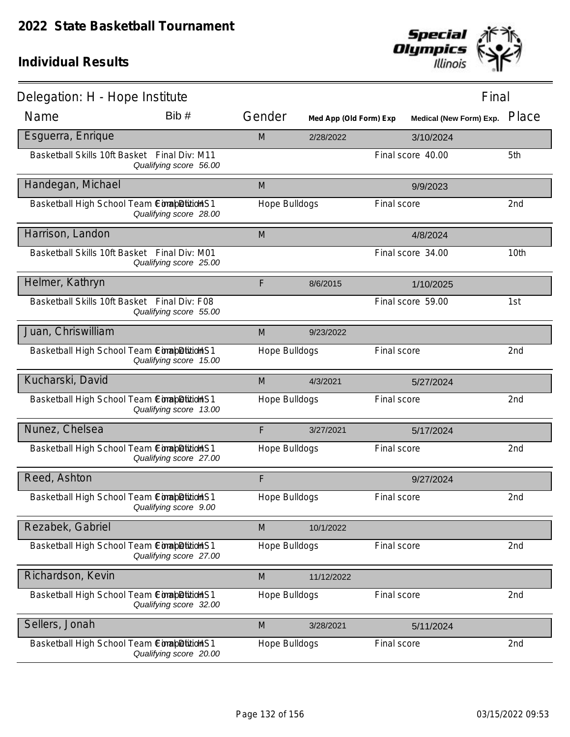

| Delegation: H - Hope Institute                |                        |               |                        |             | Final                   |                 |
|-----------------------------------------------|------------------------|---------------|------------------------|-------------|-------------------------|-----------------|
| Name                                          | Bib #                  | Gender        | Med App (Old Form) Exp |             | Medical (New Form) Exp. | Place           |
| Esguerra, Enrique                             |                        | M             | 2/28/2022              |             | 3/10/2024               |                 |
| Basketball Skills 10ft Basket Final Div: M11  | Qualifying score 56.00 |               |                        |             | Final score 40.00       | 5th             |
| Handegan, Michael                             |                        | M             |                        |             | 9/9/2023                |                 |
| Basketball High School Team ComapDitidHS1     | Qualifying score 28.00 | Hope Bulldogs |                        | Final score |                         | 2nd             |
| Harrison, Landon                              |                        | M             |                        |             | 4/8/2024                |                 |
| Basketball Skills 10ft Basket Final Div: M01  | Qualifying score 25.00 |               |                        |             | Final score 34.00       | 10th            |
| Helmer, Kathryn                               |                        | F             | 8/6/2015               |             | 1/10/2025               |                 |
| Basketball Skills 10ft Basket Final Div: F08  | Qualifying score 55.00 |               |                        |             | Final score 59.00       | 1st             |
| Juan, Chriswilliam                            |                        | M             | 9/23/2022              |             |                         |                 |
| Basketball High School Team ComapDitidHS1     | Qualifying score 15.00 | Hope Bulldogs |                        | Final score |                         | 2nd             |
| Kucharski, David                              |                        | M             | 4/3/2021               |             | 5/27/2024               |                 |
| Basketball High School Team ComapDition S1    | Qualifying score 13.00 | Hope Bulldogs |                        | Final score |                         | 2nd             |
| Nunez, Chelsea                                |                        | F             | 3/27/2021              |             | 5/17/2024               |                 |
| Basketball High School Team ComabDitidHS1     | Qualifying score 27.00 | Hope Bulldogs |                        | Final score |                         | 2 <sub>nd</sub> |
| Reed, Ashton                                  |                        | F             |                        |             | 9/27/2024               |                 |
| Basketball High School Team Comab Ditition S1 | Qualifying score 9.00  | Hope Bulldogs |                        | Final score |                         | 2nd             |
| Rezabek, Gabriel                              |                        | M             | 10/1/2022              |             |                         |                 |
| Basketball High School Team ComapDition S1    | Qualifying score 27.00 | Hope Bulldogs |                        | Final score |                         | 2nd             |
| Richardson, Kevin                             |                        | M             | 11/12/2022             |             |                         |                 |
| Basketball High School Team ConabDitionHS1    | Qualifying score 32.00 | Hope Bulldogs |                        | Final score |                         | 2nd             |
| Sellers, Jonah                                |                        | M             | 3/28/2021              |             | 5/11/2024               |                 |
| Basketball High School Team ConabDitidHS1     | Qualifying score 20.00 | Hope Bulldogs |                        | Final score |                         | 2nd             |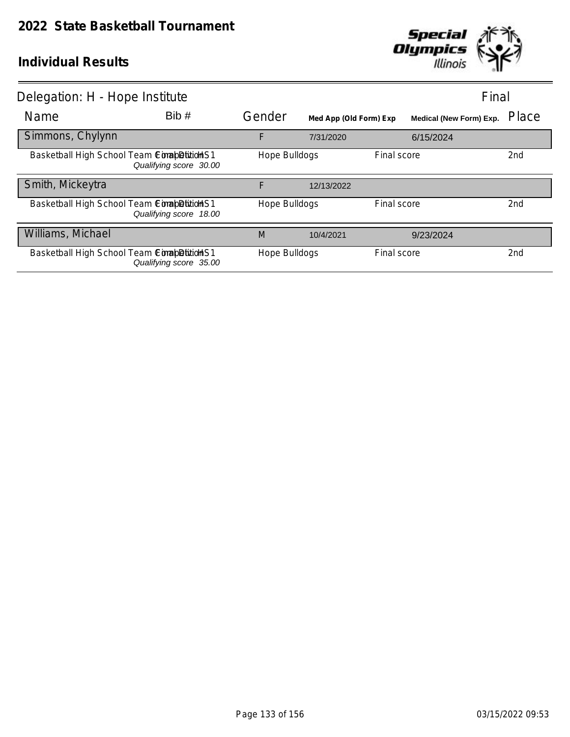

| Delegation: H - Hope Institute              |                        |               |                        |             |                                | Final |
|---------------------------------------------|------------------------|---------------|------------------------|-------------|--------------------------------|-------|
| <b>Name</b>                                 | Bib#                   | Gender        | Med App (Old Form) Exp |             | <b>Medical (New Form) Exp.</b> | Place |
| Simmons, Chylynn                            |                        | F             | 7/31/2020              |             | 6/15/2024                      |       |
| Basketball High School Team ComapDition S1  | Qualifying score 30.00 | Hope Bulldogs |                        | Final score |                                | 2nd   |
| Smith, Mickeytra                            |                        | F             | 12/13/2022             |             |                                |       |
| Basketball High School Team ComapDition S1  | Qualifying score 18.00 | Hope Bulldogs |                        | Final score |                                | 2nd   |
| Williams, Michael                           |                        | M             | 10/4/2021              |             | 9/23/2024                      |       |
| Basketball High School Team Completition S1 | Qualifying score 35.00 | Hope Bulldogs |                        | Final score |                                | 2nd   |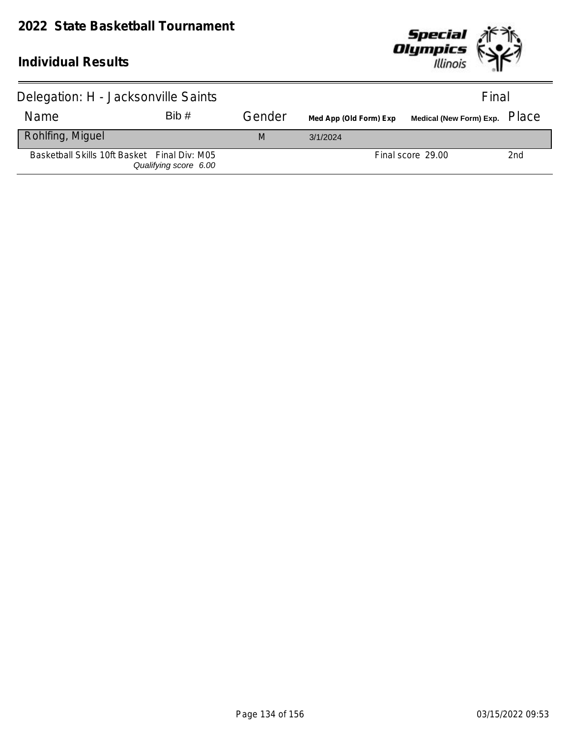

| Delegation: H - Jacksonville Saints          |                       |        |                        | Final             |     |  |
|----------------------------------------------|-----------------------|--------|------------------------|-------------------|-----|--|
| Name                                         | Bib#                  | Gender | Med App (Old Form) Exp |                   |     |  |
| Rohlfing, Miguel                             |                       | M      | 3/1/2024               |                   |     |  |
| Basketball Skills 10ft Basket Final Div: M05 | Qualifying score 6.00 |        |                        | Final score 29.00 | 2nd |  |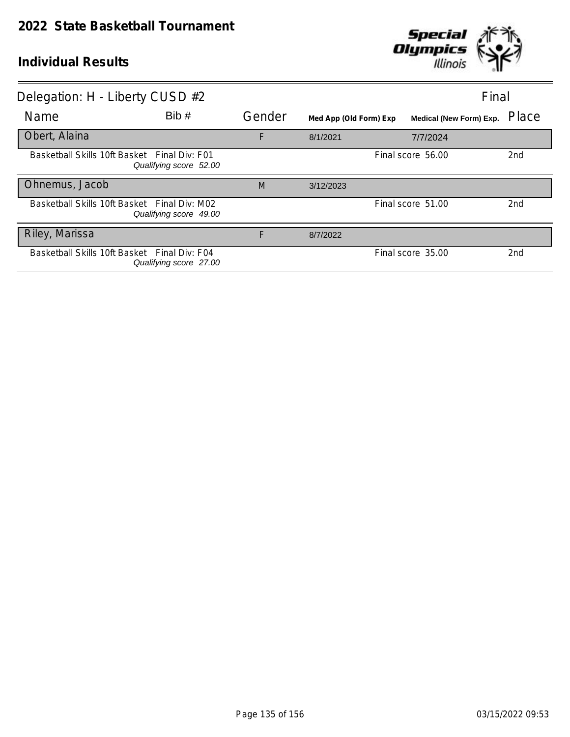

| Delegation: H - Liberty CUSD #2              |                        |        |                        | Final                          |                 |
|----------------------------------------------|------------------------|--------|------------------------|--------------------------------|-----------------|
| Name                                         | Bib#                   | Gender | Med App (Old Form) Exp | <b>Medical (New Form) Exp.</b> | Place           |
| Obert, Alaina                                |                        | F      | 8/1/2021               | 7/7/2024                       |                 |
| Basketball Skills 10ft Basket Final Div: F01 | Qualifying score 52.00 |        |                        | Final score 56.00              | 2nd             |
| Ohnemus, Jacob                               |                        | M      | 3/12/2023              |                                |                 |
| Basketball Skills 10ft Basket Final Div: M02 | Qualifying score 49.00 |        |                        | Final score 51.00              | 2 <sub>nd</sub> |
| Riley, Marissa                               |                        | F      | 8/7/2022               |                                |                 |
| Basketball Skills 10ft Basket Final Div: F04 | Qualifying score 27.00 |        |                        | Final score 35.00              | 2nd             |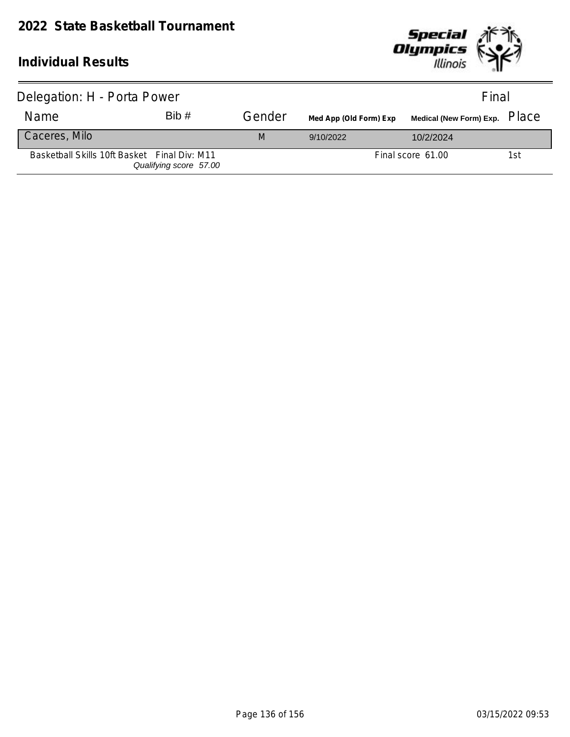

| Delegation: H - Porta Power                  | Final                  |        |                        |                   |     |
|----------------------------------------------|------------------------|--------|------------------------|-------------------|-----|
| Name                                         | Bib#                   | Gender | Med App (Old Form) Exp |                   |     |
| Caceres, Milo                                |                        | M      | 9/10/2022              | 10/2/2024         |     |
| Basketball Skills 10ft Basket Final Div: M11 | Qualifying score 57.00 |        |                        | Final score 61.00 | 1st |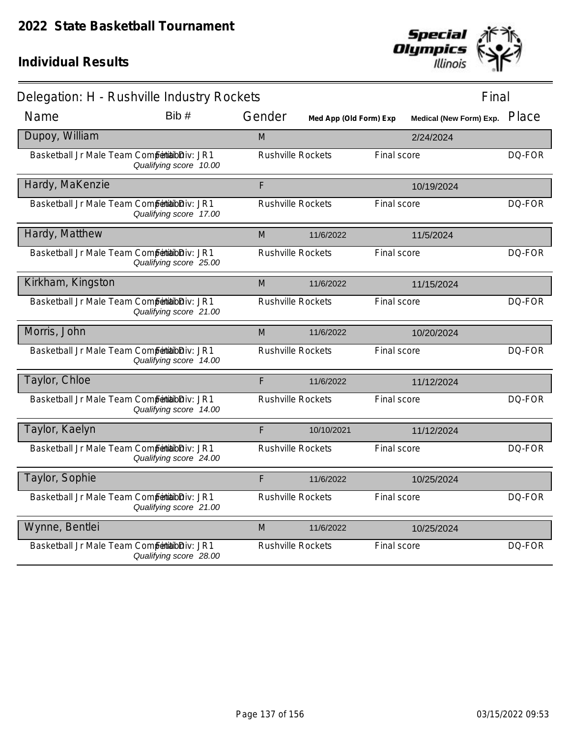

| Delegation: H - Rushville Industry Rockets    |                        |                          |                        |             | Final                   |        |
|-----------------------------------------------|------------------------|--------------------------|------------------------|-------------|-------------------------|--------|
| Name                                          | Bib#                   | Gender                   | Med App (Old Form) Exp |             | Medical (New Form) Exp. | Place  |
| Dupoy, William                                |                        | M                        |                        |             | 2/24/2024               |        |
| Basketball Jr Male Team Competibilibiliv: JR1 | Qualifying score 10.00 | <b>Rushville Rockets</b> |                        | Final score |                         | DQ-FOR |
| Hardy, MaKenzie                               |                        | F                        |                        |             | 10/19/2024              |        |
| Basketball Jr Male Team Competibilibiliv: JR1 | Qualifying score 17.00 | <b>Rushville Rockets</b> |                        | Final score |                         | DQ-FOR |
| Hardy, Matthew                                |                        | M                        | 11/6/2022              |             | 11/5/2024               |        |
| Basketball Jr Male Team Competibilibiliv: JR1 | Qualifying score 25.00 | <b>Rushville Rockets</b> |                        | Final score |                         | DQ-FOR |
| Kirkham, Kingston                             |                        | M                        | 11/6/2022              |             | 11/15/2024              |        |
| Basketball Jr Male Team Competibilibiliv: JR1 | Qualifying score 21.00 | <b>Rushville Rockets</b> |                        | Final score |                         | DQ-FOR |
| Morris, John                                  |                        | M                        | 11/6/2022              |             | 10/20/2024              |        |
| Basketball Jr Male Team Competibilibiliv: JR1 | Qualifying score 14.00 | <b>Rushville Rockets</b> |                        | Final score |                         | DQ-FOR |
| Taylor, Chloe                                 |                        | F                        | 11/6/2022              |             | 11/12/2024              |        |
| Basketball Jr Male Team Competibilibiliv: JR1 | Qualifying score 14.00 | <b>Rushville Rockets</b> |                        | Final score |                         | DQ-FOR |
| Taylor, Kaelyn                                |                        | F                        | 10/10/2021             |             | 11/12/2024              |        |
| Basketball Jr Male Team Competibilibiliv: JR1 | Qualifying score 24.00 | <b>Rushville Rockets</b> |                        | Final score |                         | DQ-FOR |
| Taylor, Sophie                                |                        | F                        | 11/6/2022              |             | 10/25/2024              |        |
| Basketball Jr Male Team Competibilibiliv: JR1 | Qualifying score 21.00 | <b>Rushville Rockets</b> |                        | Final score |                         | DQ-FOR |
| Wynne, Bentlei                                |                        | M                        | 11/6/2022              |             | 10/25/2024              |        |
| Basketball Jr Male Team Competitabliv: JR1    | Qualifying score 28.00 | <b>Rushville Rockets</b> |                        | Final score |                         | DQ-FOR |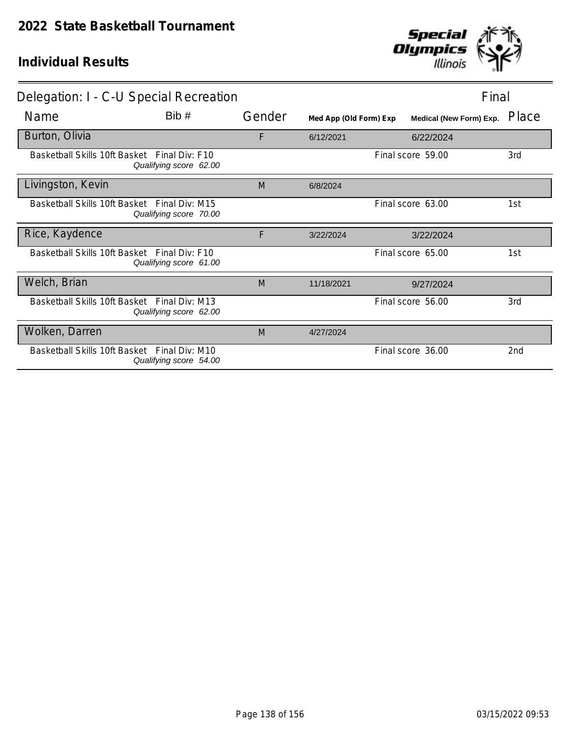

| Delegation: I - C-U Special Recreation       | Final                  |        |                        |  |                                |       |
|----------------------------------------------|------------------------|--------|------------------------|--|--------------------------------|-------|
| Name                                         | Bib#                   | Gender | Med App (Old Form) Exp |  | <b>Medical (New Form) Exp.</b> | Place |
| Burton, Olivia                               |                        | F      | 6/12/2021              |  | 6/22/2024                      |       |
| Basketball Skills 10ft Basket Final Div: F10 | Qualifying score 62.00 |        |                        |  | Final score 59.00              | 3rd   |
| Livingston, Kevin                            |                        | M      | 6/8/2024               |  |                                |       |
| Basketball Skills 10ft Basket Final Div: M15 | Qualifying score 70.00 |        |                        |  | Final score 63.00              | 1st   |
| Rice, Kaydence                               |                        | F      | 3/22/2024              |  | 3/22/2024                      |       |
| Basketball Skills 10ft Basket Final Div: F10 | Qualifying score 61.00 |        |                        |  | Final score 65.00              | 1st   |
| Welch, Brian                                 |                        | M      | 11/18/2021             |  | 9/27/2024                      |       |
| Basketball Skills 10ft Basket Final Div: M13 | Qualifying score 62.00 |        |                        |  | Final score 56.00              | 3rd   |
| Wolken, Darren                               |                        | M      | 4/27/2024              |  |                                |       |
| Basketball Skills 10ft Basket Final Div: M10 | Qualifying score 54.00 |        |                        |  | Final score 36.00              | 2nd   |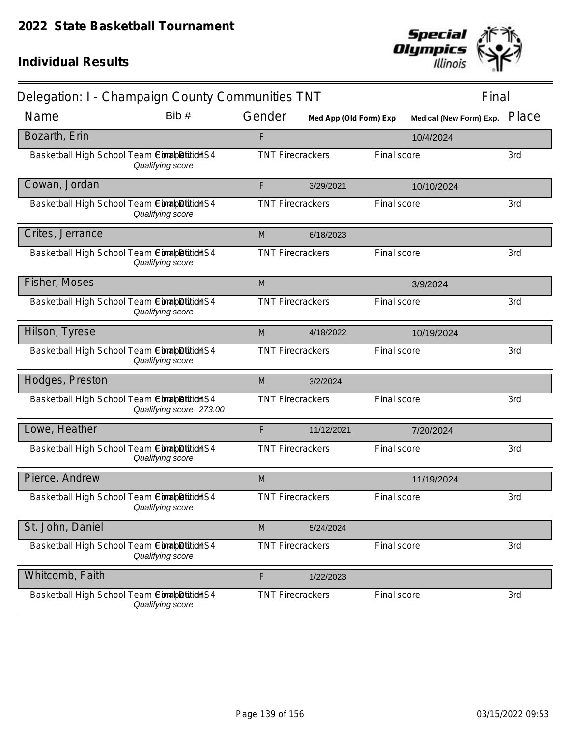

| Delegation: I - Champaign County Communities TNT |                         |        |                         |             |                               | Final |
|--------------------------------------------------|-------------------------|--------|-------------------------|-------------|-------------------------------|-------|
| Name                                             | Bib #                   | Gender | Med App (Old Form) Exp  |             | Medical (New Form) Exp. Place |       |
| Bozarth, Erin                                    |                         | F      |                         |             | 10/4/2024                     |       |
| Basketball High School Team ComapDition S4       | Qualifying score        |        | <b>TNT Firecrackers</b> | Final score |                               | 3rd   |
| Cowan, Jordan                                    |                         | F      | 3/29/2021               |             | 10/10/2024                    |       |
| Basketball High School Team ConabDition S4       | Qualifying score        |        | <b>TNT Firecrackers</b> | Final score |                               | 3rd   |
| Crites, Jerrance                                 |                         | M      | 6/18/2023               |             |                               |       |
| Basketball High School Team ComapDition S4       | Qualifying score        |        | <b>TNT Firecrackers</b> | Final score |                               | 3rd   |
| Fisher, Moses                                    |                         | M      |                         |             | 3/9/2024                      |       |
| Basketball High School Team ComapDition S4       | Qualifying score        |        | <b>TNT Firecrackers</b> | Final score |                               | 3rd   |
| Hilson, Tyrese                                   |                         | M      | 4/18/2022               |             | 10/19/2024                    |       |
| Basketball High School Team ComapDitionS4        | Qualifying score        |        | <b>TNT Firecrackers</b> | Final score |                               | 3rd   |
| Hodges, Preston                                  |                         | M      | 3/2/2024                |             |                               |       |
| Basketball High School Team ConabDitionS4        | Qualifying score 273.00 |        | <b>TNT Firecrackers</b> | Final score |                               | 3rd   |
| Lowe, Heather                                    |                         | F      | 11/12/2021              |             | 7/20/2024                     |       |
| Basketball High School Team CompetitionS4        | Qualifying score        |        | <b>TNT Firecrackers</b> | Final score |                               | 3rd   |
| Pierce, Andrew                                   |                         | M      |                         |             | 11/19/2024                    |       |
| Basketball High School Team Completition S4      | Qualifying score        |        | <b>TNT Firecrackers</b> | Final score |                               | 3rd   |
| St. John, Daniel                                 |                         | M      | 5/24/2024               |             |                               |       |
| Basketball High School Team ComapDition S4       | Qualifying score        |        | <b>TNT Firecrackers</b> | Final score |                               | 3rd   |
| Whitcomb, Faith                                  |                         | F      | 1/22/2023               |             |                               |       |
| Basketball High School Team ComapDitition S4     | Qualifying score        |        | <b>TNT Firecrackers</b> | Final score |                               | 3rd   |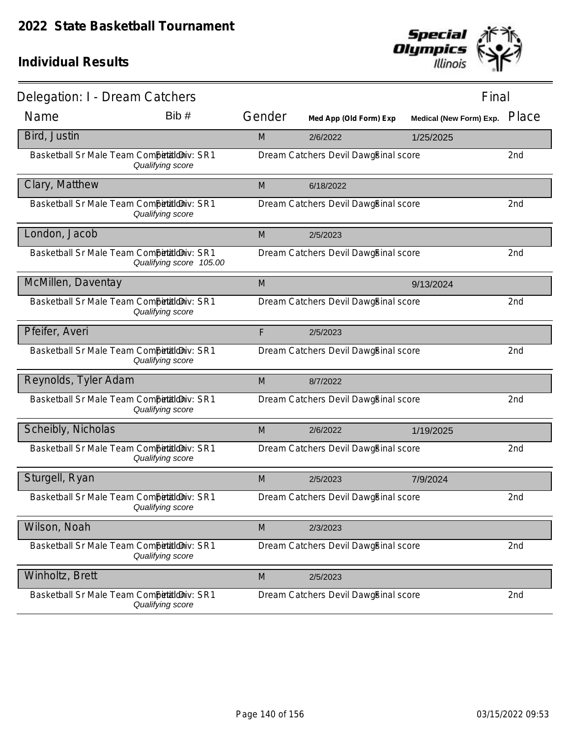

| Delegation: I - Dream Catchers             |                         |        |                                      | Final                          |       |
|--------------------------------------------|-------------------------|--------|--------------------------------------|--------------------------------|-------|
| Name                                       | Bib#                    | Gender | Med App (Old Form) Exp               | <b>Medical (New Form) Exp.</b> | Place |
| Bird, Justin                               |                         | M      | 2/6/2022                             | 1/25/2025                      |       |
| Basketball Sr Male Team Competitioniv: SR1 | Qualifying score        |        | Dream Catchers Devil DawgEinal score |                                | 2nd   |
| Clary, Matthew                             |                         | M      | 6/18/2022                            |                                |       |
| Basketball Sr Male Team CompetaldDiv: SR1  | Qualifying score        |        | Dream Catchers Devil DawgEinal score |                                | 2nd   |
| London, Jacob                              |                         | M      | 2/5/2023                             |                                |       |
| Basketball Sr Male Team Competitioniv: SR1 | Qualifying score 105.00 |        | Dream Catchers Devil DawgEinal score |                                | 2nd   |
| McMillen, Daventay                         |                         | M      |                                      | 9/13/2024                      |       |
| Basketball Sr Male Team CompetaldDiv: SR1  | Qualifying score        |        | Dream Catchers Devil DawgEinal score |                                | 2nd   |
| Pfeifer, Averi                             |                         | F      | 2/5/2023                             |                                |       |
| Basketball Sr Male Team Competitioniv: SR1 | Qualifying score        |        | Dream Catchers Devil DawgBinal score |                                | 2nd   |
| Reynolds, Tyler Adam                       |                         | M      | 8/7/2022                             |                                |       |
| Basketball Sr Male Team Competitioniv: SR1 | Qualifying score        |        | Dream Catchers Devil DawgEinal score |                                | 2nd   |
| Scheibly, Nicholas                         |                         | M      | 2/6/2022                             | 1/19/2025                      |       |
| Basketball Sr Male Team CompetaldDiv: SR1  | Qualifying score        |        | Dream Catchers Devil DawgEinal score |                                | 2nd   |
| Sturgell, Ryan                             |                         | M      | 2/5/2023                             | 7/9/2024                       |       |
| Basketball Sr Male Team CompetaldDiv: SR1  | Qualifying score        |        | Dream Catchers Devil DawgEinal score |                                | 2nd   |
| Wilson, Noah                               |                         | M      | 2/3/2023                             |                                |       |
| Basketball Sr Male Team CompetaldDiv: SR1  | Qualifying score        |        | Dream Catchers Devil DawgEinal score |                                | 2nd   |
| Winholtz, Brett                            |                         | M      | 2/5/2023                             |                                |       |
| Basketball Sr Male Team Competitioniv: SR1 | Qualifying score        |        | Dream Catchers Devil DawgEinal score |                                | 2nd   |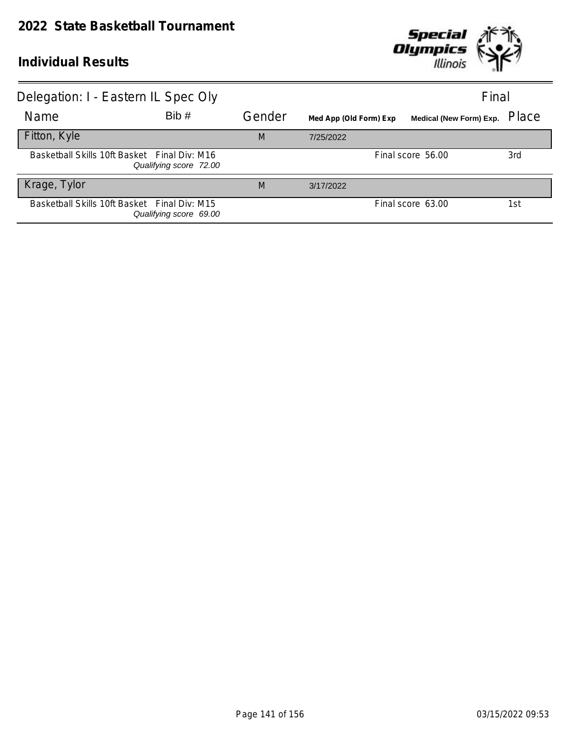

| Delegation: I - Eastern IL Spec Oly          |                        |        |                        | Final                   |       |
|----------------------------------------------|------------------------|--------|------------------------|-------------------------|-------|
| <b>Name</b>                                  | Bib#                   | Gender | Med App (Old Form) Exp | Medical (New Form) Exp. | Place |
| Fitton, Kyle                                 |                        | M      | 7/25/2022              |                         |       |
| Basketball Skills 10ft Basket Final Div: M16 | Qualifying score 72.00 |        |                        | Final score 56.00       | 3rd   |
| Krage, Tylor                                 |                        | M      | 3/17/2022              |                         |       |
| Basketball Skills 10ft Basket Final Div: M15 | Qualifying score 69.00 |        |                        | Final score 63.00       | 1st   |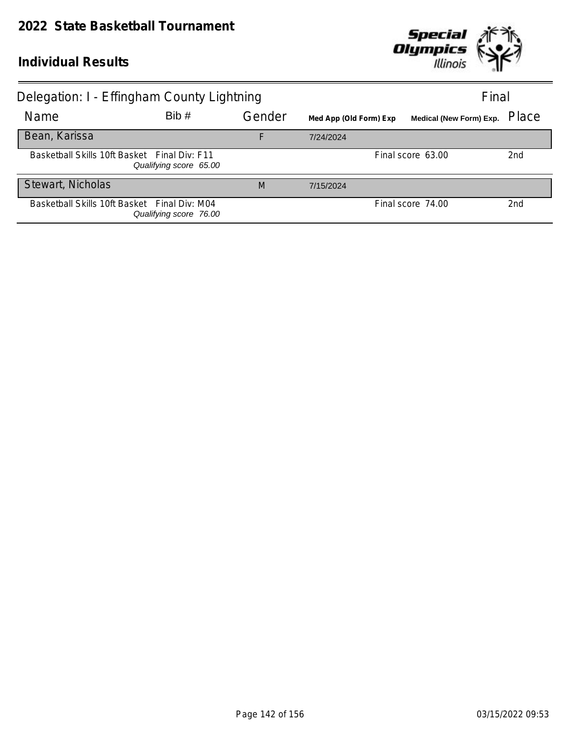

| Delegation: I - Effingham County Lightning   |                        |        | Final                  |                         |                 |
|----------------------------------------------|------------------------|--------|------------------------|-------------------------|-----------------|
| <b>Name</b>                                  | Bib#                   | Gender | Med App (Old Form) Exp | Medical (New Form) Exp. | Place           |
| Bean, Karissa                                |                        | F      | 7/24/2024              |                         |                 |
| Basketball Skills 10ft Basket Final Div: F11 | Qualifying score 65.00 |        |                        | Final score 63.00       | 2 <sub>nd</sub> |
| Stewart, Nicholas                            |                        | M      | 7/15/2024              |                         |                 |
| Basketball Skills 10ft Basket Final Div: M04 | Qualifying score 76.00 |        |                        | Final score 74.00       | 2nd             |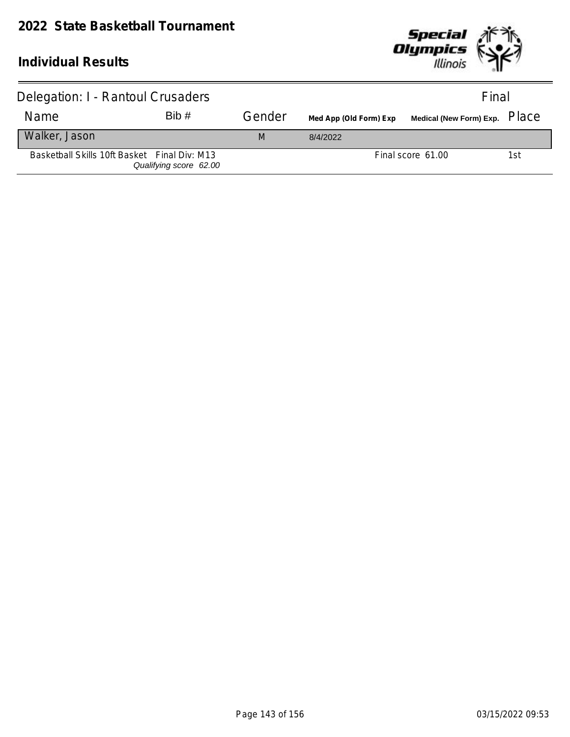

| Delegation: I - Rantoul Crusaders            |                        |        |                        | Final             |     |
|----------------------------------------------|------------------------|--------|------------------------|-------------------|-----|
| Name                                         | Bib#                   | Gender | Med App (Old Form) Exp |                   |     |
| Walker, Jason                                |                        | M      | 8/4/2022               |                   |     |
| Basketball Skills 10ft Basket Final Div: M13 | Qualifying score 62.00 |        |                        | Final score 61.00 | 1st |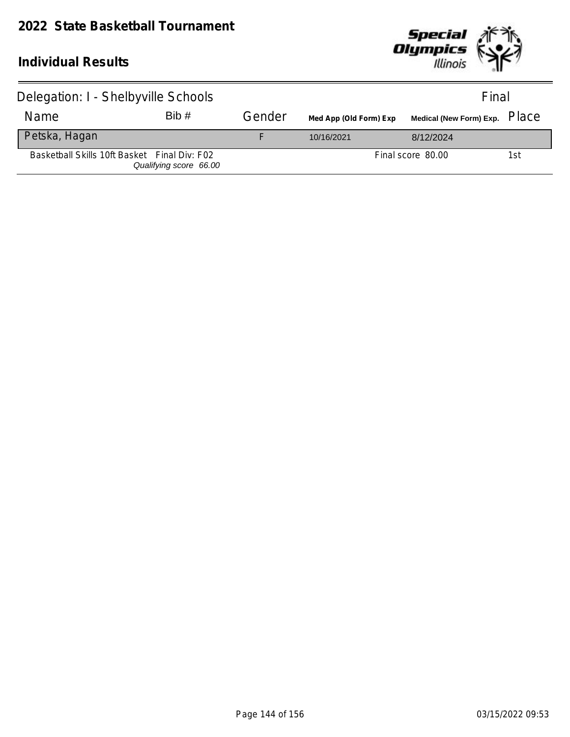

| Delegation: I - Shelbyville Schools          | Final                  |        |                        |                   |     |
|----------------------------------------------|------------------------|--------|------------------------|-------------------|-----|
| Name                                         | Bib#                   | Gender | Med App (Old Form) Exp |                   |     |
| Petska, Hagan                                |                        |        | 10/16/2021             | 8/12/2024         |     |
| Basketball Skills 10ft Basket Final Div: F02 | Qualifying score 66.00 |        |                        | Final score 80.00 | 1st |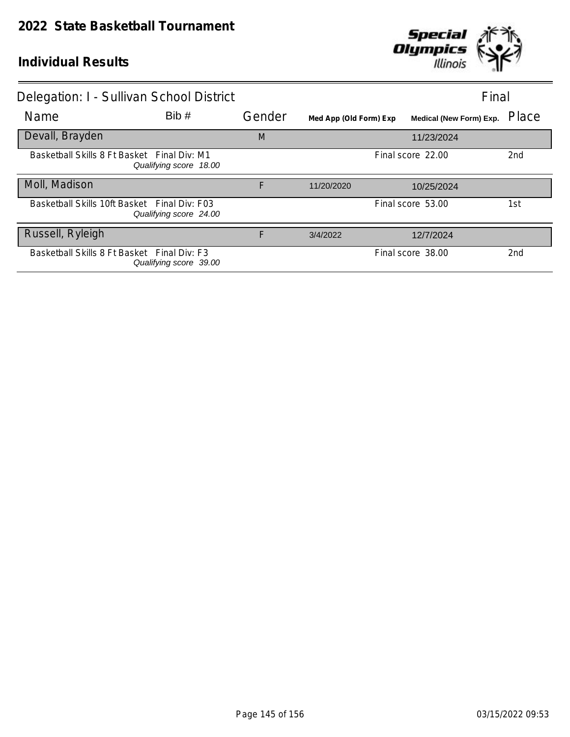

| Delegation: I - Sullivan School District     |                        |        |                        | Final                   |                 |
|----------------------------------------------|------------------------|--------|------------------------|-------------------------|-----------------|
| Name                                         | Bib#                   | Gender | Med App (Old Form) Exp | Medical (New Form) Exp. | Place           |
| Devall, Brayden                              |                        | M      |                        | 11/23/2024              |                 |
| Basketball Skills 8 Ft Basket Final Div: M1  | Qualifying score 18.00 |        |                        | Final score 22.00       | 2nd             |
| Moll, Madison                                |                        | F      | 11/20/2020             | 10/25/2024              |                 |
| Basketball Skills 10ft Basket Final Div: F03 | Qualifying score 24.00 |        |                        | Final score 53.00       | 1st             |
| Russell, Ryleigh                             |                        | F      | 3/4/2022               | 12/7/2024               |                 |
| Basketball Skills 8 Ft Basket Final Div: F3  | Qualifying score 39.00 |        |                        | Final score 38.00       | 2 <sub>nd</sub> |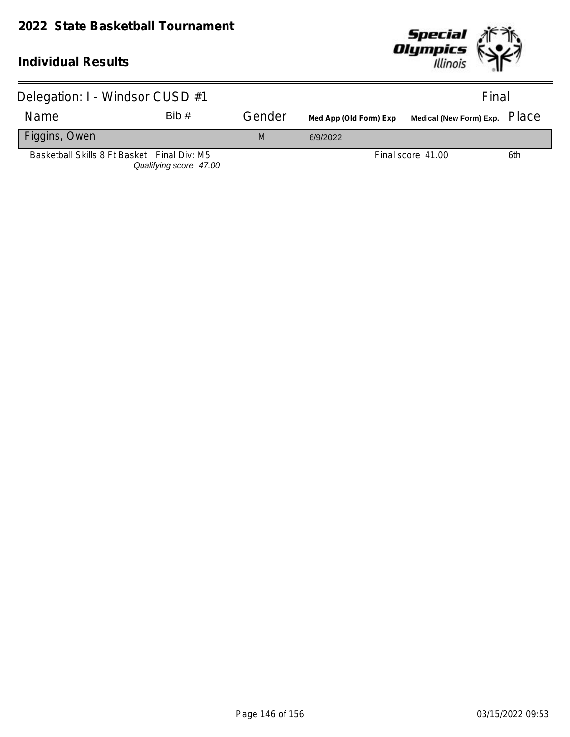# **2022 State Basketball Tournament**



| Delegation: I - Windsor CUSD #1             |                        |        |                                                      | Final             |     |
|---------------------------------------------|------------------------|--------|------------------------------------------------------|-------------------|-----|
| Name                                        | Bib#                   | Gender | Med App (Old Form) Exp Medical (New Form) Exp. Place |                   |     |
| Figgins, Owen                               |                        | M      | 6/9/2022                                             |                   |     |
| Basketball Skills 8 Ft Basket Final Div: M5 | Qualifying score 47.00 |        |                                                      | Final score 41.00 | 6th |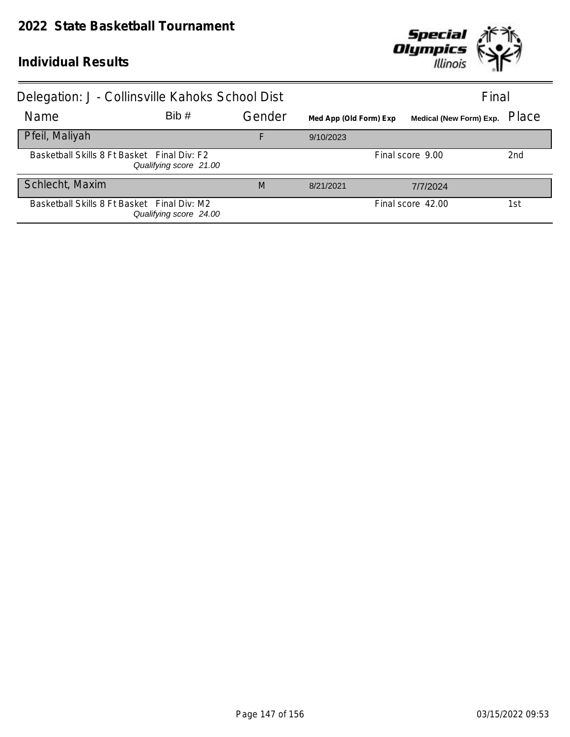

| Delegation: J - Collinsville Kahoks School Dist |                        |        |                        |                               | Final |
|-------------------------------------------------|------------------------|--------|------------------------|-------------------------------|-------|
| <b>Name</b>                                     | Bib#                   | Gender | Med App (Old Form) Exp | Medical (New Form) Exp. Place |       |
| Pfeil, Maliyah                                  |                        | F      | 9/10/2023              |                               |       |
| Basketball Skills 8 Ft Basket Final Div: F2     | Qualifying score 21.00 |        |                        | Final score 9.00              | 2nd   |
| Schlecht, Maxim                                 |                        | M      | 8/21/2021              | 7/7/2024                      |       |
| Basketball Skills 8 Ft Basket Final Div: M2     | Qualifying score 24.00 |        |                        | Final score 42.00             | 1st   |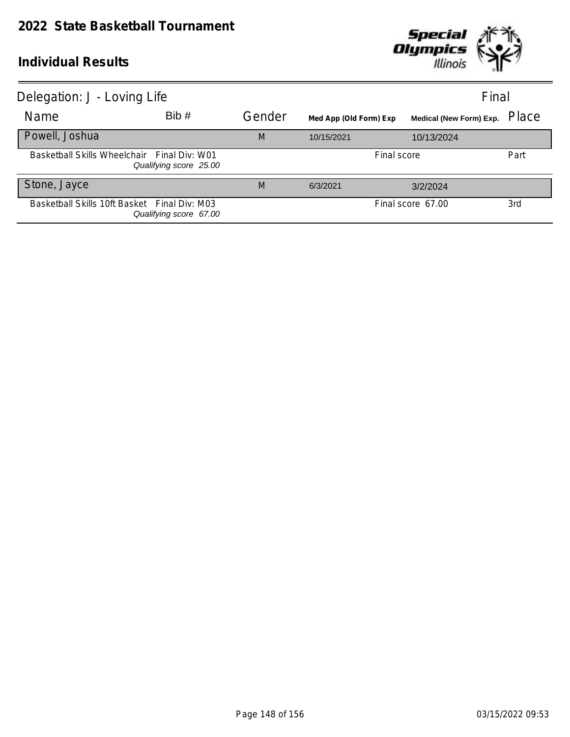

| Delegation: J - Loving Life                  |                        |        |                        |                                | Final |
|----------------------------------------------|------------------------|--------|------------------------|--------------------------------|-------|
| Name                                         | Bib#                   | Gender | Med App (Old Form) Exp | <b>Medical (New Form) Exp.</b> | Place |
| Powell, Joshua                               |                        | M      | 10/15/2021             | 10/13/2024                     |       |
| Basketball Skills Wheelchair Final Div: W01  | Qualifying score 25.00 |        |                        | Final score                    | Part  |
| Stone, Jayce                                 |                        | M      | 6/3/2021               | 3/2/2024                       |       |
| Basketball Skills 10ft Basket Final Div: M03 | Qualifying score 67.00 |        |                        | Final score 67.00              | 3rd   |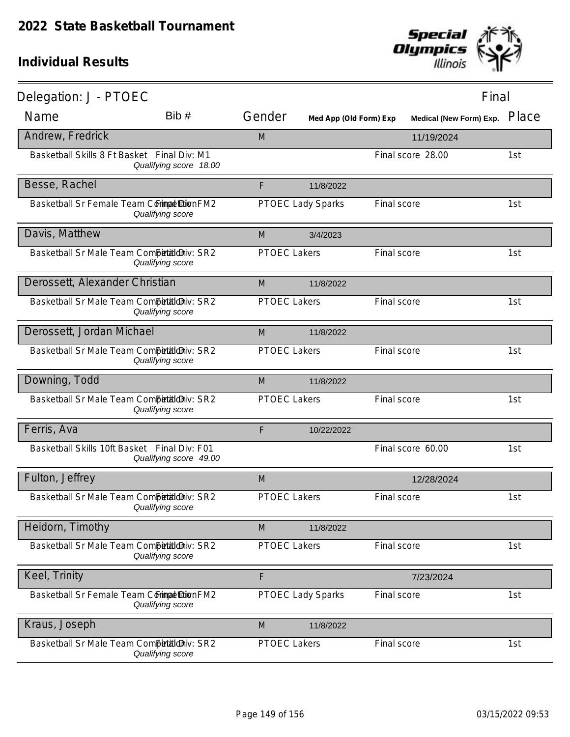

| Delegation: J - PTOEC                        |                        |                     |                          |             | Final                   |       |
|----------------------------------------------|------------------------|---------------------|--------------------------|-------------|-------------------------|-------|
| Name                                         | Bib#                   | Gender              | Med App (Old Form) Exp   |             | Medical (New Form) Exp. | Place |
| Andrew, Fredrick                             |                        | M                   |                          |             | 11/19/2024              |       |
| Basketball Skills 8 Ft Basket Final Div: M1  | Qualifying score 18.00 |                     |                          |             | Final score 28.00       | 1st   |
| Besse, Rachel                                |                        | F                   | 11/8/2022                |             |                         |       |
| Basketball Sr Female Team Commat Dion FM2    | Qualifying score       |                     | <b>PTOEC Lady Sparks</b> | Final score |                         | 1st   |
| Davis, Matthew                               |                        | M                   | 3/4/2023                 |             |                         |       |
| Basketball Sr Male Team Competitioniv: SR2   | Qualifying score       | <b>PTOEC Lakers</b> |                          | Final score |                         | 1st   |
| Derossett, Alexander Christian               |                        | M                   | 11/8/2022                |             |                         |       |
| Basketball Sr Male Team Competitioniv: SR2   | Qualifying score       | <b>PTOEC Lakers</b> |                          | Final score |                         | 1st   |
| Derossett, Jordan Michael                    |                        | M                   | 11/8/2022                |             |                         |       |
| Basketball Sr Male Team Competitioniv: SR2   | Qualifying score       | <b>PTOEC Lakers</b> |                          | Final score |                         | 1st   |
| Downing, Todd                                |                        | M                   | 11/8/2022                |             |                         |       |
| Basketball Sr Male Team Competitioniv: SR2   | Qualifying score       | <b>PTOEC Lakers</b> |                          | Final score |                         | 1st   |
| Ferris, Ava                                  |                        | F                   | 10/22/2022               |             |                         |       |
| Basketball Skills 10ft Basket Final Div: F01 | Qualifying score 49.00 |                     |                          |             | Final score 60.00       | 1st   |
| Fulton, Jeffrey                              |                        | M                   |                          |             | 12/28/2024              |       |
| Basketball Sr Male Team Competitioniv: SR2   | Qualifying score       | <b>PTOEC Lakers</b> |                          | Final score |                         | 1st   |
| Heidorn, Timothy                             |                        | M                   | 11/8/2022                |             |                         |       |
| Basketball Sr Male Team Competitioniv: SR2   | Qualifying score       | PTOEC Lakers        |                          | Final score |                         | 1st   |
| Keel, Trinity                                |                        | F                   |                          |             | 7/23/2024               |       |
| Basketball Sr Female Team Commat Dion FM2    | Qualifying score       |                     | <b>PTOEC Lady Sparks</b> | Final score |                         | 1st   |
| Kraus, Joseph                                |                        | M                   | 11/8/2022                |             |                         |       |
| Basketball Sr Male Team Competitioniv: SR2   | Qualifying score       | <b>PTOEC Lakers</b> |                          | Final score |                         | 1st   |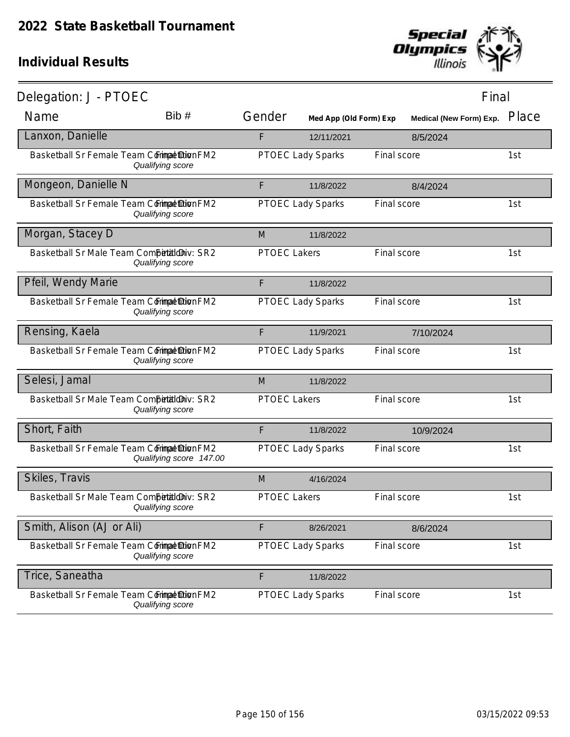

| Delegation: J - PTOEC                      |                         |                     |                          |             | Final                   |       |
|--------------------------------------------|-------------------------|---------------------|--------------------------|-------------|-------------------------|-------|
| Name                                       | Bib#                    | Gender              | Med App (Old Form) Exp   |             | Medical (New Form) Exp. | Place |
| Lanxon, Danielle                           |                         | F                   | 12/11/2021               |             | 8/5/2024                |       |
| Basketball Sr Female Team Commat Dion FM2  | Qualifying score        |                     | PTOEC Lady Sparks        | Final score |                         | 1st   |
| Mongeon, Danielle N                        |                         | F                   | 11/8/2022                |             | 8/4/2024                |       |
| Basketball Sr Female Team Commat Dion FM2  | Qualifying score        |                     | PTOEC Lady Sparks        | Final score |                         | 1st   |
| Morgan, Stacey D                           |                         | M                   | 11/8/2022                |             |                         |       |
| Basketball Sr Male Team Competitioniv: SR2 | Qualifying score        | <b>PTOEC Lakers</b> |                          | Final score |                         | 1st   |
| Pfeil, Wendy Marie                         |                         | F                   | 11/8/2022                |             |                         |       |
| Basketball Sr Female Team Commat Dion FM2  | Qualifying score        |                     | PTOEC Lady Sparks        | Final score |                         | 1st   |
| Rensing, Kaela                             |                         | F                   | 11/9/2021                |             | 7/10/2024               |       |
| Basketball Sr Female Team Commat Dion FM2  | Qualifying score        |                     | <b>PTOEC Lady Sparks</b> | Final score |                         | 1st   |
| Selesi, Jamal                              |                         | M                   | 11/8/2022                |             |                         |       |
| Basketball Sr Male Team Competitioniv: SR2 | Qualifying score        | <b>PTOEC Lakers</b> |                          | Final score |                         | 1st   |
| Short, Faith                               |                         | F                   | 11/8/2022                |             | 10/9/2024               |       |
| Basketball Sr Female Team Commat Dion FM2  | Qualifying score 147.00 |                     | <b>PTOEC Lady Sparks</b> | Final score |                         | 1st   |
| Skiles, Travis                             |                         | M                   | 4/16/2024                |             |                         |       |
| Basketball Sr Male Team Competitioniv: SR2 | Qualifying score        | <b>PTOEC Lakers</b> |                          | Final score |                         | 1st   |
| Smith, Alison (AJ or Ali)                  |                         | F                   | 8/26/2021                |             | 8/6/2024                |       |
| Basketball Sr Female Team Commat Dion FM2  | Qualifying score        |                     | <b>PTOEC Lady Sparks</b> | Final score |                         | 1st   |
| Trice, Saneatha                            |                         | F                   | 11/8/2022                |             |                         |       |
| Basketball Sr Female Team Commat Dion FM2  | Qualifying score        |                     | PTOEC Lady Sparks        | Final score |                         | 1st   |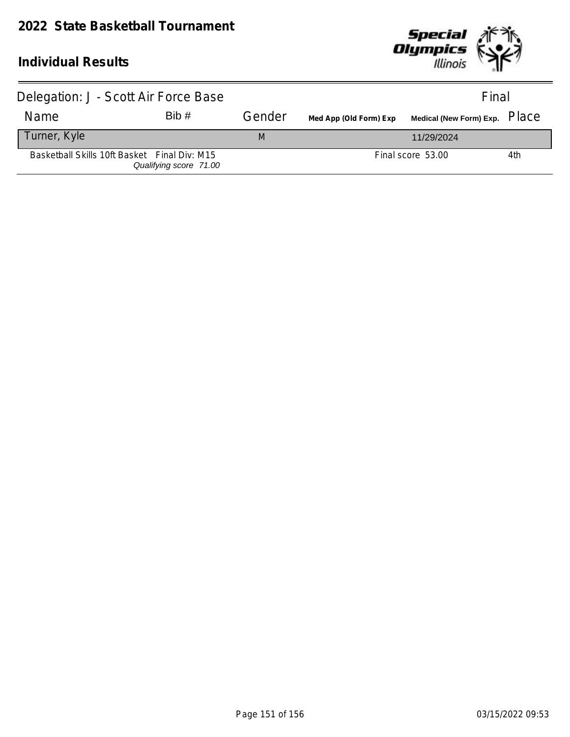

| Delegation: J - Scott Air Force Base         |                        |        |                        | Final             |     |
|----------------------------------------------|------------------------|--------|------------------------|-------------------|-----|
| Name                                         | Bib#                   | Gender | Med App (Old Form) Exp |                   |     |
| Turner, Kyle                                 |                        | M      |                        | 11/29/2024        |     |
| Basketball Skills 10ft Basket Final Div: M15 | Qualifying score 71.00 |        |                        | Final score 53.00 | 4th |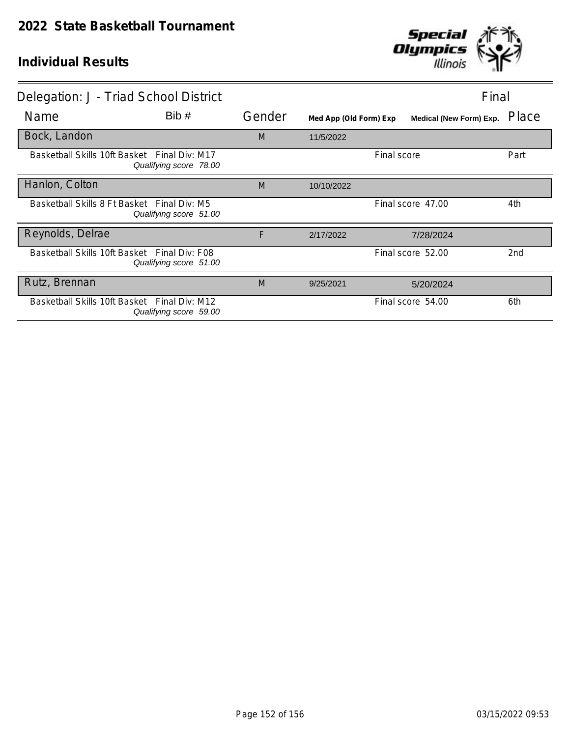

| Delegation: J - Triad School District        |                        |        |                        |             | Final                          |       |
|----------------------------------------------|------------------------|--------|------------------------|-------------|--------------------------------|-------|
| Name                                         | Bib#                   | Gender | Med App (Old Form) Exp |             | <b>Medical (New Form) Exp.</b> | Place |
| Bock, Landon                                 |                        | M      | 11/5/2022              |             |                                |       |
| Basketball Skills 10ft Basket Final Div: M17 | Qualifying score 78.00 |        |                        | Final score |                                | Part  |
| Hanlon, Colton                               |                        | M      | 10/10/2022             |             |                                |       |
| Basketball Skills 8 Ft Basket Final Div: M5  | Qualifying score 51.00 |        |                        |             | Final score 47.00              | 4th   |
| Reynolds, Delrae                             |                        | F      | 2/17/2022              |             | 7/28/2024                      |       |
| Basketball Skills 10ft Basket Final Div: F08 | Qualifying score 51.00 |        |                        |             | Final score 52.00              | 2nd   |
| Rutz, Brennan                                |                        | M      | 9/25/2021              |             | 5/20/2024                      |       |
| Basketball Skills 10ft Basket Final Div: M12 | Qualifying score 59.00 |        |                        |             | Final score 54.00              | 6th   |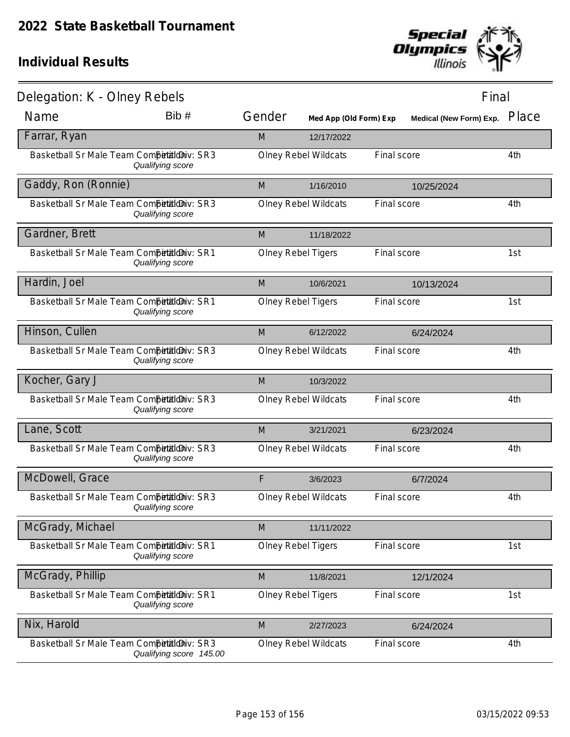

| Delegation: K - Olney Rebels                 |                         |                           |                             |             | Final                   |       |
|----------------------------------------------|-------------------------|---------------------------|-----------------------------|-------------|-------------------------|-------|
| Name                                         | Bib #                   | Gender                    | Med App (Old Form) Exp      |             | Medical (New Form) Exp. | Place |
| Farrar, Ryan                                 |                         | M                         | 12/17/2022                  |             |                         |       |
| Basketball Sr Male Team Competitilo Niv: SR3 | Qualifying score        |                           | <b>Olney Rebel Wildcats</b> | Final score |                         | 4th   |
| Gaddy, Ron (Ronnie)                          |                         | M                         | 1/16/2010                   |             | 10/25/2024              |       |
| Basketball Sr Male Team Competitioniv: SR3   | Qualifying score        |                           | <b>Olney Rebel Wildcats</b> | Final score |                         | 4th   |
| Gardner, Brett                               |                         | M                         | 11/18/2022                  |             |                         |       |
| Basketball Sr Male Team Competitioniv: SR1   | Qualifying score        | <b>Olney Rebel Tigers</b> |                             | Final score |                         | 1st   |
| Hardin, Joel                                 |                         | M                         | 10/6/2021                   |             | 10/13/2024              |       |
| Basketball Sr Male Team Competitioniv: SR1   | Qualifying score        | <b>Olney Rebel Tigers</b> |                             | Final score |                         | 1st   |
| Hinson, Cullen                               |                         | M                         | 6/12/2022                   |             | 6/24/2024               |       |
| Basketball Sr Male Team Competitioniv: SR3   | Qualifying score        |                           | <b>Olney Rebel Wildcats</b> | Final score |                         | 4th   |
| Kocher, Gary J                               |                         | M                         | 10/3/2022                   |             |                         |       |
| Basketball Sr Male Team Competitioniv: SR3   | Qualifying score        |                           | <b>Olney Rebel Wildcats</b> | Final score |                         | 4th   |
| Lane, Scott                                  |                         | M                         | 3/21/2021                   |             | 6/23/2024               |       |
| Basketball Sr Male Team Competitioniv: SR3   | Qualifying score        |                           | <b>Olney Rebel Wildcats</b> | Final score |                         | 4th   |
| McDowell, Grace                              |                         | F                         | 3/6/2023                    |             | 6/7/2024                |       |
| Basketball Sr Male Team Competitioniv: SR3   | Qualifying score        |                           | <b>Olney Rebel Wildcats</b> | Final score |                         | 4th   |
| McGrady, Michael                             |                         | M                         | 11/11/2022                  |             |                         |       |
| Basketball Sr Male Team CompetaldDiv: SR1    | Qualifying score        | <b>Olney Rebel Tigers</b> |                             | Final score |                         | 1st   |
| McGrady, Phillip                             |                         | M                         | 11/8/2021                   |             | 12/1/2024               |       |
| Basketball Sr Male Team Competitioniv: SR1   | Qualifying score        | Olney Rebel Tigers        |                             | Final score |                         | 1st   |
| Nix, Harold                                  |                         | M                         | 2/27/2023                   |             | 6/24/2024               |       |
| Basketball Sr Male Team Competitiloniv: SR3  | Qualifying score 145.00 |                           | <b>Olney Rebel Wildcats</b> | Final score |                         | 4th   |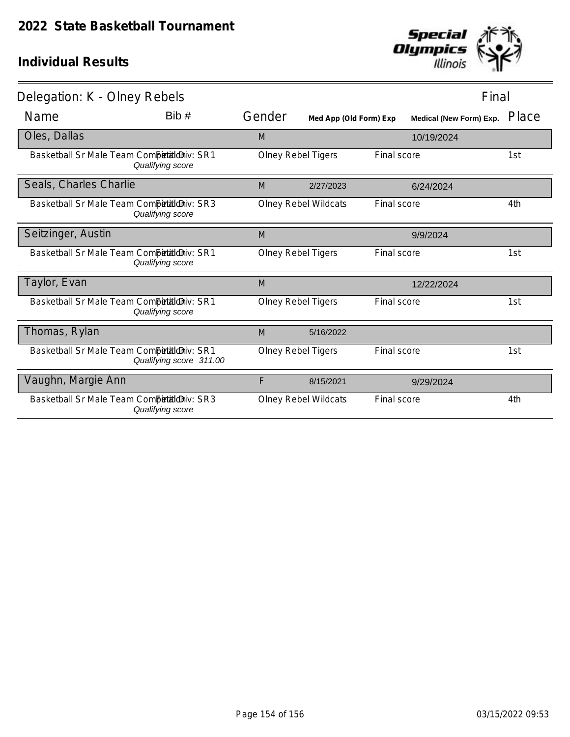

| Delegation: K - Olney Rebels               |                         |        |                             |             | Final                          |       |
|--------------------------------------------|-------------------------|--------|-----------------------------|-------------|--------------------------------|-------|
| Name                                       | Bib#                    | Gender | Med App (Old Form) Exp      |             | <b>Medical (New Form) Exp.</b> | Place |
| Oles, Dallas                               |                         | M      |                             |             | 10/19/2024                     |       |
| Basketball Sr Male Team Competitioniv: SR1 | Qualifying score        |        | <b>Olney Rebel Tigers</b>   | Final score |                                | 1st   |
| Seals, Charles Charlie                     |                         | M      | 2/27/2023                   |             | 6/24/2024                      |       |
| Basketball Sr Male Team Competitioniv: SR3 | Qualifying score        |        | <b>Olney Rebel Wildcats</b> | Final score |                                | 4th   |
| Seitzinger, Austin                         |                         | M      |                             |             | 9/9/2024                       |       |
| Basketball Sr Male Team Competitioniv: SR1 | Qualifying score        |        | Olney Rebel Tigers          | Final score |                                | 1st   |
| Taylor, Evan                               |                         | M      |                             |             | 12/22/2024                     |       |
| Basketball Sr Male Team Competitioniv: SR1 | Qualifying score        |        | <b>Olney Rebel Tigers</b>   | Final score |                                | 1st   |
| Thomas, Rylan                              |                         | M      | 5/16/2022                   |             |                                |       |
| Basketball Sr Male Team Competitioniv: SR1 | Qualifying score 311.00 |        | <b>Olney Rebel Tigers</b>   | Final score |                                | 1st   |
| Vaughn, Margie Ann                         |                         | F      | 8/15/2021                   |             | 9/29/2024                      |       |
| Basketball Sr Male Team Competitioniv: SR3 | Qualifying score        |        | <b>Olney Rebel Wildcats</b> | Final score |                                | 4th   |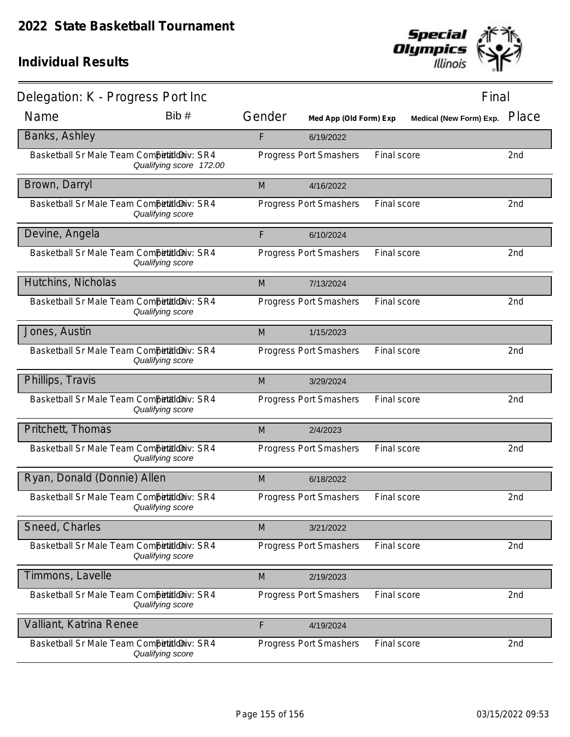

| Delegation: K - Progress Port Inc          |                         |        |                        |             | Final                   |       |
|--------------------------------------------|-------------------------|--------|------------------------|-------------|-------------------------|-------|
| Name                                       | Bib#                    | Gender | Med App (Old Form) Exp |             | Medical (New Form) Exp. | Place |
| Banks, Ashley                              |                         | F      | 6/19/2022              |             |                         |       |
| Basketball Sr Male Team Competitioniv: SR4 | Qualifying score 172.00 |        | Progress Port Smashers | Final score |                         | 2nd   |
| Brown, Darryl                              |                         | M      | 4/16/2022              |             |                         |       |
| Basketball Sr Male Team Competitioniv: SR4 | Qualifying score        |        | Progress Port Smashers | Final score |                         | 2nd   |
| Devine, Angela                             |                         | F      | 6/10/2024              |             |                         |       |
| Basketball Sr Male Team Competitioniv: SR4 | Qualifying score        |        | Progress Port Smashers | Final score |                         | 2nd   |
| Hutchins, Nicholas                         |                         | M      | 7/13/2024              |             |                         |       |
| Basketball Sr Male Team Competitioniv: SR4 | Qualifying score        |        | Progress Port Smashers | Final score |                         | 2nd   |
| Jones, Austin                              |                         | M      | 1/15/2023              |             |                         |       |
| Basketball Sr Male Team Competitioniv: SR4 | Qualifying score        |        | Progress Port Smashers | Final score |                         | 2nd   |
| Phillips, Travis                           |                         | M      | 3/29/2024              |             |                         |       |
| Basketball Sr Male Team Competitioniv: SR4 | Qualifying score        |        | Progress Port Smashers | Final score |                         | 2nd   |
| Pritchett, Thomas                          |                         | M      | 2/4/2023               |             |                         |       |
| Basketball Sr Male Team CompetaldDiv: SR4  | Qualifying score        |        | Progress Port Smashers | Final score |                         | 2nd   |
| Ryan, Donald (Donnie) Allen                |                         | M      | 6/18/2022              |             |                         |       |
| Basketball Sr Male Team Competitioniv: SR4 | Qualifying score        |        | Progress Port Smashers | Final score |                         | 2nd   |
| Sneed, Charles                             |                         | M      | 3/21/2022              |             |                         |       |
| Basketball Sr Male Team CompetaldDiv: SR4  | Qualifying score        |        | Progress Port Smashers | Final score |                         | 2nd   |
| Timmons, Lavelle                           |                         | M      | 2/19/2023              |             |                         |       |
| Basketball Sr Male Team Competitioniv: SR4 | Qualifying score        |        | Progress Port Smashers | Final score |                         | 2nd   |
| Valliant, Katrina Renee                    |                         | F      | 4/19/2024              |             |                         |       |
| Basketball Sr Male Team CompetaldDiv: SR4  | Qualifying score        |        | Progress Port Smashers | Final score |                         | 2nd   |